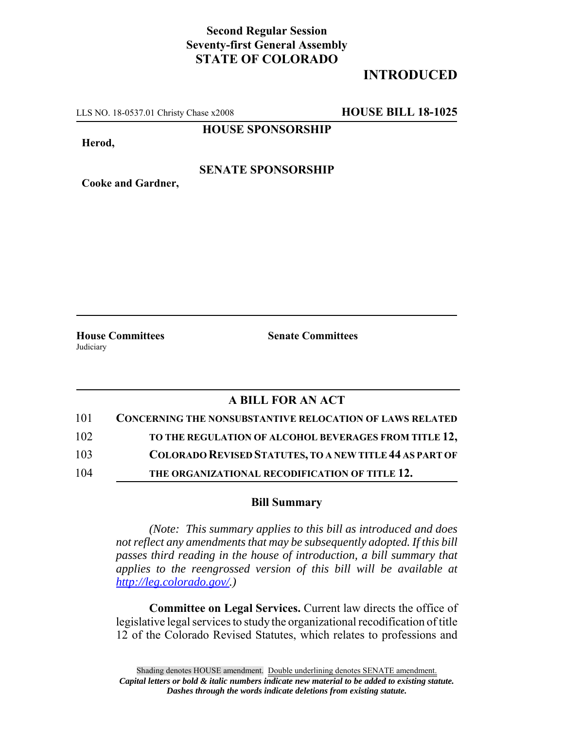## **Second Regular Session Seventy-first General Assembly STATE OF COLORADO**

## **INTRODUCED**

LLS NO. 18-0537.01 Christy Chase x2008 **HOUSE BILL 18-1025**

**HOUSE SPONSORSHIP**

**Herod,**

#### **SENATE SPONSORSHIP**

**Cooke and Gardner,**

Judiciary

**House Committees Senate Committees**

## **A BILL FOR AN ACT**

| 101 | <b>CONCERNING THE NONSUBSTANTIVE RELOCATION OF LAWS RELATED</b> |
|-----|-----------------------------------------------------------------|
| 102 | TO THE REGULATION OF ALCOHOL BEVERAGES FROM TITLE 12,           |
| 103 | <b>COLORADO REVISED STATUTES, TO A NEW TITLE 44 AS PART OF</b>  |
| 104 | THE ORGANIZATIONAL RECODIFICATION OF TITLE 12.                  |

#### **Bill Summary**

*(Note: This summary applies to this bill as introduced and does not reflect any amendments that may be subsequently adopted. If this bill passes third reading in the house of introduction, a bill summary that applies to the reengrossed version of this bill will be available at http://leg.colorado.gov/.)*

**Committee on Legal Services.** Current law directs the office of legislative legal services to study the organizational recodification of title 12 of the Colorado Revised Statutes, which relates to professions and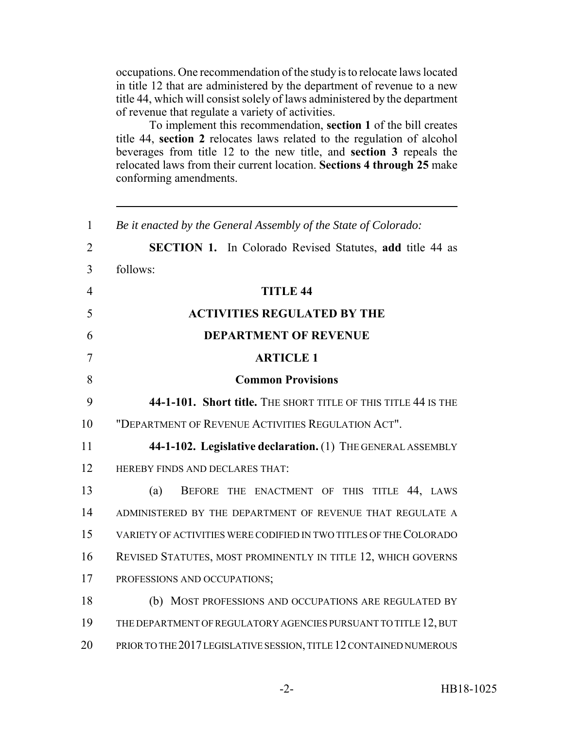occupations. One recommendation of the study is to relocate laws located in title 12 that are administered by the department of revenue to a new title 44, which will consist solely of laws administered by the department of revenue that regulate a variety of activities.

To implement this recommendation, **section 1** of the bill creates title 44, **section 2** relocates laws related to the regulation of alcohol beverages from title 12 to the new title, and **section 3** repeals the relocated laws from their current location. **Sections 4 through 25** make conforming amendments.

| $\mathbf{1}$   | Be it enacted by the General Assembly of the State of Colorado:    |
|----------------|--------------------------------------------------------------------|
| $\overline{2}$ | <b>SECTION 1.</b> In Colorado Revised Statutes, add title 44 as    |
| 3              | follows:                                                           |
| $\overline{4}$ | <b>TITLE 44</b>                                                    |
| 5              | <b>ACTIVITIES REGULATED BY THE</b>                                 |
| 6              | <b>DEPARTMENT OF REVENUE</b>                                       |
| $\overline{7}$ | <b>ARTICLE 1</b>                                                   |
| 8              | <b>Common Provisions</b>                                           |
| 9              | 44-1-101. Short title. THE SHORT TITLE OF THIS TITLE 44 IS THE     |
| 10             | "DEPARTMENT OF REVENUE ACTIVITIES REGULATION ACT".                 |
| 11             | 44-1-102. Legislative declaration. (1) THE GENERAL ASSEMBLY        |
| 12             | HEREBY FINDS AND DECLARES THAT:                                    |
| 13             | BEFORE THE ENACTMENT OF THIS TITLE 44, LAWS<br>(a)                 |
| 14             | ADMINISTERED BY THE DEPARTMENT OF REVENUE THAT REGULATE A          |
| 15             | VARIETY OF ACTIVITIES WERE CODIFIED IN TWO TITLES OF THE COLORADO  |
| 16             | REVISED STATUTES, MOST PROMINENTLY IN TITLE 12, WHICH GOVERNS      |
| 17             | PROFESSIONS AND OCCUPATIONS;                                       |
| 18             | (b) MOST PROFESSIONS AND OCCUPATIONS ARE REGULATED BY              |
| 19             | THE DEPARTMENT OF REGULATORY AGENCIES PURSUANT TO TITLE 12, BUT    |
| 20             | PRIOR TO THE 2017 LEGISLATIVE SESSION, TITLE 12 CONTAINED NUMEROUS |
|                |                                                                    |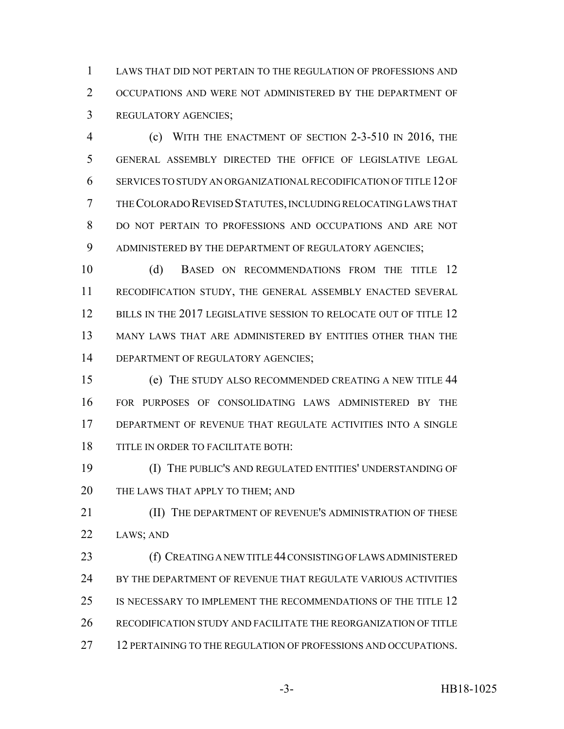LAWS THAT DID NOT PERTAIN TO THE REGULATION OF PROFESSIONS AND OCCUPATIONS AND WERE NOT ADMINISTERED BY THE DEPARTMENT OF REGULATORY AGENCIES;

 (c) WITH THE ENACTMENT OF SECTION 2-3-510 IN 2016, THE GENERAL ASSEMBLY DIRECTED THE OFFICE OF LEGISLATIVE LEGAL SERVICES TO STUDY AN ORGANIZATIONAL RECODIFICATION OF TITLE 12 OF THE COLORADO REVISED STATUTES, INCLUDING RELOCATING LAWS THAT DO NOT PERTAIN TO PROFESSIONS AND OCCUPATIONS AND ARE NOT ADMINISTERED BY THE DEPARTMENT OF REGULATORY AGENCIES;

10 (d) BASED ON RECOMMENDATIONS FROM THE TITLE 12 RECODIFICATION STUDY, THE GENERAL ASSEMBLY ENACTED SEVERAL 12 BILLS IN THE 2017 LEGISLATIVE SESSION TO RELOCATE OUT OF TITLE 12 MANY LAWS THAT ARE ADMINISTERED BY ENTITIES OTHER THAN THE 14 DEPARTMENT OF REGULATORY AGENCIES;

 (e) THE STUDY ALSO RECOMMENDED CREATING A NEW TITLE 44 FOR PURPOSES OF CONSOLIDATING LAWS ADMINISTERED BY THE DEPARTMENT OF REVENUE THAT REGULATE ACTIVITIES INTO A SINGLE TITLE IN ORDER TO FACILITATE BOTH:

 (I) THE PUBLIC'S AND REGULATED ENTITIES' UNDERSTANDING OF 20 THE LAWS THAT APPLY TO THEM; AND

**III)** THE DEPARTMENT OF REVENUE'S ADMINISTRATION OF THESE LAWS; AND

 (f) CREATING A NEW TITLE 44 CONSISTING OF LAWS ADMINISTERED 24 BY THE DEPARTMENT OF REVENUE THAT REGULATE VARIOUS ACTIVITIES IS NECESSARY TO IMPLEMENT THE RECOMMENDATIONS OF THE TITLE 12 RECODIFICATION STUDY AND FACILITATE THE REORGANIZATION OF TITLE 12 PERTAINING TO THE REGULATION OF PROFESSIONS AND OCCUPATIONS.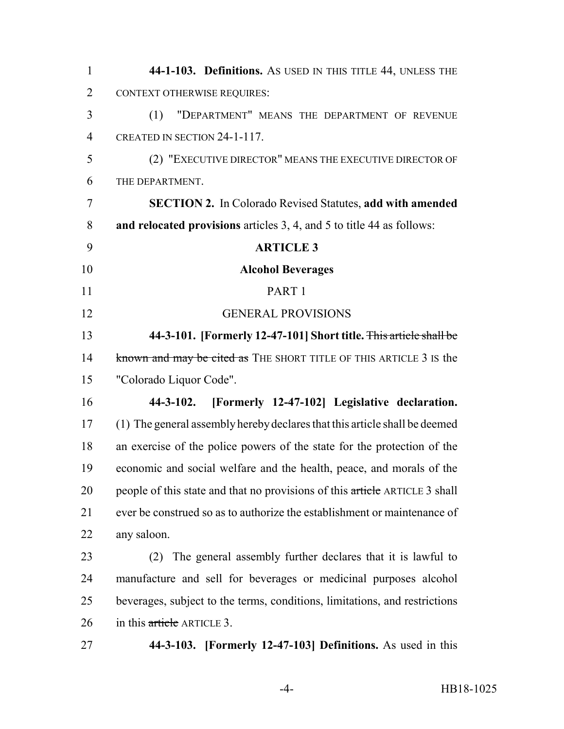| $\mathbf{1}$   | 44-1-103. Definitions. As USED IN THIS TITLE 44, UNLESS THE                 |
|----------------|-----------------------------------------------------------------------------|
| $\overline{2}$ | <b>CONTEXT OTHERWISE REQUIRES:</b>                                          |
| 3              | "DEPARTMENT" MEANS THE DEPARTMENT OF REVENUE<br>(1)                         |
| $\overline{4}$ | CREATED IN SECTION 24-1-117.                                                |
| 5              | (2) "EXECUTIVE DIRECTOR" MEANS THE EXECUTIVE DIRECTOR OF                    |
| 6              | THE DEPARTMENT.                                                             |
| 7              | <b>SECTION 2.</b> In Colorado Revised Statutes, add with amended            |
| 8              | and relocated provisions articles 3, 4, and 5 to title 44 as follows:       |
| 9              | <b>ARTICLE 3</b>                                                            |
| 10             | <b>Alcohol Beverages</b>                                                    |
| 11             | PART 1                                                                      |
| 12             | <b>GENERAL PROVISIONS</b>                                                   |
| 13             | 44-3-101. [Formerly 12-47-101] Short title. This article shall be           |
| 14             | known and may be cited as THE SHORT TITLE OF THIS ARTICLE 3 IS the          |
| 15             | "Colorado Liquor Code".                                                     |
| 16             | [Formerly 12-47-102] Legislative declaration.<br>44-3-102.                  |
| 17             | (1) The general assembly hereby declares that this article shall be deemed  |
| 18             | an exercise of the police powers of the state for the protection of the     |
| 19             | economic and social welfare and the health, peace, and morals of the        |
| 20             | people of this state and that no provisions of this article ARTICLE 3 shall |
| 21             | ever be construed so as to authorize the establishment or maintenance of    |
| 22             | any saloon.                                                                 |
| 23             | The general assembly further declares that it is lawful to<br>(2)           |
| 24             | manufacture and sell for beverages or medicinal purposes alcohol            |
| 25             | beverages, subject to the terms, conditions, limitations, and restrictions  |
| 26             | in this article ARTICLE 3.                                                  |
| 27             | 44-3-103. [Formerly 12-47-103] Definitions. As used in this                 |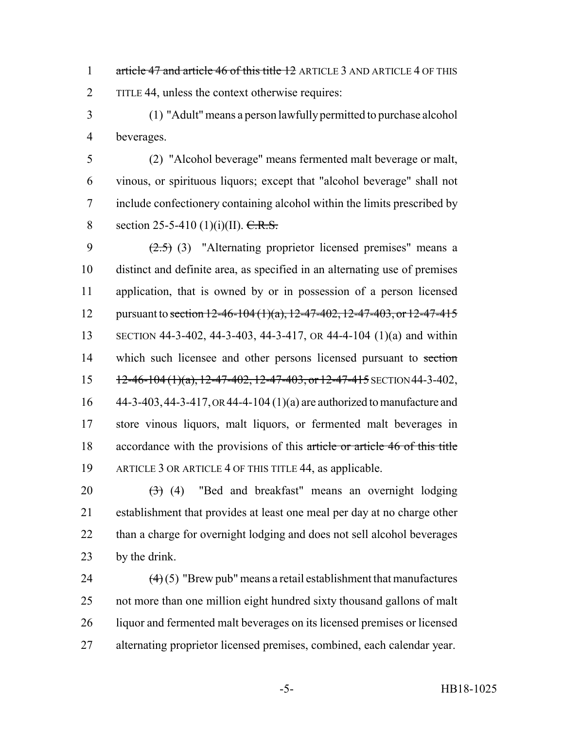1 article 47 and article 46 of this title 12 ARTICLE 3 AND ARTICLE 4 OF THIS TITLE 44, unless the context otherwise requires:

 (1) "Adult" means a person lawfully permitted to purchase alcohol beverages.

 (2) "Alcohol beverage" means fermented malt beverage or malt, vinous, or spirituous liquors; except that "alcohol beverage" shall not include confectionery containing alcohol within the limits prescribed by 8 section 25-5-410 (1)(i)(II).  $C.R.S.$ 

 $(2.5)$  (3) "Alternating proprietor licensed premises" means a distinct and definite area, as specified in an alternating use of premises application, that is owned by or in possession of a person licensed 12 pursuant to section 12-46-104 (1)(a), 12-47-402, 12-47-403, or 12-47-415 SECTION 44-3-402, 44-3-403, 44-3-417, OR 44-4-104 (1)(a) and within 14 which such licensee and other persons licensed pursuant to section  $12-46-104(1)(a)$ ,  $12-47-402$ ,  $12-47-403$ , or  $12-47-415$  SECTION 44-3-402, 44-3-403,44-3-417, OR 44-4-104 (1)(a) are authorized to manufacture and store vinous liquors, malt liquors, or fermented malt beverages in 18 accordance with the provisions of this article or article 46 of this title ARTICLE 3 OR ARTICLE 4 OF THIS TITLE 44, as applicable.

 $(3)$  (4) "Bed and breakfast" means an overnight lodging establishment that provides at least one meal per day at no charge other than a charge for overnight lodging and does not sell alcohol beverages by the drink.

 $(4)(5)$  "Brew pub" means a retail establishment that manufactures not more than one million eight hundred sixty thousand gallons of malt liquor and fermented malt beverages on its licensed premises or licensed alternating proprietor licensed premises, combined, each calendar year.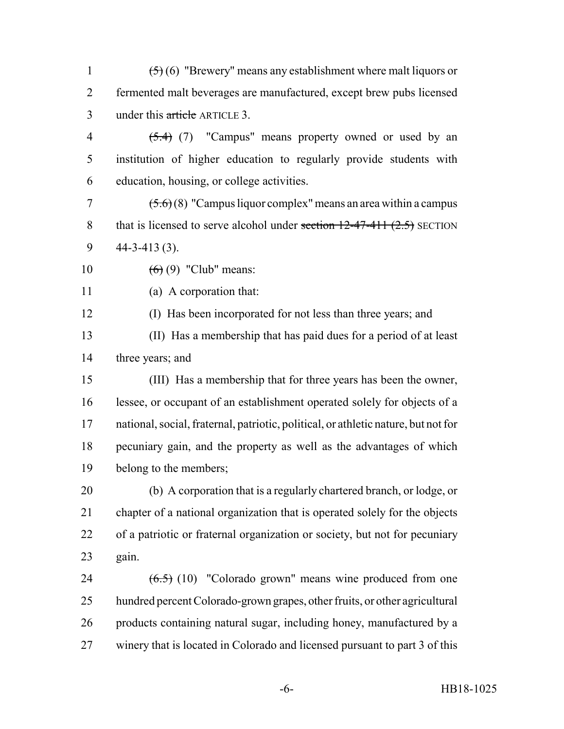1  $(5)(6)$  "Brewery" means any establishment where malt liquors or fermented malt beverages are manufactured, except brew pubs licensed under this article ARTICLE 3.

- 4  $(5.4)$  (7) "Campus" means property owned or used by an institution of higher education to regularly provide students with education, housing, or college activities.
- 7  $(5.6)(8)$  "Campus liquor complex" means an area within a campus 8 that is licensed to serve alcohol under section  $12-47-411$   $(2.5)$  SECTION 44-3-413 (3).
- 10  $(6)(9)$  "Club" means:
- 

(a) A corporation that:

- (I) Has been incorporated for not less than three years; and
- (II) Has a membership that has paid dues for a period of at least three years; and
- (III) Has a membership that for three years has been the owner, lessee, or occupant of an establishment operated solely for objects of a national, social, fraternal, patriotic, political, or athletic nature, but not for pecuniary gain, and the property as well as the advantages of which belong to the members;
- (b) A corporation that is a regularly chartered branch, or lodge, or chapter of a national organization that is operated solely for the objects of a patriotic or fraternal organization or society, but not for pecuniary gain.
- 24  $(6.5)$  (10) "Colorado grown" means wine produced from one hundred percent Colorado-grown grapes, other fruits, or other agricultural products containing natural sugar, including honey, manufactured by a winery that is located in Colorado and licensed pursuant to part 3 of this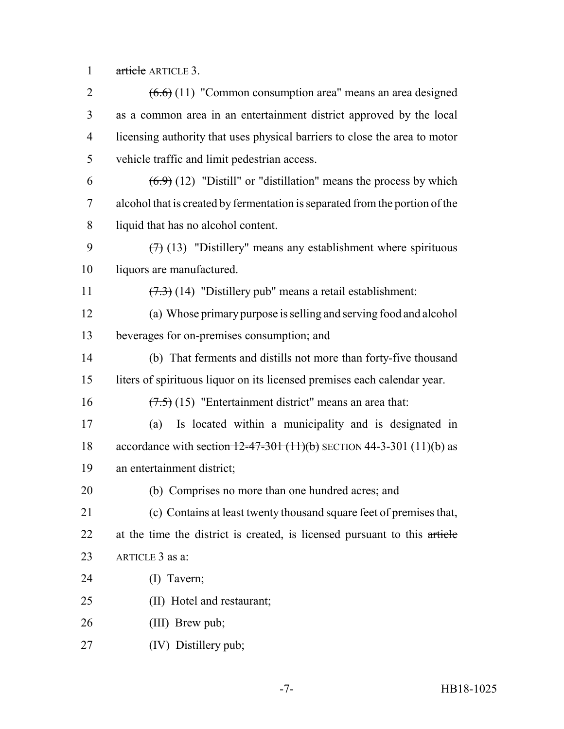article ARTICLE 3.

 $(6.6)$  (11) "Common consumption area" means an area designed as a common area in an entertainment district approved by the local licensing authority that uses physical barriers to close the area to motor vehicle traffic and limit pedestrian access.  $(6.9)$  (12) "Distill" or "distillation" means the process by which alcohol that is created by fermentation is separated from the portion of the liquid that has no alcohol content.  $(7)$  (13) "Distillery" means any establishment where spirituous liquors are manufactured.  $(7.3)$  (14) "Distillery pub" means a retail establishment: (a) Whose primary purpose is selling and serving food and alcohol beverages for on-premises consumption; and (b) That ferments and distills not more than forty-five thousand liters of spirituous liquor on its licensed premises each calendar year.  $(7.5)$  (15) "Entertainment district" means an area that: (a) Is located within a municipality and is designated in 18 accordance with section  $12-47-301$  (11)(b) SECTION 44-3-301 (11)(b) as an entertainment district; (b) Comprises no more than one hundred acres; and (c) Contains at least twenty thousand square feet of premises that, 22 at the time the district is created, is licensed pursuant to this article ARTICLE 3 as a: (I) Tavern; (II) Hotel and restaurant; 26 (III) Brew pub; (IV) Distillery pub;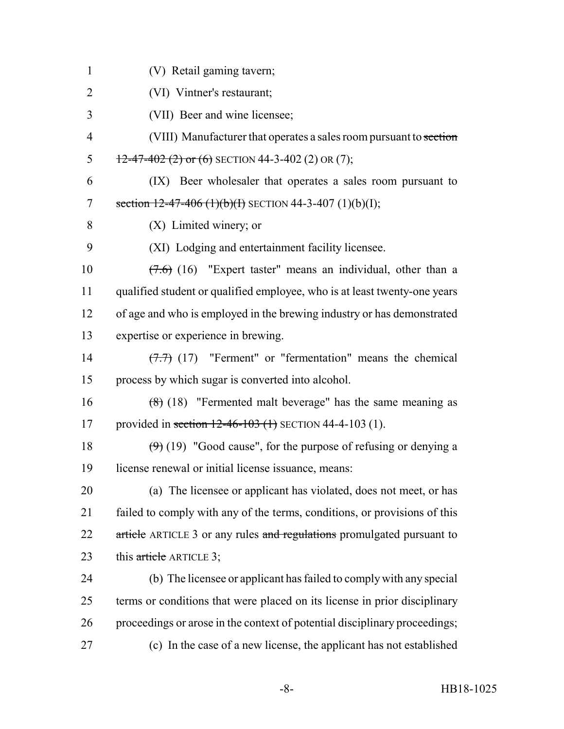(V) Retail gaming tavern; (VI) Vintner's restaurant; (VII) Beer and wine licensee; 4 (VIII) Manufacturer that operates a sales room pursuant to section 5 12-47-402 (2) or (6) SECTION 44-3-402 (2) OR (7); (IX) Beer wholesaler that operates a sales room pursuant to 7 section  $12-47-406$  (1)(b)(f) SECTION 44-3-407 (1)(b)(I); (X) Limited winery; or (XI) Lodging and entertainment facility licensee.  $(7.6)$  (16) "Expert taster" means an individual, other than a qualified student or qualified employee, who is at least twenty-one years of age and who is employed in the brewing industry or has demonstrated expertise or experience in brewing. (7.7) (17) "Ferment" or "fermentation" means the chemical process by which sugar is converted into alcohol. (8) (18) "Fermented malt beverage" has the same meaning as 17 provided in section 12-46-103 (1) SECTION 44-4-103 (1).  $(9)(19)$  "Good cause", for the purpose of refusing or denying a license renewal or initial license issuance, means: (a) The licensee or applicant has violated, does not meet, or has failed to comply with any of the terms, conditions, or provisions of this 22 article ARTICLE 3 or any rules and regulations promulgated pursuant to 23 this article ARTICLE 3; (b) The licensee or applicant has failed to comply with any special terms or conditions that were placed on its license in prior disciplinary proceedings or arose in the context of potential disciplinary proceedings; (c) In the case of a new license, the applicant has not established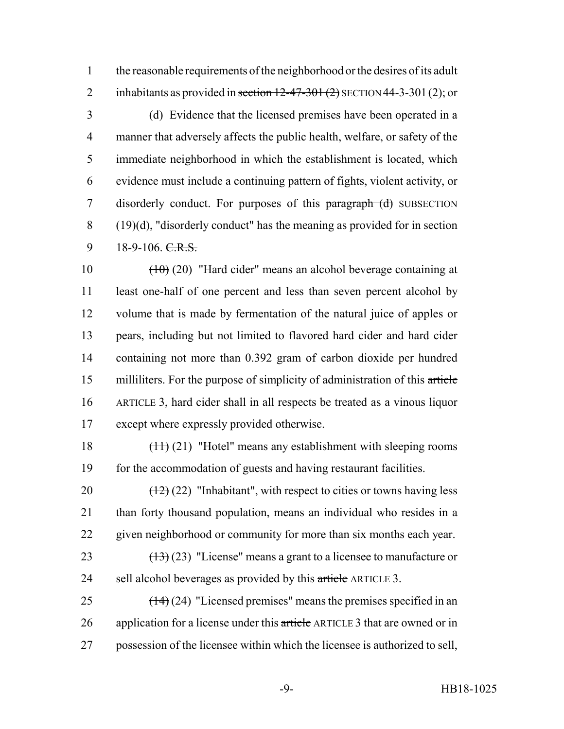the reasonable requirements of the neighborhood or the desires of its adult 2 inhabitants as provided in section  $12-47-301(2)$  SECTION 44-3-301(2); or

 (d) Evidence that the licensed premises have been operated in a manner that adversely affects the public health, welfare, or safety of the immediate neighborhood in which the establishment is located, which evidence must include a continuing pattern of fights, violent activity, or 7 disorderly conduct. For purposes of this paragraph (d) SUBSECTION (19)(d), "disorderly conduct" has the meaning as provided for in section  $9 \t 18-9-106$ . C.R.S.

 $\left(\frac{10}{20}\right)$  "Hard cider" means an alcohol beverage containing at least one-half of one percent and less than seven percent alcohol by volume that is made by fermentation of the natural juice of apples or pears, including but not limited to flavored hard cider and hard cider containing not more than 0.392 gram of carbon dioxide per hundred milliliters. For the purpose of simplicity of administration of this article ARTICLE 3, hard cider shall in all respects be treated as a vinous liquor except where expressly provided otherwise.

18  $\left(\frac{11}{21}\right)$  "Hotel" means any establishment with sleeping rooms for the accommodation of guests and having restaurant facilities.

20  $\left(\frac{12}{2}\right)$  (22) "Inhabitant", with respect to cities or towns having less than forty thousand population, means an individual who resides in a given neighborhood or community for more than six months each year.

23  $(13)(23)$  "License" means a grant to a licensee to manufacture or 24 sell alcohol beverages as provided by this article ARTICLE 3.

25  $(14)(24)$  "Licensed premises" means the premises specified in an 26 application for a license under this article ARTICLE 3 that are owned or in possession of the licensee within which the licensee is authorized to sell,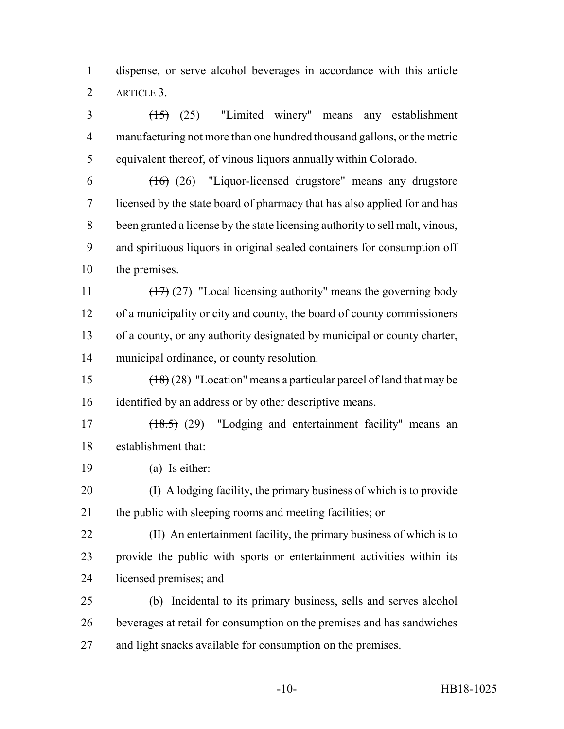dispense, or serve alcohol beverages in accordance with this article ARTICLE 3.

 (15) (25) "Limited winery" means any establishment manufacturing not more than one hundred thousand gallons, or the metric equivalent thereof, of vinous liquors annually within Colorado.

 $(16)$   $(26)$  "Liquor-licensed drugstore" means any drugstore licensed by the state board of pharmacy that has also applied for and has been granted a license by the state licensing authority to sell malt, vinous, and spirituous liquors in original sealed containers for consumption off the premises.

 $\left(\frac{17}{27}\right)$  (27) "Local licensing authority" means the governing body of a municipality or city and county, the board of county commissioners of a county, or any authority designated by municipal or county charter, municipal ordinance, or county resolution.

 (18) (28) "Location" means a particular parcel of land that may be identified by an address or by other descriptive means.

 (18.5) (29) "Lodging and entertainment facility" means an establishment that:

(a) Is either:

 (I) A lodging facility, the primary business of which is to provide the public with sleeping rooms and meeting facilities; or

 (II) An entertainment facility, the primary business of which is to provide the public with sports or entertainment activities within its licensed premises; and

 (b) Incidental to its primary business, sells and serves alcohol beverages at retail for consumption on the premises and has sandwiches and light snacks available for consumption on the premises.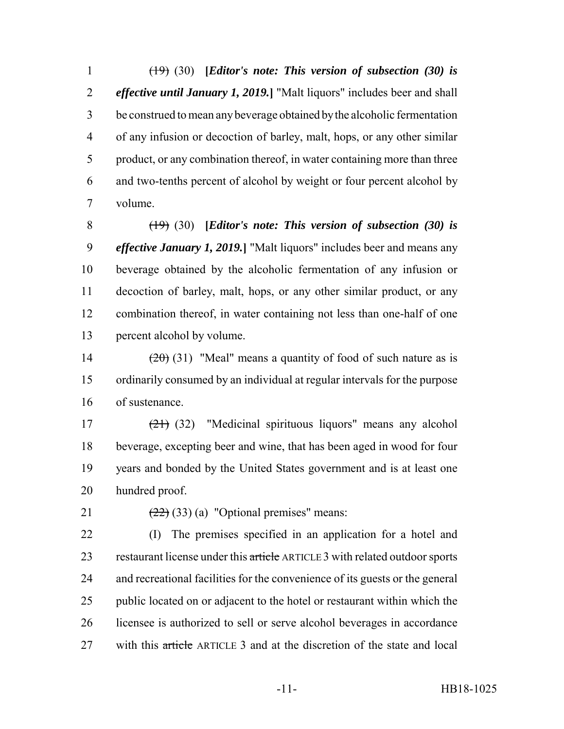(19) (30) **[***Editor's note: This version of subsection (30) is effective until January 1, 2019.***]** "Malt liquors" includes beer and shall be construed to mean any beverage obtained by the alcoholic fermentation of any infusion or decoction of barley, malt, hops, or any other similar product, or any combination thereof, in water containing more than three and two-tenths percent of alcohol by weight or four percent alcohol by volume.

 (19) (30) **[***Editor's note: This version of subsection (30) is effective January 1, 2019.***]** "Malt liquors" includes beer and means any beverage obtained by the alcoholic fermentation of any infusion or decoction of barley, malt, hops, or any other similar product, or any combination thereof, in water containing not less than one-half of one percent alcohol by volume.

14  $(20)(31)$  "Meal" means a quantity of food of such nature as is ordinarily consumed by an individual at regular intervals for the purpose of sustenance.

 (21) (32) "Medicinal spirituous liquors" means any alcohol beverage, excepting beer and wine, that has been aged in wood for four years and bonded by the United States government and is at least one hundred proof.

21  $(22)(33)(a)$  "Optional premises" means:

 (I) The premises specified in an application for a hotel and 23 restaurant license under this article ARTICLE 3 with related outdoor sports and recreational facilities for the convenience of its guests or the general public located on or adjacent to the hotel or restaurant within which the licensee is authorized to sell or serve alcohol beverages in accordance 27 with this article ARTICLE 3 and at the discretion of the state and local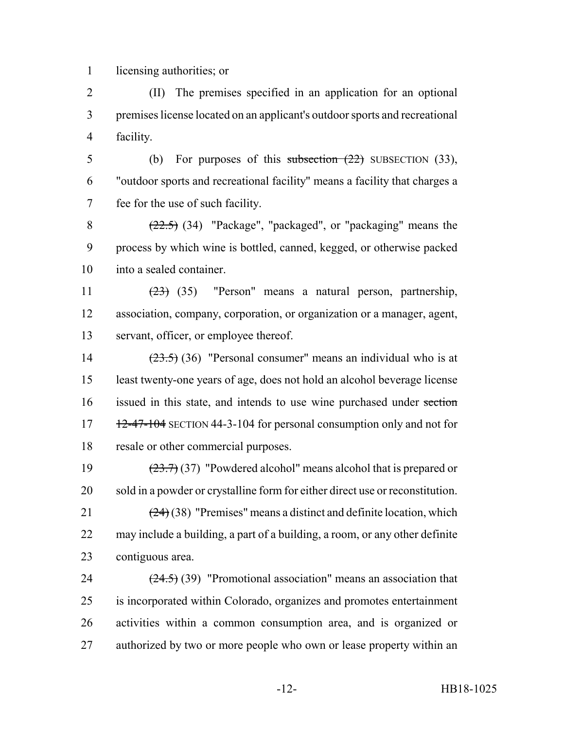licensing authorities; or

 (II) The premises specified in an application for an optional premises license located on an applicant's outdoor sports and recreational facility.

5 (b) For purposes of this subsection  $(22)$  SUBSECTION  $(33)$ , "outdoor sports and recreational facility" means a facility that charges a fee for the use of such facility.

8  $(22.5)$  (34) "Package", "packaged", or "packaging" means the process by which wine is bottled, canned, kegged, or otherwise packed into a sealed container.

 (23) (35) "Person" means a natural person, partnership, association, company, corporation, or organization or a manager, agent, servant, officer, or employee thereof.

 $(23.5)$  (36) "Personal consumer" means an individual who is at least twenty-one years of age, does not hold an alcohol beverage license issued in this state, and intends to use wine purchased under section  $17 \frac{12-47-104}{12}$  SECTION 44-3-104 for personal consumption only and not for resale or other commercial purposes.

19  $(23.7)(37)$  "Powdered alcohol" means alcohol that is prepared or sold in a powder or crystalline form for either direct use or reconstitution. 21  $(24)(38)$  "Premises" means a distinct and definite location, which

 may include a building, a part of a building, a room, or any other definite contiguous area.

 $(24.5)$  (39) "Promotional association" means an association that is incorporated within Colorado, organizes and promotes entertainment activities within a common consumption area, and is organized or 27 authorized by two or more people who own or lease property within an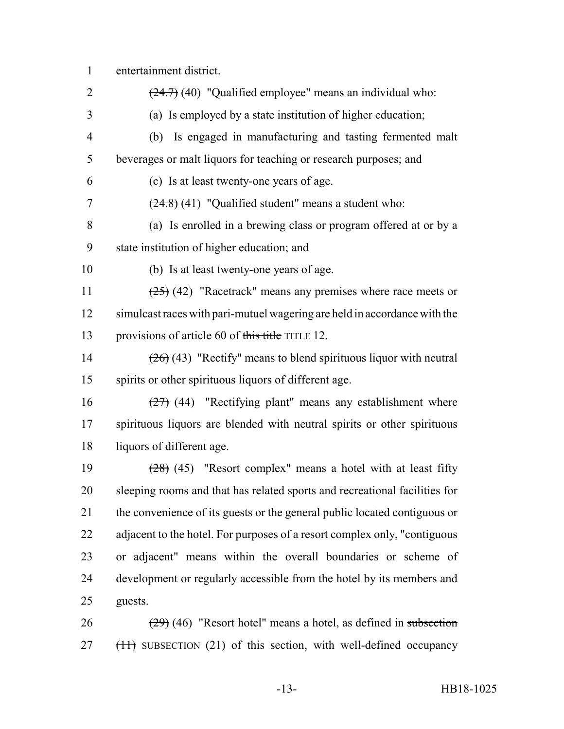# entertainment district.

| $\overline{2}$ | $(24.7)$ (40) "Qualified employee" means an individual who:                |
|----------------|----------------------------------------------------------------------------|
| 3              | (a) Is employed by a state institution of higher education;                |
| $\overline{4}$ | (b) Is engaged in manufacturing and tasting fermented malt                 |
| 5              | beverages or malt liquors for teaching or research purposes; and           |
| 6              | (c) Is at least twenty-one years of age.                                   |
| 7              | $(24.8)$ (41) "Qualified student" means a student who:                     |
| 8              | (a) Is enrolled in a brewing class or program offered at or by a           |
| 9              | state institution of higher education; and                                 |
| 10             | (b) Is at least twenty-one years of age.                                   |
| 11             | $(25)$ (42) "Racetrack" means any premises where race meets or             |
| 12             | simulcast races with pari-mutuel wagering are held in accordance with the  |
| 13             | provisions of article 60 of this title TITLE 12.                           |
| 14             | $(26)(43)$ "Rectify" means to blend spirituous liquor with neutral         |
| 15             | spirits or other spirituous liquors of different age.                      |
| 16             | $(27)$ (44) "Rectifying plant" means any establishment where               |
| 17             | spirituous liquors are blended with neutral spirits or other spirituous    |
| 18             | liquors of different age.                                                  |
| 19             | $(28)$ (45) "Resort complex" means a hotel with at least fifty             |
| 20             | sleeping rooms and that has related sports and recreational facilities for |
| 21             | the convenience of its guests or the general public located contiguous or  |
| 22             | adjacent to the hotel. For purposes of a resort complex only, "contiguous  |
| 23             | or adjacent" means within the overall boundaries or scheme of              |
| 24             | development or regularly accessible from the hotel by its members and      |
| 25             | guests.                                                                    |
| 26             | $(29)$ (46) "Resort hotel" means a hotel, as defined in subsection         |

27 (11) SUBSECTION (21) of this section, with well-defined occupancy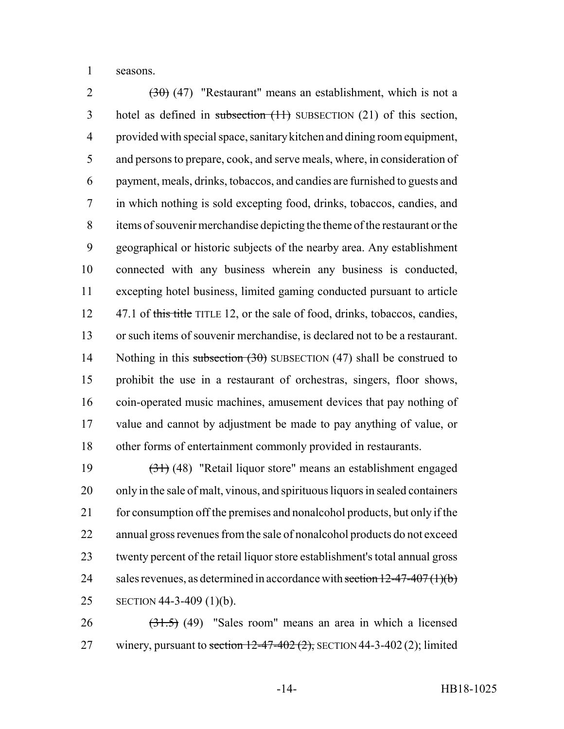seasons.

 $(30)$  (47) "Restaurant" means an establishment, which is not a 3 hotel as defined in subsection (11) SUBSECTION (21) of this section, provided with special space, sanitary kitchen and dining room equipment, and persons to prepare, cook, and serve meals, where, in consideration of payment, meals, drinks, tobaccos, and candies are furnished to guests and in which nothing is sold excepting food, drinks, tobaccos, candies, and items of souvenir merchandise depicting the theme of the restaurant or the geographical or historic subjects of the nearby area. Any establishment connected with any business wherein any business is conducted, excepting hotel business, limited gaming conducted pursuant to article 12 47.1 of this title TITLE 12, or the sale of food, drinks, tobaccos, candies, or such items of souvenir merchandise, is declared not to be a restaurant. 14 Nothing in this subsection (30) SUBSECTION (47) shall be construed to prohibit the use in a restaurant of orchestras, singers, floor shows, coin-operated music machines, amusement devices that pay nothing of value and cannot by adjustment be made to pay anything of value, or other forms of entertainment commonly provided in restaurants.

 (31) (48) "Retail liquor store" means an establishment engaged only in the sale of malt, vinous, and spirituous liquors in sealed containers 21 for consumption off the premises and nonalcohol products, but only if the annual gross revenues from the sale of nonalcohol products do not exceed twenty percent of the retail liquor store establishment's total annual gross 24 sales revenues, as determined in accordance with section  $12-47-407(1)(b)$ SECTION 44-3-409 (1)(b).

 $26 \left(31.5\right)$  (49) "Sales room" means an area in which a licensed 27 winery, pursuant to section  $12-47-402(2)$ ; SECTION 44-3-402(2); limited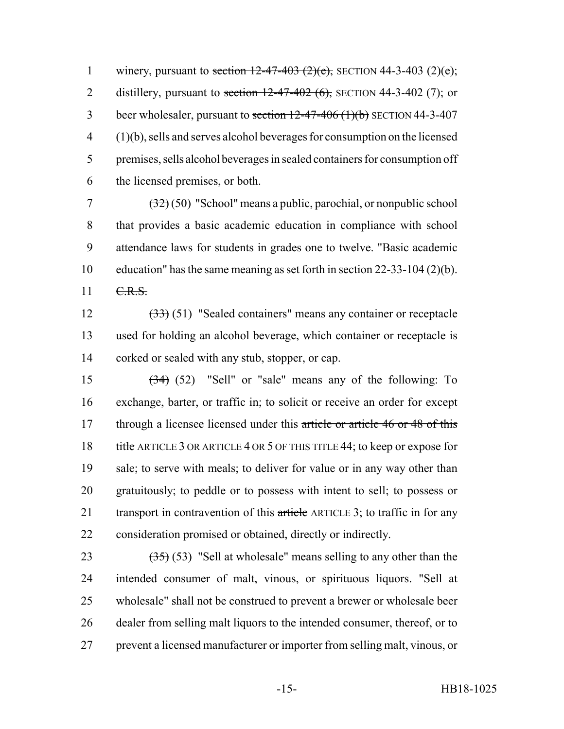1 winery, pursuant to section  $12-47-403$  (2)(e); SECTION 44-3-403 (2)(e); 2 distillery, pursuant to section  $12-47-402$  (6), SECTION 44-3-402 (7); or 3 beer wholesaler, pursuant to section  $12-47-406$  (1)(b) SECTION 44-3-407 (1)(b), sells and serves alcohol beverages for consumption on the licensed premises, sells alcohol beverages in sealed containers for consumption off the licensed premises, or both.

 $\frac{(32)}{(50)}$  "School" means a public, parochial, or nonpublic school that provides a basic academic education in compliance with school attendance laws for students in grades one to twelve. "Basic academic education" has the same meaning as set forth in section 22-33-104 (2)(b). 11 C.R.S.

 (33) (51) "Sealed containers" means any container or receptacle used for holding an alcohol beverage, which container or receptacle is corked or sealed with any stub, stopper, or cap.

 (34) (52) "Sell" or "sale" means any of the following: To exchange, barter, or traffic in; to solicit or receive an order for except 17 through a licensee licensed under this article or article 46 or 48 of this 18 title ARTICLE 3 OR ARTICLE 4 OR 5 OF THIS TITLE 44; to keep or expose for 19 sale; to serve with meals; to deliver for value or in any way other than gratuitously; to peddle or to possess with intent to sell; to possess or 21 transport in contravention of this article ARTICLE 3; to traffic in for any consideration promised or obtained, directly or indirectly.

 $(35)$  (53) "Sell at wholesale" means selling to any other than the intended consumer of malt, vinous, or spirituous liquors. "Sell at wholesale" shall not be construed to prevent a brewer or wholesale beer dealer from selling malt liquors to the intended consumer, thereof, or to prevent a licensed manufacturer or importer from selling malt, vinous, or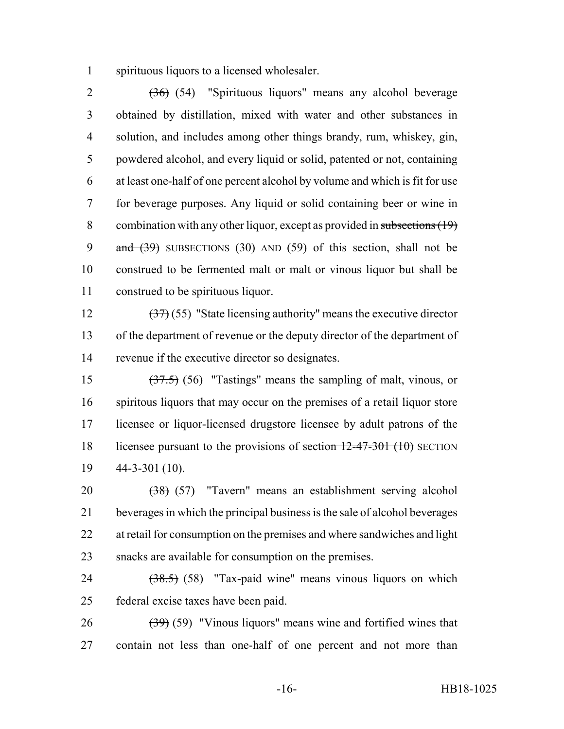spirituous liquors to a licensed wholesaler.

 (36) (54) "Spirituous liquors" means any alcohol beverage obtained by distillation, mixed with water and other substances in solution, and includes among other things brandy, rum, whiskey, gin, powdered alcohol, and every liquid or solid, patented or not, containing at least one-half of one percent alcohol by volume and which is fit for use for beverage purposes. Any liquid or solid containing beer or wine in 8 combination with any other liquor, except as provided in subsections (19) 9 and  $(39)$  SUBSECTIONS (30) AND (59) of this section, shall not be construed to be fermented malt or malt or vinous liquor but shall be construed to be spirituous liquor.

12  $(37)$  (55) "State licensing authority" means the executive director of the department of revenue or the deputy director of the department of revenue if the executive director so designates.

 (37.5) (56) "Tastings" means the sampling of malt, vinous, or spiritous liquors that may occur on the premises of a retail liquor store licensee or liquor-licensed drugstore licensee by adult patrons of the 18 licensee pursuant to the provisions of <del>section 12-47-301 (10)</del> SECTION 44-3-301 (10).

 (38) (57) "Tavern" means an establishment serving alcohol beverages in which the principal business is the sale of alcohol beverages 22 at retail for consumption on the premises and where sandwiches and light snacks are available for consumption on the premises.

24  $(38.5)$  (58) "Tax-paid wine" means vinous liquors on which federal excise taxes have been paid.

 $26 \left(39\right)$  (59) "Vinous liguors" means wine and fortified wines that contain not less than one-half of one percent and not more than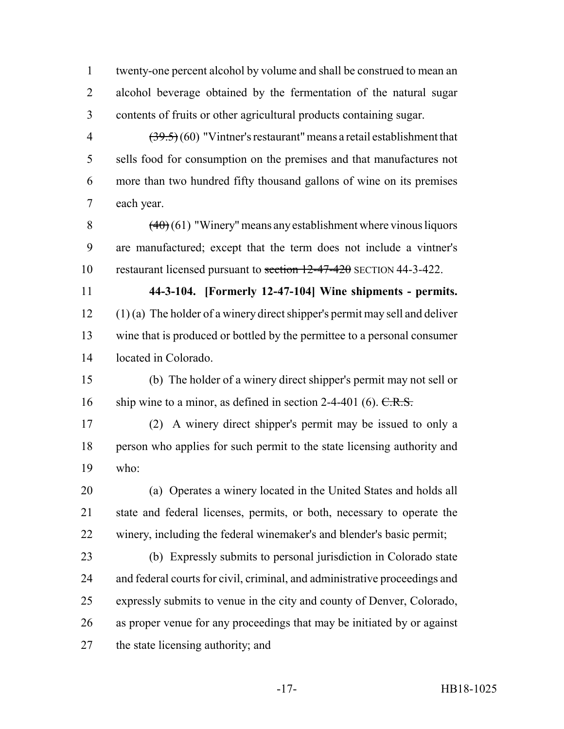twenty-one percent alcohol by volume and shall be construed to mean an alcohol beverage obtained by the fermentation of the natural sugar contents of fruits or other agricultural products containing sugar.

 $(39.5)(60)$  "Vintner's restaurant" means a retail establishment that sells food for consumption on the premises and that manufactures not more than two hundred fifty thousand gallons of wine on its premises each year.

8  $(40)(61)$  "Winery" means any establishment where vinous liquors are manufactured; except that the term does not include a vintner's restaurant licensed pursuant to section 12-47-420 SECTION 44-3-422.

 **44-3-104. [Formerly 12-47-104] Wine shipments - permits.** (1) (a) The holder of a winery direct shipper's permit may sell and deliver wine that is produced or bottled by the permittee to a personal consumer located in Colorado.

 (b) The holder of a winery direct shipper's permit may not sell or 16 ship wine to a minor, as defined in section 2-4-401 (6).  $C.R.S.$ 

 (2) A winery direct shipper's permit may be issued to only a person who applies for such permit to the state licensing authority and who:

 (a) Operates a winery located in the United States and holds all state and federal licenses, permits, or both, necessary to operate the winery, including the federal winemaker's and blender's basic permit;

 (b) Expressly submits to personal jurisdiction in Colorado state and federal courts for civil, criminal, and administrative proceedings and expressly submits to venue in the city and county of Denver, Colorado, as proper venue for any proceedings that may be initiated by or against the state licensing authority; and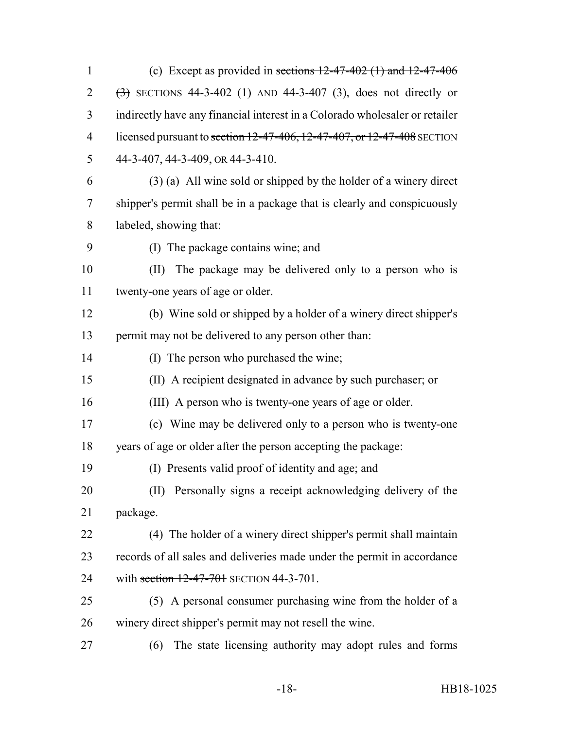1 (c) Except as provided in sections  $12-47-402$  (1) and  $12-47-406$  $(3)$  SECTIONS 44-3-402 (1) AND 44-3-407 (3), does not directly or indirectly have any financial interest in a Colorado wholesaler or retailer 4 licensed pursuant to section 12-47-406, 12-47-407, or 12-47-408 SECTION 44-3-407, 44-3-409, OR 44-3-410. (3) (a) All wine sold or shipped by the holder of a winery direct shipper's permit shall be in a package that is clearly and conspicuously labeled, showing that: (I) The package contains wine; and (II) The package may be delivered only to a person who is twenty-one years of age or older. (b) Wine sold or shipped by a holder of a winery direct shipper's permit may not be delivered to any person other than: (I) The person who purchased the wine; (II) A recipient designated in advance by such purchaser; or (III) A person who is twenty-one years of age or older. (c) Wine may be delivered only to a person who is twenty-one years of age or older after the person accepting the package: (I) Presents valid proof of identity and age; and (II) Personally signs a receipt acknowledging delivery of the package. (4) The holder of a winery direct shipper's permit shall maintain records of all sales and deliveries made under the permit in accordance 24 with section 12-47-701 SECTION 44-3-701. (5) A personal consumer purchasing wine from the holder of a winery direct shipper's permit may not resell the wine. (6) The state licensing authority may adopt rules and forms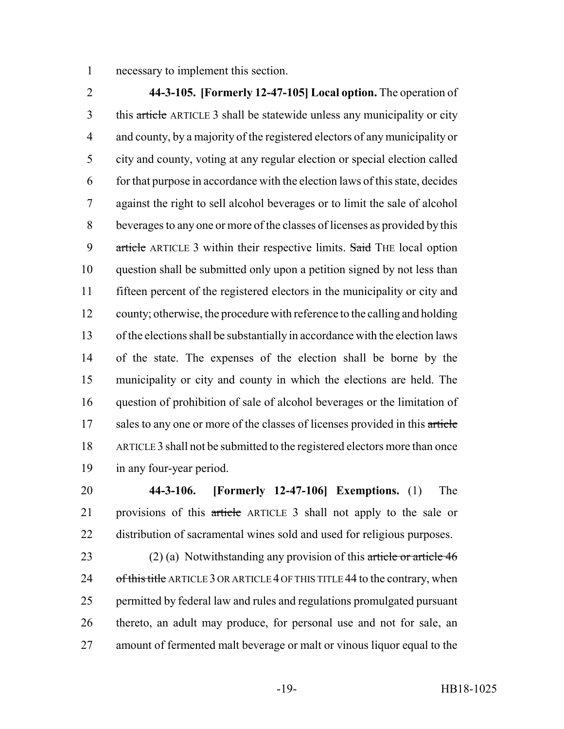necessary to implement this section.

 **44-3-105. [Formerly 12-47-105] Local option.** The operation of this article ARTICLE 3 shall be statewide unless any municipality or city and county, by a majority of the registered electors of any municipality or city and county, voting at any regular election or special election called for that purpose in accordance with the election laws of this state, decides against the right to sell alcohol beverages or to limit the sale of alcohol beverages to any one or more of the classes of licenses as provided by this 9 article ARTICLE 3 within their respective limits. Said THE local option question shall be submitted only upon a petition signed by not less than fifteen percent of the registered electors in the municipality or city and county; otherwise, the procedure with reference to the calling and holding of the elections shall be substantially in accordance with the election laws of the state. The expenses of the election shall be borne by the municipality or city and county in which the elections are held. The question of prohibition of sale of alcohol beverages or the limitation of 17 sales to any one or more of the classes of licenses provided in this article ARTICLE 3 shall not be submitted to the registered electors more than once in any four-year period.

 **44-3-106. [Formerly 12-47-106] Exemptions.** (1) The provisions of this article ARTICLE 3 shall not apply to the sale or distribution of sacramental wines sold and used for religious purposes.

23 (2) (a) Notwithstanding any provision of this article or article 46 24 of this title ARTICLE 3 OR ARTICLE 4 OF THIS TITLE 44 to the contrary, when permitted by federal law and rules and regulations promulgated pursuant thereto, an adult may produce, for personal use and not for sale, an amount of fermented malt beverage or malt or vinous liquor equal to the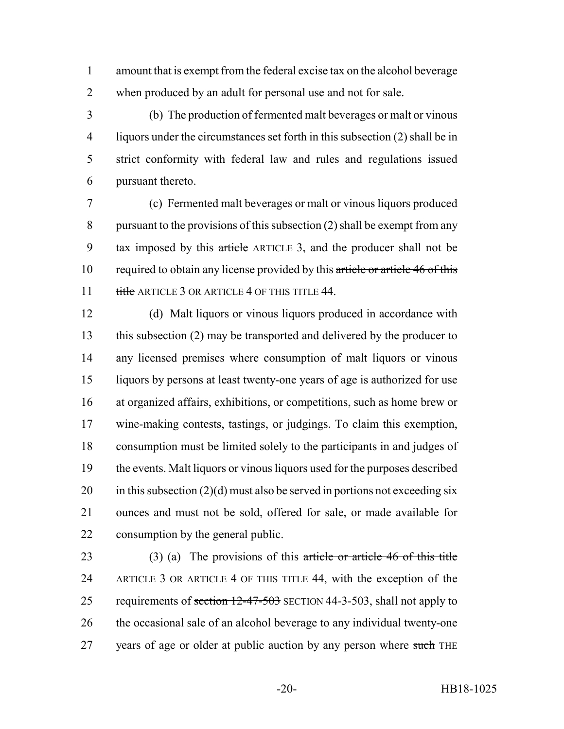amount that is exempt from the federal excise tax on the alcohol beverage when produced by an adult for personal use and not for sale.

 (b) The production of fermented malt beverages or malt or vinous liquors under the circumstances set forth in this subsection (2) shall be in strict conformity with federal law and rules and regulations issued pursuant thereto.

 (c) Fermented malt beverages or malt or vinous liquors produced pursuant to the provisions of this subsection (2) shall be exempt from any tax imposed by this article ARTICLE 3, and the producer shall not be 10 required to obtain any license provided by this article or article 46 of this 11 title ARTICLE 3 OR ARTICLE 4 OF THIS TITLE 44.

 (d) Malt liquors or vinous liquors produced in accordance with this subsection (2) may be transported and delivered by the producer to any licensed premises where consumption of malt liquors or vinous liquors by persons at least twenty-one years of age is authorized for use at organized affairs, exhibitions, or competitions, such as home brew or wine-making contests, tastings, or judgings. To claim this exemption, consumption must be limited solely to the participants in and judges of the events. Malt liquors or vinous liquors used for the purposes described 20 in this subsection  $(2)(d)$  must also be served in portions not exceeding six ounces and must not be sold, offered for sale, or made available for consumption by the general public.

23 (3) (a) The provisions of this article or article 46 of this title ARTICLE 3 OR ARTICLE 4 OF THIS TITLE 44, with the exception of the 25 requirements of section 12-47-503 SECTION 44-3-503, shall not apply to 26 the occasional sale of an alcohol beverage to any individual twenty-one 27 vears of age or older at public auction by any person where such THE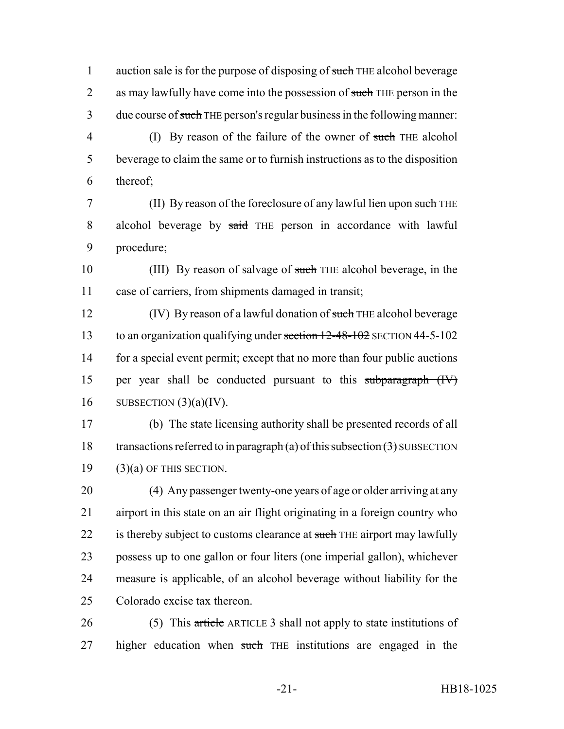1 auction sale is for the purpose of disposing of such THE alcohol beverage 2 as may lawfully have come into the possession of such THE person in the 3 due course of such THE person's regular business in the following manner:

4 (I) By reason of the failure of the owner of such THE alcohol 5 beverage to claim the same or to furnish instructions as to the disposition 6 thereof;

7 (II) By reason of the foreclosure of any lawful lien upon such THE 8 alcohol beverage by said THE person in accordance with lawful 9 procedure;

10 (III) By reason of salvage of such THE alcohol beverage, in the 11 case of carriers, from shipments damaged in transit;

12 (IV) By reason of a lawful donation of such THE alcohol beverage 13 to an organization qualifying under section 12-48-102 SECTION 44-5-102 14 for a special event permit; except that no more than four public auctions 15 per year shall be conducted pursuant to this subparagraph (IV) 16 SUBSECTION  $(3)(a)(IV)$ .

17 (b) The state licensing authority shall be presented records of all 18 transactions referred to in paragraph (a) of this subsection  $(3)$  SUBSECTION  $19$  (3)(a) OF THIS SECTION.

 (4) Any passenger twenty-one years of age or older arriving at any airport in this state on an air flight originating in a foreign country who 22 is thereby subject to customs clearance at such THE airport may lawfully possess up to one gallon or four liters (one imperial gallon), whichever measure is applicable, of an alcohol beverage without liability for the Colorado excise tax thereon.

26 (5) This article ARTICLE 3 shall not apply to state institutions of 27 higher education when such THE institutions are engaged in the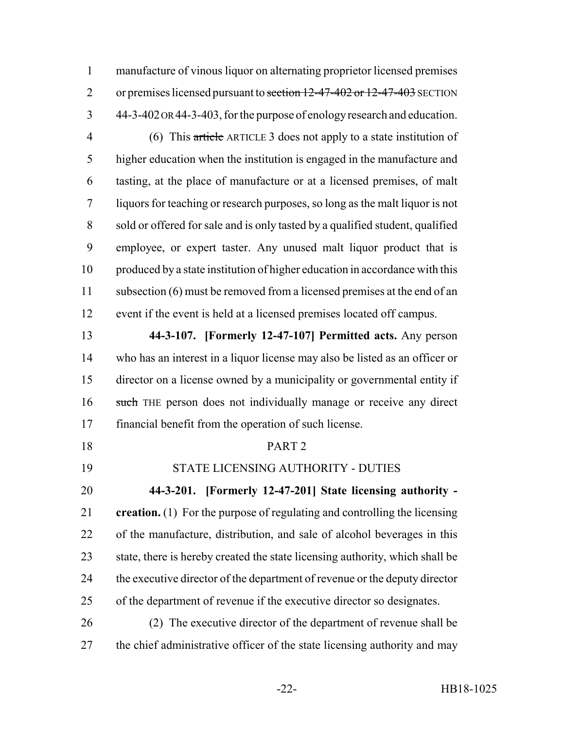manufacture of vinous liquor on alternating proprietor licensed premises 2 or premises licensed pursuant to section 12-47-402 or 12-47-403 SECTION 44-3-402 OR 44-3-403, for the purpose of enology research and education.

 (6) This article ARTICLE 3 does not apply to a state institution of higher education when the institution is engaged in the manufacture and tasting, at the place of manufacture or at a licensed premises, of malt liquors for teaching or research purposes, so long as the malt liquor is not sold or offered for sale and is only tasted by a qualified student, qualified employee, or expert taster. Any unused malt liquor product that is produced by a state institution of higher education in accordance with this 11 subsection (6) must be removed from a licensed premises at the end of an event if the event is held at a licensed premises located off campus.

 **44-3-107. [Formerly 12-47-107] Permitted acts.** Any person who has an interest in a liquor license may also be listed as an officer or director on a license owned by a municipality or governmental entity if 16 such THE person does not individually manage or receive any direct financial benefit from the operation of such license.

PART 2

STATE LICENSING AUTHORITY - DUTIES

**44-3-201. [Formerly 12-47-201] State licensing authority -**

 **creation.** (1) For the purpose of regulating and controlling the licensing of the manufacture, distribution, and sale of alcohol beverages in this 23 state, there is hereby created the state licensing authority, which shall be the executive director of the department of revenue or the deputy director of the department of revenue if the executive director so designates.

 (2) The executive director of the department of revenue shall be the chief administrative officer of the state licensing authority and may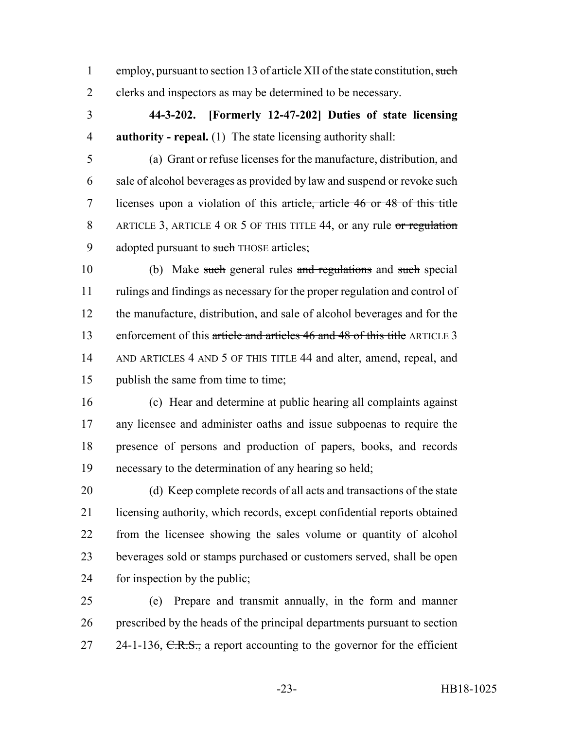1 employ, pursuant to section 13 of article XII of the state constitution, such clerks and inspectors as may be determined to be necessary.

 **44-3-202. [Formerly 12-47-202] Duties of state licensing authority - repeal.** (1) The state licensing authority shall:

 (a) Grant or refuse licenses for the manufacture, distribution, and sale of alcohol beverages as provided by law and suspend or revoke such licenses upon a violation of this article, article 46 or 48 of this title 8 ARTICLE 3, ARTICLE 4 OR 5 OF THIS TITLE 44, or any rule or regulation 9 adopted pursuant to such THOSE articles;

 (b) Make such general rules and regulations and such special rulings and findings as necessary for the proper regulation and control of the manufacture, distribution, and sale of alcohol beverages and for the 13 enforcement of this article and articles 46 and 48 of this title ARTICLE 3 AND ARTICLES 4 AND 5 OF THIS TITLE 44 and alter, amend, repeal, and 15 publish the same from time to time;

 (c) Hear and determine at public hearing all complaints against any licensee and administer oaths and issue subpoenas to require the presence of persons and production of papers, books, and records necessary to the determination of any hearing so held;

 (d) Keep complete records of all acts and transactions of the state licensing authority, which records, except confidential reports obtained from the licensee showing the sales volume or quantity of alcohol beverages sold or stamps purchased or customers served, shall be open for inspection by the public;

 (e) Prepare and transmit annually, in the form and manner prescribed by the heads of the principal departments pursuant to section 27 24-1-136,  $C.R.S.,$  a report accounting to the governor for the efficient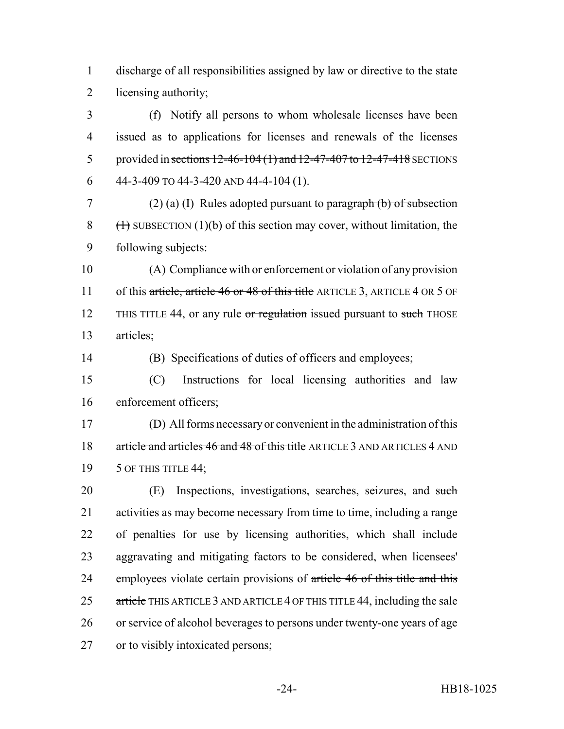discharge of all responsibilities assigned by law or directive to the state licensing authority;

 (f) Notify all persons to whom wholesale licenses have been issued as to applications for licenses and renewals of the licenses 5 provided in sections 12-46-104 (1) and 12-47-407 to 12-47-418 SECTIONS 6 44-3-409 TO 44-3-420 AND 44-4-104 (1).

7 (2) (a) (I) Rules adopted pursuant to paragraph (b) of subsection 8  $(\text{+)}$  SUBSECTION (1)(b) of this section may cover, without limitation, the following subjects:

 (A) Compliance with or enforcement or violation of any provision 11 of this article, article 46 or 48 of this title ARTICLE 3, ARTICLE 4 OR 5 OF 12 THIS TITLE 44, or any rule or regulation issued pursuant to such THOSE articles;

(B) Specifications of duties of officers and employees;

 (C) Instructions for local licensing authorities and law enforcement officers;

 (D) All forms necessary or convenient in the administration of this 18 article and articles 46 and 48 of this title ARTICLE 3 AND ARTICLES 4 AND 19 5 OF THIS TITLE 44;

 (E) Inspections, investigations, searches, seizures, and such activities as may become necessary from time to time, including a range of penalties for use by licensing authorities, which shall include aggravating and mitigating factors to be considered, when licensees' 24 employees violate certain provisions of article 46 of this title and this 25 article THIS ARTICLE 3 AND ARTICLE 4 OF THIS TITLE 44, including the sale or service of alcohol beverages to persons under twenty-one years of age or to visibly intoxicated persons;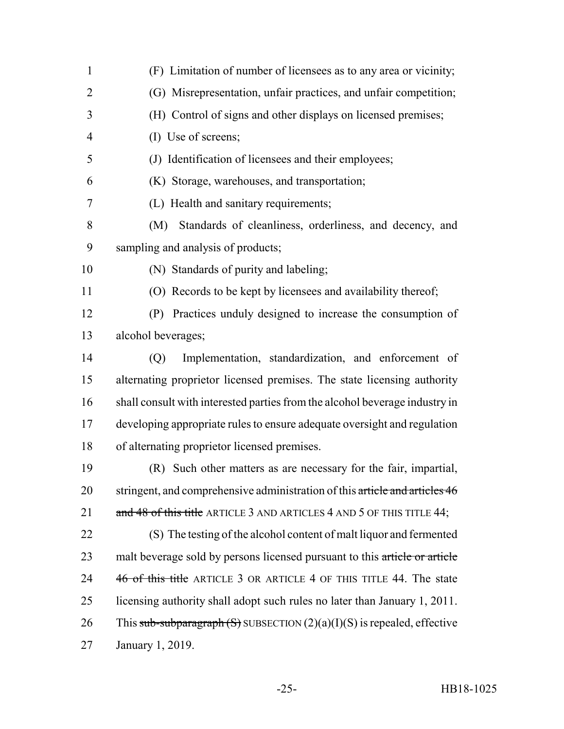| $\mathbf{1}$   | (F) Limitation of number of licensees as to any area or vicinity;            |
|----------------|------------------------------------------------------------------------------|
| $\overline{2}$ | (G) Misrepresentation, unfair practices, and unfair competition;             |
| 3              | (H) Control of signs and other displays on licensed premises;                |
| $\overline{4}$ | (I) Use of screens;                                                          |
| 5              | (J) Identification of licensees and their employees;                         |
| 6              | (K) Storage, warehouses, and transportation;                                 |
| 7              | (L) Health and sanitary requirements;                                        |
| 8              | Standards of cleanliness, orderliness, and decency, and<br>(M)               |
| 9              | sampling and analysis of products;                                           |
| 10             | (N) Standards of purity and labeling;                                        |
| 11             | (O) Records to be kept by licensees and availability thereof;                |
| 12             | Practices unduly designed to increase the consumption of<br>(P)              |
| 13             | alcohol beverages;                                                           |
| 14             | Implementation, standardization, and enforcement of<br>(Q)                   |
| 15             | alternating proprietor licensed premises. The state licensing authority      |
| 16             | shall consult with interested parties from the alcohol beverage industry in  |
| 17             | developing appropriate rules to ensure adequate oversight and regulation     |
| 18             | of alternating proprietor licensed premises.                                 |
| 19             | (R) Such other matters as are necessary for the fair, impartial,             |
| 20             | stringent, and comprehensive administration of this article and articles 46  |
| 21             | and $48$ of this title ARTICLE 3 AND ARTICLES 4 AND 5 OF THIS TITLE $44$ ;   |
| 22             | (S) The testing of the alcohol content of malt liquor and fermented          |
| 23             | malt beverage sold by persons licensed pursuant to this article or article   |
| 24             | 46 of this title ARTICLE 3 OR ARTICLE 4 OF THIS TITLE 44. The state          |
| 25             | licensing authority shall adopt such rules no later than January 1, 2011.    |
| 26             | This sub-subparagraph $(S)$ SUBSECTION $(2)(a)(I)(S)$ is repealed, effective |
| 27             | January 1, 2019.                                                             |
|                |                                                                              |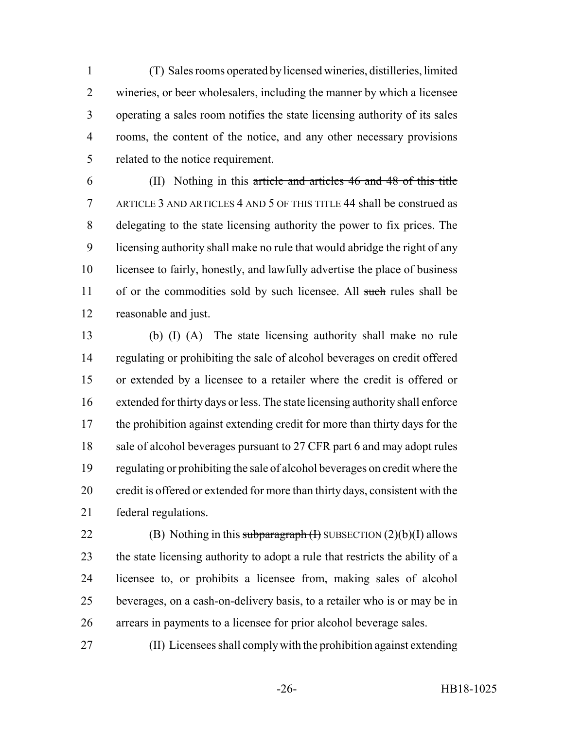(T) Sales rooms operated by licensed wineries, distilleries, limited wineries, or beer wholesalers, including the manner by which a licensee operating a sales room notifies the state licensing authority of its sales rooms, the content of the notice, and any other necessary provisions related to the notice requirement.

 (II) Nothing in this article and articles 46 and 48 of this title ARTICLE 3 AND ARTICLES 4 AND 5 OF THIS TITLE 44 shall be construed as delegating to the state licensing authority the power to fix prices. The licensing authority shall make no rule that would abridge the right of any licensee to fairly, honestly, and lawfully advertise the place of business 11 of or the commodities sold by such licensee. All such rules shall be reasonable and just.

 (b) (I) (A) The state licensing authority shall make no rule regulating or prohibiting the sale of alcohol beverages on credit offered or extended by a licensee to a retailer where the credit is offered or extended for thirty days or less. The state licensing authority shall enforce the prohibition against extending credit for more than thirty days for the 18 sale of alcohol beverages pursuant to 27 CFR part 6 and may adopt rules regulating or prohibiting the sale of alcohol beverages on credit where the credit is offered or extended for more than thirty days, consistent with the federal regulations.

22 (B) Nothing in this subparagraph  $(H)$  SUBSECTION  $(2)(b)(I)$  allows the state licensing authority to adopt a rule that restricts the ability of a licensee to, or prohibits a licensee from, making sales of alcohol beverages, on a cash-on-delivery basis, to a retailer who is or may be in arrears in payments to a licensee for prior alcohol beverage sales.

(II) Licensees shall comply with the prohibition against extending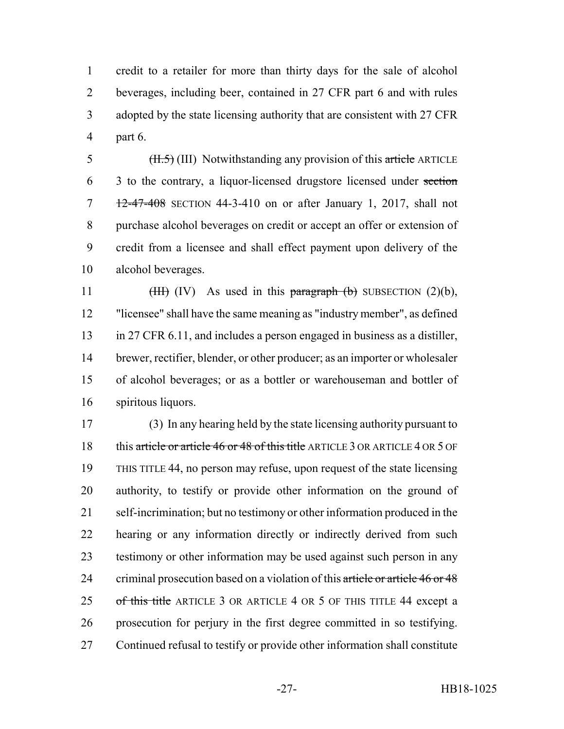credit to a retailer for more than thirty days for the sale of alcohol beverages, including beer, contained in 27 CFR part 6 and with rules adopted by the state licensing authority that are consistent with 27 CFR part 6.

 $\frac{11.5}{11.5}$  (III) Notwithstanding any provision of this article ARTICLE 3 to the contrary, a liquor-licensed drugstore licensed under section 12-47-408 SECTION 44-3-410 on or after January 1, 2017, shall not purchase alcohol beverages on credit or accept an offer or extension of credit from a licensee and shall effect payment upon delivery of the alcohol beverages.

 $(HH)$  (IV) As used in this paragraph (b) SUBSECTION (2)(b), "licensee" shall have the same meaning as "industry member", as defined in 27 CFR 6.11, and includes a person engaged in business as a distiller, brewer, rectifier, blender, or other producer; as an importer or wholesaler of alcohol beverages; or as a bottler or warehouseman and bottler of spiritous liquors.

 (3) In any hearing held by the state licensing authority pursuant to 18 this article or article 46 or 48 of this title ARTICLE 3 OR ARTICLE 4 OR 5 OF THIS TITLE 44, no person may refuse, upon request of the state licensing authority, to testify or provide other information on the ground of self-incrimination; but no testimony or other information produced in the hearing or any information directly or indirectly derived from such testimony or other information may be used against such person in any 24 criminal prosecution based on a violation of this article or article 46 or 48 25 of this title ARTICLE 3 OR ARTICLE 4 OR 5 OF THIS TITLE 44 except a prosecution for perjury in the first degree committed in so testifying. Continued refusal to testify or provide other information shall constitute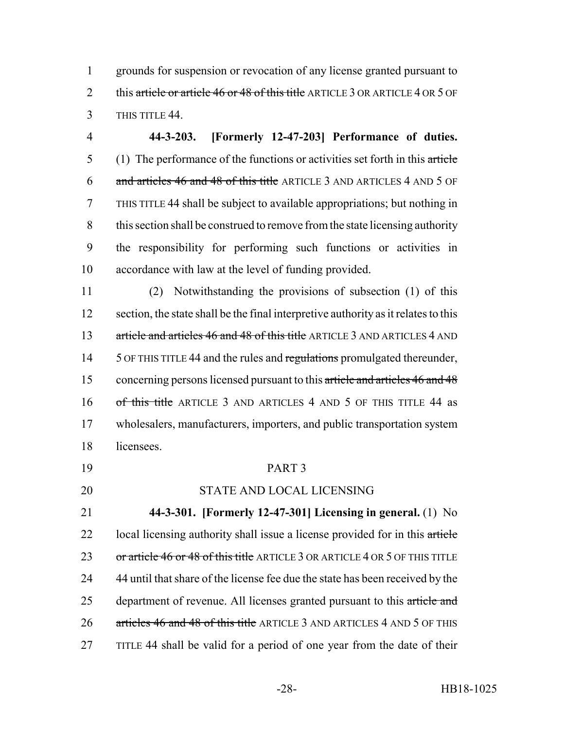1 grounds for suspension or revocation of any license granted pursuant to 2 this article or article 46 or 48 of this title ARTICLE 3 OR ARTICLE 4 OR 5 OF 3 THIS TITLE 44.

 **44-3-203. [Formerly 12-47-203] Performance of duties.** (1) The performance of the functions or activities set forth in this article and articles 46 and 48 of this title ARTICLE 3 AND ARTICLES 4 AND 5 OF THIS TITLE 44 shall be subject to available appropriations; but nothing in this section shall be construed to remove from the state licensing authority the responsibility for performing such functions or activities in accordance with law at the level of funding provided.

11 (2) Notwithstanding the provisions of subsection (1) of this 12 section, the state shall be the final interpretive authority as it relates to this 13 article and articles 46 and 48 of this title ARTICLE 3 AND ARTICLES 4 AND 14 5 OF THIS TITLE 44 and the rules and regulations promulgated thereunder, 15 concerning persons licensed pursuant to this article and articles 46 and 48 16 of this title ARTICLE 3 AND ARTICLES 4 AND 5 OF THIS TITLE 44 as 17 wholesalers, manufacturers, importers, and public transportation system 18 licensees.

### 19 PART 3

## 20 STATE AND LOCAL LICENSING

21 **44-3-301. [Formerly 12-47-301] Licensing in general.** (1) No 22 local licensing authority shall issue a license provided for in this article 23 or article 46 or 48 of this title ARTICLE 3 OR ARTICLE 4 OR 5 OF THIS TITLE 24 44 until that share of the license fee due the state has been received by the 25 department of revenue. All licenses granted pursuant to this article and 26 articles 46 and 48 of this title ARTICLE 3 AND ARTICLES 4 AND 5 OF THIS 27 TITLE 44 shall be valid for a period of one year from the date of their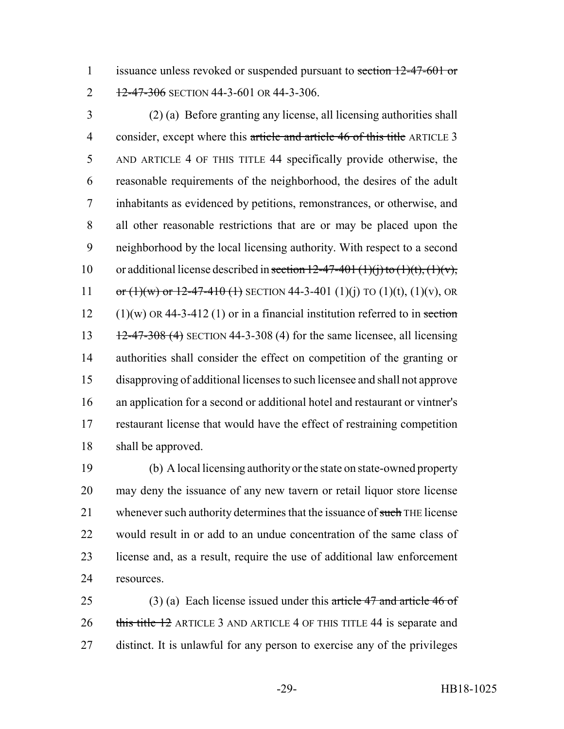1 issuance unless revoked or suspended pursuant to section 12-47-601 or 2 12-47-306 SECTION 44-3-601 OR 44-3-306.

 (2) (a) Before granting any license, all licensing authorities shall 4 consider, except where this article and article 46 of this title ARTICLE 3 AND ARTICLE 4 OF THIS TITLE 44 specifically provide otherwise, the reasonable requirements of the neighborhood, the desires of the adult inhabitants as evidenced by petitions, remonstrances, or otherwise, and all other reasonable restrictions that are or may be placed upon the neighborhood by the local licensing authority. With respect to a second 10 or additional license described in section  $12-47-401 \text{ (1)}$  (i) to  $(1)(t)$ ,  $(1)(v)$ , 11 or  $(1)(w)$  or  $12-47-410$  (1) SECTION 44-3-401 (1)(j) TO (1)(t), (1)(v), OR 12 (1)(w) OR 44-3-412 (1) or in a financial institution referred to in section  $12-47-308$  (4) SECTION 44-3-308 (4) for the same licensee, all licensing authorities shall consider the effect on competition of the granting or disapproving of additional licenses to such licensee and shall not approve an application for a second or additional hotel and restaurant or vintner's restaurant license that would have the effect of restraining competition shall be approved.

 (b) A local licensing authority or the state on state-owned property may deny the issuance of any new tavern or retail liquor store license 21 whenever such authority determines that the issuance of such THE license would result in or add to an undue concentration of the same class of license and, as a result, require the use of additional law enforcement resources.

25 (3) (a) Each license issued under this article 47 and article 46 of 26 this title 12 ARTICLE 3 AND ARTICLE 4 OF THIS TITLE 44 is separate and distinct. It is unlawful for any person to exercise any of the privileges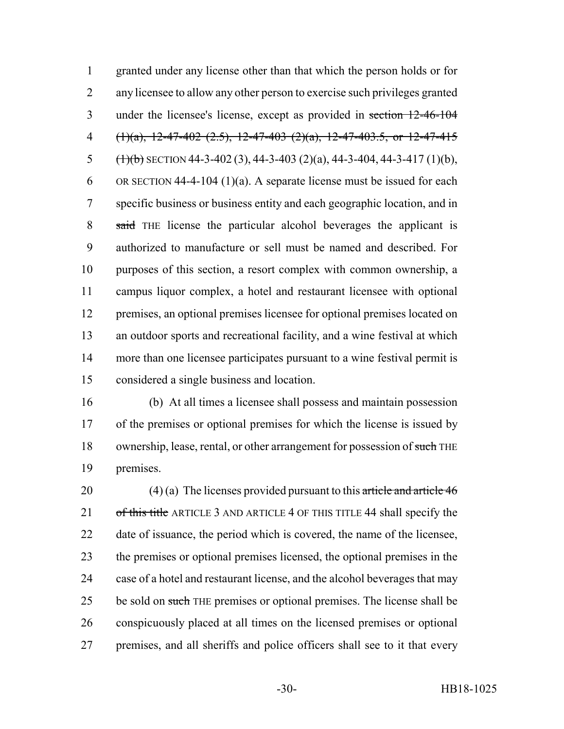granted under any license other than that which the person holds or for any licensee to allow any other person to exercise such privileges granted under the licensee's license, except as provided in section 12-46-104 4 (1)(a), 12-47-402 (2.5), 12-47-403 (2)(a), 12-47-403.5, or 12-47-415  $(\frac{1}{b})$  SECTION 44-3-402 (3), 44-3-403 (2)(a), 44-3-404, 44-3-417 (1)(b), 6 OR SECTION 44-4-104 (1)(a). A separate license must be issued for each specific business or business entity and each geographic location, and in said THE license the particular alcohol beverages the applicant is authorized to manufacture or sell must be named and described. For purposes of this section, a resort complex with common ownership, a campus liquor complex, a hotel and restaurant licensee with optional premises, an optional premises licensee for optional premises located on an outdoor sports and recreational facility, and a wine festival at which more than one licensee participates pursuant to a wine festival permit is considered a single business and location.

 (b) At all times a licensee shall possess and maintain possession 17 of the premises or optional premises for which the license is issued by 18 ownership, lease, rental, or other arrangement for possession of such THE premises.

20 (4) (a) The licenses provided pursuant to this article and article 46 21 of this title ARTICLE 3 AND ARTICLE 4 OF THIS TITLE 44 shall specify the date of issuance, the period which is covered, the name of the licensee, the premises or optional premises licensed, the optional premises in the case of a hotel and restaurant license, and the alcohol beverages that may 25 be sold on such THE premises or optional premises. The license shall be conspicuously placed at all times on the licensed premises or optional premises, and all sheriffs and police officers shall see to it that every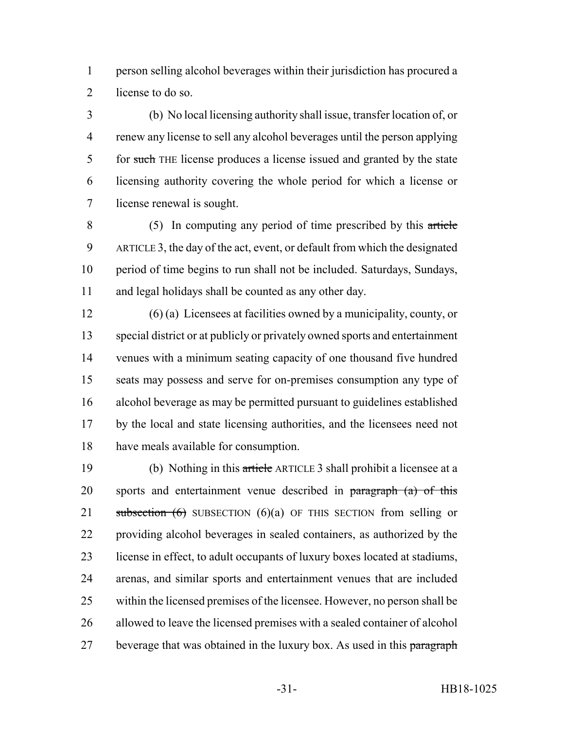person selling alcohol beverages within their jurisdiction has procured a license to do so.

 (b) No local licensing authority shall issue, transfer location of, or renew any license to sell any alcohol beverages until the person applying 5 for such THE license produces a license issued and granted by the state licensing authority covering the whole period for which a license or license renewal is sought.

 (5) In computing any period of time prescribed by this article ARTICLE 3, the day of the act, event, or default from which the designated period of time begins to run shall not be included. Saturdays, Sundays, and legal holidays shall be counted as any other day.

 (6) (a) Licensees at facilities owned by a municipality, county, or special district or at publicly or privately owned sports and entertainment venues with a minimum seating capacity of one thousand five hundred seats may possess and serve for on-premises consumption any type of alcohol beverage as may be permitted pursuant to guidelines established by the local and state licensing authorities, and the licensees need not have meals available for consumption.

 (b) Nothing in this article ARTICLE 3 shall prohibit a licensee at a 20 sports and entertainment venue described in paragraph (a) of this 21 subsection  $(6)$  SUBSECTION  $(6)(a)$  OF THIS SECTION from selling or providing alcohol beverages in sealed containers, as authorized by the license in effect, to adult occupants of luxury boxes located at stadiums, arenas, and similar sports and entertainment venues that are included within the licensed premises of the licensee. However, no person shall be allowed to leave the licensed premises with a sealed container of alcohol 27 beverage that was obtained in the luxury box. As used in this paragraph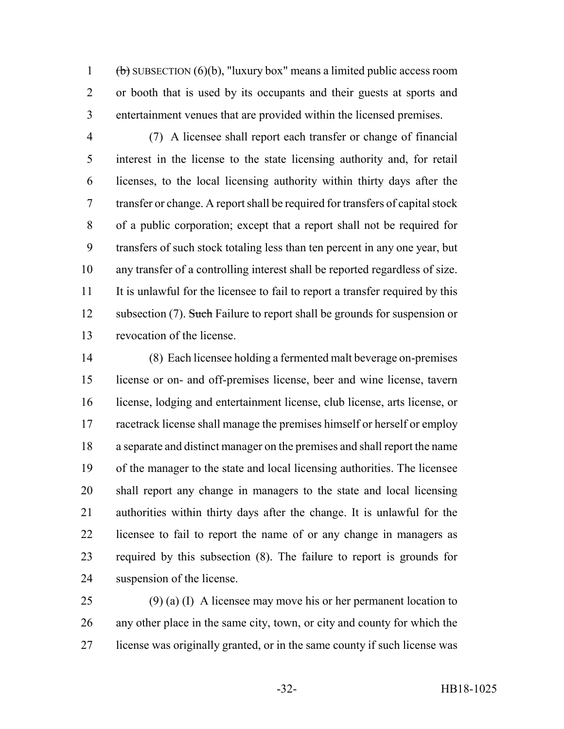1 (b) SUBSECTION  $(6)(b)$ , "luxury box" means a limited public access room or booth that is used by its occupants and their guests at sports and entertainment venues that are provided within the licensed premises.

 (7) A licensee shall report each transfer or change of financial interest in the license to the state licensing authority and, for retail licenses, to the local licensing authority within thirty days after the transfer or change. A report shall be required for transfers of capital stock of a public corporation; except that a report shall not be required for transfers of such stock totaling less than ten percent in any one year, but any transfer of a controlling interest shall be reported regardless of size. It is unlawful for the licensee to fail to report a transfer required by this 12 subsection (7). Such Failure to report shall be grounds for suspension or revocation of the license.

 (8) Each licensee holding a fermented malt beverage on-premises license or on- and off-premises license, beer and wine license, tavern license, lodging and entertainment license, club license, arts license, or racetrack license shall manage the premises himself or herself or employ a separate and distinct manager on the premises and shall report the name of the manager to the state and local licensing authorities. The licensee shall report any change in managers to the state and local licensing authorities within thirty days after the change. It is unlawful for the licensee to fail to report the name of or any change in managers as required by this subsection (8). The failure to report is grounds for suspension of the license.

25 (9) (a) (I) A licensee may move his or her permanent location to any other place in the same city, town, or city and county for which the license was originally granted, or in the same county if such license was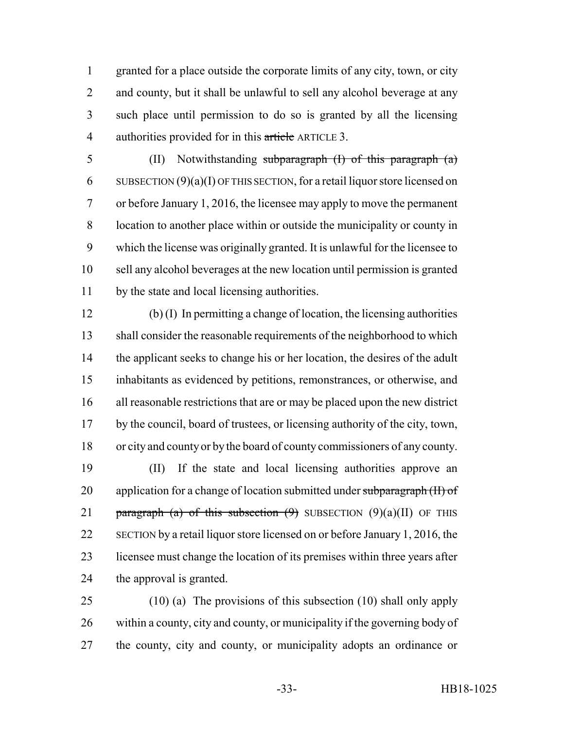granted for a place outside the corporate limits of any city, town, or city 2 and county, but it shall be unlawful to sell any alcohol beverage at any such place until permission to do so is granted by all the licensing 4 authorities provided for in this article ARTICLE 3.

 (II) Notwithstanding subparagraph (I) of this paragraph (a) 6 SUBSECTION  $(9)(a)(I)$  OF THIS SECTION, for a retail liquor store licensed on or before January 1, 2016, the licensee may apply to move the permanent location to another place within or outside the municipality or county in which the license was originally granted. It is unlawful for the licensee to sell any alcohol beverages at the new location until permission is granted by the state and local licensing authorities.

 (b) (I) In permitting a change of location, the licensing authorities shall consider the reasonable requirements of the neighborhood to which the applicant seeks to change his or her location, the desires of the adult inhabitants as evidenced by petitions, remonstrances, or otherwise, and all reasonable restrictions that are or may be placed upon the new district by the council, board of trustees, or licensing authority of the city, town, or city and county or by the board of county commissioners of any county.

 (II) If the state and local licensing authorities approve an 20 application for a change of location submitted under subparagraph (II) of 21 paragraph (a) of this subsection  $(9)$  SUBSECTION  $(9)(a)(II)$  OF THIS SECTION by a retail liquor store licensed on or before January 1, 2016, the licensee must change the location of its premises within three years after the approval is granted.

 (10) (a) The provisions of this subsection (10) shall only apply within a county, city and county, or municipality if the governing body of the county, city and county, or municipality adopts an ordinance or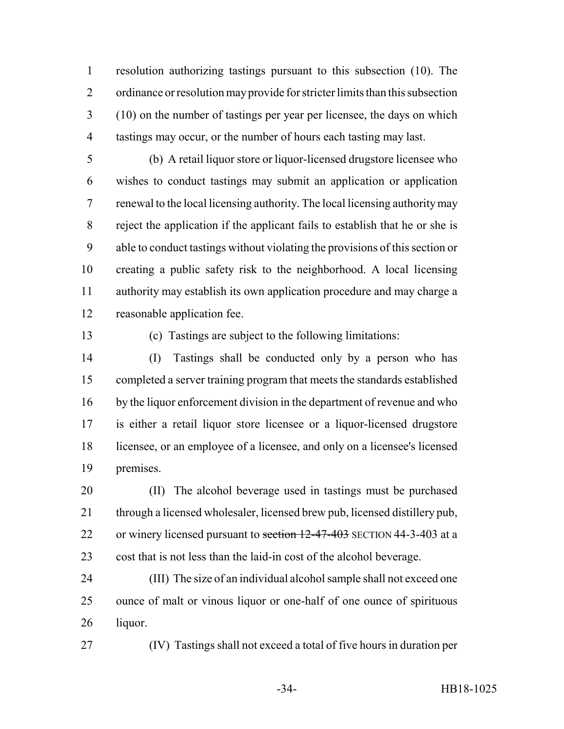resolution authorizing tastings pursuant to this subsection (10). The ordinance or resolution may provide for stricter limits than this subsection (10) on the number of tastings per year per licensee, the days on which tastings may occur, or the number of hours each tasting may last.

 (b) A retail liquor store or liquor-licensed drugstore licensee who wishes to conduct tastings may submit an application or application renewal to the local licensing authority. The local licensing authority may reject the application if the applicant fails to establish that he or she is able to conduct tastings without violating the provisions of this section or creating a public safety risk to the neighborhood. A local licensing authority may establish its own application procedure and may charge a reasonable application fee.

(c) Tastings are subject to the following limitations:

 (I) Tastings shall be conducted only by a person who has completed a server training program that meets the standards established by the liquor enforcement division in the department of revenue and who is either a retail liquor store licensee or a liquor-licensed drugstore licensee, or an employee of a licensee, and only on a licensee's licensed premises.

 (II) The alcohol beverage used in tastings must be purchased through a licensed wholesaler, licensed brew pub, licensed distillery pub, 22 or winery licensed pursuant to section 12-47-403 SECTION 44-3-403 at a cost that is not less than the laid-in cost of the alcohol beverage.

 (III) The size of an individual alcohol sample shall not exceed one ounce of malt or vinous liquor or one-half of one ounce of spirituous liquor.

(IV) Tastings shall not exceed a total of five hours in duration per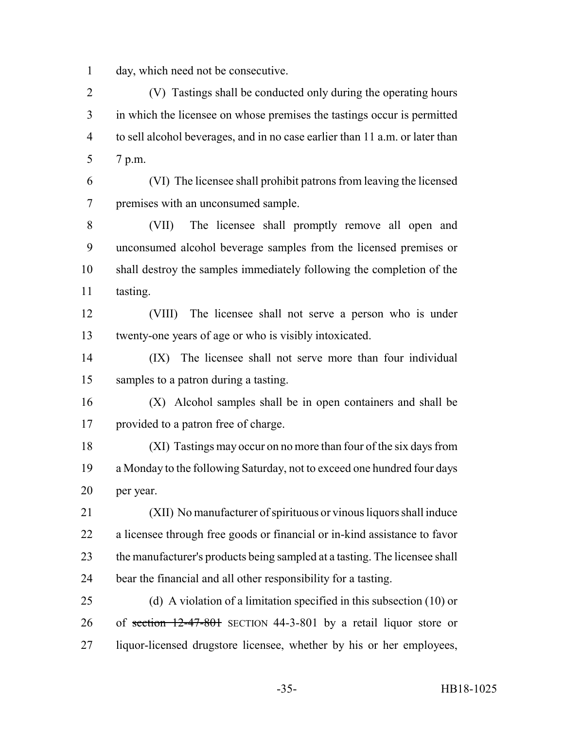day, which need not be consecutive.

 (V) Tastings shall be conducted only during the operating hours in which the licensee on whose premises the tastings occur is permitted to sell alcohol beverages, and in no case earlier than 11 a.m. or later than 7 p.m.

 (VI) The licensee shall prohibit patrons from leaving the licensed premises with an unconsumed sample.

 (VII) The licensee shall promptly remove all open and unconsumed alcohol beverage samples from the licensed premises or shall destroy the samples immediately following the completion of the tasting.

 (VIII) The licensee shall not serve a person who is under twenty-one years of age or who is visibly intoxicated.

 (IX) The licensee shall not serve more than four individual samples to a patron during a tasting.

 (X) Alcohol samples shall be in open containers and shall be provided to a patron free of charge.

 (XI) Tastings may occur on no more than four of the six days from a Monday to the following Saturday, not to exceed one hundred four days per year.

 (XII) No manufacturer of spirituous or vinous liquors shall induce a licensee through free goods or financial or in-kind assistance to favor the manufacturer's products being sampled at a tasting. The licensee shall bear the financial and all other responsibility for a tasting.

 (d) A violation of a limitation specified in this subsection (10) or of section 12-47-801 SECTION 44-3-801 by a retail liquor store or liquor-licensed drugstore licensee, whether by his or her employees,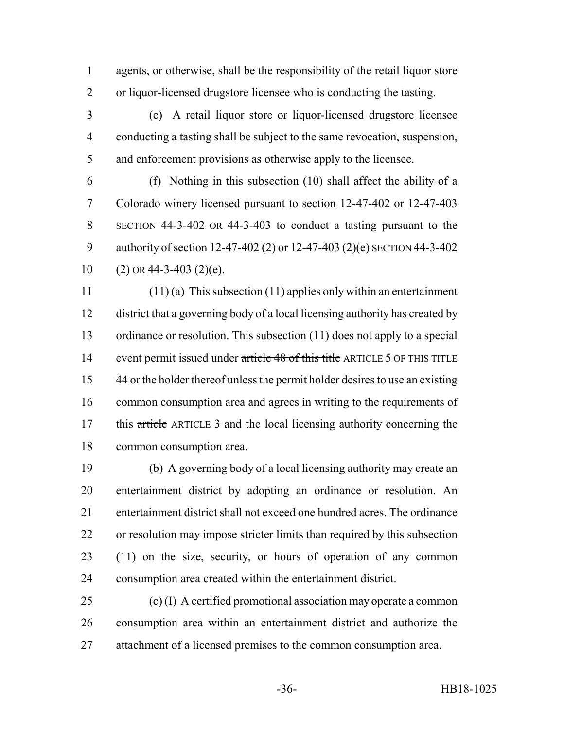agents, or otherwise, shall be the responsibility of the retail liquor store or liquor-licensed drugstore licensee who is conducting the tasting.

 (e) A retail liquor store or liquor-licensed drugstore licensee conducting a tasting shall be subject to the same revocation, suspension, and enforcement provisions as otherwise apply to the licensee.

 (f) Nothing in this subsection (10) shall affect the ability of a Colorado winery licensed pursuant to section 12-47-402 or 12-47-403 SECTION 44-3-402 OR 44-3-403 to conduct a tasting pursuant to the 9 authority of section  $12-47-402$  (2) or  $12-47-403$  (2)(e) SECTION 44-3-402 10 (2) OR 44-3-403 (2)(e).

 (11) (a) This subsection (11) applies only within an entertainment district that a governing body of a local licensing authority has created by ordinance or resolution. This subsection (11) does not apply to a special 14 event permit issued under article 48 of this title ARTICLE 5 OF THIS TITLE 44 or the holder thereof unless the permit holder desires to use an existing common consumption area and agrees in writing to the requirements of 17 this article ARTICLE 3 and the local licensing authority concerning the common consumption area.

 (b) A governing body of a local licensing authority may create an entertainment district by adopting an ordinance or resolution. An entertainment district shall not exceed one hundred acres. The ordinance or resolution may impose stricter limits than required by this subsection (11) on the size, security, or hours of operation of any common consumption area created within the entertainment district.

 (c) (I) A certified promotional association may operate a common consumption area within an entertainment district and authorize the attachment of a licensed premises to the common consumption area.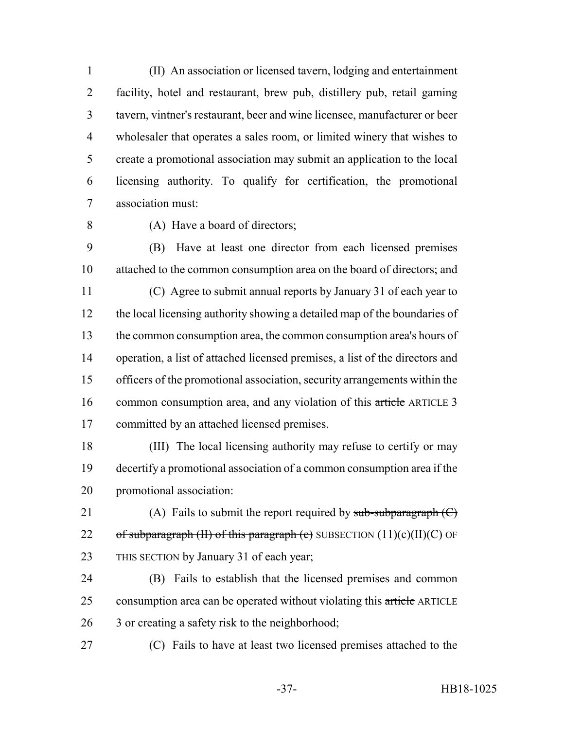(II) An association or licensed tavern, lodging and entertainment facility, hotel and restaurant, brew pub, distillery pub, retail gaming tavern, vintner's restaurant, beer and wine licensee, manufacturer or beer wholesaler that operates a sales room, or limited winery that wishes to create a promotional association may submit an application to the local licensing authority. To qualify for certification, the promotional association must:

(A) Have a board of directors;

 (B) Have at least one director from each licensed premises attached to the common consumption area on the board of directors; and

 (C) Agree to submit annual reports by January 31 of each year to the local licensing authority showing a detailed map of the boundaries of the common consumption area, the common consumption area's hours of operation, a list of attached licensed premises, a list of the directors and officers of the promotional association, security arrangements within the 16 common consumption area, and any violation of this article ARTICLE 3 committed by an attached licensed premises.

 (III) The local licensing authority may refuse to certify or may decertify a promotional association of a common consumption area if the promotional association:

21 (A) Fails to submit the report required by  $sub-sub-subparam(C)$ 22 of subparagraph (II) of this paragraph (c) SUBSECTION  $(11)(c)(II)(C)$  OF THIS SECTION by January 31 of each year;

 (B) Fails to establish that the licensed premises and common 25 consumption area can be operated without violating this article ARTICLE 3 or creating a safety risk to the neighborhood;

(C) Fails to have at least two licensed premises attached to the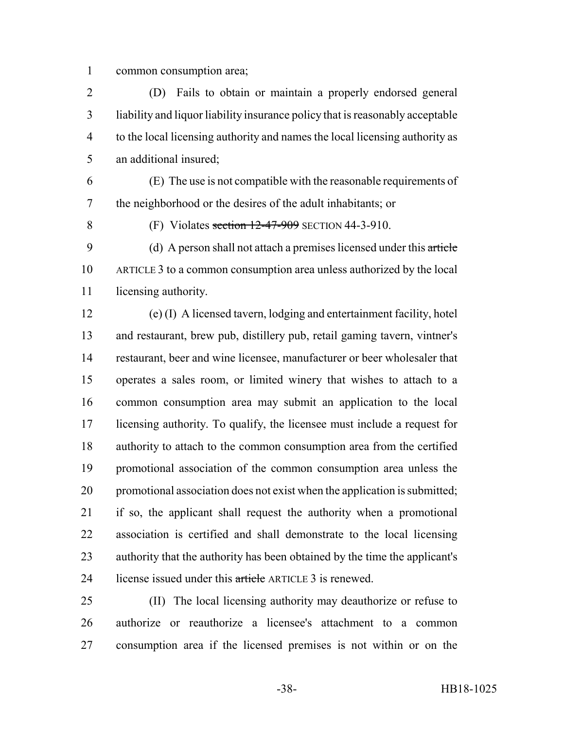common consumption area;

 (D) Fails to obtain or maintain a properly endorsed general liability and liquor liability insurance policy that is reasonably acceptable to the local licensing authority and names the local licensing authority as an additional insured;

 (E) The use is not compatible with the reasonable requirements of the neighborhood or the desires of the adult inhabitants; or

8 (F) Violates section 12-47-909 SECTION 44-3-910.

 (d) A person shall not attach a premises licensed under this article ARTICLE 3 to a common consumption area unless authorized by the local licensing authority.

 (e) (I) A licensed tavern, lodging and entertainment facility, hotel and restaurant, brew pub, distillery pub, retail gaming tavern, vintner's restaurant, beer and wine licensee, manufacturer or beer wholesaler that operates a sales room, or limited winery that wishes to attach to a common consumption area may submit an application to the local licensing authority. To qualify, the licensee must include a request for authority to attach to the common consumption area from the certified promotional association of the common consumption area unless the promotional association does not exist when the application is submitted; if so, the applicant shall request the authority when a promotional association is certified and shall demonstrate to the local licensing authority that the authority has been obtained by the time the applicant's 24 license issued under this article ARTICLE 3 is renewed.

 (II) The local licensing authority may deauthorize or refuse to authorize or reauthorize a licensee's attachment to a common consumption area if the licensed premises is not within or on the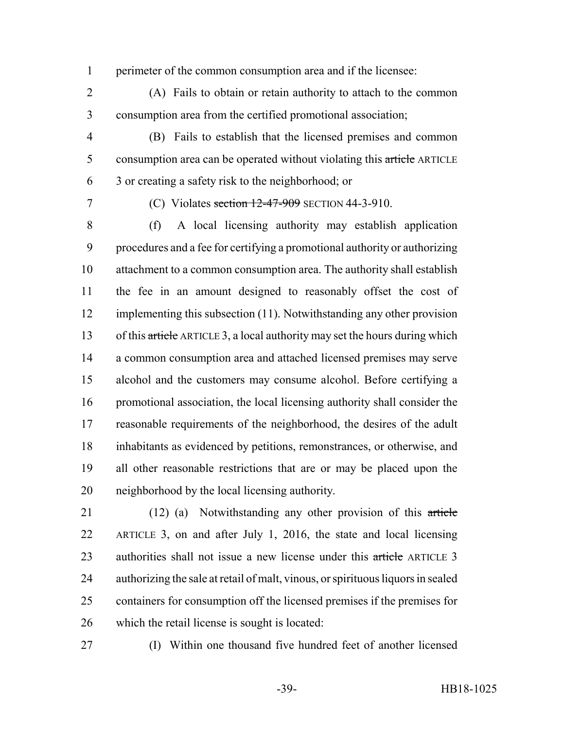perimeter of the common consumption area and if the licensee:

 (A) Fails to obtain or retain authority to attach to the common consumption area from the certified promotional association;

- (B) Fails to establish that the licensed premises and common 5 consumption area can be operated without violating this article ARTICLE 3 or creating a safety risk to the neighborhood; or
- 

7 (C) Violates section 12-47-909 SECTION 44-3-910.

 (f) A local licensing authority may establish application procedures and a fee for certifying a promotional authority or authorizing attachment to a common consumption area. The authority shall establish the fee in an amount designed to reasonably offset the cost of implementing this subsection (11). Notwithstanding any other provision 13 of this article ARTICLE 3, a local authority may set the hours during which a common consumption area and attached licensed premises may serve alcohol and the customers may consume alcohol. Before certifying a promotional association, the local licensing authority shall consider the reasonable requirements of the neighborhood, the desires of the adult inhabitants as evidenced by petitions, remonstrances, or otherwise, and all other reasonable restrictions that are or may be placed upon the neighborhood by the local licensing authority.

 (12) (a) Notwithstanding any other provision of this article ARTICLE 3, on and after July 1, 2016, the state and local licensing 23 authorities shall not issue a new license under this article ARTICLE 3 authorizing the sale at retail of malt, vinous, or spirituous liquors in sealed containers for consumption off the licensed premises if the premises for which the retail license is sought is located:

(I) Within one thousand five hundred feet of another licensed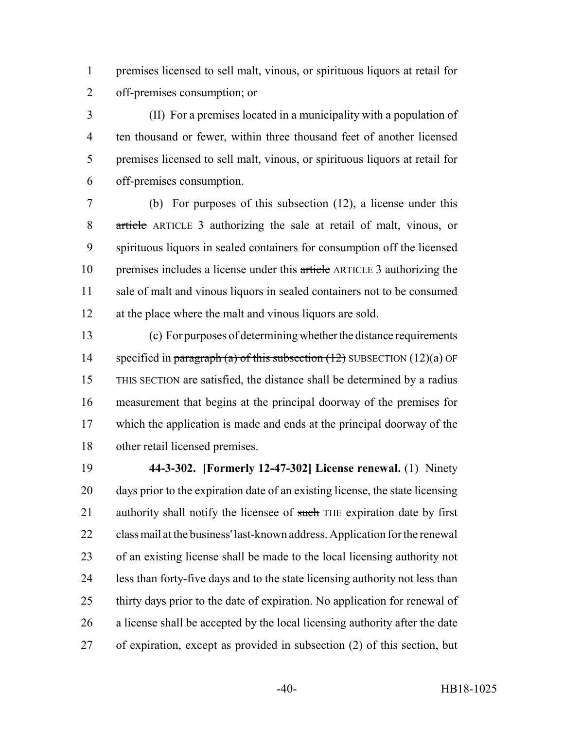premises licensed to sell malt, vinous, or spirituous liquors at retail for off-premises consumption; or

 (II) For a premises located in a municipality with a population of ten thousand or fewer, within three thousand feet of another licensed premises licensed to sell malt, vinous, or spirituous liquors at retail for off-premises consumption.

 (b) For purposes of this subsection (12), a license under this article ARTICLE 3 authorizing the sale at retail of malt, vinous, or spirituous liquors in sealed containers for consumption off the licensed 10 premises includes a license under this article ARTICLE 3 authorizing the sale of malt and vinous liquors in sealed containers not to be consumed at the place where the malt and vinous liquors are sold.

 (c) For purposes of determining whether the distance requirements 14 specified in paragraph (a) of this subsection  $(12)$  SUBSECTION  $(12)(a)$  OF THIS SECTION are satisfied, the distance shall be determined by a radius measurement that begins at the principal doorway of the premises for which the application is made and ends at the principal doorway of the other retail licensed premises.

 **44-3-302. [Formerly 12-47-302] License renewal.** (1) Ninety days prior to the expiration date of an existing license, the state licensing 21 authority shall notify the licensee of such THE expiration date by first class mail at the business' last-known address. Application for the renewal of an existing license shall be made to the local licensing authority not less than forty-five days and to the state licensing authority not less than thirty days prior to the date of expiration. No application for renewal of a license shall be accepted by the local licensing authority after the date of expiration, except as provided in subsection (2) of this section, but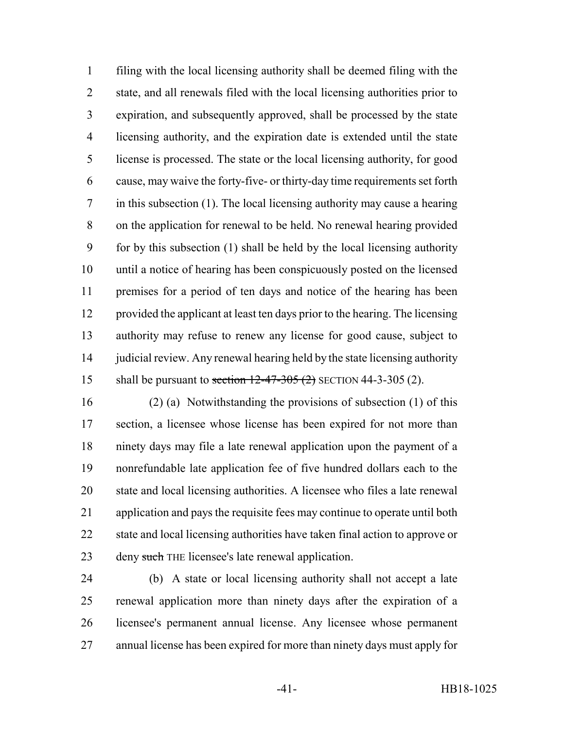filing with the local licensing authority shall be deemed filing with the state, and all renewals filed with the local licensing authorities prior to expiration, and subsequently approved, shall be processed by the state licensing authority, and the expiration date is extended until the state license is processed. The state or the local licensing authority, for good cause, may waive the forty-five- or thirty-day time requirements set forth in this subsection (1). The local licensing authority may cause a hearing on the application for renewal to be held. No renewal hearing provided for by this subsection (1) shall be held by the local licensing authority until a notice of hearing has been conspicuously posted on the licensed premises for a period of ten days and notice of the hearing has been provided the applicant at least ten days prior to the hearing. The licensing authority may refuse to renew any license for good cause, subject to judicial review. Any renewal hearing held by the state licensing authority 15 shall be pursuant to section  $12-47-305(2)$  SECTION 44-3-305(2).

 (2) (a) Notwithstanding the provisions of subsection (1) of this section, a licensee whose license has been expired for not more than ninety days may file a late renewal application upon the payment of a nonrefundable late application fee of five hundred dollars each to the state and local licensing authorities. A licensee who files a late renewal application and pays the requisite fees may continue to operate until both state and local licensing authorities have taken final action to approve or 23 deny such THE licensee's late renewal application.

 (b) A state or local licensing authority shall not accept a late renewal application more than ninety days after the expiration of a licensee's permanent annual license. Any licensee whose permanent annual license has been expired for more than ninety days must apply for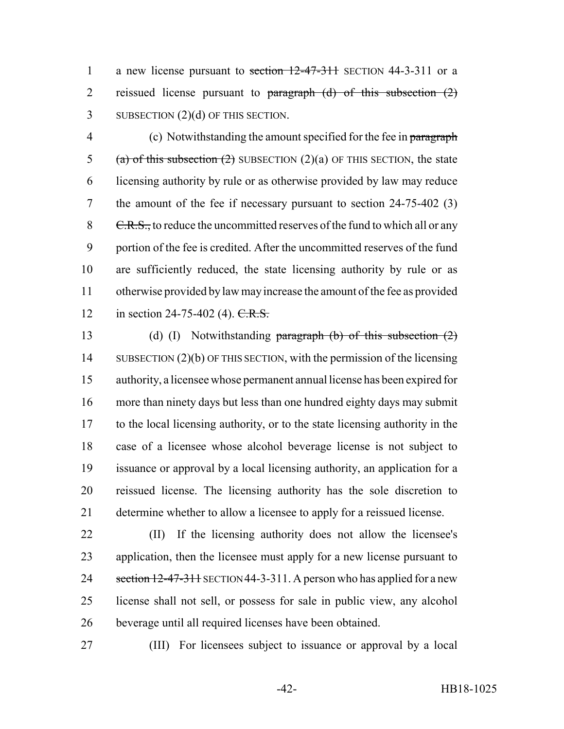1 a new license pursuant to section 12-47-311 SECTION 44-3-311 or a 2 reissued license pursuant to paragraph (d) of this subsection (2) 3 SUBSECTION (2)(d) OF THIS SECTION.

4 (c) Notwithstanding the amount specified for the fee in paragraph 5 (a) of this subsection  $(2)$  SUBSECTION  $(2)(a)$  OF THIS SECTION, the state licensing authority by rule or as otherwise provided by law may reduce the amount of the fee if necessary pursuant to section 24-75-402 (3) 8 C.R.S., to reduce the uncommitted reserves of the fund to which all or any portion of the fee is credited. After the uncommitted reserves of the fund are sufficiently reduced, the state licensing authority by rule or as otherwise provided by law may increase the amount of the fee as provided 12 in section 24-75-402 (4). C.R.S.

13 (d) (I) Notwithstanding paragraph (b) of this subsection (2) 14 SUBSECTION (2)(b) OF THIS SECTION, with the permission of the licensing authority, a licensee whose permanent annual license has been expired for more than ninety days but less than one hundred eighty days may submit to the local licensing authority, or to the state licensing authority in the case of a licensee whose alcohol beverage license is not subject to issuance or approval by a local licensing authority, an application for a reissued license. The licensing authority has the sole discretion to determine whether to allow a licensee to apply for a reissued license.

 (II) If the licensing authority does not allow the licensee's application, then the licensee must apply for a new license pursuant to 24 section 12-47-311 SECTION 44-3-311. A person who has applied for a new license shall not sell, or possess for sale in public view, any alcohol beverage until all required licenses have been obtained.

(III) For licensees subject to issuance or approval by a local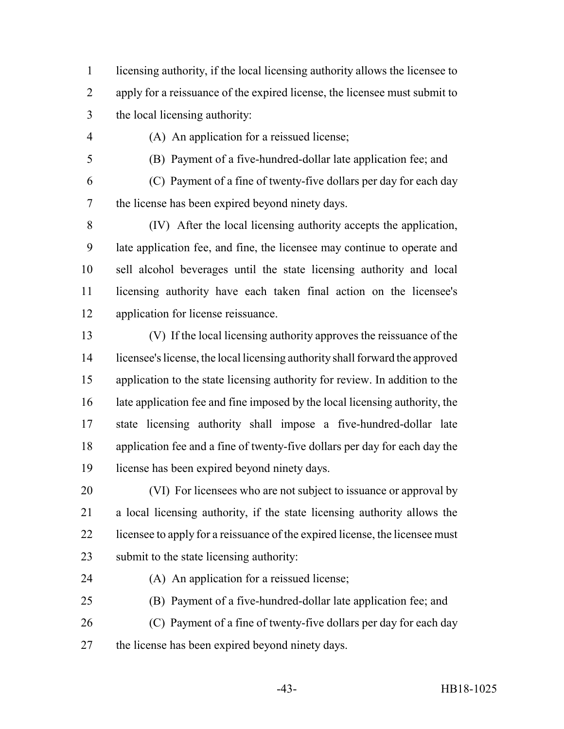licensing authority, if the local licensing authority allows the licensee to apply for a reissuance of the expired license, the licensee must submit to the local licensing authority:

(A) An application for a reissued license;

(B) Payment of a five-hundred-dollar late application fee; and

(C) Payment of a fine of twenty-five dollars per day for each day

the license has been expired beyond ninety days.

 (IV) After the local licensing authority accepts the application, late application fee, and fine, the licensee may continue to operate and sell alcohol beverages until the state licensing authority and local licensing authority have each taken final action on the licensee's application for license reissuance.

 (V) If the local licensing authority approves the reissuance of the licensee's license, the local licensing authority shall forward the approved application to the state licensing authority for review. In addition to the late application fee and fine imposed by the local licensing authority, the state licensing authority shall impose a five-hundred-dollar late application fee and a fine of twenty-five dollars per day for each day the license has been expired beyond ninety days.

 (VI) For licensees who are not subject to issuance or approval by a local licensing authority, if the state licensing authority allows the 22 licensee to apply for a reissuance of the expired license, the licensee must submit to the state licensing authority:

(A) An application for a reissued license;

 (B) Payment of a five-hundred-dollar late application fee; and (C) Payment of a fine of twenty-five dollars per day for each day

the license has been expired beyond ninety days.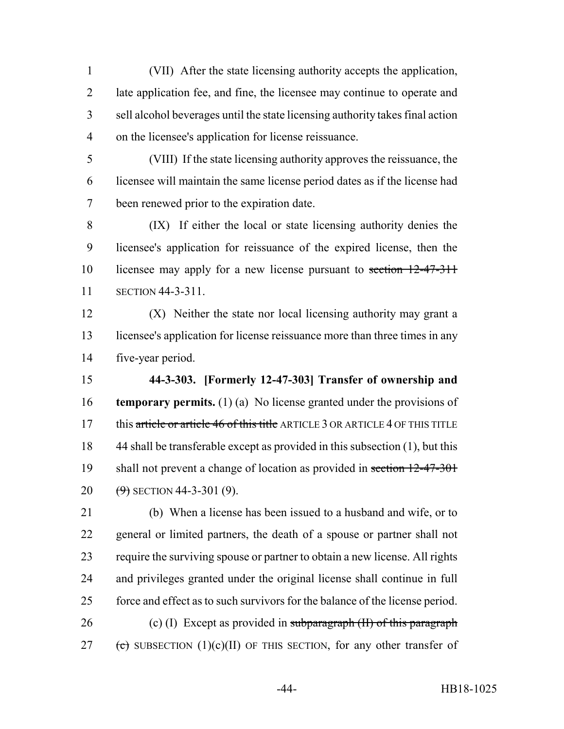(VII) After the state licensing authority accepts the application, late application fee, and fine, the licensee may continue to operate and sell alcohol beverages until the state licensing authority takes final action on the licensee's application for license reissuance.

 (VIII) If the state licensing authority approves the reissuance, the licensee will maintain the same license period dates as if the license had been renewed prior to the expiration date.

 (IX) If either the local or state licensing authority denies the licensee's application for reissuance of the expired license, then the licensee may apply for a new license pursuant to section 12-47-311 SECTION 44-3-311.

 (X) Neither the state nor local licensing authority may grant a licensee's application for license reissuance more than three times in any five-year period.

 **44-3-303. [Formerly 12-47-303] Transfer of ownership and temporary permits.** (1) (a) No license granted under the provisions of 17 this article or article 46 of this title ARTICLE 3 OR ARTICLE 4 OF THIS TITLE 44 shall be transferable except as provided in this subsection (1), but this 19 shall not prevent a change of location as provided in section 12-47-301  $(9)$  SECTION 44-3-301 (9).

 (b) When a license has been issued to a husband and wife, or to general or limited partners, the death of a spouse or partner shall not require the surviving spouse or partner to obtain a new license. All rights and privileges granted under the original license shall continue in full force and effect as to such survivors for the balance of the license period. 26 (c) (I) Except as provided in subparagraph  $(H)$  of this paragraph 27 (c) SUBSECTION (1)(c)(II) OF THIS SECTION, for any other transfer of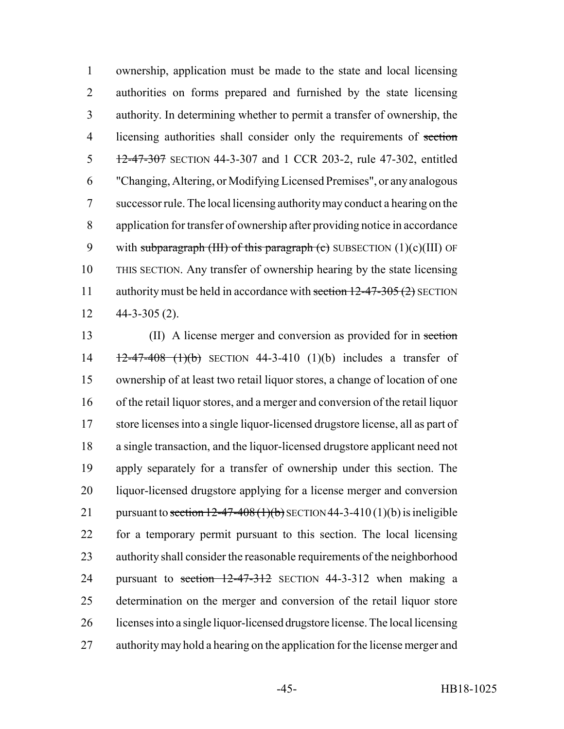ownership, application must be made to the state and local licensing authorities on forms prepared and furnished by the state licensing authority. In determining whether to permit a transfer of ownership, the 4 licensing authorities shall consider only the requirements of section 5 12-47-307 SECTION 44-3-307 and 1 CCR 203-2, rule 47-302, entitled "Changing, Altering, or Modifying Licensed Premises", or any analogous successor rule. The local licensing authority may conduct a hearing on the application for transfer of ownership after providing notice in accordance 9 with subparagraph (III) of this paragraph (c) SUBSECTION  $(1)(c)(III)$  OF THIS SECTION. Any transfer of ownership hearing by the state licensing 11 authority must be held in accordance with section 12-47-305 (2) SECTION 44-3-305 (2).

 (II) A license merger and conversion as provided for in section  $\frac{12-47-408}{100}$  SECTION 44-3-410 (1)(b) includes a transfer of ownership of at least two retail liquor stores, a change of location of one of the retail liquor stores, and a merger and conversion of the retail liquor store licenses into a single liquor-licensed drugstore license, all as part of a single transaction, and the liquor-licensed drugstore applicant need not apply separately for a transfer of ownership under this section. The liquor-licensed drugstore applying for a license merger and conversion 21 pursuant to section  $12-47-408(1)(b)$  SECTION 44-3-410(1)(b) is ineligible for a temporary permit pursuant to this section. The local licensing authority shall consider the reasonable requirements of the neighborhood 24 pursuant to section 12-47-312 SECTION 44-3-312 when making a determination on the merger and conversion of the retail liquor store licenses into a single liquor-licensed drugstore license. The local licensing authority may hold a hearing on the application for the license merger and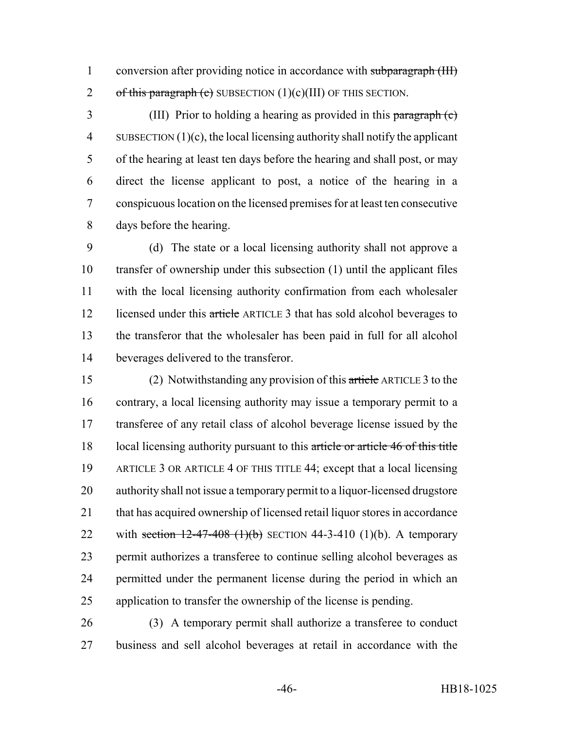1 conversion after providing notice in accordance with subparagraph (III) 2 of this paragraph (c) SUBSECTION  $(1)(c)(III)$  OF THIS SECTION.

 (III) Prior to holding a hearing as provided in this paragraph (c) 4 SUBSECTION  $(1)(c)$ , the local licensing authority shall notify the applicant of the hearing at least ten days before the hearing and shall post, or may direct the license applicant to post, a notice of the hearing in a conspicuous location on the licensed premises for at least ten consecutive days before the hearing.

 (d) The state or a local licensing authority shall not approve a transfer of ownership under this subsection (1) until the applicant files with the local licensing authority confirmation from each wholesaler 12 licensed under this article ARTICLE 3 that has sold alcohol beverages to the transferor that the wholesaler has been paid in full for all alcohol beverages delivered to the transferor.

 (2) Notwithstanding any provision of this article ARTICLE 3 to the contrary, a local licensing authority may issue a temporary permit to a transferee of any retail class of alcohol beverage license issued by the 18 local licensing authority pursuant to this article or article 46 of this title ARTICLE 3 OR ARTICLE 4 OF THIS TITLE 44; except that a local licensing authority shall not issue a temporary permit to a liquor-licensed drugstore that has acquired ownership of licensed retail liquor stores in accordance 22 with section  $12-47-408$  (1)(b) SECTION 44-3-410 (1)(b). A temporary permit authorizes a transferee to continue selling alcohol beverages as permitted under the permanent license during the period in which an application to transfer the ownership of the license is pending.

 (3) A temporary permit shall authorize a transferee to conduct business and sell alcohol beverages at retail in accordance with the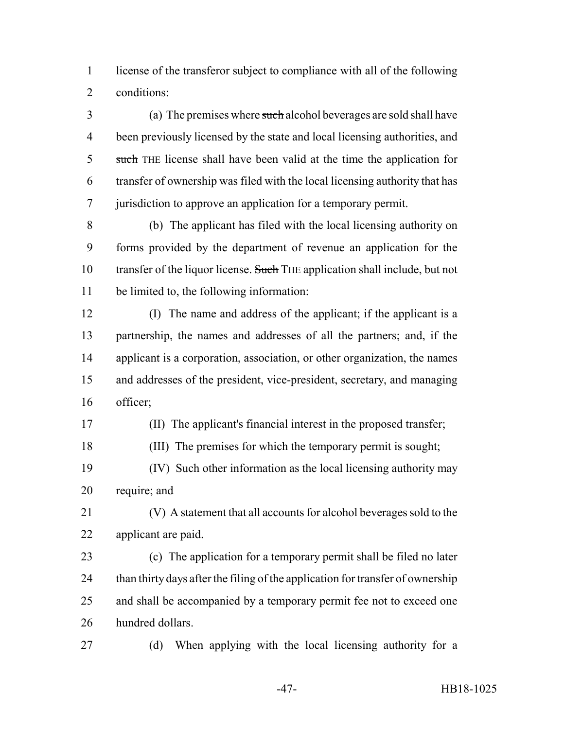license of the transferor subject to compliance with all of the following conditions:

 (a) The premises where such alcohol beverages are sold shall have been previously licensed by the state and local licensing authorities, and 5 such THE license shall have been valid at the time the application for transfer of ownership was filed with the local licensing authority that has jurisdiction to approve an application for a temporary permit.

 (b) The applicant has filed with the local licensing authority on forms provided by the department of revenue an application for the 10 transfer of the liquor license. Such THE application shall include, but not be limited to, the following information:

 (I) The name and address of the applicant; if the applicant is a partnership, the names and addresses of all the partners; and, if the applicant is a corporation, association, or other organization, the names and addresses of the president, vice-president, secretary, and managing officer;

(II) The applicant's financial interest in the proposed transfer;

(III) The premises for which the temporary permit is sought;

 (IV) Such other information as the local licensing authority may require; and

 (V) A statement that all accounts for alcohol beverages sold to the applicant are paid.

 (c) The application for a temporary permit shall be filed no later 24 than thirty days after the filing of the application for transfer of ownership and shall be accompanied by a temporary permit fee not to exceed one hundred dollars.

(d) When applying with the local licensing authority for a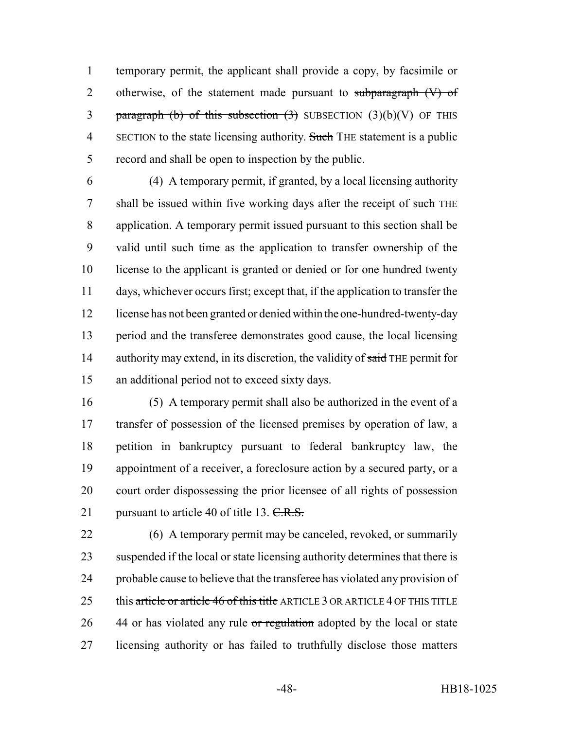temporary permit, the applicant shall provide a copy, by facsimile or 2 otherwise, of the statement made pursuant to subparagraph (V) of 3 paragraph (b) of this subsection  $(3)$  SUBSECTION  $(3)(b)(V)$  OF THIS 4 SECTION to the state licensing authority. Such THE statement is a public record and shall be open to inspection by the public.

 (4) A temporary permit, if granted, by a local licensing authority 7 shall be issued within five working days after the receipt of such THE application. A temporary permit issued pursuant to this section shall be valid until such time as the application to transfer ownership of the license to the applicant is granted or denied or for one hundred twenty days, whichever occurs first; except that, if the application to transfer the license has not been granted or denied within the one-hundred-twenty-day period and the transferee demonstrates good cause, the local licensing 14 authority may extend, in its discretion, the validity of said THE permit for an additional period not to exceed sixty days.

 (5) A temporary permit shall also be authorized in the event of a transfer of possession of the licensed premises by operation of law, a petition in bankruptcy pursuant to federal bankruptcy law, the appointment of a receiver, a foreclosure action by a secured party, or a court order dispossessing the prior licensee of all rights of possession 21 pursuant to article 40 of title 13.  $C.R.S.$ 

 (6) A temporary permit may be canceled, revoked, or summarily suspended if the local or state licensing authority determines that there is probable cause to believe that the transferee has violated any provision of 25 this article or article 46 of this title ARTICLE 3 OR ARTICLE 4 OF THIS TITLE 26 44 or has violated any rule or regulation adopted by the local or state licensing authority or has failed to truthfully disclose those matters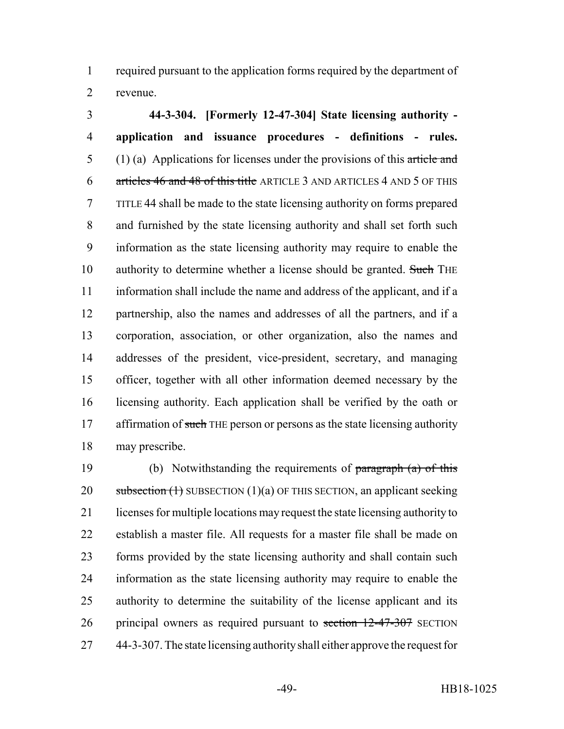required pursuant to the application forms required by the department of revenue.

 **44-3-304. [Formerly 12-47-304] State licensing authority - application and issuance procedures - definitions - rules.** 5 (1) (a) Applications for licenses under the provisions of this article and articles 46 and 48 of this title ARTICLE 3 AND ARTICLES 4 AND 5 OF THIS TITLE 44 shall be made to the state licensing authority on forms prepared and furnished by the state licensing authority and shall set forth such information as the state licensing authority may require to enable the 10 authority to determine whether a license should be granted. Such THE information shall include the name and address of the applicant, and if a partnership, also the names and addresses of all the partners, and if a corporation, association, or other organization, also the names and addresses of the president, vice-president, secretary, and managing officer, together with all other information deemed necessary by the licensing authority. Each application shall be verified by the oath or 17 affirmation of such THE person or persons as the state licensing authority may prescribe.

19 (b) Notwithstanding the requirements of paragraph (a) of this 20 subsection  $(1)$  SUBSECTION  $(1)(a)$  OF THIS SECTION, an applicant seeking licenses for multiple locations may request the state licensing authority to establish a master file. All requests for a master file shall be made on forms provided by the state licensing authority and shall contain such information as the state licensing authority may require to enable the authority to determine the suitability of the license applicant and its 26 principal owners as required pursuant to section 12-47-307 SECTION 44-3-307. The state licensing authority shall either approve the request for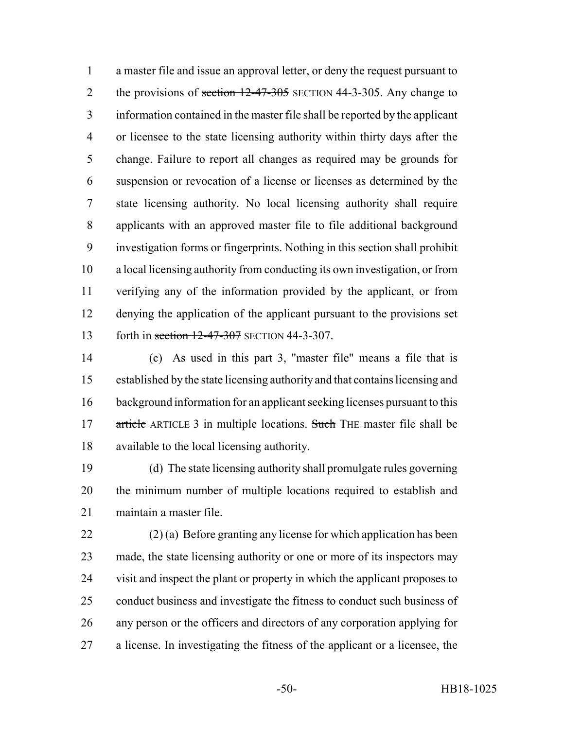a master file and issue an approval letter, or deny the request pursuant to 2 the provisions of section 12-47-305 SECTION 44-3-305. Any change to information contained in the master file shall be reported by the applicant or licensee to the state licensing authority within thirty days after the change. Failure to report all changes as required may be grounds for suspension or revocation of a license or licenses as determined by the state licensing authority. No local licensing authority shall require applicants with an approved master file to file additional background investigation forms or fingerprints. Nothing in this section shall prohibit a local licensing authority from conducting its own investigation, or from verifying any of the information provided by the applicant, or from denying the application of the applicant pursuant to the provisions set 13 forth in section 12-47-307 SECTION 44-3-307.

 (c) As used in this part 3, "master file" means a file that is established by the state licensing authority and that contains licensing and background information for an applicant seeking licenses pursuant to this 17 article ARTICLE 3 in multiple locations. Such THE master file shall be available to the local licensing authority.

 (d) The state licensing authority shall promulgate rules governing the minimum number of multiple locations required to establish and maintain a master file.

 (2) (a) Before granting any license for which application has been made, the state licensing authority or one or more of its inspectors may visit and inspect the plant or property in which the applicant proposes to conduct business and investigate the fitness to conduct such business of any person or the officers and directors of any corporation applying for a license. In investigating the fitness of the applicant or a licensee, the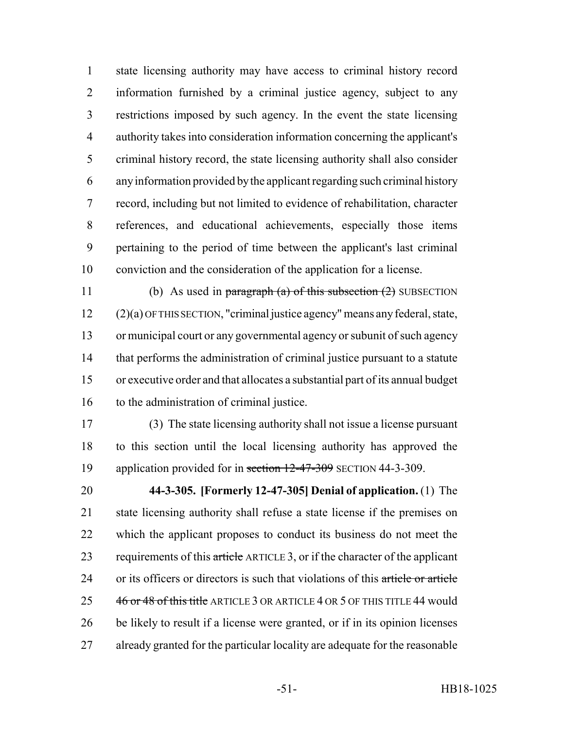state licensing authority may have access to criminal history record information furnished by a criminal justice agency, subject to any restrictions imposed by such agency. In the event the state licensing authority takes into consideration information concerning the applicant's criminal history record, the state licensing authority shall also consider any information provided by the applicant regarding such criminal history record, including but not limited to evidence of rehabilitation, character references, and educational achievements, especially those items pertaining to the period of time between the applicant's last criminal conviction and the consideration of the application for a license.

11 (b) As used in paragraph (a) of this subsection  $(2)$  SUBSECTION (2)(a) OF THIS SECTION, "criminal justice agency" means any federal, state, or municipal court or any governmental agency or subunit of such agency that performs the administration of criminal justice pursuant to a statute or executive order and that allocates a substantial part of its annual budget to the administration of criminal justice.

 (3) The state licensing authority shall not issue a license pursuant to this section until the local licensing authority has approved the 19 application provided for in section 12-47-309 SECTION 44-3-309.

 **44-3-305. [Formerly 12-47-305] Denial of application.** (1) The state licensing authority shall refuse a state license if the premises on which the applicant proposes to conduct its business do not meet the 23 requirements of this article ARTICLE 3, or if the character of the applicant 24 or its officers or directors is such that violations of this article or article 25 46 or 48 of this title ARTICLE 3 OR ARTICLE 4 OR 5 OF THIS TITLE 44 would be likely to result if a license were granted, or if in its opinion licenses already granted for the particular locality are adequate for the reasonable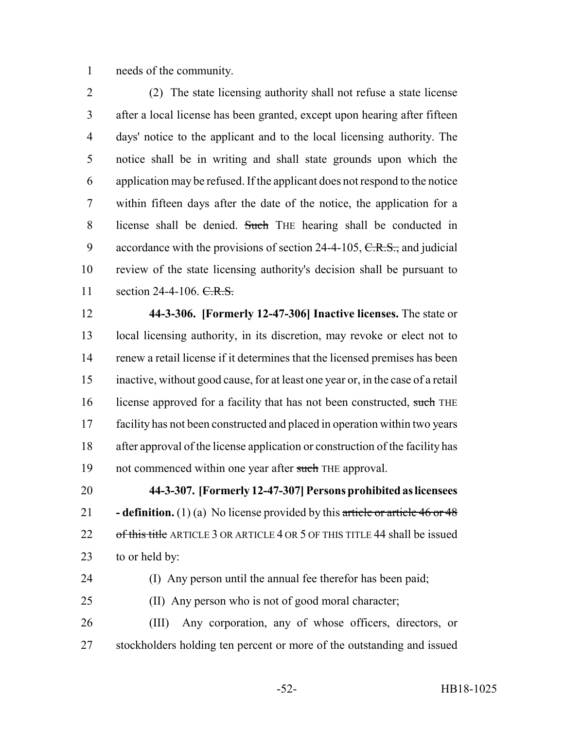needs of the community.

 (2) The state licensing authority shall not refuse a state license after a local license has been granted, except upon hearing after fifteen days' notice to the applicant and to the local licensing authority. The notice shall be in writing and shall state grounds upon which the application may be refused. If the applicant does not respond to the notice within fifteen days after the date of the notice, the application for a license shall be denied. Such THE hearing shall be conducted in 9 accordance with the provisions of section 24-4-105,  $C.R.S.,$  and judicial review of the state licensing authority's decision shall be pursuant to 11 section 24-4-106. C.R.S.

 **44-3-306. [Formerly 12-47-306] Inactive licenses.** The state or local licensing authority, in its discretion, may revoke or elect not to renew a retail license if it determines that the licensed premises has been inactive, without good cause, for at least one year or, in the case of a retail 16 license approved for a facility that has not been constructed, such THE facility has not been constructed and placed in operation within two years after approval of the license application or construction of the facility has 19 not commenced within one year after such THE approval.

 **44-3-307. [Formerly 12-47-307] Persons prohibited as licensees - definition.** (1) (a) No license provided by this article or article 46 or 48 22 of this title ARTICLE 3 OR ARTICLE 4 OR 5 OF THIS TITLE 44 shall be issued to or held by:

(I) Any person until the annual fee therefor has been paid;

(II) Any person who is not of good moral character;

 (III) Any corporation, any of whose officers, directors, or stockholders holding ten percent or more of the outstanding and issued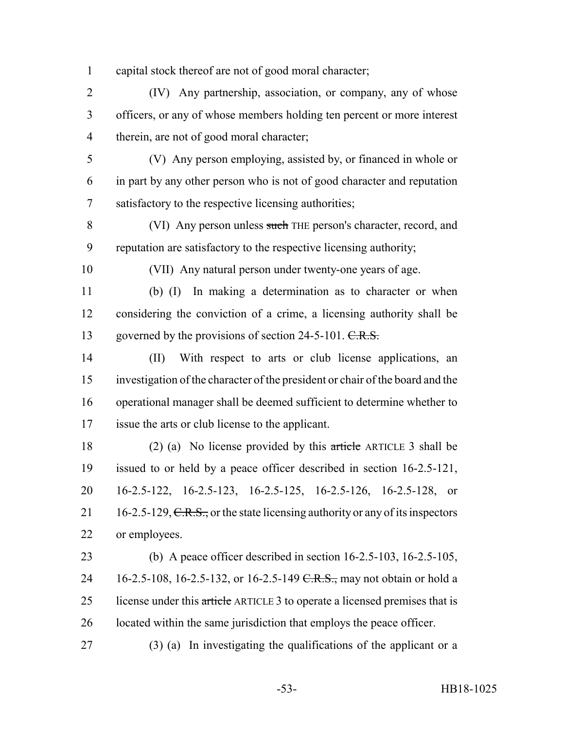capital stock thereof are not of good moral character;

 (IV) Any partnership, association, or company, any of whose officers, or any of whose members holding ten percent or more interest therein, are not of good moral character;

 (V) Any person employing, assisted by, or financed in whole or in part by any other person who is not of good character and reputation satisfactory to the respective licensing authorities;

 (VI) Any person unless such THE person's character, record, and reputation are satisfactory to the respective licensing authority;

(VII) Any natural person under twenty-one years of age.

 (b) (I) In making a determination as to character or when considering the conviction of a crime, a licensing authority shall be 13 governed by the provisions of section 24-5-101. C.R.S.

 (II) With respect to arts or club license applications, an investigation of the character of the president or chair of the board and the operational manager shall be deemed sufficient to determine whether to issue the arts or club license to the applicant.

 (2) (a) No license provided by this article ARTICLE 3 shall be issued to or held by a peace officer described in section 16-2.5-121, 16-2.5-122, 16-2.5-123, 16-2.5-125, 16-2.5-126, 16-2.5-128, or 21 16-2.5-129,  $C.R.S.,$  or the state licensing authority or any of its inspectors or employees.

 (b) A peace officer described in section 16-2.5-103, 16-2.5-105, 24 16-2.5-108, 16-2.5-132, or 16-2.5-149 <del>C.R.S.,</del> may not obtain or hold a 25 license under this article ARTICLE 3 to operate a licensed premises that is located within the same jurisdiction that employs the peace officer.

(3) (a) In investigating the qualifications of the applicant or a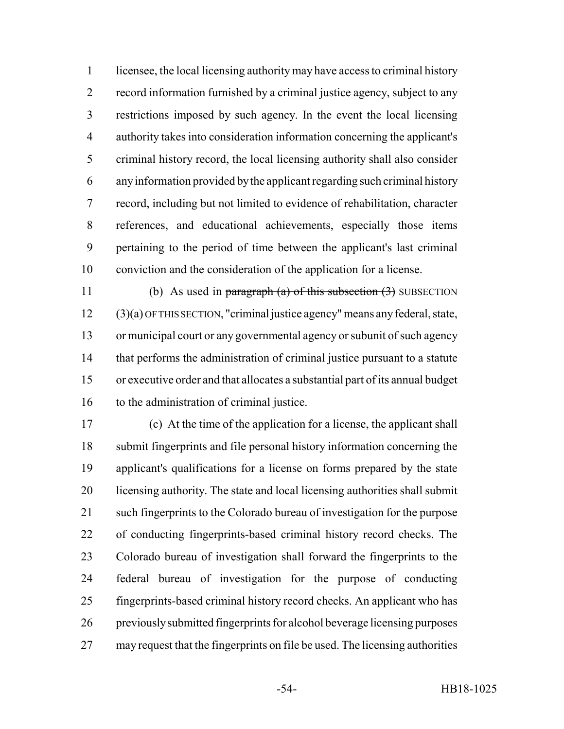licensee, the local licensing authority may have access to criminal history record information furnished by a criminal justice agency, subject to any restrictions imposed by such agency. In the event the local licensing authority takes into consideration information concerning the applicant's criminal history record, the local licensing authority shall also consider any information provided by the applicant regarding such criminal history record, including but not limited to evidence of rehabilitation, character references, and educational achievements, especially those items pertaining to the period of time between the applicant's last criminal conviction and the consideration of the application for a license.

11 (b) As used in paragraph (a) of this subsection  $(3)$  SUBSECTION (3)(a) OF THIS SECTION, "criminal justice agency" means any federal, state, or municipal court or any governmental agency or subunit of such agency that performs the administration of criminal justice pursuant to a statute or executive order and that allocates a substantial part of its annual budget to the administration of criminal justice.

 (c) At the time of the application for a license, the applicant shall submit fingerprints and file personal history information concerning the applicant's qualifications for a license on forms prepared by the state licensing authority. The state and local licensing authorities shall submit such fingerprints to the Colorado bureau of investigation for the purpose of conducting fingerprints-based criminal history record checks. The Colorado bureau of investigation shall forward the fingerprints to the federal bureau of investigation for the purpose of conducting fingerprints-based criminal history record checks. An applicant who has previously submitted fingerprints for alcohol beverage licensing purposes may request that the fingerprints on file be used. The licensing authorities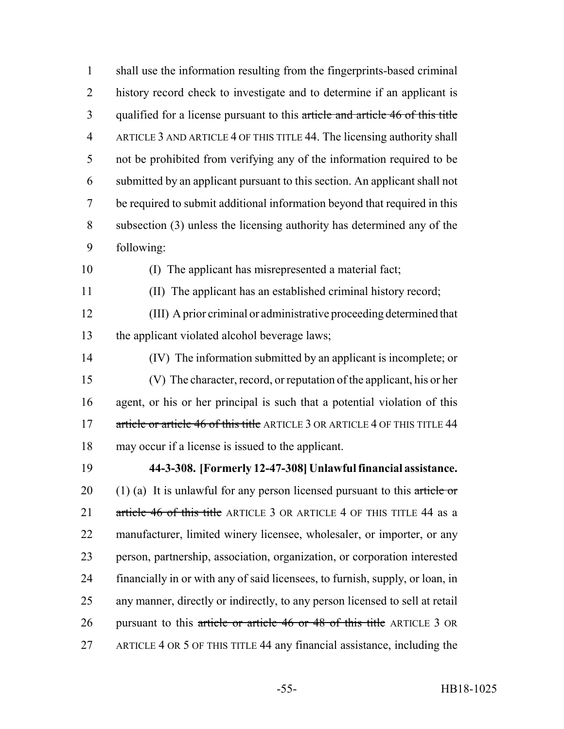shall use the information resulting from the fingerprints-based criminal history record check to investigate and to determine if an applicant is 3 qualified for a license pursuant to this article and article 46 of this title ARTICLE 3 AND ARTICLE 4 OF THIS TITLE 44. The licensing authority shall not be prohibited from verifying any of the information required to be submitted by an applicant pursuant to this section. An applicant shall not be required to submit additional information beyond that required in this subsection (3) unless the licensing authority has determined any of the following:

(I) The applicant has misrepresented a material fact;

(II) The applicant has an established criminal history record;

 (III) A prior criminal or administrative proceeding determined that the applicant violated alcohol beverage laws;

 (IV) The information submitted by an applicant is incomplete; or (V) The character, record, or reputation of the applicant, his or her agent, or his or her principal is such that a potential violation of this 17 article or article 46 of this title ARTICLE 3 OR ARTICLE 4 OF THIS TITLE 44 may occur if a license is issued to the applicant.

 **44-3-308. [Formerly 12-47-308] Unlawful financial assistance.** 20 (1) (a) It is unlawful for any person licensed pursuant to this article or 21 article 46 of this title ARTICLE 3 OR ARTICLE 4 OF THIS TITLE 44 as a manufacturer, limited winery licensee, wholesaler, or importer, or any person, partnership, association, organization, or corporation interested financially in or with any of said licensees, to furnish, supply, or loan, in any manner, directly or indirectly, to any person licensed to sell at retail 26 pursuant to this article or article 46 or 48 of this title ARTICLE 3 OR ARTICLE 4 OR 5 OF THIS TITLE 44 any financial assistance, including the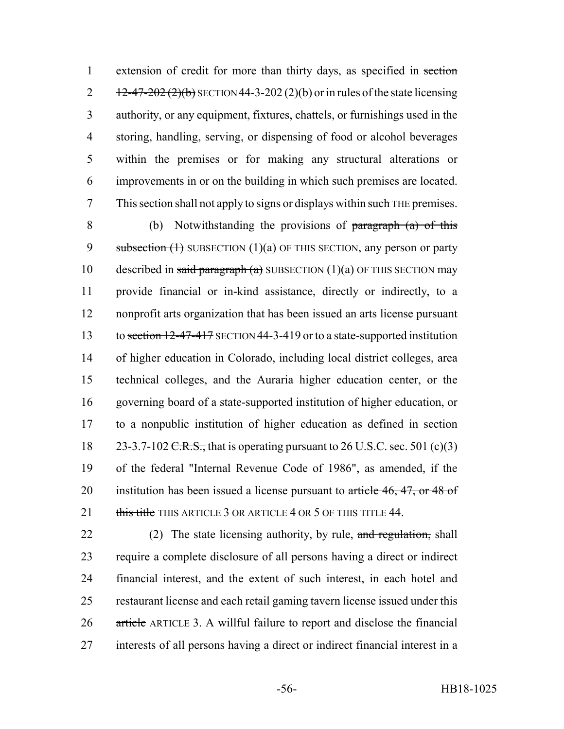1 extension of credit for more than thirty days, as specified in section  $12-47-202(2)(b)$  SECTION 44-3-202 (2)(b) or in rules of the state licensing authority, or any equipment, fixtures, chattels, or furnishings used in the storing, handling, serving, or dispensing of food or alcohol beverages within the premises or for making any structural alterations or improvements in or on the building in which such premises are located. This section shall not apply to signs or displays within such THE premises.

 (b) Notwithstanding the provisions of paragraph (a) of this 9 subsection  $(1)$  SUBSECTION  $(1)(a)$  OF THIS SECTION, any person or party 10 described in said paragraph (a) SUBSECTION (1)(a) OF THIS SECTION may provide financial or in-kind assistance, directly or indirectly, to a nonprofit arts organization that has been issued an arts license pursuant 13 to section 12-47-417 SECTION 44-3-419 or to a state-supported institution of higher education in Colorado, including local district colleges, area technical colleges, and the Auraria higher education center, or the governing board of a state-supported institution of higher education, or to a nonpublic institution of higher education as defined in section 18 23-3.7-102 C.R.S., that is operating pursuant to 26 U.S.C. sec. 501 (c)(3) of the federal "Internal Revenue Code of 1986", as amended, if the 20 institution has been issued a license pursuant to article 46, 47, or 48 of 21 this title THIS ARTICLE 3 OR ARTICLE 4 OR 5 OF THIS TITLE 44.

22 (2) The state licensing authority, by rule, and regulation, shall require a complete disclosure of all persons having a direct or indirect financial interest, and the extent of such interest, in each hotel and restaurant license and each retail gaming tavern license issued under this article ARTICLE 3. A willful failure to report and disclose the financial interests of all persons having a direct or indirect financial interest in a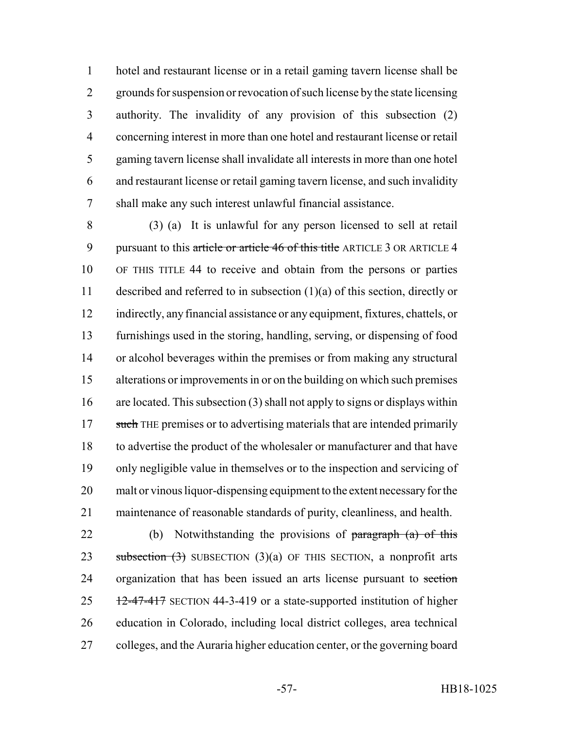hotel and restaurant license or in a retail gaming tavern license shall be grounds for suspension or revocation of such license by the state licensing authority. The invalidity of any provision of this subsection (2) concerning interest in more than one hotel and restaurant license or retail gaming tavern license shall invalidate all interests in more than one hotel and restaurant license or retail gaming tavern license, and such invalidity shall make any such interest unlawful financial assistance.

 (3) (a) It is unlawful for any person licensed to sell at retail 9 pursuant to this article or article 46 of this title ARTICLE 3 OR ARTICLE 4 OF THIS TITLE 44 to receive and obtain from the persons or parties described and referred to in subsection (1)(a) of this section, directly or indirectly, any financial assistance or any equipment, fixtures, chattels, or furnishings used in the storing, handling, serving, or dispensing of food or alcohol beverages within the premises or from making any structural alterations or improvements in or on the building on which such premises are located. This subsection (3) shall not apply to signs or displays within 17 such THE premises or to advertising materials that are intended primarily to advertise the product of the wholesaler or manufacturer and that have only negligible value in themselves or to the inspection and servicing of malt or vinous liquor-dispensing equipment to the extent necessary for the maintenance of reasonable standards of purity, cleanliness, and health.

22 (b) Notwithstanding the provisions of paragraph (a) of this 23 subsection  $(3)$  SUBSECTION  $(3)(a)$  OF THIS SECTION, a nonprofit arts 24 organization that has been issued an arts license pursuant to section 12-47-417 SECTION 44-3-419 or a state-supported institution of higher education in Colorado, including local district colleges, area technical colleges, and the Auraria higher education center, or the governing board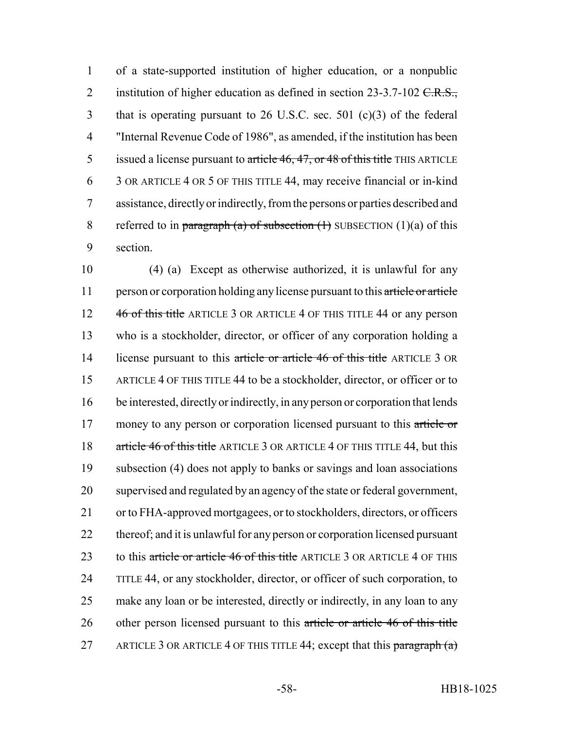1 of a state-supported institution of higher education, or a nonpublic 2 institution of higher education as defined in section  $23-3.7-102$  C.R.S., 3 that is operating pursuant to 26 U.S.C. sec. 501 (c)(3) of the federal 4 "Internal Revenue Code of 1986", as amended, if the institution has been 5 issued a license pursuant to article 46, 47, or 48 of this title THIS ARTICLE 6 3 OR ARTICLE 4 OR 5 OF THIS TITLE 44, may receive financial or in-kind 7 assistance, directly or indirectly, from the persons or parties described and 8 referred to in paragraph (a) of subsection  $(1)$  SUBSECTION  $(1)(a)$  of this 9 section.

10 (4) (a) Except as otherwise authorized, it is unlawful for any 11 person or corporation holding any license pursuant to this article or article 12 46 of this title ARTICLE 3 OR ARTICLE 4 OF THIS TITLE 44 or any person 13 who is a stockholder, director, or officer of any corporation holding a 14 license pursuant to this article or article 46 of this title ARTICLE 3 OR 15 ARTICLE 4 OF THIS TITLE 44 to be a stockholder, director, or officer or to 16 be interested, directly or indirectly, in any person or corporation that lends 17 money to any person or corporation licensed pursuant to this article or 18 article 46 of this title ARTICLE 3 OR ARTICLE 4 OF THIS TITLE 44, but this 19 subsection (4) does not apply to banks or savings and loan associations 20 supervised and regulated by an agency of the state or federal government, 21 or to FHA-approved mortgagees, or to stockholders, directors, or officers 22 thereof; and it is unlawful for any person or corporation licensed pursuant 23 to this article or article 46 of this title ARTICLE 3 OR ARTICLE 4 OF THIS 24 TITLE 44, or any stockholder, director, or officer of such corporation, to 25 make any loan or be interested, directly or indirectly, in any loan to any 26 other person licensed pursuant to this article or article 46 of this title 27 ARTICLE 3 OR ARTICLE 4 OF THIS TITLE 44; except that this paragraph  $(a)$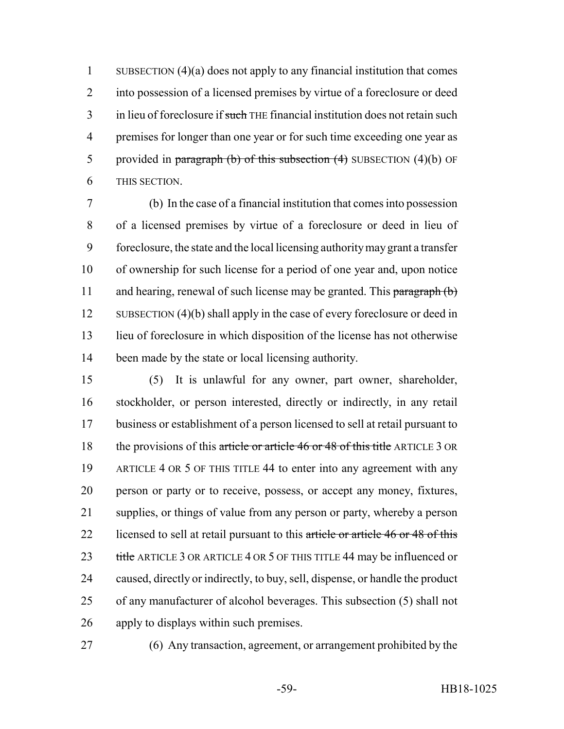SUBSECTION (4)(a) does not apply to any financial institution that comes into possession of a licensed premises by virtue of a foreclosure or deed 3 in lieu of foreclosure if such THE financial institution does not retain such premises for longer than one year or for such time exceeding one year as 5 provided in paragraph (b) of this subsection  $(4)$  SUBSECTION  $(4)(b)$  OF THIS SECTION.

 (b) In the case of a financial institution that comes into possession of a licensed premises by virtue of a foreclosure or deed in lieu of foreclosure, the state and the local licensing authority may grant a transfer of ownership for such license for a period of one year and, upon notice 11 and hearing, renewal of such license may be granted. This paragraph (b) 12 SUBSECTION (4)(b) shall apply in the case of every foreclosure or deed in lieu of foreclosure in which disposition of the license has not otherwise been made by the state or local licensing authority.

 (5) It is unlawful for any owner, part owner, shareholder, stockholder, or person interested, directly or indirectly, in any retail business or establishment of a person licensed to sell at retail pursuant to 18 the provisions of this article or article 46 or 48 of this title ARTICLE 3 OR ARTICLE 4 OR 5 OF THIS TITLE 44 to enter into any agreement with any person or party or to receive, possess, or accept any money, fixtures, supplies, or things of value from any person or party, whereby a person 22 licensed to sell at retail pursuant to this article or article 46 or 48 of this 23 title ARTICLE 3 OR ARTICLE 4 OR 5 OF THIS TITLE 44 may be influenced or caused, directly or indirectly, to buy, sell, dispense, or handle the product of any manufacturer of alcohol beverages. This subsection (5) shall not apply to displays within such premises.

(6) Any transaction, agreement, or arrangement prohibited by the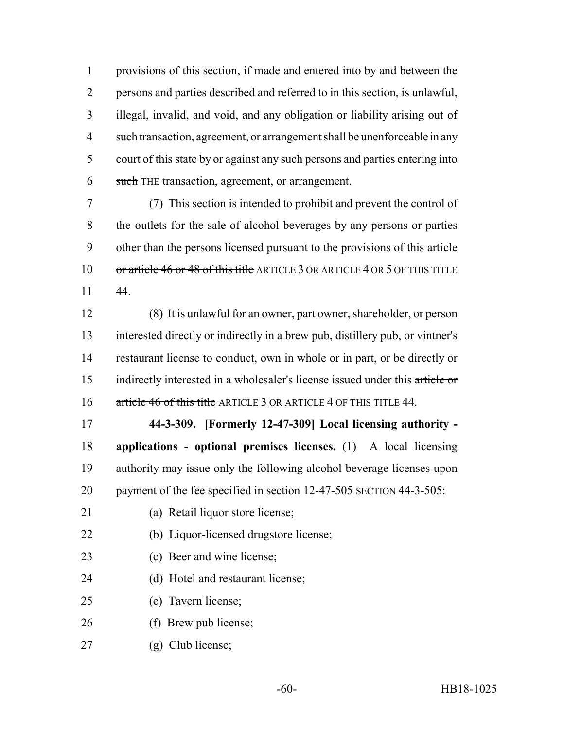provisions of this section, if made and entered into by and between the persons and parties described and referred to in this section, is unlawful, illegal, invalid, and void, and any obligation or liability arising out of such transaction, agreement, or arrangement shall be unenforceable in any court of this state by or against any such persons and parties entering into 6 such THE transaction, agreement, or arrangement.

 (7) This section is intended to prohibit and prevent the control of the outlets for the sale of alcohol beverages by any persons or parties 9 other than the persons licensed pursuant to the provisions of this article 10 or article 46 or 48 of this title ARTICLE 3 OR ARTICLE 4 OR 5 OF THIS TITLE 44.

 (8) It is unlawful for an owner, part owner, shareholder, or person interested directly or indirectly in a brew pub, distillery pub, or vintner's restaurant license to conduct, own in whole or in part, or be directly or 15 indirectly interested in a wholesaler's license issued under this article or 16 article 46 of this title ARTICLE 3 OR ARTICLE 4 OF THIS TITLE 44.

 **44-3-309. [Formerly 12-47-309] Local licensing authority - applications - optional premises licenses.** (1) A local licensing authority may issue only the following alcohol beverage licenses upon 20 payment of the fee specified in section 12-47-505 SECTION 44-3-505:

- (a) Retail liquor store license;
- (b) Liquor-licensed drugstore license;
- (c) Beer and wine license;
- (d) Hotel and restaurant license;
- (e) Tavern license;
- (f) Brew pub license;
- (g) Club license;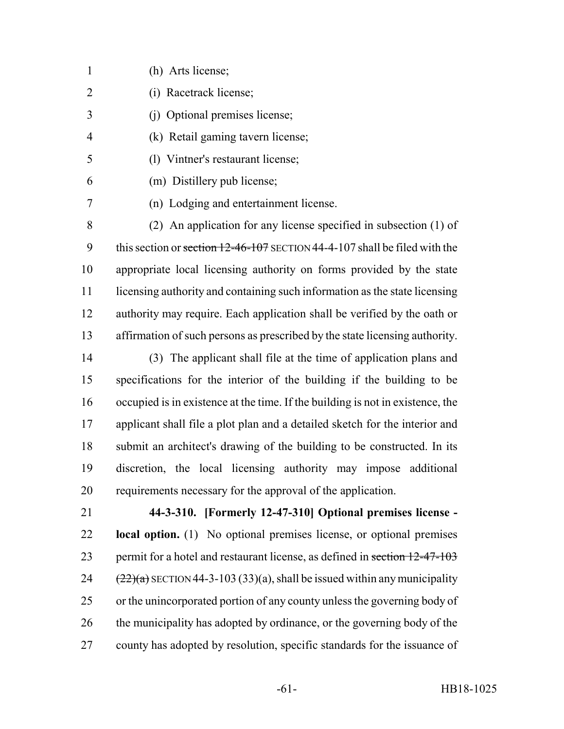- (h) Arts license;
- (i) Racetrack license;
- (j) Optional premises license;
- (k) Retail gaming tavern license;
- (l) Vintner's restaurant license;
- (m) Distillery pub license;
	-
- (n) Lodging and entertainment license.

 (2) An application for any license specified in subsection (1) of 9 this section or section 12-46-107 SECTION 44-4-107 shall be filed with the appropriate local licensing authority on forms provided by the state licensing authority and containing such information as the state licensing 12 authority may require. Each application shall be verified by the oath or affirmation of such persons as prescribed by the state licensing authority.

 (3) The applicant shall file at the time of application plans and specifications for the interior of the building if the building to be occupied is in existence at the time. If the building is not in existence, the applicant shall file a plot plan and a detailed sketch for the interior and submit an architect's drawing of the building to be constructed. In its discretion, the local licensing authority may impose additional requirements necessary for the approval of the application.

 **44-3-310. [Formerly 12-47-310] Optional premises license - local option.** (1) No optional premises license, or optional premises 23 permit for a hotel and restaurant license, as defined in section 12-47-103  $(22)(a)$  SECTION 44-3-103 (33)(a), shall be issued within any municipality or the unincorporated portion of any county unless the governing body of 26 the municipality has adopted by ordinance, or the governing body of the county has adopted by resolution, specific standards for the issuance of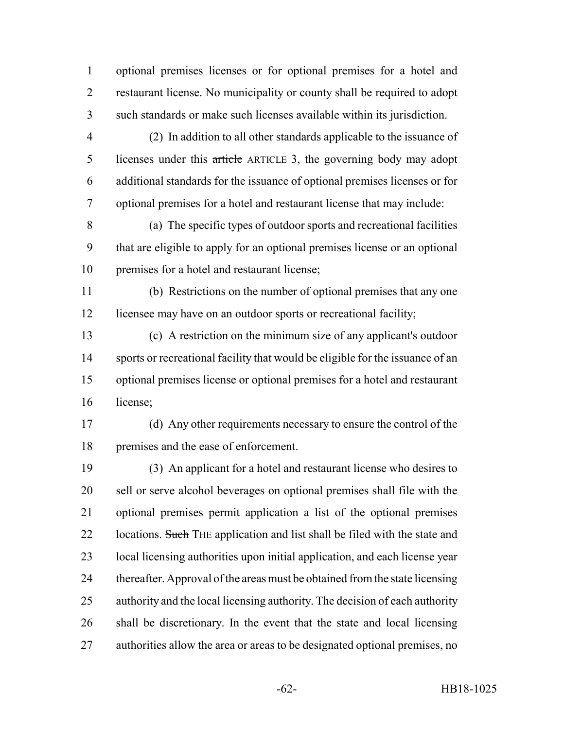optional premises licenses or for optional premises for a hotel and restaurant license. No municipality or county shall be required to adopt such standards or make such licenses available within its jurisdiction.

 (2) In addition to all other standards applicable to the issuance of 5 licenses under this article ARTICLE 3, the governing body may adopt additional standards for the issuance of optional premises licenses or for optional premises for a hotel and restaurant license that may include:

 (a) The specific types of outdoor sports and recreational facilities that are eligible to apply for an optional premises license or an optional premises for a hotel and restaurant license;

 (b) Restrictions on the number of optional premises that any one licensee may have on an outdoor sports or recreational facility;

 (c) A restriction on the minimum size of any applicant's outdoor sports or recreational facility that would be eligible for the issuance of an optional premises license or optional premises for a hotel and restaurant license;

 (d) Any other requirements necessary to ensure the control of the premises and the ease of enforcement.

 (3) An applicant for a hotel and restaurant license who desires to sell or serve alcohol beverages on optional premises shall file with the optional premises permit application a list of the optional premises 22 locations. Such THE application and list shall be filed with the state and local licensing authorities upon initial application, and each license year thereafter. Approval of the areas must be obtained from the state licensing authority and the local licensing authority. The decision of each authority shall be discretionary. In the event that the state and local licensing authorities allow the area or areas to be designated optional premises, no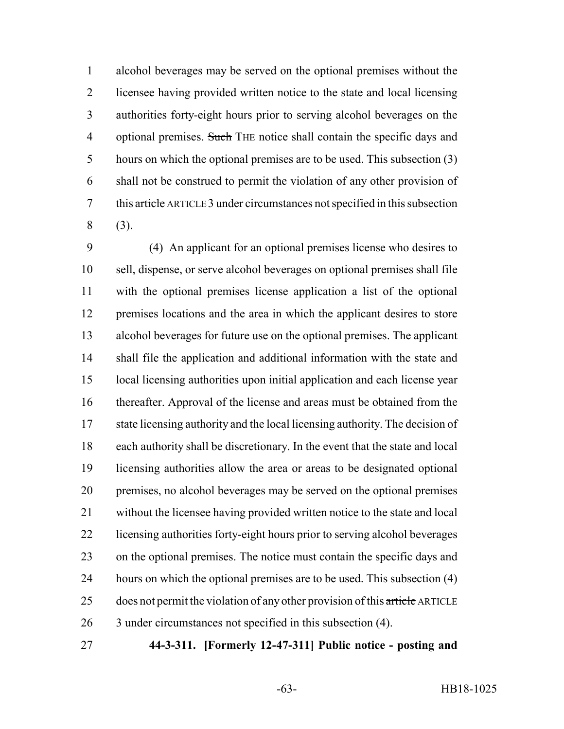alcohol beverages may be served on the optional premises without the licensee having provided written notice to the state and local licensing authorities forty-eight hours prior to serving alcohol beverages on the 4 optional premises. Such THE notice shall contain the specific days and hours on which the optional premises are to be used. This subsection (3) shall not be construed to permit the violation of any other provision of this article ARTICLE 3 under circumstances not specified in this subsection (3).

 (4) An applicant for an optional premises license who desires to sell, dispense, or serve alcohol beverages on optional premises shall file with the optional premises license application a list of the optional premises locations and the area in which the applicant desires to store alcohol beverages for future use on the optional premises. The applicant shall file the application and additional information with the state and local licensing authorities upon initial application and each license year thereafter. Approval of the license and areas must be obtained from the state licensing authority and the local licensing authority. The decision of each authority shall be discretionary. In the event that the state and local licensing authorities allow the area or areas to be designated optional premises, no alcohol beverages may be served on the optional premises without the licensee having provided written notice to the state and local licensing authorities forty-eight hours prior to serving alcohol beverages on the optional premises. The notice must contain the specific days and 24 hours on which the optional premises are to be used. This subsection (4) 25 does not permit the violation of any other provision of this article ARTICLE 3 under circumstances not specified in this subsection (4).

**44-3-311. [Formerly 12-47-311] Public notice - posting and**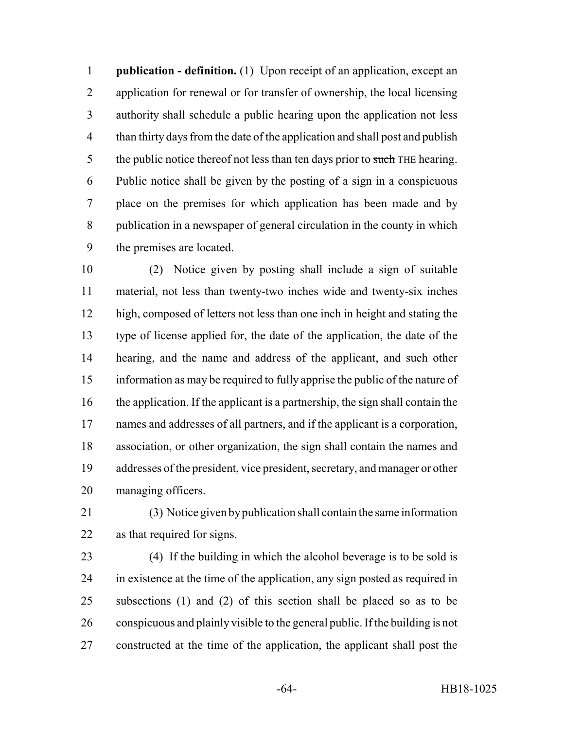**publication - definition.** (1) Upon receipt of an application, except an application for renewal or for transfer of ownership, the local licensing authority shall schedule a public hearing upon the application not less than thirty days from the date of the application and shall post and publish 5 the public notice thereof not less than ten days prior to such THE hearing. Public notice shall be given by the posting of a sign in a conspicuous place on the premises for which application has been made and by publication in a newspaper of general circulation in the county in which the premises are located.

 (2) Notice given by posting shall include a sign of suitable material, not less than twenty-two inches wide and twenty-six inches high, composed of letters not less than one inch in height and stating the type of license applied for, the date of the application, the date of the hearing, and the name and address of the applicant, and such other information as may be required to fully apprise the public of the nature of the application. If the applicant is a partnership, the sign shall contain the names and addresses of all partners, and if the applicant is a corporation, association, or other organization, the sign shall contain the names and addresses of the president, vice president, secretary, and manager or other managing officers.

 (3) Notice given by publication shall contain the same information as that required for signs.

 (4) If the building in which the alcohol beverage is to be sold is in existence at the time of the application, any sign posted as required in subsections (1) and (2) of this section shall be placed so as to be conspicuous and plainly visible to the general public. If the building is not constructed at the time of the application, the applicant shall post the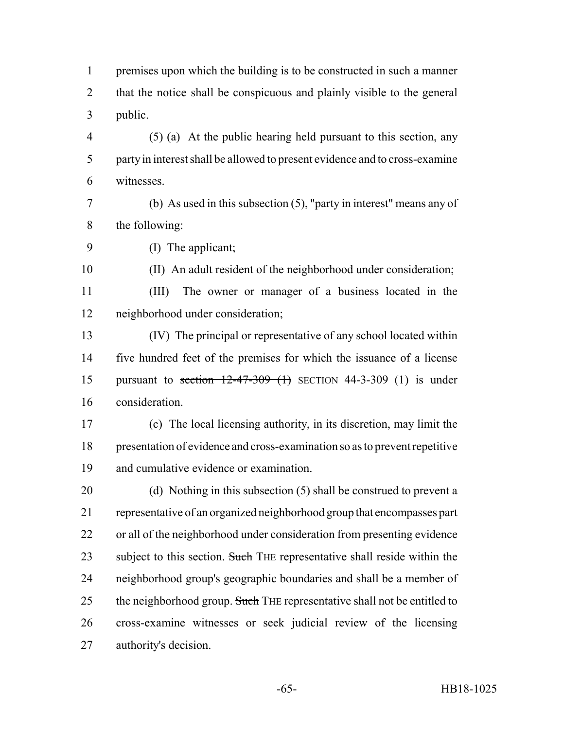premises upon which the building is to be constructed in such a manner that the notice shall be conspicuous and plainly visible to the general public.

 (5) (a) At the public hearing held pursuant to this section, any party in interest shall be allowed to present evidence and to cross-examine witnesses.

- (b) As used in this subsection (5), "party in interest" means any of the following:
- (I) The applicant;

(II) An adult resident of the neighborhood under consideration;

 (III) The owner or manager of a business located in the neighborhood under consideration;

 (IV) The principal or representative of any school located within five hundred feet of the premises for which the issuance of a license pursuant to section 12-47-309 (1) SECTION 44-3-309 (1) is under consideration.

 (c) The local licensing authority, in its discretion, may limit the presentation of evidence and cross-examination so as to prevent repetitive and cumulative evidence or examination.

 (d) Nothing in this subsection (5) shall be construed to prevent a representative of an organized neighborhood group that encompasses part or all of the neighborhood under consideration from presenting evidence 23 subject to this section. Such THE representative shall reside within the neighborhood group's geographic boundaries and shall be a member of 25 the neighborhood group. Such THE representative shall not be entitled to cross-examine witnesses or seek judicial review of the licensing authority's decision.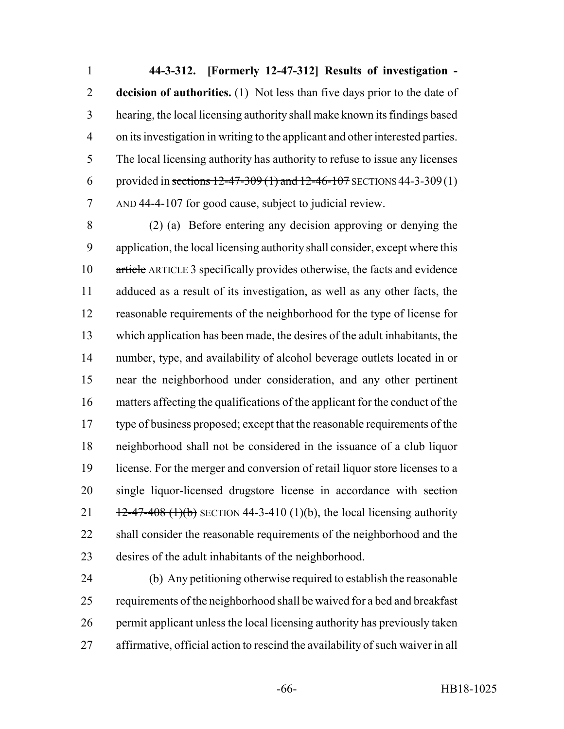**44-3-312. [Formerly 12-47-312] Results of investigation - decision of authorities.** (1) Not less than five days prior to the date of hearing, the local licensing authority shall make known its findings based on its investigation in writing to the applicant and other interested parties. The local licensing authority has authority to refuse to issue any licenses 6 provided in sections  $12-47-309(1)$  and  $12-46-107$  SECTIONS 44-3-309(1) AND 44-4-107 for good cause, subject to judicial review.

 (2) (a) Before entering any decision approving or denying the application, the local licensing authority shall consider, except where this article ARTICLE 3 specifically provides otherwise, the facts and evidence adduced as a result of its investigation, as well as any other facts, the reasonable requirements of the neighborhood for the type of license for which application has been made, the desires of the adult inhabitants, the number, type, and availability of alcohol beverage outlets located in or near the neighborhood under consideration, and any other pertinent matters affecting the qualifications of the applicant for the conduct of the type of business proposed; except that the reasonable requirements of the neighborhood shall not be considered in the issuance of a club liquor license. For the merger and conversion of retail liquor store licenses to a 20 single liquor-licensed drugstore license in accordance with section  $\frac{12-47-408 (1)(b)}{2}$  SECTION 44-3-410 (1)(b), the local licensing authority 22 shall consider the reasonable requirements of the neighborhood and the desires of the adult inhabitants of the neighborhood.

 (b) Any petitioning otherwise required to establish the reasonable requirements of the neighborhood shall be waived for a bed and breakfast permit applicant unless the local licensing authority has previously taken affirmative, official action to rescind the availability of such waiver in all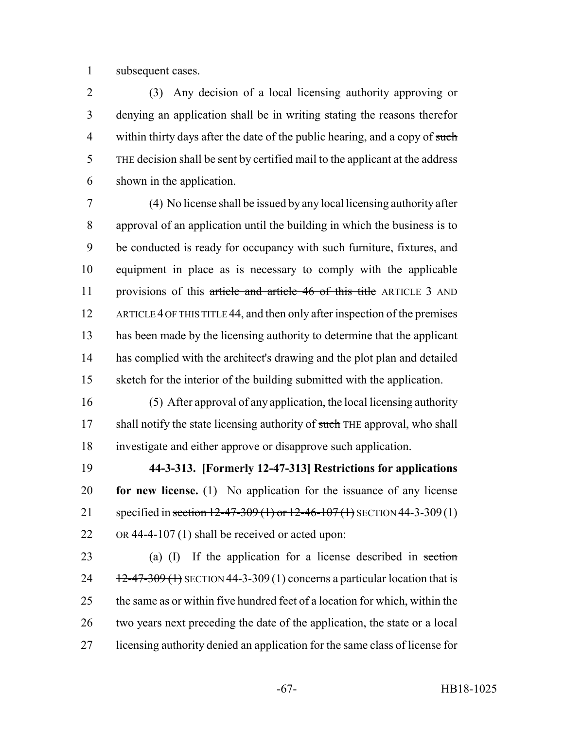subsequent cases.

 (3) Any decision of a local licensing authority approving or denying an application shall be in writing stating the reasons therefor 4 within thirty days after the date of the public hearing, and a copy of such THE decision shall be sent by certified mail to the applicant at the address shown in the application.

 (4) No license shall be issued by any local licensing authority after approval of an application until the building in which the business is to be conducted is ready for occupancy with such furniture, fixtures, and equipment in place as is necessary to comply with the applicable 11 provisions of this article and article 46 of this title ARTICLE 3 AND ARTICLE 4 OF THIS TITLE 44, and then only after inspection of the premises has been made by the licensing authority to determine that the applicant has complied with the architect's drawing and the plot plan and detailed sketch for the interior of the building submitted with the application.

 (5) After approval of any application, the local licensing authority 17 shall notify the state licensing authority of such THE approval, who shall investigate and either approve or disapprove such application.

 **44-3-313. [Formerly 12-47-313] Restrictions for applications for new license.** (1) No application for the issuance of any license 21 specified in section 12-47-309 (1) or 12-46-107 (1) SECTION 44-3-309 (1) OR 44-4-107 (1) shall be received or acted upon:

 (a) (I) If the application for a license described in section  $12-47-309$  (1) SECTION 44-3-309 (1) concerns a particular location that is the same as or within five hundred feet of a location for which, within the two years next preceding the date of the application, the state or a local licensing authority denied an application for the same class of license for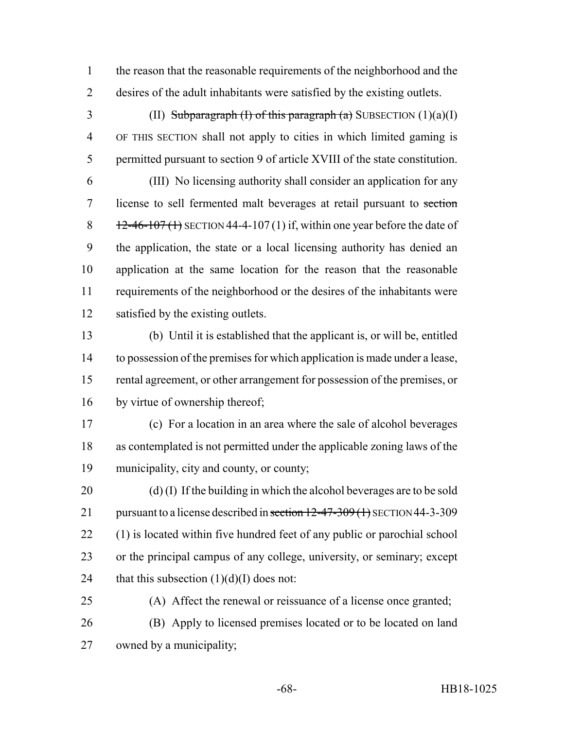the reason that the reasonable requirements of the neighborhood and the desires of the adult inhabitants were satisfied by the existing outlets.

3 (II) Subparagraph (I) of this paragraph (a) SUBSECTION  $(1)(a)(I)$  OF THIS SECTION shall not apply to cities in which limited gaming is permitted pursuant to section 9 of article XVIII of the state constitution.

 (III) No licensing authority shall consider an application for any license to sell fermented malt beverages at retail pursuant to section  $\frac{12-46-107(1)}{25}$  SECTION 44-4-107(1) if, within one year before the date of the application, the state or a local licensing authority has denied an application at the same location for the reason that the reasonable requirements of the neighborhood or the desires of the inhabitants were satisfied by the existing outlets.

 (b) Until it is established that the applicant is, or will be, entitled to possession of the premises for which application is made under a lease, rental agreement, or other arrangement for possession of the premises, or by virtue of ownership thereof;

 (c) For a location in an area where the sale of alcohol beverages as contemplated is not permitted under the applicable zoning laws of the municipality, city and county, or county;

 (d) (I) If the building in which the alcohol beverages are to be sold 21 pursuant to a license described in section 12-47-309 (1) SECTION 44-3-309 (1) is located within five hundred feet of any public or parochial school or the principal campus of any college, university, or seminary; except 24 that this subsection  $(1)(d)(I)$  does not:

 (A) Affect the renewal or reissuance of a license once granted; (B) Apply to licensed premises located or to be located on land owned by a municipality;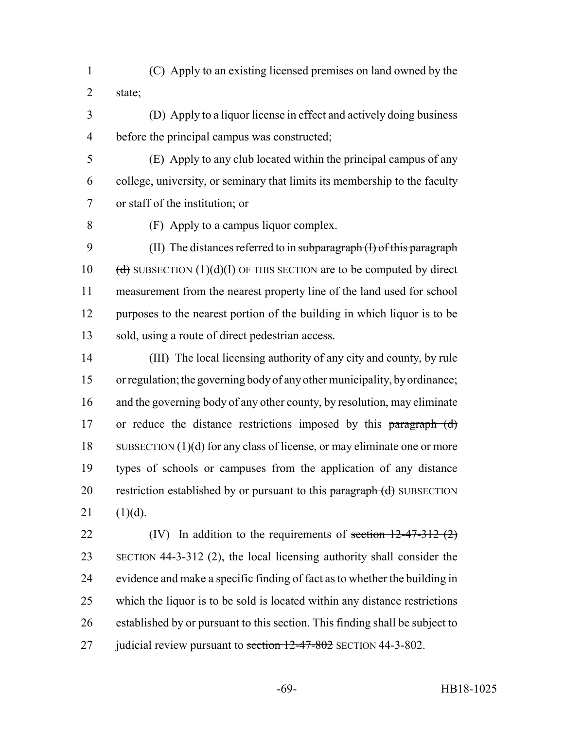- (C) Apply to an existing licensed premises on land owned by the state;
- (D) Apply to a liquor license in effect and actively doing business before the principal campus was constructed;
- (E) Apply to any club located within the principal campus of any college, university, or seminary that limits its membership to the faculty or staff of the institution; or
- 

(F) Apply to a campus liquor complex.

9 (II) The distances referred to in subparagraph (I) of this paragraph 10 (d) SUBSECTION (1)(d)(I) OF THIS SECTION are to be computed by direct measurement from the nearest property line of the land used for school 12 purposes to the nearest portion of the building in which liquor is to be sold, using a route of direct pedestrian access.

 (III) The local licensing authority of any city and county, by rule or regulation; the governing body of any other municipality, by ordinance; and the governing body of any other county, by resolution, may eliminate 17 or reduce the distance restrictions imposed by this paragraph (d) 18 SUBSECTION (1)(d) for any class of license, or may eliminate one or more types of schools or campuses from the application of any distance 20 restriction established by or pursuant to this paragraph (d) SUBSECTION 21  $(1)(d)$ .

22 (IV) In addition to the requirements of <del>section 12-47-312 (2)</del> SECTION 44-3-312 (2), the local licensing authority shall consider the evidence and make a specific finding of fact as to whether the building in which the liquor is to be sold is located within any distance restrictions established by or pursuant to this section. This finding shall be subject to 27 judicial review pursuant to section 12-47-802 SECTION 44-3-802.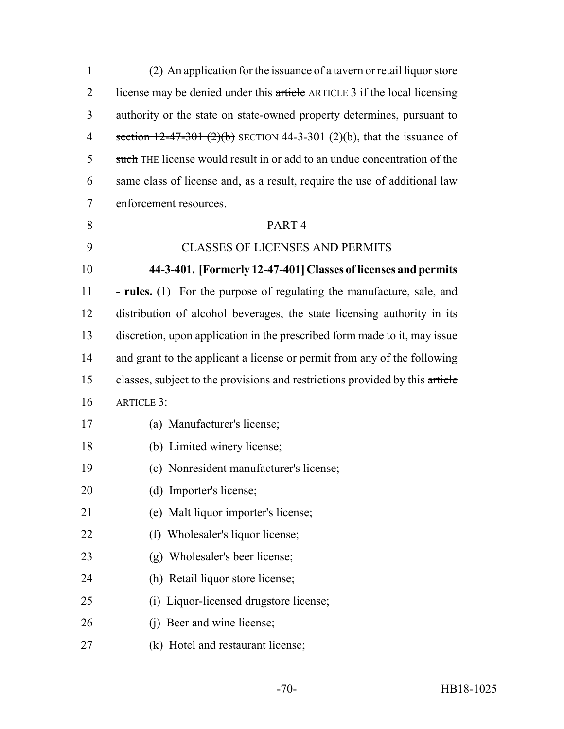| $\mathbf{1}$   | (2) An application for the issuance of a tavern or retail liquor store       |
|----------------|------------------------------------------------------------------------------|
| $\overline{2}$ | license may be denied under this article ARTICLE 3 if the local licensing    |
| 3              | authority or the state on state-owned property determines, pursuant to       |
| 4              | section $12-47-301$ (2)(b) SECTION 44-3-301 (2)(b), that the issuance of     |
| 5              | such THE license would result in or add to an undue concentration of the     |
| 6              | same class of license and, as a result, require the use of additional law    |
| 7              | enforcement resources.                                                       |
| 8              | PART <sub>4</sub>                                                            |
| 9              | <b>CLASSES OF LICENSES AND PERMITS</b>                                       |
| 10             | 44-3-401. [Formerly 12-47-401] Classes of licenses and permits               |
| 11             | - rules. (1) For the purpose of regulating the manufacture, sale, and        |
| 12             | distribution of alcohol beverages, the state licensing authority in its      |
| 13             | discretion, upon application in the prescribed form made to it, may issue    |
| 14             | and grant to the applicant a license or permit from any of the following     |
| 15             | classes, subject to the provisions and restrictions provided by this article |
| 16             | <b>ARTICLE 3:</b>                                                            |
| 17             | (a) Manufacturer's license;                                                  |
| 18             | (b) Limited winery license;                                                  |
| 19             | (c) Nonresident manufacturer's license;                                      |
| 20             | (d) Importer's license;                                                      |
| 21             | (e) Malt liquor importer's license;                                          |
| 22             | (f) Wholesaler's liquor license;                                             |
| 23             | (g) Wholesaler's beer license;                                               |
| 24             | (h) Retail liquor store license;                                             |
| 25             | (i) Liquor-licensed drugstore license;                                       |
| 26             | (j) Beer and wine license;                                                   |
| 27             | (k) Hotel and restaurant license;                                            |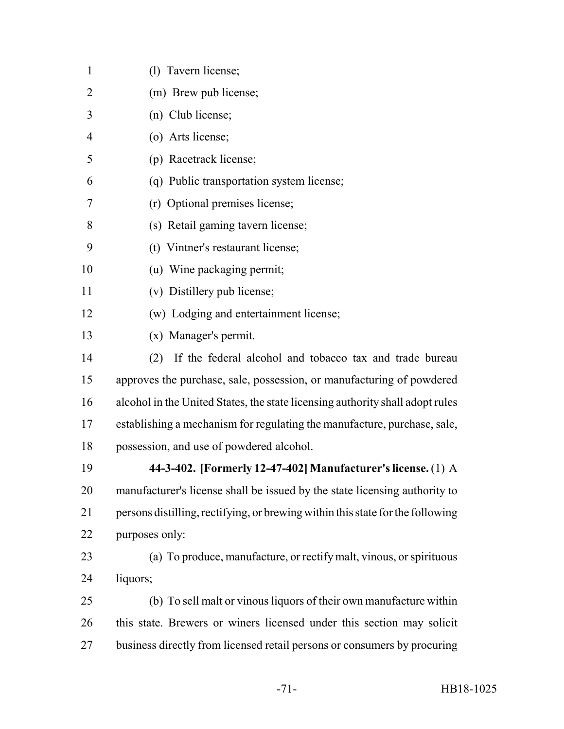| $\mathbf{1}$   | (1) Tavern license;                                                            |
|----------------|--------------------------------------------------------------------------------|
| $\overline{2}$ | (m) Brew pub license;                                                          |
| 3              | (n) Club license;                                                              |
| $\overline{4}$ | (o) Arts license;                                                              |
| 5              | (p) Racetrack license;                                                         |
| 6              | (q) Public transportation system license;                                      |
| 7              | (r) Optional premises license;                                                 |
| 8              | (s) Retail gaming tavern license;                                              |
| 9              | (t) Vintner's restaurant license;                                              |
| 10             | (u) Wine packaging permit;                                                     |
| 11             | (v) Distillery pub license;                                                    |
| 12             | (w) Lodging and entertainment license;                                         |
| 13             | (x) Manager's permit.                                                          |
| 14             | If the federal alcohol and tobacco tax and trade bureau<br>(2)                 |
| 15             | approves the purchase, sale, possession, or manufacturing of powdered          |
| 16             | alcohol in the United States, the state licensing authority shall adopt rules  |
| 17             | establishing a mechanism for regulating the manufacture, purchase, sale,       |
| 18             | possession, and use of powdered alcohol.                                       |
| 19             | 44-3-402. [Formerly 12-47-402] Manufacturer's license. (1) A                   |
| 20             | manufacturer's license shall be issued by the state licensing authority to     |
| 21             | persons distilling, rectifying, or brewing within this state for the following |
| 22             | purposes only:                                                                 |
| 23             | (a) To produce, manufacture, or rectify malt, vinous, or spirituous            |
| 24             | liquors;                                                                       |
| 25             | (b) To sell malt or vinous liquors of their own manufacture within             |
| 26             | this state. Brewers or winers licensed under this section may solicit          |
| 27             | business directly from licensed retail persons or consumers by procuring       |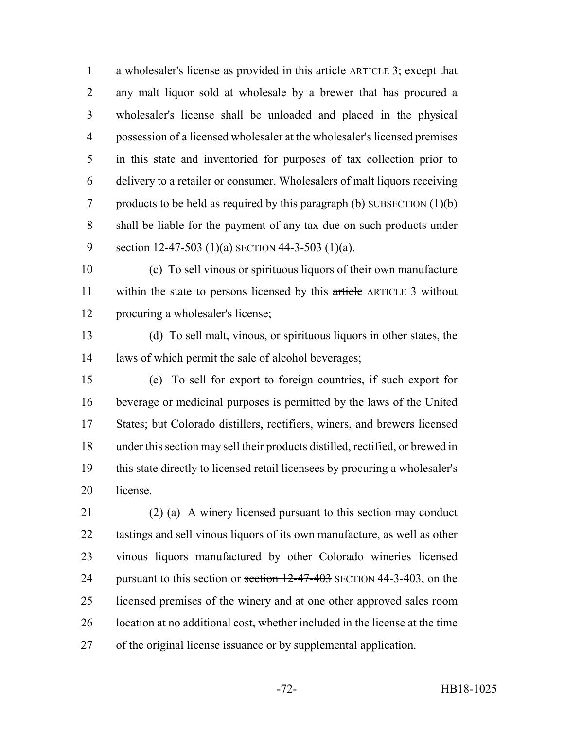1 a wholesaler's license as provided in this article ARTICLE 3; except that any malt liquor sold at wholesale by a brewer that has procured a wholesaler's license shall be unloaded and placed in the physical possession of a licensed wholesaler at the wholesaler's licensed premises in this state and inventoried for purposes of tax collection prior to delivery to a retailer or consumer. Wholesalers of malt liquors receiving 7 products to be held as required by this  $\frac{\partial}{\partial x}$  paragraph (b) SUBSECTION (1)(b) shall be liable for the payment of any tax due on such products under 9 section  $12-47-503$  (1)(a) SECTION 44-3-503 (1)(a).

 (c) To sell vinous or spirituous liquors of their own manufacture 11 within the state to persons licensed by this article ARTICLE 3 without procuring a wholesaler's license;

 (d) To sell malt, vinous, or spirituous liquors in other states, the laws of which permit the sale of alcohol beverages;

 (e) To sell for export to foreign countries, if such export for beverage or medicinal purposes is permitted by the laws of the United States; but Colorado distillers, rectifiers, winers, and brewers licensed under this section may sell their products distilled, rectified, or brewed in this state directly to licensed retail licensees by procuring a wholesaler's license.

 (2) (a) A winery licensed pursuant to this section may conduct tastings and sell vinous liquors of its own manufacture, as well as other vinous liquors manufactured by other Colorado wineries licensed 24 pursuant to this section or section 12-47-403 SECTION 44-3-403, on the licensed premises of the winery and at one other approved sales room location at no additional cost, whether included in the license at the time of the original license issuance or by supplemental application.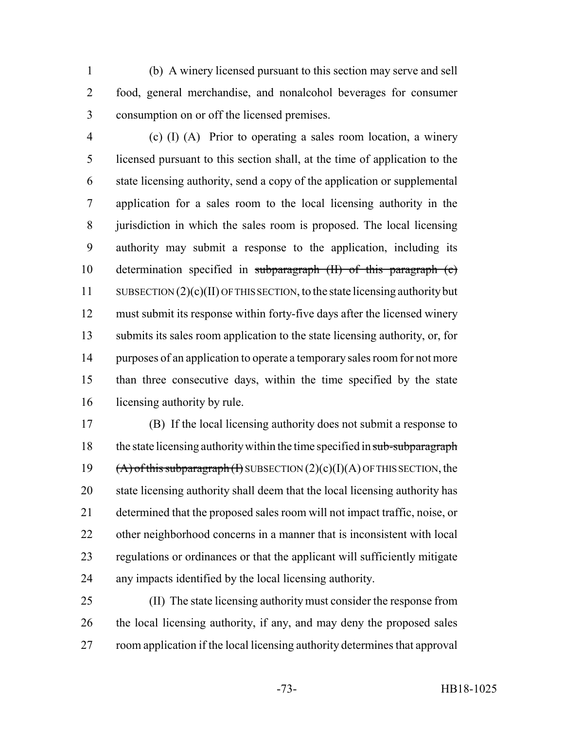(b) A winery licensed pursuant to this section may serve and sell food, general merchandise, and nonalcohol beverages for consumer consumption on or off the licensed premises.

 (c) (I) (A) Prior to operating a sales room location, a winery licensed pursuant to this section shall, at the time of application to the state licensing authority, send a copy of the application or supplemental application for a sales room to the local licensing authority in the jurisdiction in which the sales room is proposed. The local licensing authority may submit a response to the application, including its determination specified in subparagraph (II) of this paragraph (c) SUBSECTION (2)(c)(II) OF THIS SECTION, to the state licensing authority but must submit its response within forty-five days after the licensed winery submits its sales room application to the state licensing authority, or, for 14 purposes of an application to operate a temporary sales room for not more than three consecutive days, within the time specified by the state licensing authority by rule.

 (B) If the local licensing authority does not submit a response to 18 the state licensing authority within the time specified in sub-subparagraph  $(A)$  of this subparagraph (I) SUBSECTION  $(2)(c)(I)(A)$  OF THIS SECTION, the state licensing authority shall deem that the local licensing authority has determined that the proposed sales room will not impact traffic, noise, or other neighborhood concerns in a manner that is inconsistent with local regulations or ordinances or that the applicant will sufficiently mitigate any impacts identified by the local licensing authority.

 (II) The state licensing authority must consider the response from the local licensing authority, if any, and may deny the proposed sales room application if the local licensing authority determines that approval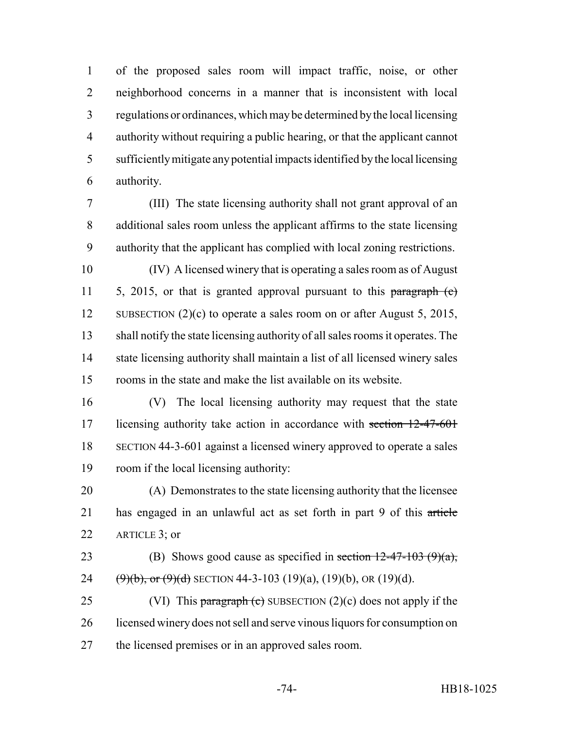of the proposed sales room will impact traffic, noise, or other neighborhood concerns in a manner that is inconsistent with local regulations or ordinances, which may be determined by the local licensing authority without requiring a public hearing, or that the applicant cannot sufficiently mitigate any potential impacts identified by the local licensing authority.

 (III) The state licensing authority shall not grant approval of an additional sales room unless the applicant affirms to the state licensing authority that the applicant has complied with local zoning restrictions.

 (IV) A licensed winery that is operating a sales room as of August 11 5, 2015, or that is granted approval pursuant to this paragraph (c) 12 SUBSECTION (2)(c) to operate a sales room on or after August 5, 2015, shall notify the state licensing authority of all sales rooms it operates. The state licensing authority shall maintain a list of all licensed winery sales rooms in the state and make the list available on its website.

 (V) The local licensing authority may request that the state 17 licensing authority take action in accordance with section 12-47-601 SECTION 44-3-601 against a licensed winery approved to operate a sales room if the local licensing authority:

 (A) Demonstrates to the state licensing authority that the licensee has engaged in an unlawful act as set forth in part 9 of this article 22 ARTICLE 3; or

23 (B) Shows good cause as specified in section  $12-47-103$  (9)(a), 24  $(\frac{9}{b}, \text{or } (\frac{9}{d})$  SECTION 44-3-103 (19)(a), (19)(b), OR (19)(d).

25 (VI) This paragraph (c) SUBSECTION (2)(c) does not apply if the licensed winery does not sell and serve vinous liquors for consumption on the licensed premises or in an approved sales room.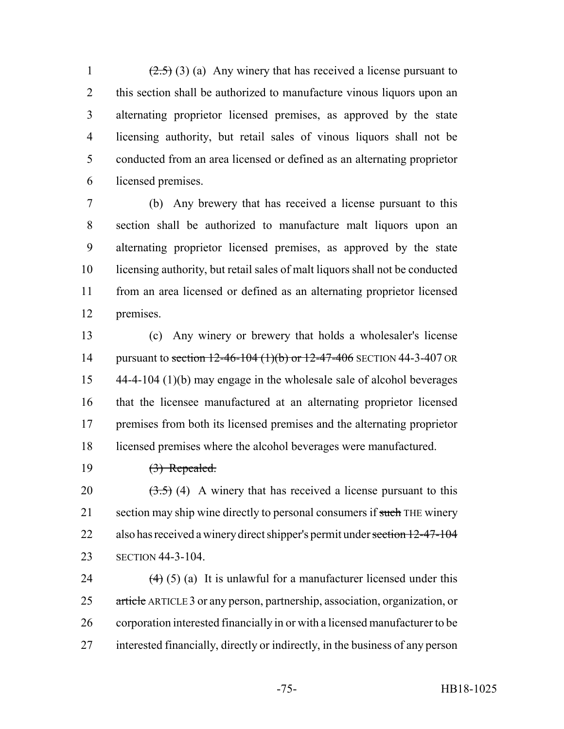$(2.5)$  (3) (a) Any winery that has received a license pursuant to 2 this section shall be authorized to manufacture vinous liquors upon an alternating proprietor licensed premises, as approved by the state licensing authority, but retail sales of vinous liquors shall not be conducted from an area licensed or defined as an alternating proprietor licensed premises.

 (b) Any brewery that has received a license pursuant to this section shall be authorized to manufacture malt liquors upon an alternating proprietor licensed premises, as approved by the state licensing authority, but retail sales of malt liquors shall not be conducted from an area licensed or defined as an alternating proprietor licensed premises.

 (c) Any winery or brewery that holds a wholesaler's license 14 pursuant to section 12-46-104 (1)(b) or 12-47-406 SECTION 44-3-407 OR 44-4-104 (1)(b) may engage in the wholesale sale of alcohol beverages that the licensee manufactured at an alternating proprietor licensed premises from both its licensed premises and the alternating proprietor licensed premises where the alcohol beverages were manufactured.

(3) Repealed.

20  $(3.5)$  (4) A winery that has received a license pursuant to this 21 section may ship wine directly to personal consumers if such THE winery 22 also has received a winery direct shipper's permit under section 12-47-104 SECTION 44-3-104.

 $(4)$  (5) (a) It is unlawful for a manufacturer licensed under this 25 article ARTICLE 3 or any person, partnership, association, organization, or corporation interested financially in or with a licensed manufacturer to be interested financially, directly or indirectly, in the business of any person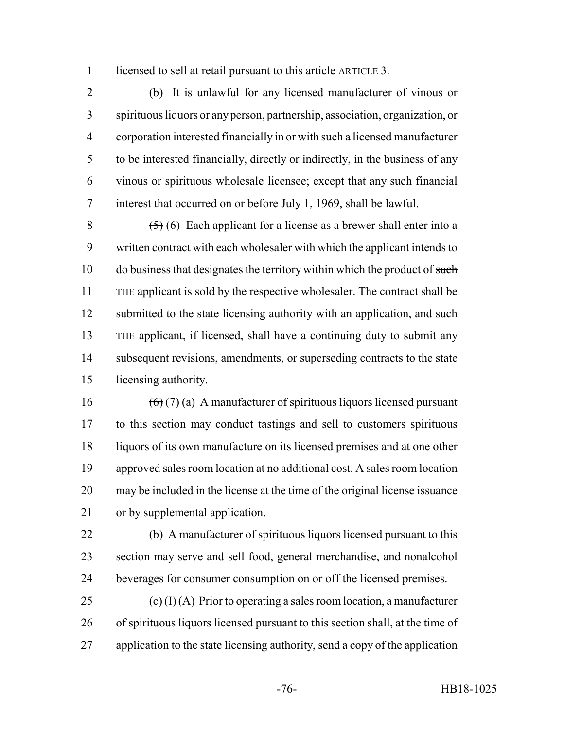1 licensed to sell at retail pursuant to this article ARTICLE 3.

 (b) It is unlawful for any licensed manufacturer of vinous or spirituous liquors or any person, partnership, association, organization, or corporation interested financially in or with such a licensed manufacturer to be interested financially, directly or indirectly, in the business of any vinous or spirituous wholesale licensee; except that any such financial interest that occurred on or before July 1, 1969, shall be lawful.

 $(5)(6)$  Each applicant for a license as a brewer shall enter into a written contract with each wholesaler with which the applicant intends to 10 do business that designates the territory within which the product of such THE applicant is sold by the respective wholesaler. The contract shall be 12 submitted to the state licensing authority with an application, and such THE applicant, if licensed, shall have a continuing duty to submit any 14 subsequent revisions, amendments, or superseding contracts to the state licensing authority.

 $(6)(7)(a)$  A manufacturer of spirituous liquors licensed pursuant to this section may conduct tastings and sell to customers spirituous liquors of its own manufacture on its licensed premises and at one other approved sales room location at no additional cost. A sales room location may be included in the license at the time of the original license issuance or by supplemental application.

 (b) A manufacturer of spirituous liquors licensed pursuant to this section may serve and sell food, general merchandise, and nonalcohol beverages for consumer consumption on or off the licensed premises.

25 (c) (I) (A) Prior to operating a sales room location, a manufacturer of spirituous liquors licensed pursuant to this section shall, at the time of application to the state licensing authority, send a copy of the application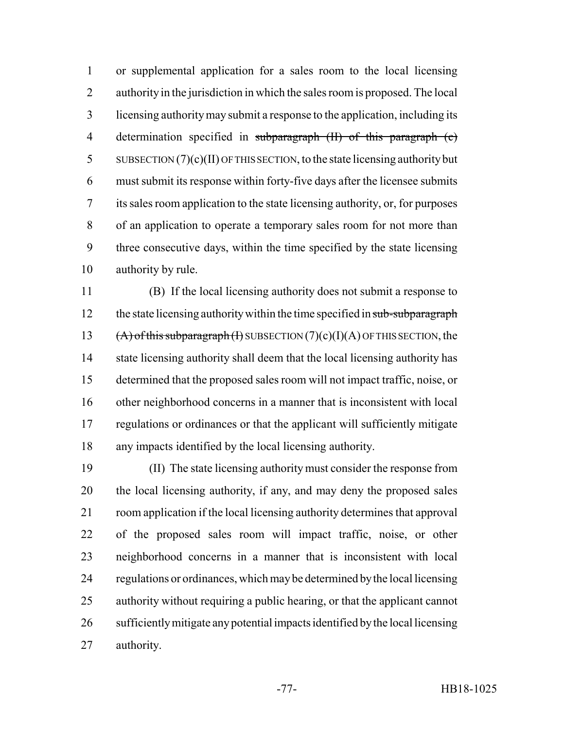or supplemental application for a sales room to the local licensing authority in the jurisdiction in which the sales room is proposed. The local licensing authority may submit a response to the application, including its 4 determination specified in subparagraph (II) of this paragraph (c) SUBSECTION (7)(c)(II) OF THIS SECTION, to the state licensing authority but must submit its response within forty-five days after the licensee submits its sales room application to the state licensing authority, or, for purposes of an application to operate a temporary sales room for not more than three consecutive days, within the time specified by the state licensing authority by rule.

 (B) If the local licensing authority does not submit a response to 12 the state licensing authority within the time specified in sub-subparagraph  $(A)$  of this subparagraph (I) SUBSECTION (7)(c)(I)(A) OF THIS SECTION, the 14 state licensing authority shall deem that the local licensing authority has determined that the proposed sales room will not impact traffic, noise, or other neighborhood concerns in a manner that is inconsistent with local regulations or ordinances or that the applicant will sufficiently mitigate any impacts identified by the local licensing authority.

 (II) The state licensing authority must consider the response from the local licensing authority, if any, and may deny the proposed sales room application if the local licensing authority determines that approval of the proposed sales room will impact traffic, noise, or other neighborhood concerns in a manner that is inconsistent with local regulations or ordinances, which may be determined by the local licensing authority without requiring a public hearing, or that the applicant cannot sufficiently mitigate any potential impacts identified by the local licensing authority.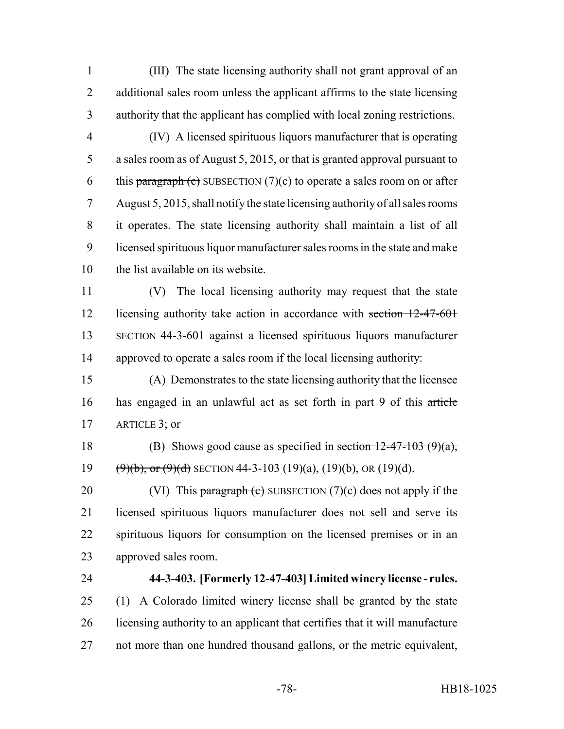(III) The state licensing authority shall not grant approval of an 2 additional sales room unless the applicant affirms to the state licensing authority that the applicant has complied with local zoning restrictions.

 (IV) A licensed spirituous liquors manufacturer that is operating a sales room as of August 5, 2015, or that is granted approval pursuant to 6 this paragraph (c) SUBSECTION  $(7)(c)$  to operate a sales room on or after August 5, 2015, shall notify the state licensing authority of all sales rooms it operates. The state licensing authority shall maintain a list of all licensed spirituous liquor manufacturer sales rooms in the state and make the list available on its website.

 (V) The local licensing authority may request that the state 12 licensing authority take action in accordance with section 12-47-601 SECTION 44-3-601 against a licensed spirituous liquors manufacturer approved to operate a sales room if the local licensing authority:

 (A) Demonstrates to the state licensing authority that the licensee has engaged in an unlawful act as set forth in part 9 of this article ARTICLE 3; or

18 (B) Shows good cause as specified in section  $12-47-103$  (9)(a), 19  $(\frac{9}{b}, \text{or } (\frac{9}{d})$  SECTION 44-3-103 (19)(a), (19)(b), OR (19)(d).

20 (VI) This paragraph (c) SUBSECTION  $(7)(c)$  does not apply if the licensed spirituous liquors manufacturer does not sell and serve its spirituous liquors for consumption on the licensed premises or in an approved sales room.

## **44-3-403. [Formerly 12-47-403] Limited winery license - rules.**

 (1) A Colorado limited winery license shall be granted by the state licensing authority to an applicant that certifies that it will manufacture not more than one hundred thousand gallons, or the metric equivalent,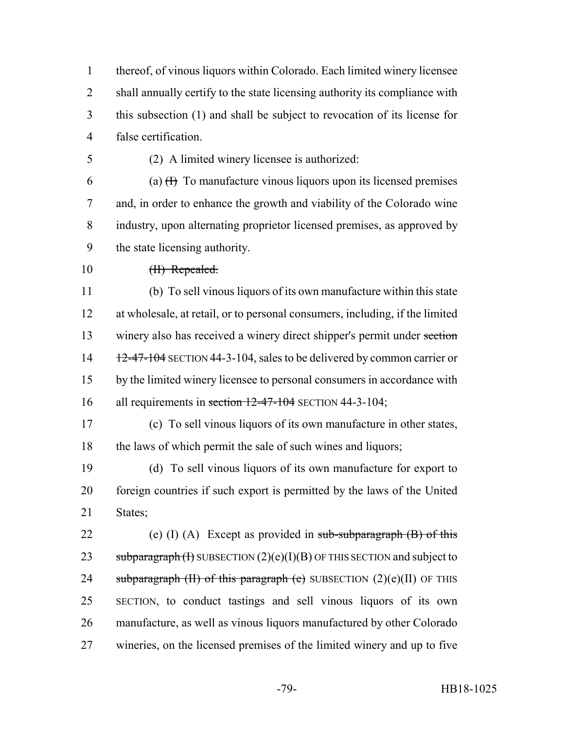thereof, of vinous liquors within Colorado. Each limited winery licensee shall annually certify to the state licensing authority its compliance with this subsection (1) and shall be subject to revocation of its license for false certification.

(2) A limited winery licensee is authorized:

6 (a)  $(H)$  To manufacture vinous liquors upon its licensed premises and, in order to enhance the growth and viability of the Colorado wine industry, upon alternating proprietor licensed premises, as approved by the state licensing authority.

10 <del>(II) Repealed.</del>

 (b) To sell vinous liquors of its own manufacture within this state at wholesale, at retail, or to personal consumers, including, if the limited winery also has received a winery direct shipper's permit under section 14 12-47-104 SECTION 44-3-104, sales to be delivered by common carrier or by the limited winery licensee to personal consumers in accordance with 16 all requirements in section 12-47-104 SECTION 44-3-104;

 (c) To sell vinous liquors of its own manufacture in other states, 18 the laws of which permit the sale of such wines and liquors;

 (d) To sell vinous liquors of its own manufacture for export to foreign countries if such export is permitted by the laws of the United States;

22 (e) (I) (A) Except as provided in  $sub-subparagraph (B)$  of this 23 subparagraph  $(H)$  SUBSECTION  $(2)(e)(I)(B)$  OF THIS SECTION and subject to 24 subparagraph (II) of this paragraph (e) SUBSECTION  $(2)(e)(II)$  OF THIS SECTION, to conduct tastings and sell vinous liquors of its own manufacture, as well as vinous liquors manufactured by other Colorado wineries, on the licensed premises of the limited winery and up to five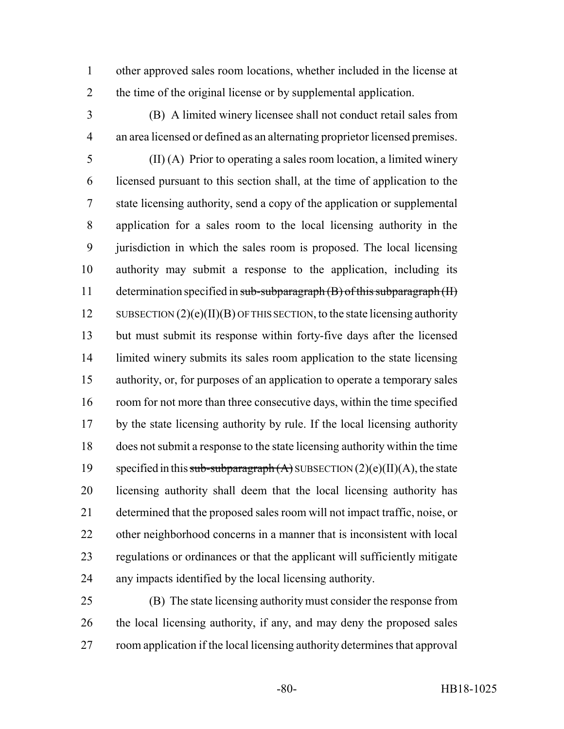other approved sales room locations, whether included in the license at the time of the original license or by supplemental application.

 (B) A limited winery licensee shall not conduct retail sales from an area licensed or defined as an alternating proprietor licensed premises.

 (II) (A) Prior to operating a sales room location, a limited winery licensed pursuant to this section shall, at the time of application to the state licensing authority, send a copy of the application or supplemental application for a sales room to the local licensing authority in the jurisdiction in which the sales room is proposed. The local licensing authority may submit a response to the application, including its 11 determination specified in sub-subparagraph (B) of this subparagraph (II) 12 SUBSECTION  $(2)(e)(II)(B)$  OF THIS SECTION, to the state licensing authority but must submit its response within forty-five days after the licensed 14 limited winery submits its sales room application to the state licensing authority, or, for purposes of an application to operate a temporary sales room for not more than three consecutive days, within the time specified by the state licensing authority by rule. If the local licensing authority does not submit a response to the state licensing authority within the time 19 specified in this sub-subparagraph  $(A)$  SUBSECTION  $(2)(e)(II)(A)$ , the state licensing authority shall deem that the local licensing authority has determined that the proposed sales room will not impact traffic, noise, or other neighborhood concerns in a manner that is inconsistent with local regulations or ordinances or that the applicant will sufficiently mitigate any impacts identified by the local licensing authority.

 (B) The state licensing authority must consider the response from 26 the local licensing authority, if any, and may deny the proposed sales room application if the local licensing authority determines that approval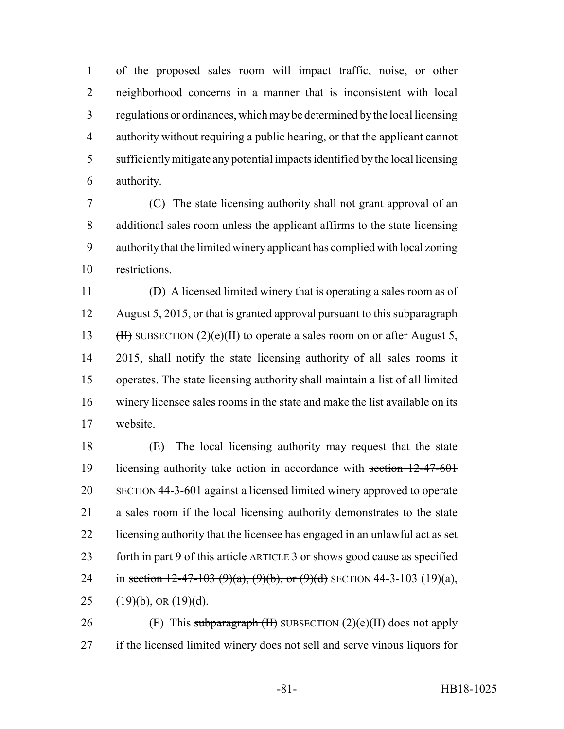of the proposed sales room will impact traffic, noise, or other neighborhood concerns in a manner that is inconsistent with local regulations or ordinances, which may be determined by the local licensing authority without requiring a public hearing, or that the applicant cannot sufficiently mitigate any potential impacts identified by the local licensing authority.

 (C) The state licensing authority shall not grant approval of an additional sales room unless the applicant affirms to the state licensing authority that the limited winery applicant has complied with local zoning restrictions.

 (D) A licensed limited winery that is operating a sales room as of 12 August 5, 2015, or that is granted approval pursuant to this subparagraph 13 (H) SUBSECTION  $(2)(e)(II)$  to operate a sales room on or after August 5, 2015, shall notify the state licensing authority of all sales rooms it operates. The state licensing authority shall maintain a list of all limited winery licensee sales rooms in the state and make the list available on its website.

 (E) The local licensing authority may request that the state licensing authority take action in accordance with section 12-47-601 SECTION 44-3-601 against a licensed limited winery approved to operate a sales room if the local licensing authority demonstrates to the state licensing authority that the licensee has engaged in an unlawful act as set 23 forth in part 9 of this article ARTICLE 3 or shows good cause as specified 24 in section 12-47-103 (9)(a), (9)(b), or (9)(d) SECTION 44-3-103 (19)(a), 25 (19)(b), OR  $(19)(d)$ .

26 (F) This subparagraph  $(H)$  SUBSECTION  $(2)(e)(II)$  does not apply if the licensed limited winery does not sell and serve vinous liquors for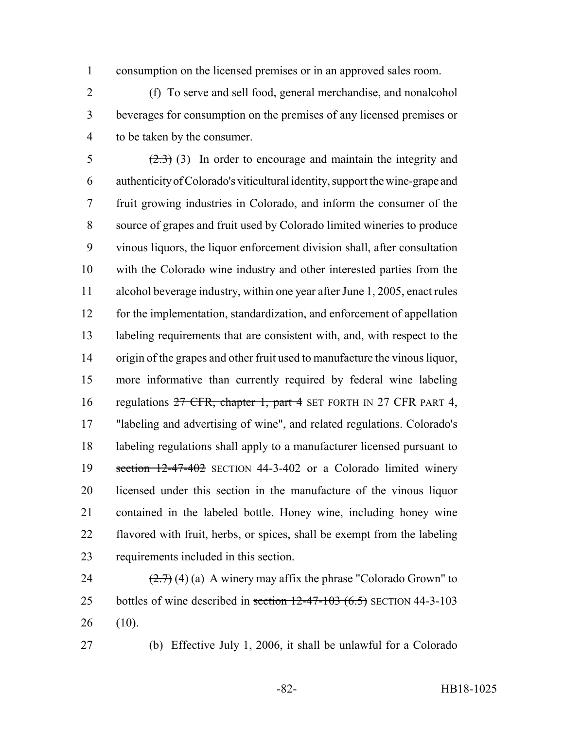consumption on the licensed premises or in an approved sales room.

 (f) To serve and sell food, general merchandise, and nonalcohol beverages for consumption on the premises of any licensed premises or to be taken by the consumer.

 $\left(2.3\right)$  (3) In order to encourage and maintain the integrity and authenticity of Colorado's viticultural identity, support the wine-grape and fruit growing industries in Colorado, and inform the consumer of the source of grapes and fruit used by Colorado limited wineries to produce vinous liquors, the liquor enforcement division shall, after consultation with the Colorado wine industry and other interested parties from the alcohol beverage industry, within one year after June 1, 2005, enact rules for the implementation, standardization, and enforcement of appellation labeling requirements that are consistent with, and, with respect to the origin of the grapes and other fruit used to manufacture the vinous liquor, more informative than currently required by federal wine labeling 16 regulations CFR, chapter 1, part 4 SET FORTH IN 27 CFR PART 4, "labeling and advertising of wine", and related regulations. Colorado's labeling regulations shall apply to a manufacturer licensed pursuant to section 12-47-402 SECTION 44-3-402 or a Colorado limited winery licensed under this section in the manufacture of the vinous liquor contained in the labeled bottle. Honey wine, including honey wine flavored with fruit, herbs, or spices, shall be exempt from the labeling requirements included in this section.

24  $(2.7)$  (4) (a) A winery may affix the phrase "Colorado Grown" to 25 bottles of wine described in section  $12-47-103$  (6.5) SECTION 44-3-103 (10).

(b) Effective July 1, 2006, it shall be unlawful for a Colorado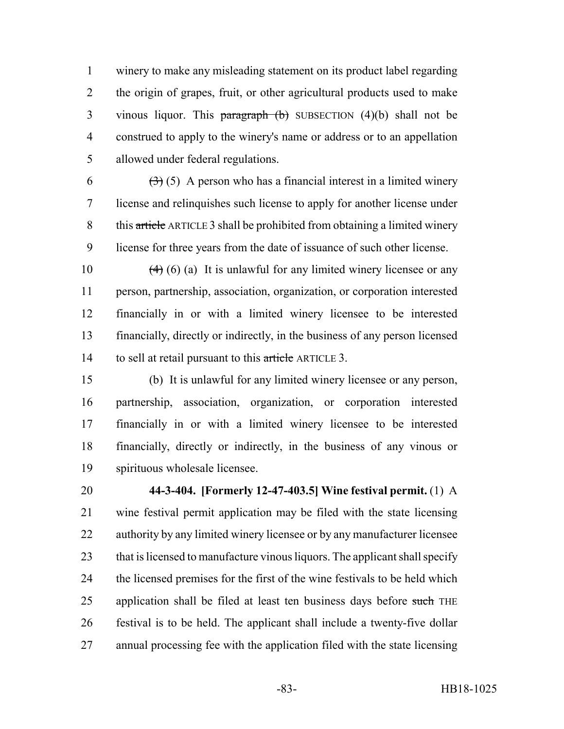winery to make any misleading statement on its product label regarding the origin of grapes, fruit, or other agricultural products used to make 3 vinous liquor. This paragraph  $(b)$  SUBSECTION  $(4)(b)$  shall not be construed to apply to the winery's name or address or to an appellation allowed under federal regulations.

 $(3)(5)$  A person who has a financial interest in a limited winery license and relinquishes such license to apply for another license under this article ARTICLE 3 shall be prohibited from obtaining a limited winery license for three years from the date of issuance of such other license.

 $(4)$  (6) (a) It is unlawful for any limited winery licensee or any person, partnership, association, organization, or corporation interested financially in or with a limited winery licensee to be interested financially, directly or indirectly, in the business of any person licensed 14 to sell at retail pursuant to this article ARTICLE 3.

 (b) It is unlawful for any limited winery licensee or any person, partnership, association, organization, or corporation interested financially in or with a limited winery licensee to be interested financially, directly or indirectly, in the business of any vinous or spirituous wholesale licensee.

 **44-3-404. [Formerly 12-47-403.5] Wine festival permit.** (1) A wine festival permit application may be filed with the state licensing authority by any limited winery licensee or by any manufacturer licensee that is licensed to manufacture vinous liquors. The applicant shall specify the licensed premises for the first of the wine festivals to be held which 25 application shall be filed at least ten business days before such THE festival is to be held. The applicant shall include a twenty-five dollar annual processing fee with the application filed with the state licensing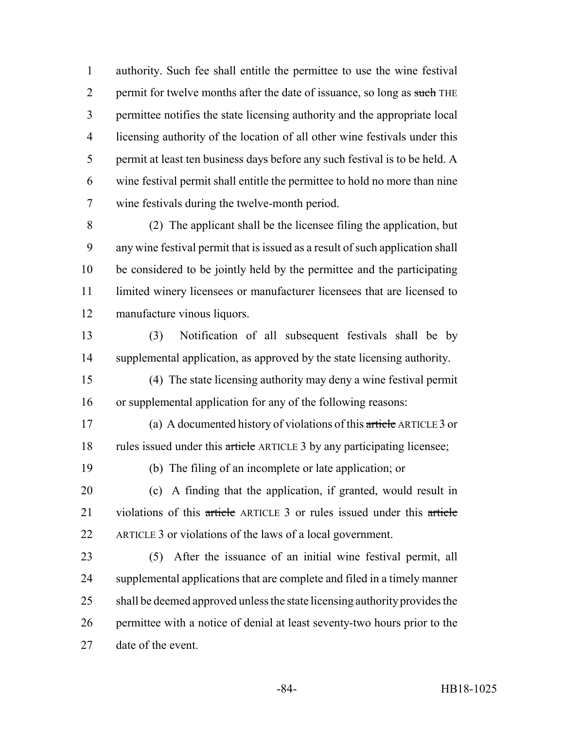authority. Such fee shall entitle the permittee to use the wine festival 2 permit for twelve months after the date of issuance, so long as such THE permittee notifies the state licensing authority and the appropriate local licensing authority of the location of all other wine festivals under this permit at least ten business days before any such festival is to be held. A wine festival permit shall entitle the permittee to hold no more than nine wine festivals during the twelve-month period.

 (2) The applicant shall be the licensee filing the application, but any wine festival permit that is issued as a result of such application shall be considered to be jointly held by the permittee and the participating limited winery licensees or manufacturer licensees that are licensed to manufacture vinous liquors.

 (3) Notification of all subsequent festivals shall be by supplemental application, as approved by the state licensing authority.

 (4) The state licensing authority may deny a wine festival permit or supplemental application for any of the following reasons:

 (a) A documented history of violations of this article ARTICLE 3 or 18 rules issued under this article ARTICLE 3 by any participating licensee;

(b) The filing of an incomplete or late application; or

 (c) A finding that the application, if granted, would result in 21 violations of this article ARTICLE 3 or rules issued under this article ARTICLE 3 or violations of the laws of a local government.

 (5) After the issuance of an initial wine festival permit, all supplemental applications that are complete and filed in a timely manner shall be deemed approved unless the state licensing authority provides the permittee with a notice of denial at least seventy-two hours prior to the date of the event.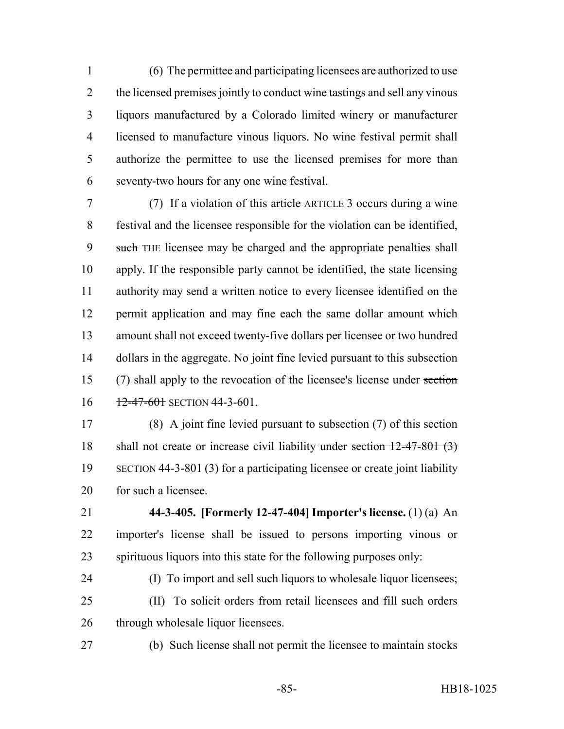(6) The permittee and participating licensees are authorized to use the licensed premises jointly to conduct wine tastings and sell any vinous liquors manufactured by a Colorado limited winery or manufacturer licensed to manufacture vinous liquors. No wine festival permit shall authorize the permittee to use the licensed premises for more than seventy-two hours for any one wine festival.

 (7) If a violation of this article ARTICLE 3 occurs during a wine festival and the licensee responsible for the violation can be identified, 9 such THE licensee may be charged and the appropriate penalties shall apply. If the responsible party cannot be identified, the state licensing authority may send a written notice to every licensee identified on the permit application and may fine each the same dollar amount which amount shall not exceed twenty-five dollars per licensee or two hundred dollars in the aggregate. No joint fine levied pursuant to this subsection (7) shall apply to the revocation of the licensee's license under section  $16 \frac{12-47-601}{12-47-601}$  SECTION 44-3-601.

 (8) A joint fine levied pursuant to subsection (7) of this section 18 shall not create or increase civil liability under section 12-47-801 (3) SECTION 44-3-801 (3) for a participating licensee or create joint liability for such a licensee.

 **44-3-405. [Formerly 12-47-404] Importer's license.** (1) (a) An importer's license shall be issued to persons importing vinous or spirituous liquors into this state for the following purposes only:

 (I) To import and sell such liquors to wholesale liquor licensees; (II) To solicit orders from retail licensees and fill such orders 26 through wholesale liquor licensees.

(b) Such license shall not permit the licensee to maintain stocks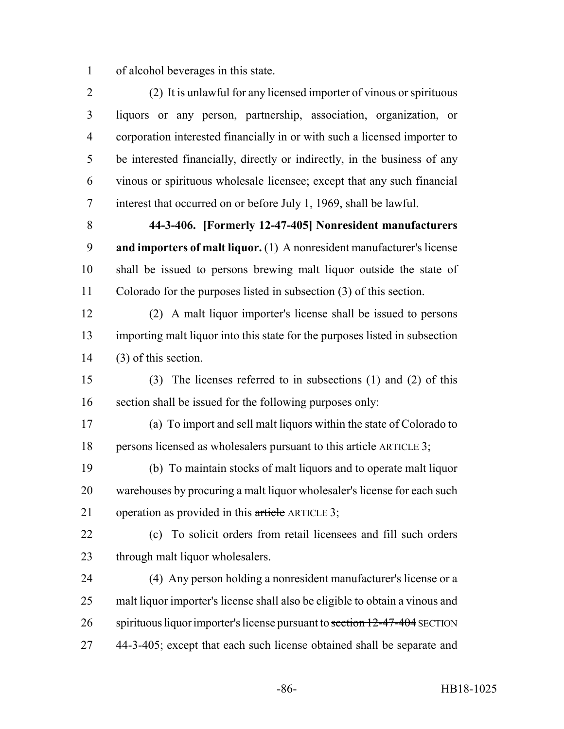of alcohol beverages in this state.

 (2) It is unlawful for any licensed importer of vinous or spirituous liquors or any person, partnership, association, organization, or corporation interested financially in or with such a licensed importer to be interested financially, directly or indirectly, in the business of any vinous or spirituous wholesale licensee; except that any such financial interest that occurred on or before July 1, 1969, shall be lawful.

 **44-3-406. [Formerly 12-47-405] Nonresident manufacturers and importers of malt liquor.** (1) A nonresident manufacturer's license shall be issued to persons brewing malt liquor outside the state of Colorado for the purposes listed in subsection (3) of this section.

 (2) A malt liquor importer's license shall be issued to persons importing malt liquor into this state for the purposes listed in subsection (3) of this section.

 (3) The licenses referred to in subsections (1) and (2) of this section shall be issued for the following purposes only:

 (a) To import and sell malt liquors within the state of Colorado to 18 persons licensed as wholesalers pursuant to this article ARTICLE 3;

 (b) To maintain stocks of malt liquors and to operate malt liquor warehouses by procuring a malt liquor wholesaler's license for each such 21 operation as provided in this article ARTICLE 3;

 (c) To solicit orders from retail licensees and fill such orders through malt liquor wholesalers.

 (4) Any person holding a nonresident manufacturer's license or a malt liquor importer's license shall also be eligible to obtain a vinous and 26 spirituous liquor importer's license pursuant to section 12-47-404 SECTION 44-3-405; except that each such license obtained shall be separate and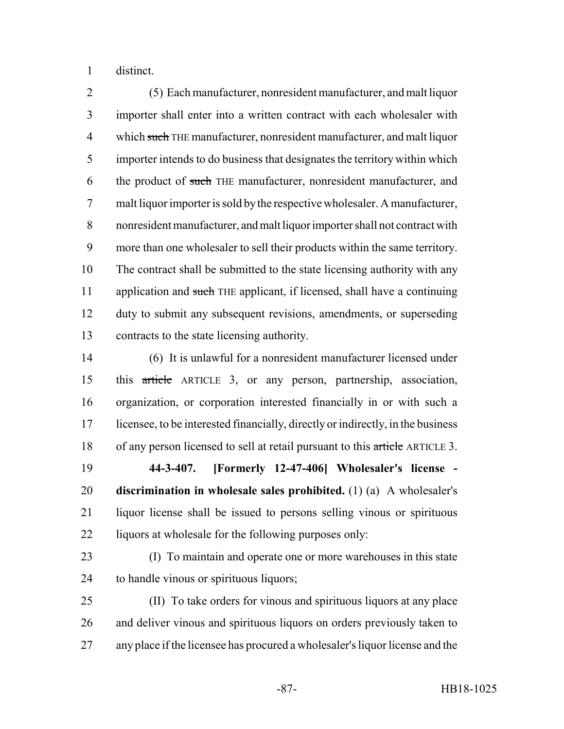distinct.

 (5) Each manufacturer, nonresident manufacturer, and malt liquor importer shall enter into a written contract with each wholesaler with 4 which such THE manufacturer, nonresident manufacturer, and malt liquor importer intends to do business that designates the territory within which 6 the product of such THE manufacturer, nonresident manufacturer, and malt liquor importer is sold by the respective wholesaler. A manufacturer, nonresident manufacturer, and malt liquor importer shall not contract with more than one wholesaler to sell their products within the same territory. The contract shall be submitted to the state licensing authority with any 11 application and such THE applicant, if licensed, shall have a continuing duty to submit any subsequent revisions, amendments, or superseding contracts to the state licensing authority.

 (6) It is unlawful for a nonresident manufacturer licensed under this article ARTICLE 3, or any person, partnership, association, organization, or corporation interested financially in or with such a licensee, to be interested financially, directly or indirectly, in the business 18 of any person licensed to sell at retail pursuant to this article ARTICLE 3.

 **44-3-407. [Formerly 12-47-406] Wholesaler's license - discrimination in wholesale sales prohibited.** (1) (a) A wholesaler's liquor license shall be issued to persons selling vinous or spirituous 22 liquors at wholesale for the following purposes only:

 (I) To maintain and operate one or more warehouses in this state to handle vinous or spirituous liquors;

 (II) To take orders for vinous and spirituous liquors at any place and deliver vinous and spirituous liquors on orders previously taken to any place if the licensee has procured a wholesaler's liquor license and the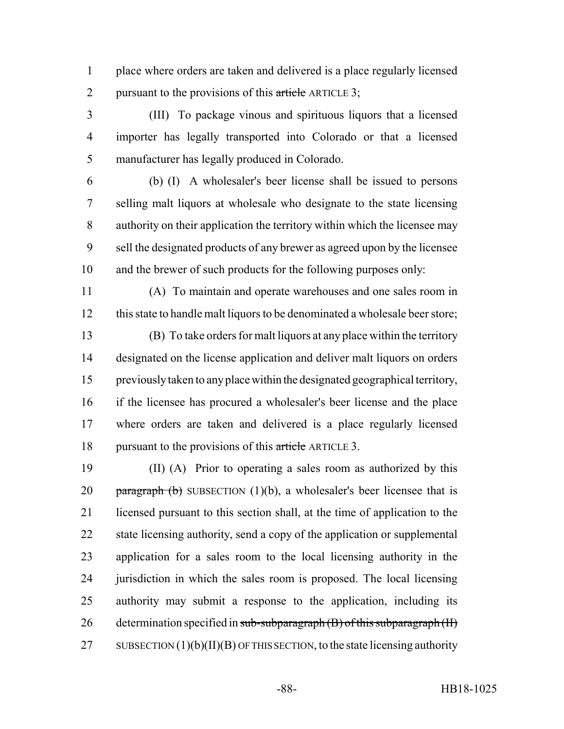place where orders are taken and delivered is a place regularly licensed 2 pursuant to the provisions of this article ARTICLE 3;

 (III) To package vinous and spirituous liquors that a licensed importer has legally transported into Colorado or that a licensed manufacturer has legally produced in Colorado.

 (b) (I) A wholesaler's beer license shall be issued to persons selling malt liquors at wholesale who designate to the state licensing authority on their application the territory within which the licensee may sell the designated products of any brewer as agreed upon by the licensee and the brewer of such products for the following purposes only:

 (A) To maintain and operate warehouses and one sales room in 12 this state to handle malt liquors to be denominated a wholesale beer store;

 (B) To take orders for malt liquors at any place within the territory designated on the license application and deliver malt liquors on orders previously taken to any place within the designated geographical territory, if the licensee has procured a wholesaler's beer license and the place where orders are taken and delivered is a place regularly licensed 18 pursuant to the provisions of this article ARTICLE 3.

 (II) (A) Prior to operating a sales room as authorized by this 20 paragraph (b) SUBSECTION  $(1)(b)$ , a wholesaler's beer licensee that is licensed pursuant to this section shall, at the time of application to the state licensing authority, send a copy of the application or supplemental application for a sales room to the local licensing authority in the jurisdiction in which the sales room is proposed. The local licensing authority may submit a response to the application, including its 26 determination specified in sub-subparagraph  $(B)$  of this subparagraph  $(H)$ 27 SUBSECTION  $(1)(b)(II)(B)$  OF THIS SECTION, to the state licensing authority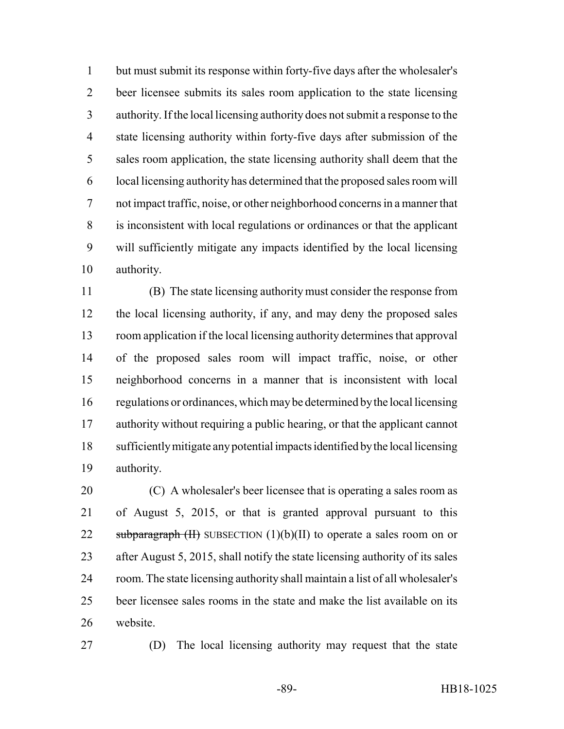but must submit its response within forty-five days after the wholesaler's beer licensee submits its sales room application to the state licensing authority. If the local licensing authority does not submit a response to the state licensing authority within forty-five days after submission of the sales room application, the state licensing authority shall deem that the local licensing authority has determined that the proposed sales room will not impact traffic, noise, or other neighborhood concerns in a manner that is inconsistent with local regulations or ordinances or that the applicant will sufficiently mitigate any impacts identified by the local licensing authority.

 (B) The state licensing authority must consider the response from the local licensing authority, if any, and may deny the proposed sales room application if the local licensing authority determines that approval of the proposed sales room will impact traffic, noise, or other neighborhood concerns in a manner that is inconsistent with local regulations or ordinances, which may be determined by the local licensing authority without requiring a public hearing, or that the applicant cannot sufficiently mitigate any potential impacts identified by the local licensing authority.

 (C) A wholesaler's beer licensee that is operating a sales room as of August 5, 2015, or that is granted approval pursuant to this 22 subparagraph  $(H)$  SUBSECTION  $(1)(b)(II)$  to operate a sales room on or after August 5, 2015, shall notify the state licensing authority of its sales room. The state licensing authority shall maintain a list of all wholesaler's beer licensee sales rooms in the state and make the list available on its website.

(D) The local licensing authority may request that the state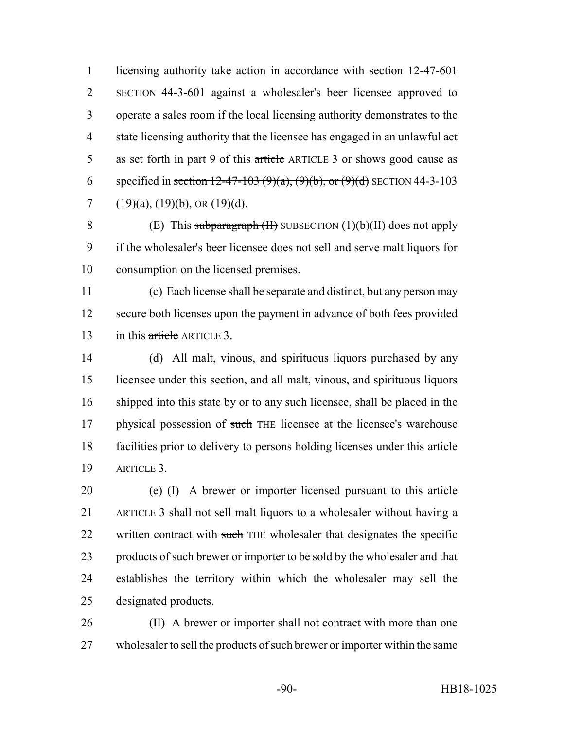1 licensing authority take action in accordance with section 12-47-601 SECTION 44-3-601 against a wholesaler's beer licensee approved to operate a sales room if the local licensing authority demonstrates to the state licensing authority that the licensee has engaged in an unlawful act 5 as set forth in part 9 of this article ARTICLE 3 or shows good cause as 6 specified in section 12-47-103 (9)(a), (9)(b), or (9)(d) SECTION 44-3-103 7 (19)(a), (19)(b), OR (19)(d).

8 (E) This subparagraph  $(H)$  SUBSECTION  $(1)(b)(II)$  does not apply if the wholesaler's beer licensee does not sell and serve malt liquors for consumption on the licensed premises.

 (c) Each license shall be separate and distinct, but any person may secure both licenses upon the payment in advance of both fees provided 13 in this article ARTICLE 3.

 (d) All malt, vinous, and spirituous liquors purchased by any licensee under this section, and all malt, vinous, and spirituous liquors shipped into this state by or to any such licensee, shall be placed in the 17 physical possession of such THE licensee at the licensee's warehouse facilities prior to delivery to persons holding licenses under this article ARTICLE 3.

20 (e) (I) A brewer or importer licensed pursuant to this article ARTICLE 3 shall not sell malt liquors to a wholesaler without having a 22 written contract with such THE wholesaler that designates the specific products of such brewer or importer to be sold by the wholesaler and that establishes the territory within which the wholesaler may sell the designated products.

 (II) A brewer or importer shall not contract with more than one wholesaler to sell the products of such brewer or importer within the same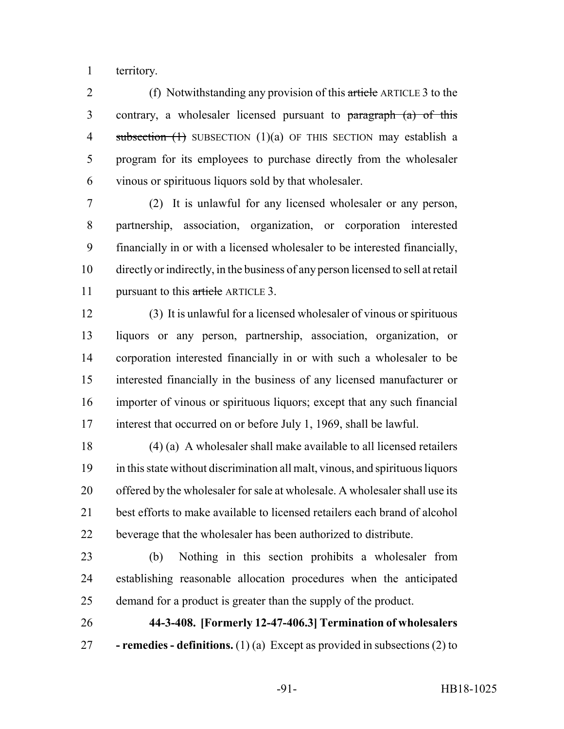territory.

2 (f) Notwithstanding any provision of this article ARTICLE 3 to the contrary, a wholesaler licensed pursuant to paragraph (a) of this 4 subsection (1) SUBSECTION (1)(a) OF THIS SECTION may establish a program for its employees to purchase directly from the wholesaler vinous or spirituous liquors sold by that wholesaler.

 (2) It is unlawful for any licensed wholesaler or any person, partnership, association, organization, or corporation interested financially in or with a licensed wholesaler to be interested financially, directly or indirectly, in the business of any person licensed to sell at retail 11 pursuant to this article ARTICLE 3.

 (3) It is unlawful for a licensed wholesaler of vinous or spirituous liquors or any person, partnership, association, organization, or corporation interested financially in or with such a wholesaler to be interested financially in the business of any licensed manufacturer or importer of vinous or spirituous liquors; except that any such financial interest that occurred on or before July 1, 1969, shall be lawful.

 (4) (a) A wholesaler shall make available to all licensed retailers in this state without discrimination all malt, vinous, and spirituous liquors offered by the wholesaler for sale at wholesale. A wholesaler shall use its best efforts to make available to licensed retailers each brand of alcohol beverage that the wholesaler has been authorized to distribute.

 (b) Nothing in this section prohibits a wholesaler from establishing reasonable allocation procedures when the anticipated demand for a product is greater than the supply of the product.

 **44-3-408. [Formerly 12-47-406.3] Termination of wholesalers - remedies - definitions.** (1) (a) Except as provided in subsections (2) to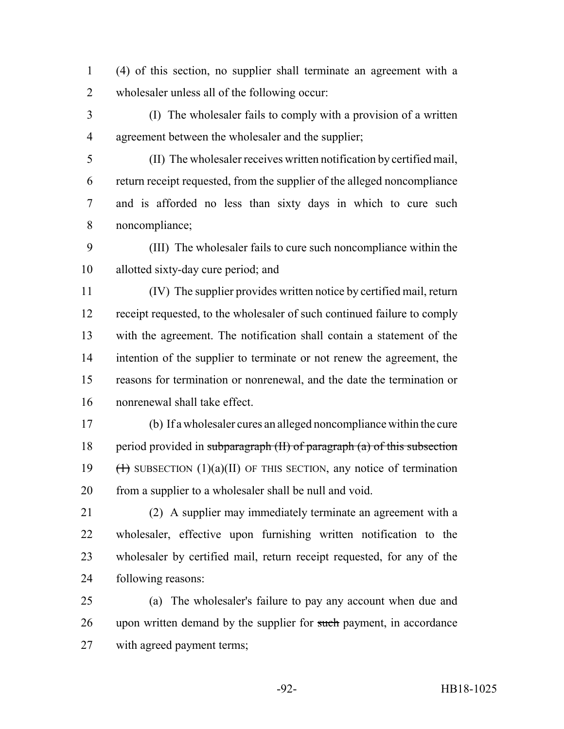(4) of this section, no supplier shall terminate an agreement with a wholesaler unless all of the following occur:

- (I) The wholesaler fails to comply with a provision of a written agreement between the wholesaler and the supplier;
- (II) The wholesaler receives written notification by certified mail, return receipt requested, from the supplier of the alleged noncompliance and is afforded no less than sixty days in which to cure such noncompliance;
- (III) The wholesaler fails to cure such noncompliance within the allotted sixty-day cure period; and

 (IV) The supplier provides written notice by certified mail, return receipt requested, to the wholesaler of such continued failure to comply with the agreement. The notification shall contain a statement of the intention of the supplier to terminate or not renew the agreement, the reasons for termination or nonrenewal, and the date the termination or nonrenewal shall take effect.

 (b) If a wholesaler cures an alleged noncompliance within the cure 18 period provided in subparagraph  $(H)$  of paragraph  $(a)$  of this subsection  $(\text{+)}$  SUBSECTION  $(1)(a)(II)$  OF THIS SECTION, any notice of termination from a supplier to a wholesaler shall be null and void.

- (2) A supplier may immediately terminate an agreement with a wholesaler, effective upon furnishing written notification to the wholesaler by certified mail, return receipt requested, for any of the following reasons:
- (a) The wholesaler's failure to pay any account when due and 26 upon written demand by the supplier for such payment, in accordance with agreed payment terms;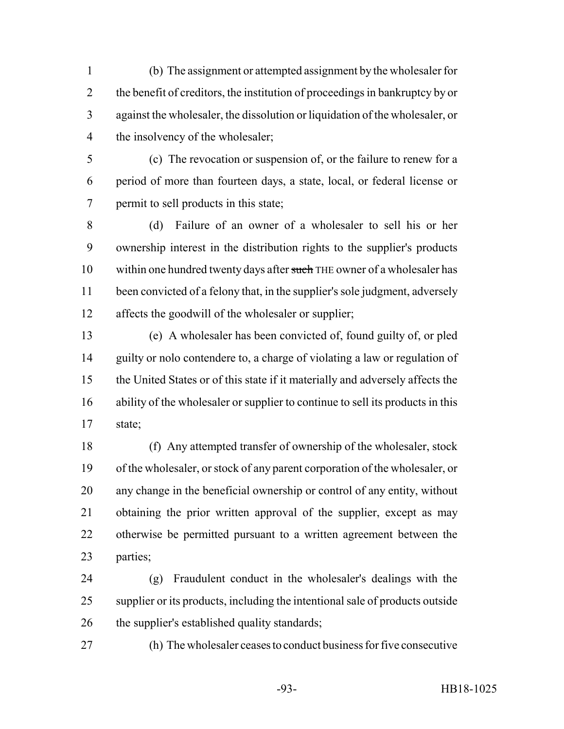(b) The assignment or attempted assignment by the wholesaler for the benefit of creditors, the institution of proceedings in bankruptcy by or against the wholesaler, the dissolution or liquidation of the wholesaler, or 4 the insolvency of the wholesaler;

 (c) The revocation or suspension of, or the failure to renew for a period of more than fourteen days, a state, local, or federal license or permit to sell products in this state;

 (d) Failure of an owner of a wholesaler to sell his or her ownership interest in the distribution rights to the supplier's products 10 within one hundred twenty days after such THE owner of a wholesaler has been convicted of a felony that, in the supplier's sole judgment, adversely affects the goodwill of the wholesaler or supplier;

 (e) A wholesaler has been convicted of, found guilty of, or pled guilty or nolo contendere to, a charge of violating a law or regulation of the United States or of this state if it materially and adversely affects the ability of the wholesaler or supplier to continue to sell its products in this state;

 (f) Any attempted transfer of ownership of the wholesaler, stock of the wholesaler, or stock of any parent corporation of the wholesaler, or any change in the beneficial ownership or control of any entity, without obtaining the prior written approval of the supplier, except as may otherwise be permitted pursuant to a written agreement between the parties;

 (g) Fraudulent conduct in the wholesaler's dealings with the supplier or its products, including the intentional sale of products outside the supplier's established quality standards;

(h) The wholesaler ceases to conduct business for five consecutive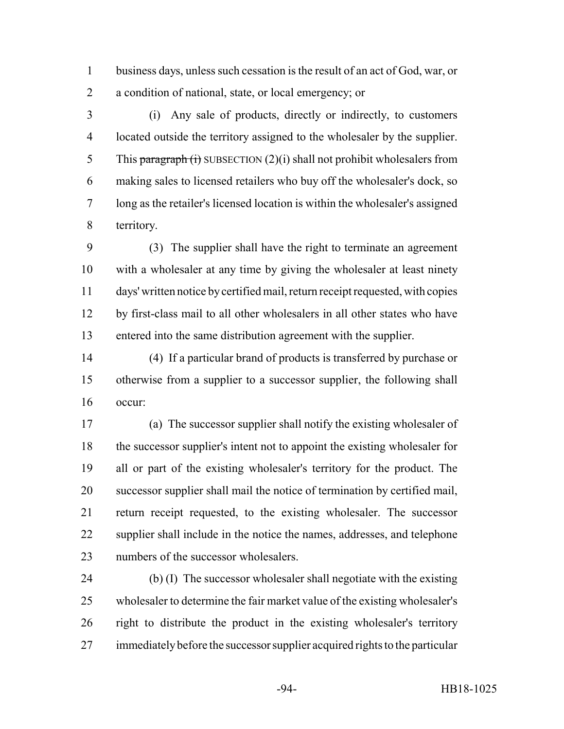business days, unless such cessation is the result of an act of God, war, or a condition of national, state, or local emergency; or

 (i) Any sale of products, directly or indirectly, to customers located outside the territory assigned to the wholesaler by the supplier. 5 This paragraph  $(i)$  SUBSECTION  $(2)(i)$  shall not prohibit wholesalers from making sales to licensed retailers who buy off the wholesaler's dock, so long as the retailer's licensed location is within the wholesaler's assigned territory.

 (3) The supplier shall have the right to terminate an agreement with a wholesaler at any time by giving the wholesaler at least ninety days' written notice by certified mail, return receipt requested, with copies by first-class mail to all other wholesalers in all other states who have entered into the same distribution agreement with the supplier.

 (4) If a particular brand of products is transferred by purchase or otherwise from a supplier to a successor supplier, the following shall occur:

 (a) The successor supplier shall notify the existing wholesaler of the successor supplier's intent not to appoint the existing wholesaler for all or part of the existing wholesaler's territory for the product. The successor supplier shall mail the notice of termination by certified mail, return receipt requested, to the existing wholesaler. The successor supplier shall include in the notice the names, addresses, and telephone numbers of the successor wholesalers.

 (b) (I) The successor wholesaler shall negotiate with the existing wholesaler to determine the fair market value of the existing wholesaler's right to distribute the product in the existing wholesaler's territory immediately before the successor supplier acquired rights to the particular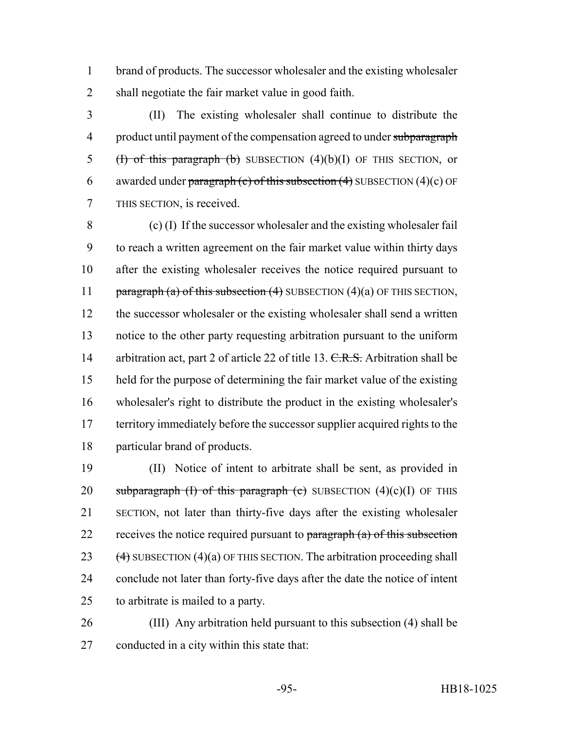brand of products. The successor wholesaler and the existing wholesaler shall negotiate the fair market value in good faith.

 (II) The existing wholesaler shall continue to distribute the 4 product until payment of the compensation agreed to under subparagraph 5 (H) of this paragraph (b) SUBSECTION  $(4)(b)(I)$  OF THIS SECTION, or 6 awarded under paragraph (c) of this subsection  $(4)$  SUBSECTION  $(4)$ (c) OF THIS SECTION, is received.

 (c) (I) If the successor wholesaler and the existing wholesaler fail to reach a written agreement on the fair market value within thirty days after the existing wholesaler receives the notice required pursuant to 11 paragraph (a) of this subsection  $(4)$  SUBSECTION  $(4)(a)$  OF THIS SECTION, 12 the successor wholesaler or the existing wholesaler shall send a written notice to the other party requesting arbitration pursuant to the uniform 14 arbitration act, part 2 of article 22 of title 13. C.R.S. Arbitration shall be held for the purpose of determining the fair market value of the existing wholesaler's right to distribute the product in the existing wholesaler's territory immediately before the successor supplier acquired rights to the particular brand of products.

 (II) Notice of intent to arbitrate shall be sent, as provided in 20 subparagraph (I) of this paragraph (c) SUBSECTION  $(4)(c)(I)$  OF THIS SECTION, not later than thirty-five days after the existing wholesaler 22 receives the notice required pursuant to  $\frac{1}{2}$  and  $\frac{1}{2}$  of this subsection  $(4)$  SUBSECTION  $(4)(a)$  OF THIS SECTION. The arbitration proceeding shall conclude not later than forty-five days after the date the notice of intent to arbitrate is mailed to a party.

 (III) Any arbitration held pursuant to this subsection (4) shall be conducted in a city within this state that: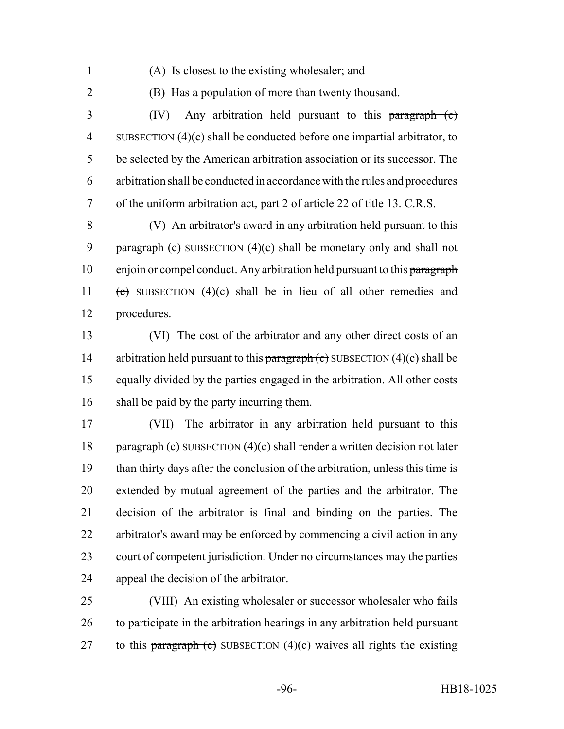- 
- (A) Is closest to the existing wholesaler; and
- 

(B) Has a population of more than twenty thousand.

 (IV) Any arbitration held pursuant to this paragraph (c) SUBSECTION (4)(c) shall be conducted before one impartial arbitrator, to be selected by the American arbitration association or its successor. The arbitration shall be conducted in accordance with the rules and procedures 7 of the uniform arbitration act, part 2 of article 22 of title 13.  $C.R.S.$ 

 (V) An arbitrator's award in any arbitration held pursuant to this 9 **paragraph (c)** SUBSECTION  $(4)(c)$  shall be monetary only and shall not 10 enjoin or compel conduct. Any arbitration held pursuant to this paragraph 11 (c) SUBSECTION  $(4)(c)$  shall be in lieu of all other remedies and procedures.

 (VI) The cost of the arbitrator and any other direct costs of an 14 arbitration held pursuant to this paragraph  $(e)$  SUBSECTION  $(4)(c)$  shall be equally divided by the parties engaged in the arbitration. All other costs shall be paid by the party incurring them.

 (VII) The arbitrator in any arbitration held pursuant to this 18 paragraph (c) SUBSECTION  $(4)(c)$  shall render a written decision not later than thirty days after the conclusion of the arbitration, unless this time is extended by mutual agreement of the parties and the arbitrator. The decision of the arbitrator is final and binding on the parties. The arbitrator's award may be enforced by commencing a civil action in any court of competent jurisdiction. Under no circumstances may the parties appeal the decision of the arbitrator.

 (VIII) An existing wholesaler or successor wholesaler who fails to participate in the arbitration hearings in any arbitration held pursuant 27 to this paragraph (c) SUBSECTION  $(4)(c)$  waives all rights the existing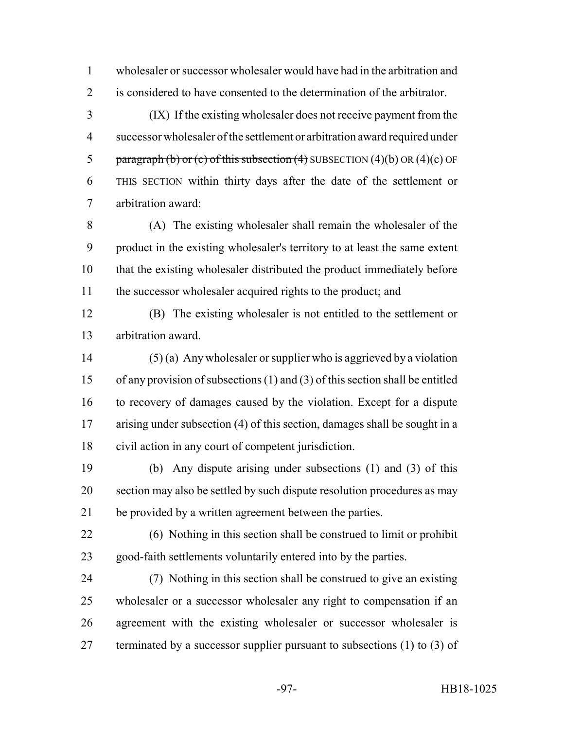wholesaler or successor wholesaler would have had in the arbitration and is considered to have consented to the determination of the arbitrator.

 (IX) If the existing wholesaler does not receive payment from the successor wholesaler of the settlement or arbitration award required under 5 paragraph (b) or (c) of this subsection (4) SUBSECTION  $(4)(b)$  OR  $(4)(c)$  OF THIS SECTION within thirty days after the date of the settlement or arbitration award:

 (A) The existing wholesaler shall remain the wholesaler of the product in the existing wholesaler's territory to at least the same extent that the existing wholesaler distributed the product immediately before 11 the successor wholesaler acquired rights to the product; and

 (B) The existing wholesaler is not entitled to the settlement or arbitration award.

 (5) (a) Any wholesaler or supplier who is aggrieved by a violation of any provision of subsections (1) and (3) of this section shall be entitled to recovery of damages caused by the violation. Except for a dispute arising under subsection (4) of this section, damages shall be sought in a civil action in any court of competent jurisdiction.

 (b) Any dispute arising under subsections (1) and (3) of this section may also be settled by such dispute resolution procedures as may be provided by a written agreement between the parties.

 (6) Nothing in this section shall be construed to limit or prohibit good-faith settlements voluntarily entered into by the parties.

 (7) Nothing in this section shall be construed to give an existing wholesaler or a successor wholesaler any right to compensation if an agreement with the existing wholesaler or successor wholesaler is 27 terminated by a successor supplier pursuant to subsections (1) to (3) of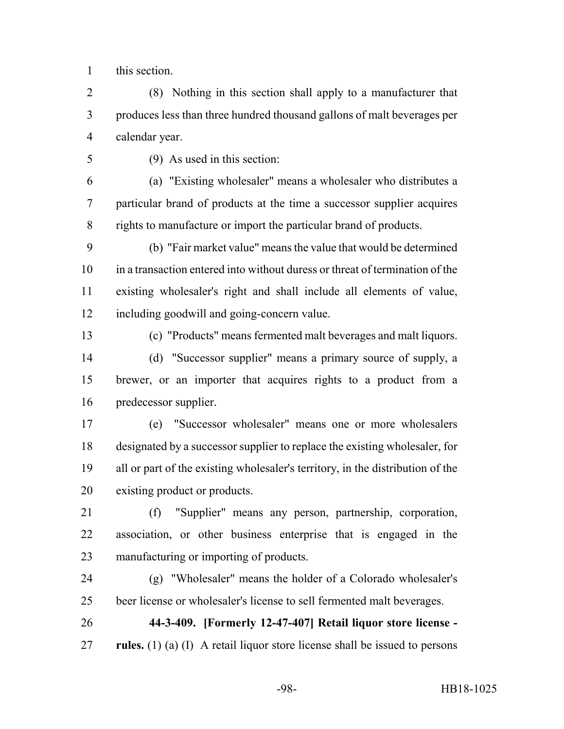this section.

 (8) Nothing in this section shall apply to a manufacturer that produces less than three hundred thousand gallons of malt beverages per calendar year.

(9) As used in this section:

 (a) "Existing wholesaler" means a wholesaler who distributes a particular brand of products at the time a successor supplier acquires rights to manufacture or import the particular brand of products.

 (b) "Fair market value" means the value that would be determined in a transaction entered into without duress or threat of termination of the existing wholesaler's right and shall include all elements of value, including goodwill and going-concern value.

(c) "Products" means fermented malt beverages and malt liquors.

 (d) "Successor supplier" means a primary source of supply, a brewer, or an importer that acquires rights to a product from a predecessor supplier.

 (e) "Successor wholesaler" means one or more wholesalers designated by a successor supplier to replace the existing wholesaler, for all or part of the existing wholesaler's territory, in the distribution of the existing product or products.

 (f) "Supplier" means any person, partnership, corporation, association, or other business enterprise that is engaged in the manufacturing or importing of products.

 (g) "Wholesaler" means the holder of a Colorado wholesaler's beer license or wholesaler's license to sell fermented malt beverages.

 **44-3-409. [Formerly 12-47-407] Retail liquor store license - rules.** (1) (a) (I) A retail liquor store license shall be issued to persons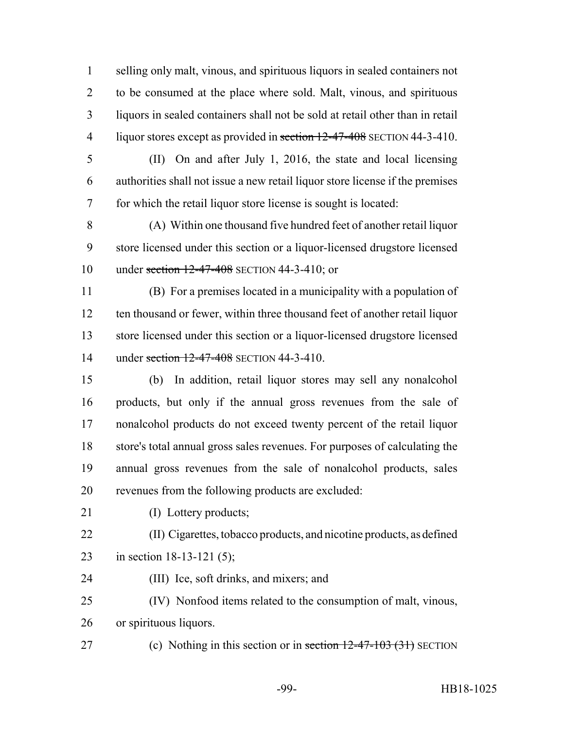selling only malt, vinous, and spirituous liquors in sealed containers not to be consumed at the place where sold. Malt, vinous, and spirituous liquors in sealed containers shall not be sold at retail other than in retail 4 liquor stores except as provided in section 12-47-408 SECTION 44-3-410.

 (II) On and after July 1, 2016, the state and local licensing authorities shall not issue a new retail liquor store license if the premises for which the retail liquor store license is sought is located:

 (A) Within one thousand five hundred feet of another retail liquor store licensed under this section or a liquor-licensed drugstore licensed 10 under section 12-47-408 SECTION 44-3-410; or

 (B) For a premises located in a municipality with a population of 12 ten thousand or fewer, within three thousand feet of another retail liquor store licensed under this section or a liquor-licensed drugstore licensed 14 under section 12-47-408 SECTION 44-3-410.

 (b) In addition, retail liquor stores may sell any nonalcohol products, but only if the annual gross revenues from the sale of nonalcohol products do not exceed twenty percent of the retail liquor store's total annual gross sales revenues. For purposes of calculating the annual gross revenues from the sale of nonalcohol products, sales revenues from the following products are excluded:

21 (I) Lottery products;

 (II) Cigarettes, tobacco products, and nicotine products, as defined in section 18-13-121 (5);

(III) Ice, soft drinks, and mixers; and

(IV) Nonfood items related to the consumption of malt, vinous,

or spirituous liquors.

27 (c) Nothing in this section or in section 12-47-103 (31) SECTION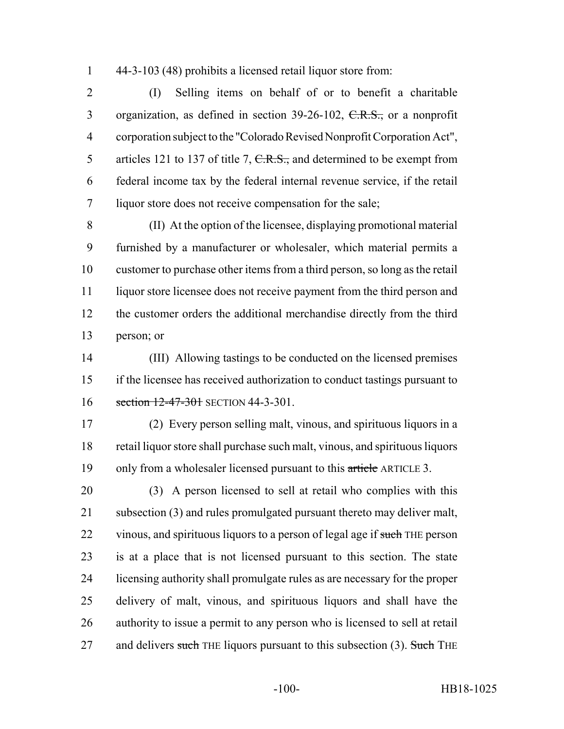44-3-103 (48) prohibits a licensed retail liquor store from:

 (I) Selling items on behalf of or to benefit a charitable 3 organization, as defined in section 39-26-102, C.R.S., or a nonprofit corporation subject to the "Colorado Revised Nonprofit Corporation Act", 5 articles 121 to 137 of title 7, C.R.S., and determined to be exempt from federal income tax by the federal internal revenue service, if the retail liquor store does not receive compensation for the sale;

 (II) At the option of the licensee, displaying promotional material furnished by a manufacturer or wholesaler, which material permits a customer to purchase other items from a third person, so long as the retail liquor store licensee does not receive payment from the third person and the customer orders the additional merchandise directly from the third person; or

 (III) Allowing tastings to be conducted on the licensed premises if the licensee has received authorization to conduct tastings pursuant to 16 section 12-47-301 SECTION 44-3-301.

 (2) Every person selling malt, vinous, and spirituous liquors in a retail liquor store shall purchase such malt, vinous, and spirituous liquors 19 only from a wholesaler licensed pursuant to this article ARTICLE 3.

 (3) A person licensed to sell at retail who complies with this 21 subsection (3) and rules promulgated pursuant thereto may deliver malt, 22 vinous, and spirituous liquors to a person of legal age if such THE person is at a place that is not licensed pursuant to this section. The state licensing authority shall promulgate rules as are necessary for the proper delivery of malt, vinous, and spirituous liquors and shall have the authority to issue a permit to any person who is licensed to sell at retail 27 and delivers such THE liquors pursuant to this subsection (3). Such THE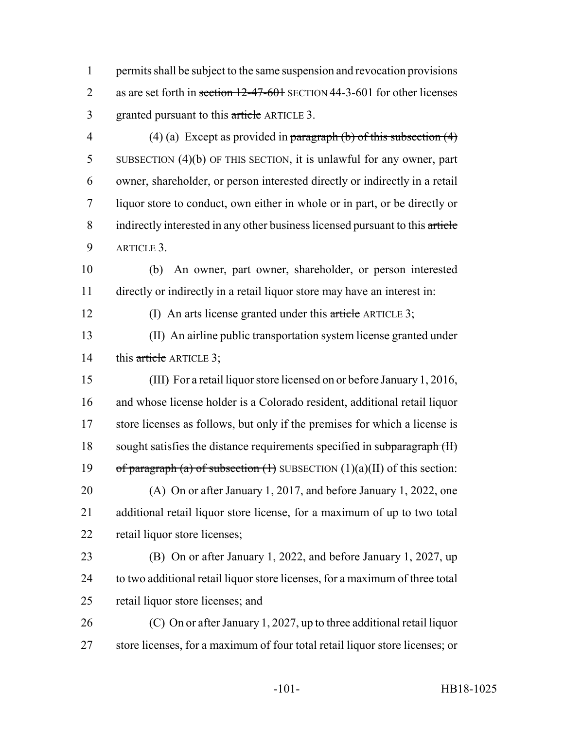permits shall be subject to the same suspension and revocation provisions 2 as are set forth in section 12-47-601 SECTION 44-3-601 for other licenses 3 granted pursuant to this article ARTICLE 3.

- 4 (4) (a) Except as provided in paragraph (b) of this subsection  $(4)$  SUBSECTION (4)(b) OF THIS SECTION, it is unlawful for any owner, part owner, shareholder, or person interested directly or indirectly in a retail liquor store to conduct, own either in whole or in part, or be directly or 8 indirectly interested in any other business licensed pursuant to this article ARTICLE 3.
- (b) An owner, part owner, shareholder, or person interested directly or indirectly in a retail liquor store may have an interest in:

12 (I) An arts license granted under this article ARTICLE 3;

 (II) An airline public transportation system license granted under 14 this article ARTICLE 3;

- (III) For a retail liquor store licensed on or before January 1, 2016, and whose license holder is a Colorado resident, additional retail liquor store licenses as follows, but only if the premises for which a license is 18 sought satisfies the distance requirements specified in subparagraph (II) 19 of paragraph (a) of subsection  $(1)$  SUBSECTION  $(1)(a)(II)$  of this section: (A) On or after January 1, 2017, and before January 1, 2022, one additional retail liquor store license, for a maximum of up to two total retail liquor store licenses;
- (B) On or after January 1, 2022, and before January 1, 2027, up to two additional retail liquor store licenses, for a maximum of three total retail liquor store licenses; and
- (C) On or after January 1, 2027, up to three additional retail liquor store licenses, for a maximum of four total retail liquor store licenses; or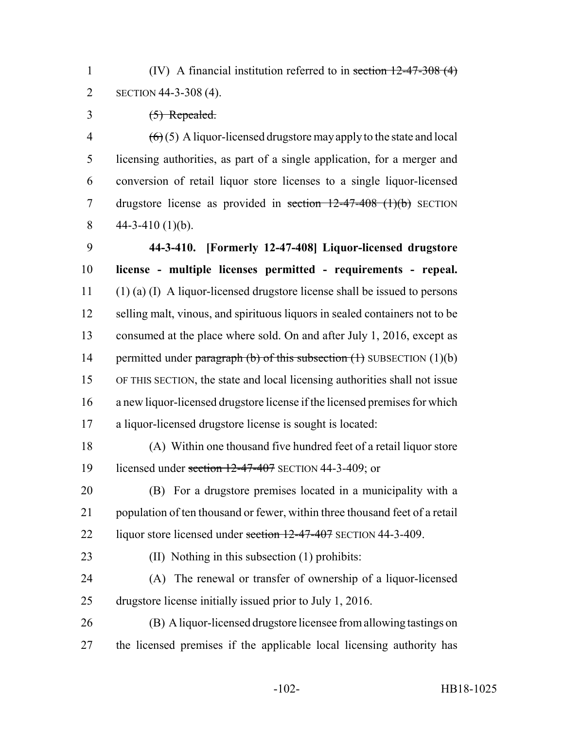(IV) A financial institution referred to in section 12-47-308 (4) SECTION 44-3-308 (4).

(5) Repealed.

 $\left(6\right)$  (5) A liquor-licensed drugstore may apply to the state and local licensing authorities, as part of a single application, for a merger and conversion of retail liquor store licenses to a single liquor-licensed 7 drugstore license as provided in section  $12-47-408$  (1)(b) SECTION 8  $44-3-410(1)(b)$ .

 **44-3-410. [Formerly 12-47-408] Liquor-licensed drugstore license - multiple licenses permitted - requirements - repeal.** (1) (a) (I) A liquor-licensed drugstore license shall be issued to persons selling malt, vinous, and spirituous liquors in sealed containers not to be consumed at the place where sold. On and after July 1, 2016, except as 14 permitted under paragraph (b) of this subsection  $(1)$  SUBSECTION  $(1)(b)$  OF THIS SECTION, the state and local licensing authorities shall not issue a new liquor-licensed drugstore license if the licensed premises for which a liquor-licensed drugstore license is sought is located:

 (A) Within one thousand five hundred feet of a retail liquor store 19 licensed under section 12-47-407 SECTION 44-3-409; or

 (B) For a drugstore premises located in a municipality with a population of ten thousand or fewer, within three thousand feet of a retail 22 liquor store licensed under section 12-47-407 SECTION 44-3-409.

(II) Nothing in this subsection (1) prohibits:

 (A) The renewal or transfer of ownership of a liquor-licensed drugstore license initially issued prior to July 1, 2016.

 (B) A liquor-licensed drugstore licensee from allowing tastings on the licensed premises if the applicable local licensing authority has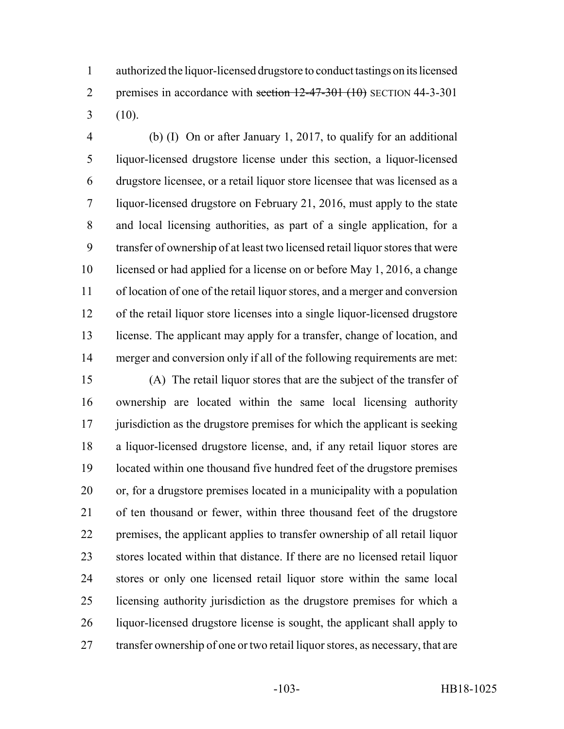authorized the liquor-licensed drugstore to conduct tastings on its licensed 2 premises in accordance with section  $12-47-301$  (10) SECTION 44-3-301  $3(10)$ .

 (b) (I) On or after January 1, 2017, to qualify for an additional liquor-licensed drugstore license under this section, a liquor-licensed drugstore licensee, or a retail liquor store licensee that was licensed as a liquor-licensed drugstore on February 21, 2016, must apply to the state and local licensing authorities, as part of a single application, for a transfer of ownership of at least two licensed retail liquor stores that were licensed or had applied for a license on or before May 1, 2016, a change of location of one of the retail liquor stores, and a merger and conversion of the retail liquor store licenses into a single liquor-licensed drugstore license. The applicant may apply for a transfer, change of location, and merger and conversion only if all of the following requirements are met:

 (A) The retail liquor stores that are the subject of the transfer of ownership are located within the same local licensing authority 17 jurisdiction as the drugstore premises for which the applicant is seeking a liquor-licensed drugstore license, and, if any retail liquor stores are located within one thousand five hundred feet of the drugstore premises or, for a drugstore premises located in a municipality with a population of ten thousand or fewer, within three thousand feet of the drugstore premises, the applicant applies to transfer ownership of all retail liquor stores located within that distance. If there are no licensed retail liquor stores or only one licensed retail liquor store within the same local licensing authority jurisdiction as the drugstore premises for which a liquor-licensed drugstore license is sought, the applicant shall apply to 27 transfer ownership of one or two retail liquor stores, as necessary, that are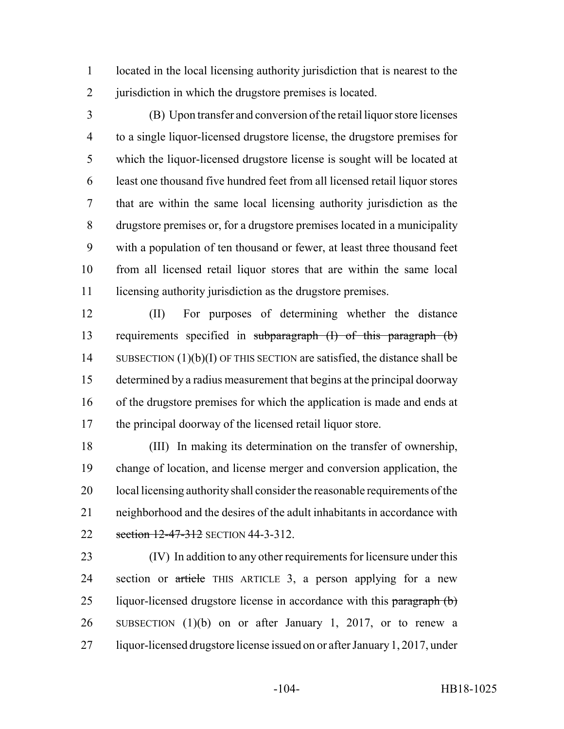located in the local licensing authority jurisdiction that is nearest to the jurisdiction in which the drugstore premises is located.

 (B) Upon transfer and conversion of the retail liquor store licenses to a single liquor-licensed drugstore license, the drugstore premises for which the liquor-licensed drugstore license is sought will be located at least one thousand five hundred feet from all licensed retail liquor stores that are within the same local licensing authority jurisdiction as the drugstore premises or, for a drugstore premises located in a municipality with a population of ten thousand or fewer, at least three thousand feet from all licensed retail liquor stores that are within the same local 11 licensing authority jurisdiction as the drugstore premises.

 (II) For purposes of determining whether the distance requirements specified in subparagraph (I) of this paragraph (b) 14 SUBSECTION (1)(b)(I) OF THIS SECTION are satisfied, the distance shall be determined by a radius measurement that begins at the principal doorway of the drugstore premises for which the application is made and ends at the principal doorway of the licensed retail liquor store.

 (III) In making its determination on the transfer of ownership, change of location, and license merger and conversion application, the 20 local licensing authority shall consider the reasonable requirements of the neighborhood and the desires of the adult inhabitants in accordance with 22 section 12-47-312 SECTION 44-3-312.

 (IV) In addition to any other requirements for licensure under this 24 section or article THIS ARTICLE 3, a person applying for a new 25 liquor-licensed drugstore license in accordance with this paragraph (b) SUBSECTION (1)(b) on or after January 1, 2017, or to renew a liquor-licensed drugstore license issued on or after January 1, 2017, under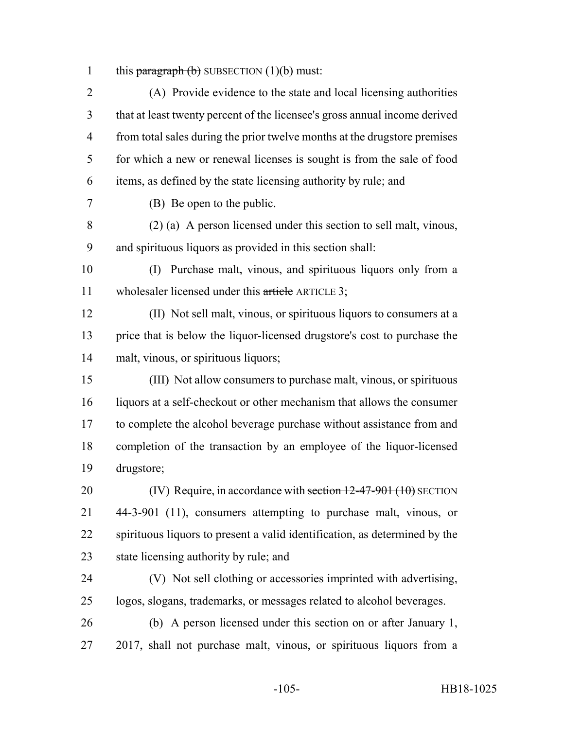1 this paragraph  $(b)$  SUBSECTION  $(1)(b)$  must:

 (A) Provide evidence to the state and local licensing authorities that at least twenty percent of the licensee's gross annual income derived from total sales during the prior twelve months at the drugstore premises for which a new or renewal licenses is sought is from the sale of food items, as defined by the state licensing authority by rule; and

(B) Be open to the public.

 (2) (a) A person licensed under this section to sell malt, vinous, and spirituous liquors as provided in this section shall:

 (I) Purchase malt, vinous, and spirituous liquors only from a 11 wholesaler licensed under this article ARTICLE 3;

 (II) Not sell malt, vinous, or spirituous liquors to consumers at a price that is below the liquor-licensed drugstore's cost to purchase the malt, vinous, or spirituous liquors;

 (III) Not allow consumers to purchase malt, vinous, or spirituous liquors at a self-checkout or other mechanism that allows the consumer to complete the alcohol beverage purchase without assistance from and completion of the transaction by an employee of the liquor-licensed drugstore;

20 (IV) Require, in accordance with section  $12-47-901$  (10) SECTION 44-3-901 (11), consumers attempting to purchase malt, vinous, or spirituous liquors to present a valid identification, as determined by the state licensing authority by rule; and

 (V) Not sell clothing or accessories imprinted with advertising, logos, slogans, trademarks, or messages related to alcohol beverages.

 (b) A person licensed under this section on or after January 1, 2017, shall not purchase malt, vinous, or spirituous liquors from a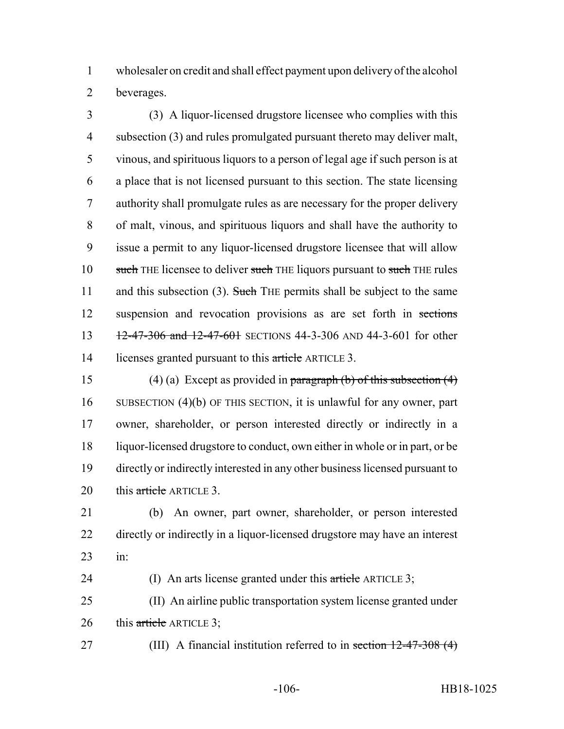wholesaler on credit and shall effect payment upon delivery of the alcohol beverages.

 (3) A liquor-licensed drugstore licensee who complies with this 4 subsection (3) and rules promulgated pursuant thereto may deliver malt, vinous, and spirituous liquors to a person of legal age if such person is at a place that is not licensed pursuant to this section. The state licensing authority shall promulgate rules as are necessary for the proper delivery of malt, vinous, and spirituous liquors and shall have the authority to issue a permit to any liquor-licensed drugstore licensee that will allow 10 such THE licensee to deliver such THE liquors pursuant to such THE rules 11 and this subsection (3). Such THE permits shall be subject to the same suspension and revocation provisions as are set forth in sections 13 12-47-306 and 12-47-601 SECTIONS 44-3-306 AND 44-3-601 for other 14 licenses granted pursuant to this article ARTICLE 3.

15 (4) (a) Except as provided in paragraph (b) of this subsection  $(4)$  SUBSECTION (4)(b) OF THIS SECTION, it is unlawful for any owner, part owner, shareholder, or person interested directly or indirectly in a liquor-licensed drugstore to conduct, own either in whole or in part, or be directly or indirectly interested in any other business licensed pursuant to 20 this article ARTICLE 3.

 (b) An owner, part owner, shareholder, or person interested directly or indirectly in a liquor-licensed drugstore may have an interest in:

24 (I) An arts license granted under this article ARTICLE 3;

 (II) An airline public transportation system license granted under 26 this article ARTICLE 3;

27 (III) A financial institution referred to in section 12-47-308 (4)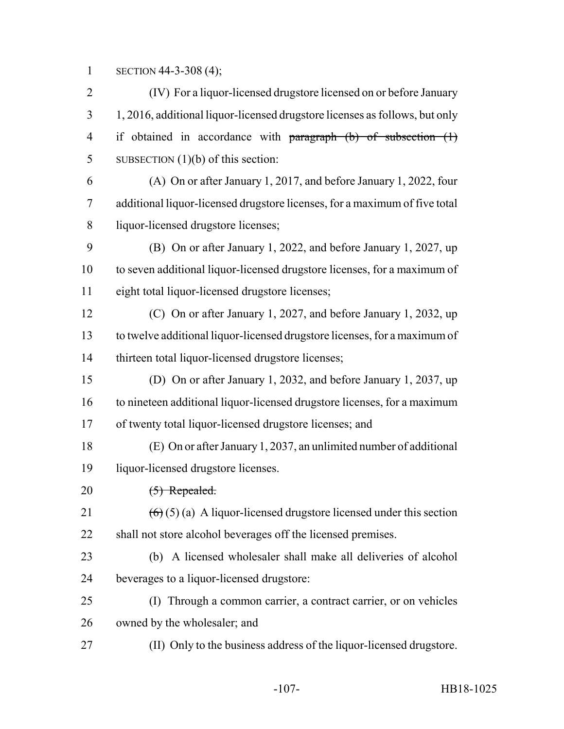SECTION 44-3-308 (4);

 (IV) For a liquor-licensed drugstore licensed on or before January 1, 2016, additional liquor-licensed drugstore licenses as follows, but only 4 if obtained in accordance with paragraph (b) of subsection (1) SUBSECTION (1)(b) of this section:

 (A) On or after January 1, 2017, and before January 1, 2022, four additional liquor-licensed drugstore licenses, for a maximum of five total liquor-licensed drugstore licenses;

 (B) On or after January 1, 2022, and before January 1, 2027, up to seven additional liquor-licensed drugstore licenses, for a maximum of eight total liquor-licensed drugstore licenses;

 (C) On or after January 1, 2027, and before January 1, 2032, up to twelve additional liquor-licensed drugstore licenses, for a maximum of thirteen total liquor-licensed drugstore licenses;

 (D) On or after January 1, 2032, and before January 1, 2037, up to nineteen additional liquor-licensed drugstore licenses, for a maximum of twenty total liquor-licensed drugstore licenses; and

 (E) On or after January 1, 2037, an unlimited number of additional liquor-licensed drugstore licenses.

20 <del>(5) Repealed.</del>

21  $(6)(5)(a)$  A liquor-licensed drugstore licensed under this section shall not store alcohol beverages off the licensed premises.

 (b) A licensed wholesaler shall make all deliveries of alcohol beverages to a liquor-licensed drugstore:

 (I) Through a common carrier, a contract carrier, or on vehicles owned by the wholesaler; and

(II) Only to the business address of the liquor-licensed drugstore.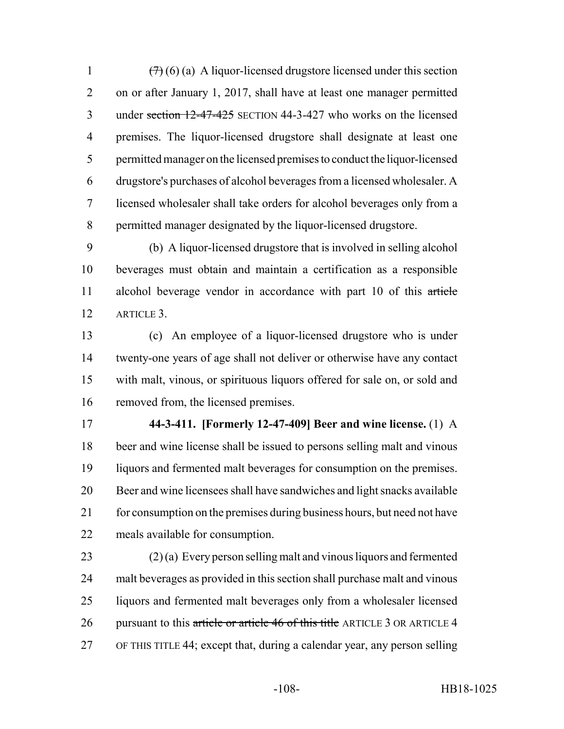$(7)(6)(a)$  A liquor-licensed drugstore licensed under this section on or after January 1, 2017, shall have at least one manager permitted under section 12-47-425 SECTION 44-3-427 who works on the licensed premises. The liquor-licensed drugstore shall designate at least one permitted manager on the licensed premises to conduct the liquor-licensed drugstore's purchases of alcohol beverages from a licensed wholesaler. A licensed wholesaler shall take orders for alcohol beverages only from a permitted manager designated by the liquor-licensed drugstore.

 (b) A liquor-licensed drugstore that is involved in selling alcohol beverages must obtain and maintain a certification as a responsible alcohol beverage vendor in accordance with part 10 of this article ARTICLE 3.

 (c) An employee of a liquor-licensed drugstore who is under twenty-one years of age shall not deliver or otherwise have any contact with malt, vinous, or spirituous liquors offered for sale on, or sold and removed from, the licensed premises.

 **44-3-411. [Formerly 12-47-409] Beer and wine license.** (1) A beer and wine license shall be issued to persons selling malt and vinous liquors and fermented malt beverages for consumption on the premises. Beer and wine licensees shall have sandwiches and light snacks available 21 for consumption on the premises during business hours, but need not have meals available for consumption.

 (2) (a) Every person selling malt and vinous liquors and fermented malt beverages as provided in this section shall purchase malt and vinous liquors and fermented malt beverages only from a wholesaler licensed 26 pursuant to this article or article 46 of this title ARTICLE 3 OR ARTICLE 4 OF THIS TITLE 44; except that, during a calendar year, any person selling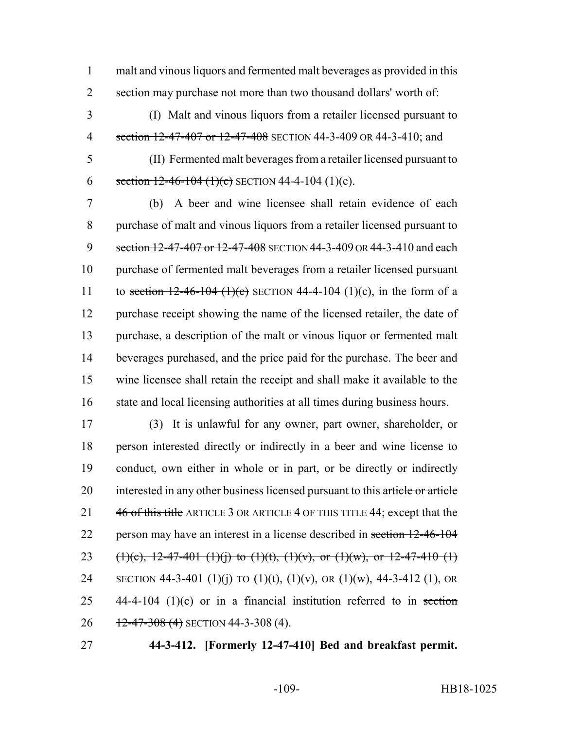1 malt and vinous liquors and fermented malt beverages as provided in this 2 section may purchase not more than two thousand dollars' worth of:

- 3 (I) Malt and vinous liquors from a retailer licensed pursuant to 4 section 12-47-407 or 12-47-408 SECTION 44-3-409 OR 44-3-410; and
- 

5 (II) Fermented malt beverages from a retailer licensed pursuant to 6 section  $12-46-104$  (1)(c) SECTION 44-4-104 (1)(c).

7 (b) A beer and wine licensee shall retain evidence of each 8 purchase of malt and vinous liquors from a retailer licensed pursuant to 9 section 12-47-407 or 12-47-408 SECTION 44-3-409 OR 44-3-410 and each 10 purchase of fermented malt beverages from a retailer licensed pursuant 11 to section  $12-46-104$  (1)(c) SECTION 44-4-104 (1)(c), in the form of a 12 purchase receipt showing the name of the licensed retailer, the date of 13 purchase, a description of the malt or vinous liquor or fermented malt 14 beverages purchased, and the price paid for the purchase. The beer and 15 wine licensee shall retain the receipt and shall make it available to the 16 state and local licensing authorities at all times during business hours.

17 (3) It is unlawful for any owner, part owner, shareholder, or 18 person interested directly or indirectly in a beer and wine license to 19 conduct, own either in whole or in part, or be directly or indirectly 20 interested in any other business licensed pursuant to this article or article 21 46 of this title ARTICLE 3 OR ARTICLE 4 OF THIS TITLE 44; except that the 22 person may have an interest in a license described in section 12-46-104 23 (1)(c), 12-47-401 (1)(j) to (1)(t), (1)(v), or (1)(w), or 12-47-410 (1) 24 SECTION 44-3-401 (1)(j) TO (1)(t), (1)(v), OR (1)(w), 44-3-412 (1), OR 25  $44-4-104$  (1)(c) or in a financial institution referred to in section 26  $12-47-308(4)$  SECTION 44-3-308 (4).

27 **44-3-412. [Formerly 12-47-410] Bed and breakfast permit.**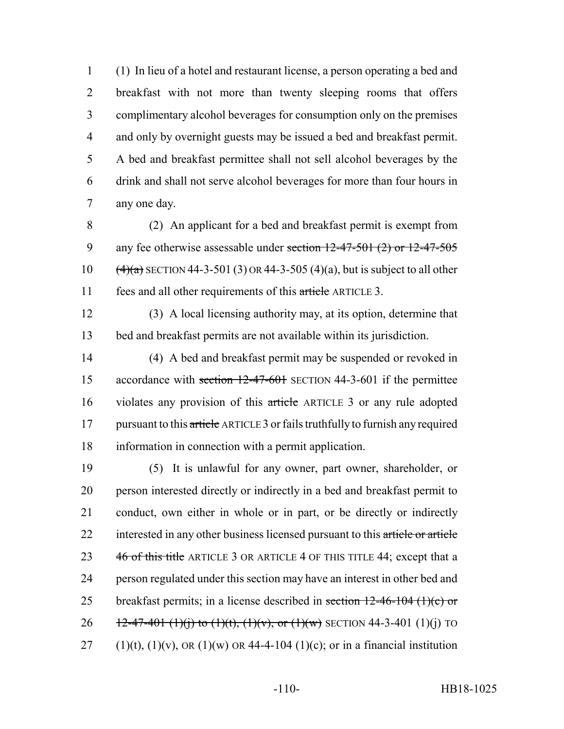(1) In lieu of a hotel and restaurant license, a person operating a bed and breakfast with not more than twenty sleeping rooms that offers complimentary alcohol beverages for consumption only on the premises and only by overnight guests may be issued a bed and breakfast permit. A bed and breakfast permittee shall not sell alcohol beverages by the drink and shall not serve alcohol beverages for more than four hours in any one day.

 (2) An applicant for a bed and breakfast permit is exempt from 9 any fee otherwise assessable under section  $12-47-501$  (2) or  $12-47-505$  $(4)(a)$  SECTION 44-3-501 (3) OR 44-3-505 (4)(a), but is subject to all other fees and all other requirements of this article ARTICLE 3.

 (3) A local licensing authority may, at its option, determine that bed and breakfast permits are not available within its jurisdiction.

 (4) A bed and breakfast permit may be suspended or revoked in 15 accordance with section 12-47-601 SECTION 44-3-601 if the permittee violates any provision of this article ARTICLE 3 or any rule adopted 17 pursuant to this article ARTICLE 3 or fails truthfully to furnish any required information in connection with a permit application.

 (5) It is unlawful for any owner, part owner, shareholder, or person interested directly or indirectly in a bed and breakfast permit to conduct, own either in whole or in part, or be directly or indirectly 22 interested in any other business licensed pursuant to this article or article 23 46 of this title ARTICLE 3 OR ARTICLE 4 OF THIS TITLE 44; except that a person regulated under this section may have an interest in other bed and 25 breakfast permits; in a license described in section  $12-46-104$  (1)(c) or 26  $\frac{12-47-401 (1)(i)}{1}$  to  $\frac{1}{(1)(t)}$ ,  $\frac{1}{(t)}, \frac{1}{(t)}, \frac{1}{(w)}$  SECTION 44-3-401 (1)(i) TO 27 (1)(t), (1)(v), OR (1)(w) OR 44-4-104 (1)(c); or in a financial institution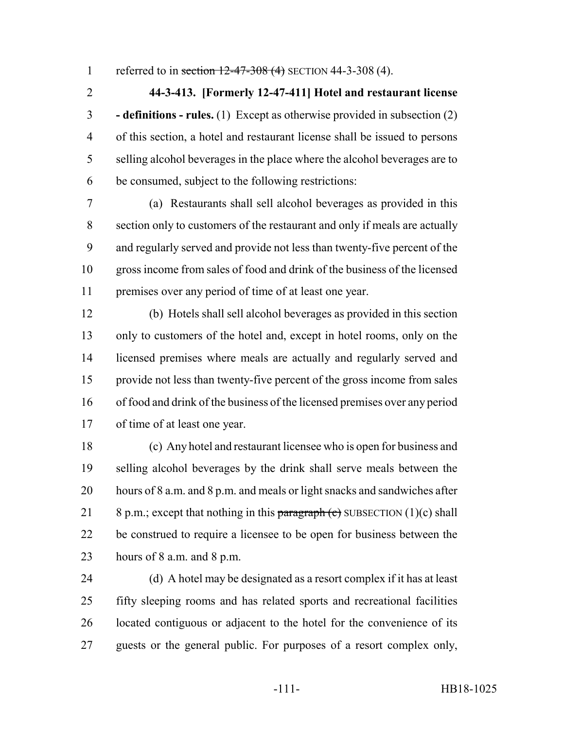1 referred to in section 12-47-308 (4) SECTION 44-3-308 (4).

 **44-3-413. [Formerly 12-47-411] Hotel and restaurant license - definitions - rules.** (1) Except as otherwise provided in subsection (2) of this section, a hotel and restaurant license shall be issued to persons selling alcohol beverages in the place where the alcohol beverages are to be consumed, subject to the following restrictions:

 (a) Restaurants shall sell alcohol beverages as provided in this section only to customers of the restaurant and only if meals are actually and regularly served and provide not less than twenty-five percent of the gross income from sales of food and drink of the business of the licensed premises over any period of time of at least one year.

 (b) Hotels shall sell alcohol beverages as provided in this section only to customers of the hotel and, except in hotel rooms, only on the licensed premises where meals are actually and regularly served and provide not less than twenty-five percent of the gross income from sales of food and drink of the business of the licensed premises over any period of time of at least one year.

 (c) Any hotel and restaurant licensee who is open for business and selling alcohol beverages by the drink shall serve meals between the hours of 8 a.m. and 8 p.m. and meals or light snacks and sandwiches after 21 8 p.m.; except that nothing in this paragraph  $\left($ c) SUBSECTION (1)(c) shall be construed to require a licensee to be open for business between the hours of 8 a.m. and 8 p.m.

 (d) A hotel may be designated as a resort complex if it has at least fifty sleeping rooms and has related sports and recreational facilities located contiguous or adjacent to the hotel for the convenience of its guests or the general public. For purposes of a resort complex only,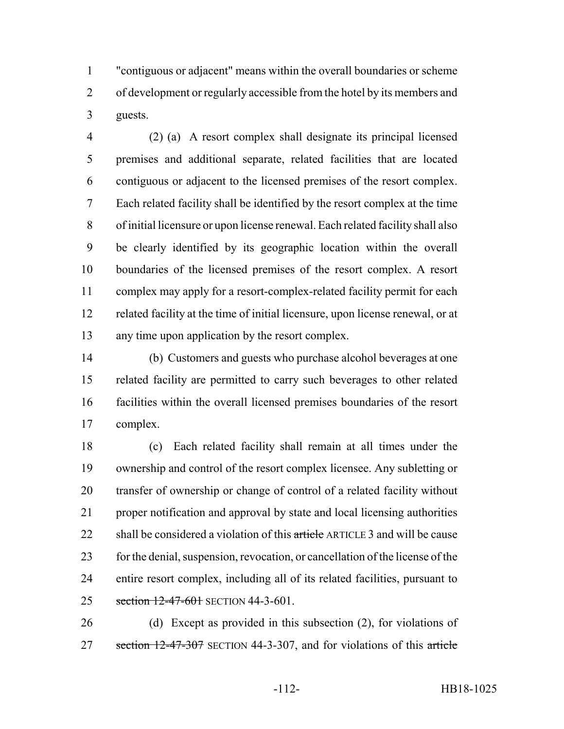"contiguous or adjacent" means within the overall boundaries or scheme of development or regularly accessible from the hotel by its members and guests.

 (2) (a) A resort complex shall designate its principal licensed premises and additional separate, related facilities that are located contiguous or adjacent to the licensed premises of the resort complex. Each related facility shall be identified by the resort complex at the time of initial licensure or upon license renewal. Each related facility shall also be clearly identified by its geographic location within the overall boundaries of the licensed premises of the resort complex. A resort complex may apply for a resort-complex-related facility permit for each related facility at the time of initial licensure, upon license renewal, or at any time upon application by the resort complex.

 (b) Customers and guests who purchase alcohol beverages at one related facility are permitted to carry such beverages to other related facilities within the overall licensed premises boundaries of the resort complex.

 (c) Each related facility shall remain at all times under the ownership and control of the resort complex licensee. Any subletting or transfer of ownership or change of control of a related facility without proper notification and approval by state and local licensing authorities 22 shall be considered a violation of this article ARTICLE 3 and will be cause for the denial, suspension, revocation, or cancellation of the license of the entire resort complex, including all of its related facilities, pursuant to 25 section 12-47-601 SECTION 44-3-601.

 (d) Except as provided in this subsection (2), for violations of 27 section 12-47-307 SECTION 44-3-307, and for violations of this article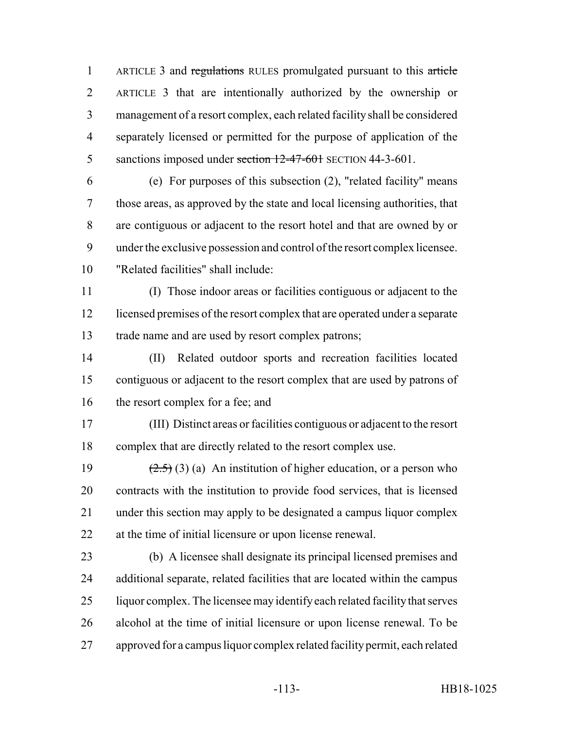1 ARTICLE 3 and regulations RULES promulgated pursuant to this article ARTICLE 3 that are intentionally authorized by the ownership or management of a resort complex, each related facility shall be considered separately licensed or permitted for the purpose of application of the 5 sanctions imposed under section 12-47-601 SECTION 44-3-601.

 (e) For purposes of this subsection (2), "related facility" means those areas, as approved by the state and local licensing authorities, that are contiguous or adjacent to the resort hotel and that are owned by or under the exclusive possession and control of the resort complex licensee. "Related facilities" shall include:

 (I) Those indoor areas or facilities contiguous or adjacent to the licensed premises of the resort complex that are operated under a separate trade name and are used by resort complex patrons;

 (II) Related outdoor sports and recreation facilities located contiguous or adjacent to the resort complex that are used by patrons of 16 the resort complex for a fee; and

 (III) Distinct areas or facilities contiguous or adjacent to the resort complex that are directly related to the resort complex use.

 $(2.5)$  (3) (a) An institution of higher education, or a person who contracts with the institution to provide food services, that is licensed under this section may apply to be designated a campus liquor complex at the time of initial licensure or upon license renewal.

 (b) A licensee shall designate its principal licensed premises and additional separate, related facilities that are located within the campus liquor complex. The licensee may identify each related facility that serves alcohol at the time of initial licensure or upon license renewal. To be approved for a campus liquor complex related facility permit, each related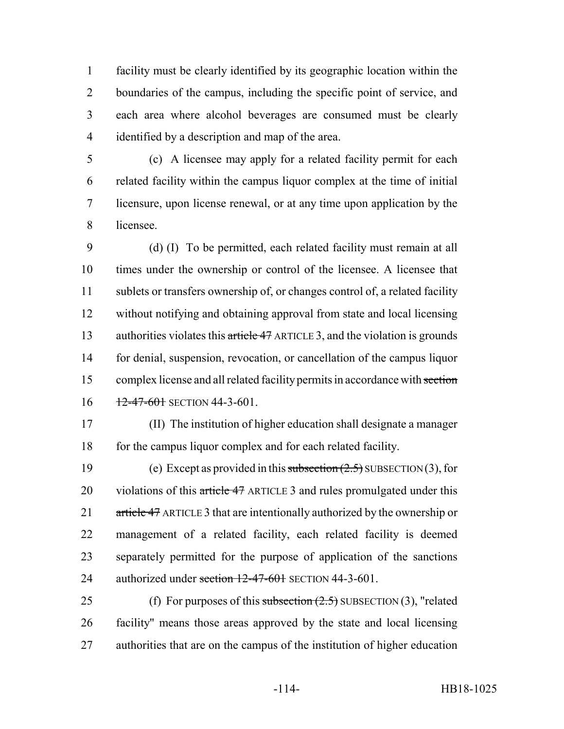facility must be clearly identified by its geographic location within the boundaries of the campus, including the specific point of service, and each area where alcohol beverages are consumed must be clearly identified by a description and map of the area.

 (c) A licensee may apply for a related facility permit for each related facility within the campus liquor complex at the time of initial licensure, upon license renewal, or at any time upon application by the licensee.

 (d) (I) To be permitted, each related facility must remain at all times under the ownership or control of the licensee. A licensee that sublets or transfers ownership of, or changes control of, a related facility without notifying and obtaining approval from state and local licensing 13 authorities violates this article 47 ARTICLE 3, and the violation is grounds for denial, suspension, revocation, or cancellation of the campus liquor complex license and all related facility permits in accordance with section  $16 \frac{12-47-601}{12-47-601}$  SECTION 44-3-601.

 (II) The institution of higher education shall designate a manager 18 for the campus liquor complex and for each related facility.

19 (e) Except as provided in this subsection  $(2.5)$  SUBSECTION (3), for 20 violations of this article 47 ARTICLE 3 and rules promulgated under this 21 article 47 ARTICLE 3 that are intentionally authorized by the ownership or management of a related facility, each related facility is deemed separately permitted for the purpose of application of the sanctions 24 authorized under section 12-47-601 SECTION 44-3-601.

25 (f) For purposes of this subsection  $(2.5)$  SUBSECTION  $(3)$ , "related facility" means those areas approved by the state and local licensing authorities that are on the campus of the institution of higher education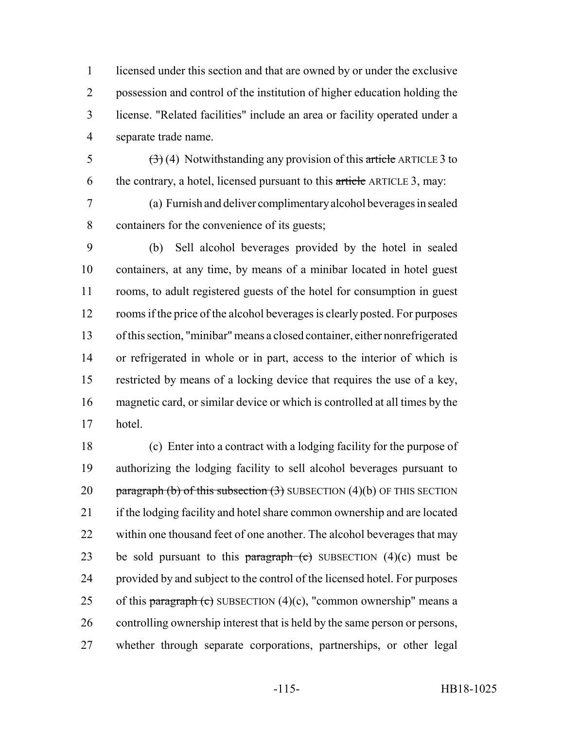licensed under this section and that are owned by or under the exclusive possession and control of the institution of higher education holding the license. "Related facilities" include an area or facility operated under a separate trade name.

5  $(3)(4)$  Notwithstanding any provision of this article ARTICLE 3 to 6 the contrary, a hotel, licensed pursuant to this article ARTICLE 3, may:

 (a) Furnish and deliver complimentary alcohol beverages in sealed containers for the convenience of its guests;

 (b) Sell alcohol beverages provided by the hotel in sealed containers, at any time, by means of a minibar located in hotel guest rooms, to adult registered guests of the hotel for consumption in guest rooms if the price of the alcohol beverages is clearly posted. For purposes of this section, "minibar" means a closed container, either nonrefrigerated or refrigerated in whole or in part, access to the interior of which is restricted by means of a locking device that requires the use of a key, magnetic card, or similar device or which is controlled at all times by the hotel.

 (c) Enter into a contract with a lodging facility for the purpose of authorizing the lodging facility to sell alcohol beverages pursuant to 20 paragraph (b) of this subsection  $(3)$  SUBSECTION  $(4)(b)$  OF THIS SECTION if the lodging facility and hotel share common ownership and are located 22 within one thousand feet of one another. The alcohol beverages that may 23 be sold pursuant to this paragraph  $\left($ c) SUBSECTION  $(4)(c)$  must be provided by and subject to the control of the licensed hotel. For purposes 25 of this paragraph (c) SUBSECTION  $(4)(c)$ , "common ownership" means a controlling ownership interest that is held by the same person or persons, whether through separate corporations, partnerships, or other legal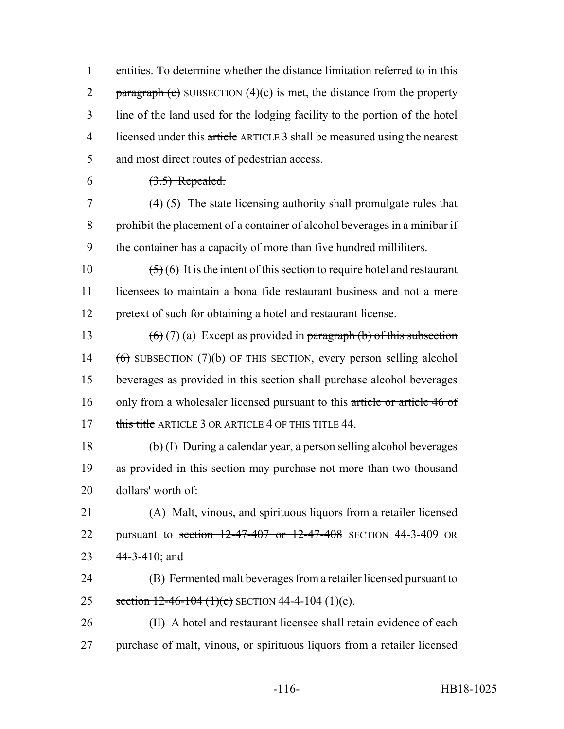1 entities. To determine whether the distance limitation referred to in this 2 paragraph  $\left($ c $\right)$  SUBSECTION  $(4)(c)$  is met, the distance from the property 3 line of the land used for the lodging facility to the portion of the hotel 4 licensed under this article ARTICLE 3 shall be measured using the nearest 5 and most direct routes of pedestrian access.

6  $(3.5)$  Repealed.

 $\left(4\right)$  (5) The state licensing authority shall promulgate rules that 8 prohibit the placement of a container of alcohol beverages in a minibar if 9 the container has a capacity of more than five hundred milliliters.

10  $(5)(6)$  It is the intent of this section to require hotel and restaurant 11 licensees to maintain a bona fide restaurant business and not a mere 12 pretext of such for obtaining a hotel and restaurant license.

13 (6) (7) (a) Except as provided in paragraph (b) of this subsection 14 (6) SUBSECTION (7)(b) OF THIS SECTION, every person selling alcohol 15 beverages as provided in this section shall purchase alcohol beverages 16 only from a wholesaler licensed pursuant to this article or article 46 of 17 this title ARTICLE 3 OR ARTICLE 4 OF THIS TITLE 44.

18 (b) (I) During a calendar year, a person selling alcohol beverages 19 as provided in this section may purchase not more than two thousand 20 dollars' worth of:

21 (A) Malt, vinous, and spirituous liquors from a retailer licensed 22 pursuant to section  $12-47-407$  or  $12-47-408$  SECTION 44-3-409 OR 23 44-3-410; and

24 (B) Fermented malt beverages from a retailer licensed pursuant to 25 section  $12-46-104$  (1)(c) SECTION 44-4-104 (1)(c).

26 (II) A hotel and restaurant licensee shall retain evidence of each 27 purchase of malt, vinous, or spirituous liquors from a retailer licensed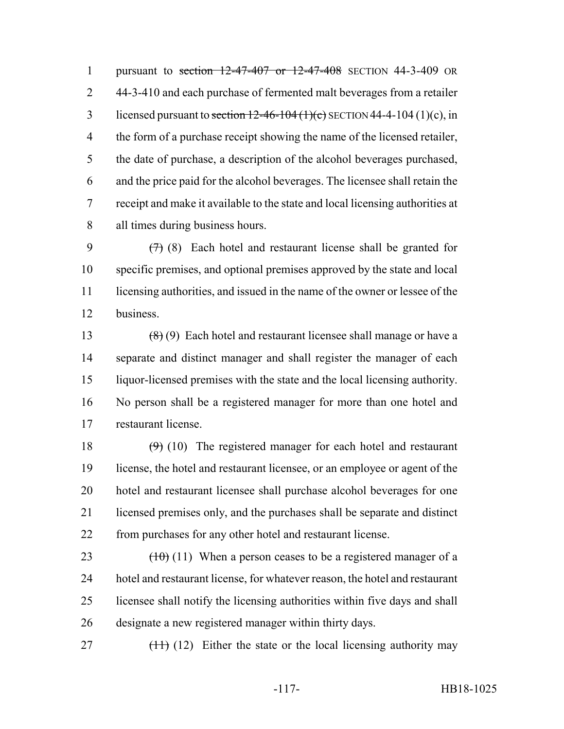pursuant to section 12-47-407 or 12-47-408 SECTION 44-3-409 OR 44-3-410 and each purchase of fermented malt beverages from a retailer 3 licensed pursuant to section  $12-46-104(1)(c)$  SECTION 44-4-104 (1)(c), in the form of a purchase receipt showing the name of the licensed retailer, the date of purchase, a description of the alcohol beverages purchased, and the price paid for the alcohol beverages. The licensee shall retain the receipt and make it available to the state and local licensing authorities at all times during business hours.

 $(7)$  (8) Each hotel and restaurant license shall be granted for specific premises, and optional premises approved by the state and local licensing authorities, and issued in the name of the owner or lessee of the business.

13 (8) (9) Each hotel and restaurant licensee shall manage or have a separate and distinct manager and shall register the manager of each liquor-licensed premises with the state and the local licensing authority. No person shall be a registered manager for more than one hotel and restaurant license.

 $(9)$  (10) The registered manager for each hotel and restaurant license, the hotel and restaurant licensee, or an employee or agent of the hotel and restaurant licensee shall purchase alcohol beverages for one licensed premises only, and the purchases shall be separate and distinct from purchases for any other hotel and restaurant license.

 $(10)(11)$  When a person ceases to be a registered manager of a hotel and restaurant license, for whatever reason, the hotel and restaurant licensee shall notify the licensing authorities within five days and shall designate a new registered manager within thirty days.

27  $(11)$  (12) Either the state or the local licensing authority may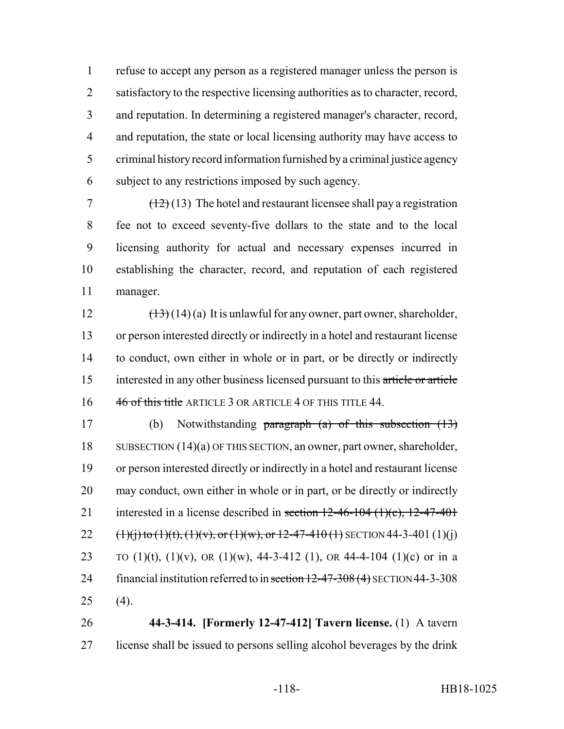refuse to accept any person as a registered manager unless the person is 2 satisfactory to the respective licensing authorities as to character, record, and reputation. In determining a registered manager's character, record, 4 and reputation, the state or local licensing authority may have access to criminal history record information furnished by a criminal justice agency subject to any restrictions imposed by such agency.

 $7 \left(12\right) (13)$  The hotel and restaurant licensee shall pay a registration fee not to exceed seventy-five dollars to the state and to the local licensing authority for actual and necessary expenses incurred in establishing the character, record, and reputation of each registered manager.

 $(\frac{13}{13})(14)(a)$  It is unlawful for any owner, part owner, shareholder, or person interested directly or indirectly in a hotel and restaurant license to conduct, own either in whole or in part, or be directly or indirectly interested in any other business licensed pursuant to this article or article 16 46 of this title ARTICLE 3 OR ARTICLE 4 OF THIS TITLE 44.

 (b) Notwithstanding paragraph (a) of this subsection (13) SUBSECTION (14)(a) OF THIS SECTION, an owner, part owner, shareholder, or person interested directly or indirectly in a hotel and restaurant license may conduct, own either in whole or in part, or be directly or indirectly 21 interested in a license described in section  $12-46-104$   $(1)(c)$ ,  $12-47-401$ 22  $(1)(j)$  to  $(1)(t)$ ,  $(1)(v)$ , or  $(1)(w)$ , or  $12-47-410(1)$  SECTION 44-3-401 (1)(j) 23 TO  $(1)(t)$ ,  $(1)(v)$ , OR  $(1)(w)$ , 44-3-412  $(1)$ , OR 44-4-104  $(1)(c)$  or in a 24 financial institution referred to in section 12-47-308 (4) SECTION 44-3-308 (4).

 **44-3-414. [Formerly 12-47-412] Tavern license.** (1) A tavern license shall be issued to persons selling alcohol beverages by the drink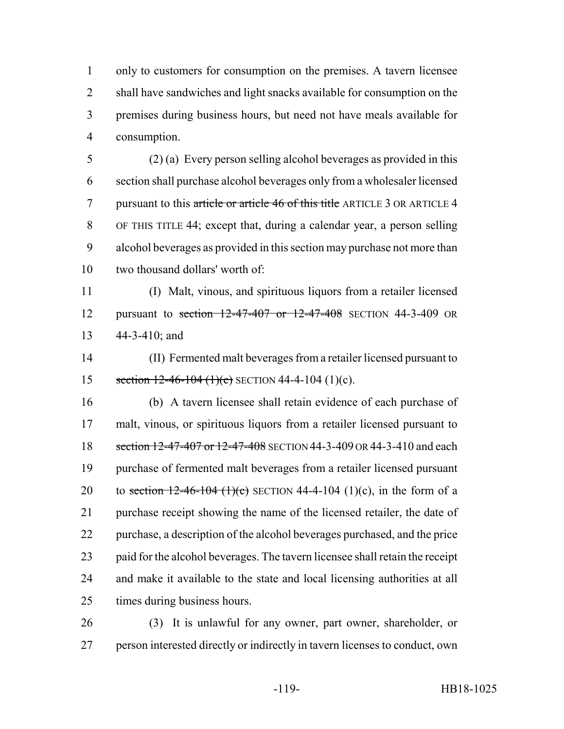only to customers for consumption on the premises. A tavern licensee shall have sandwiches and light snacks available for consumption on the premises during business hours, but need not have meals available for consumption.

 (2) (a) Every person selling alcohol beverages as provided in this section shall purchase alcohol beverages only from a wholesaler licensed 7 pursuant to this article or article 46 of this title ARTICLE 3 OR ARTICLE 4 OF THIS TITLE 44; except that, during a calendar year, a person selling alcohol beverages as provided in this section may purchase not more than two thousand dollars' worth of:

 (I) Malt, vinous, and spirituous liquors from a retailer licensed pursuant to section 12-47-407 or 12-47-408 SECTION 44-3-409 OR 44-3-410; and

 (II) Fermented malt beverages from a retailer licensed pursuant to 15 section  $12-46-104$  (1)(c) SECTION 44-4-104 (1)(c).

 (b) A tavern licensee shall retain evidence of each purchase of malt, vinous, or spirituous liquors from a retailer licensed pursuant to 18 section 12-47-407 or 12-47-408 SECTION 44-3-409 OR 44-3-410 and each purchase of fermented malt beverages from a retailer licensed pursuant 20 to section  $12-46-104$  (1)(c) SECTION 44-4-104 (1)(c), in the form of a purchase receipt showing the name of the licensed retailer, the date of purchase, a description of the alcohol beverages purchased, and the price paid for the alcohol beverages. The tavern licensee shall retain the receipt and make it available to the state and local licensing authorities at all times during business hours.

 (3) It is unlawful for any owner, part owner, shareholder, or person interested directly or indirectly in tavern licenses to conduct, own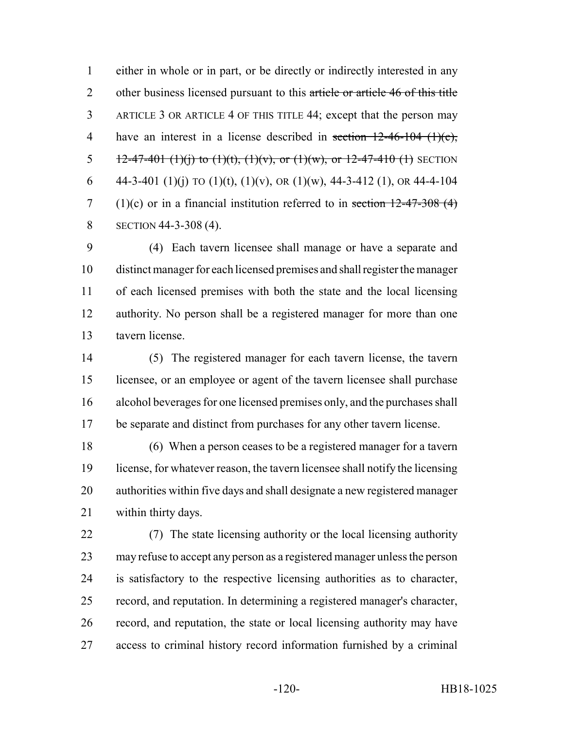either in whole or in part, or be directly or indirectly interested in any 2 other business licensed pursuant to this article or article 46 of this title ARTICLE 3 OR ARTICLE 4 OF THIS TITLE 44; except that the person may 4 have an interest in a license described in section 12-46-104 (1)(c), 5 12-47-401 (1)(j) to (1)(t), (1)(v), or (1)(w), or 12-47-410 (1) SECTION 6 44-3-401 (1)(j) TO (1)(t), (1)(v), OR (1)(w), 44-3-412 (1), OR 44-4-104 7 (1)(c) or in a financial institution referred to in section  $12-47-308$  (4) 8 SECTION 44-3-308 (4).

 (4) Each tavern licensee shall manage or have a separate and distinct manager for each licensed premises and shall register the manager of each licensed premises with both the state and the local licensing authority. No person shall be a registered manager for more than one tavern license.

 (5) The registered manager for each tavern license, the tavern licensee, or an employee or agent of the tavern licensee shall purchase alcohol beverages for one licensed premises only, and the purchases shall be separate and distinct from purchases for any other tavern license.

 (6) When a person ceases to be a registered manager for a tavern license, for whatever reason, the tavern licensee shall notify the licensing authorities within five days and shall designate a new registered manager within thirty days.

 (7) The state licensing authority or the local licensing authority may refuse to accept any person as a registered manager unless the person is satisfactory to the respective licensing authorities as to character, record, and reputation. In determining a registered manager's character, record, and reputation, the state or local licensing authority may have access to criminal history record information furnished by a criminal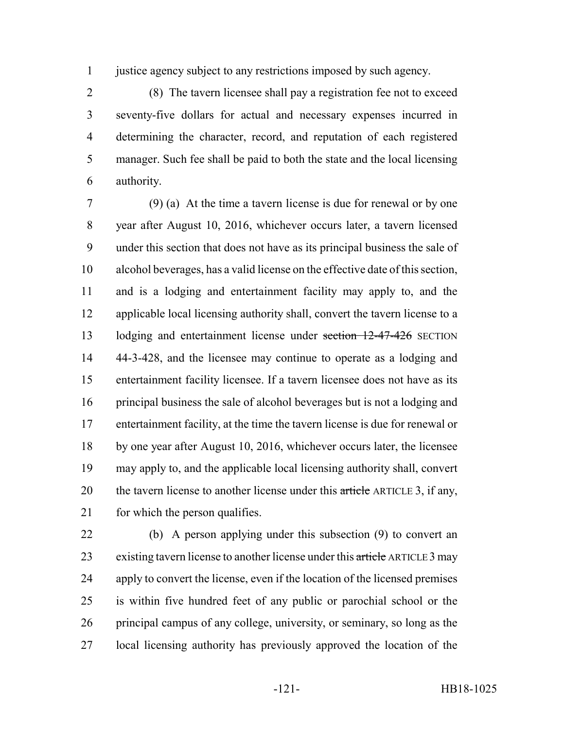justice agency subject to any restrictions imposed by such agency.

 (8) The tavern licensee shall pay a registration fee not to exceed seventy-five dollars for actual and necessary expenses incurred in determining the character, record, and reputation of each registered manager. Such fee shall be paid to both the state and the local licensing authority.

 (9) (a) At the time a tavern license is due for renewal or by one year after August 10, 2016, whichever occurs later, a tavern licensed under this section that does not have as its principal business the sale of alcohol beverages, has a valid license on the effective date of this section, and is a lodging and entertainment facility may apply to, and the 12 applicable local licensing authority shall, convert the tavern license to a 13 lodging and entertainment license under section 12-47-426 SECTION 44-3-428, and the licensee may continue to operate as a lodging and entertainment facility licensee. If a tavern licensee does not have as its principal business the sale of alcohol beverages but is not a lodging and entertainment facility, at the time the tavern license is due for renewal or by one year after August 10, 2016, whichever occurs later, the licensee may apply to, and the applicable local licensing authority shall, convert 20 the tavern license to another license under this article ARTICLE 3, if any, 21 for which the person qualifies.

 (b) A person applying under this subsection (9) to convert an 23 existing tavern license to another license under this article ARTICLE 3 may apply to convert the license, even if the location of the licensed premises is within five hundred feet of any public or parochial school or the principal campus of any college, university, or seminary, so long as the local licensing authority has previously approved the location of the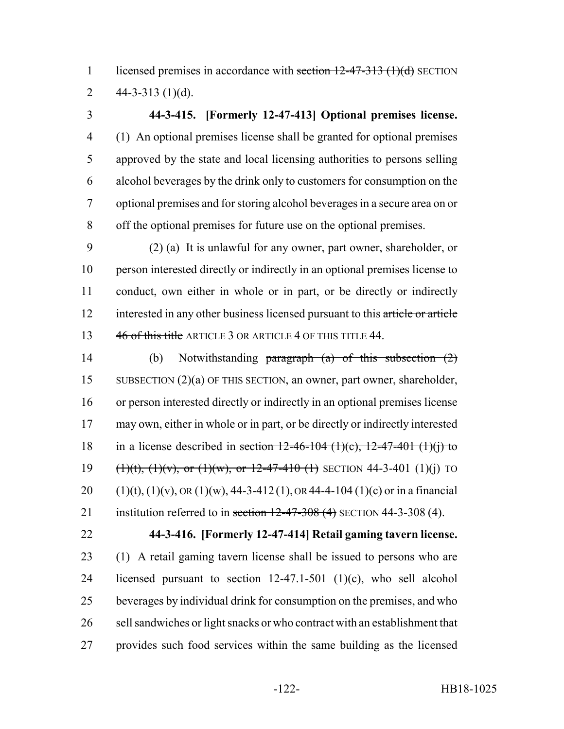1 licensed premises in accordance with section  $12-47-313$  (1)(d) SECTION 2  $44-3-313$  (1)(d).

## **44-3-415. [Formerly 12-47-413] Optional premises license.** (1) An optional premises license shall be granted for optional premises

 approved by the state and local licensing authorities to persons selling alcohol beverages by the drink only to customers for consumption on the optional premises and for storing alcohol beverages in a secure area on or off the optional premises for future use on the optional premises.

 (2) (a) It is unlawful for any owner, part owner, shareholder, or person interested directly or indirectly in an optional premises license to conduct, own either in whole or in part, or be directly or indirectly 12 interested in any other business licensed pursuant to this article or article 13 46 of this title ARTICLE 3 OR ARTICLE 4 OF THIS TITLE 44.

 (b) Notwithstanding paragraph (a) of this subsection (2) SUBSECTION (2)(a) OF THIS SECTION, an owner, part owner, shareholder, or person interested directly or indirectly in an optional premises license may own, either in whole or in part, or be directly or indirectly interested 18 in a license described in section  $12-46-104$  (1)(c),  $12-47-401$  (1)(j) to  $(1)(t)$ ,  $(1)(v)$ , or  $(1)(w)$ , or  $12-47-410$  (1) SECTION 44-3-401 (1)(j) TO 20 (1)(t), (1)(v), OR (1)(w), 44-3-412 (1), OR 44-4-104 (1)(c) or in a financial 21 institution referred to in section  $12-47-308$  (4) SECTION 44-3-308 (4).

## **44-3-416. [Formerly 12-47-414] Retail gaming tavern license.**

 (1) A retail gaming tavern license shall be issued to persons who are licensed pursuant to section 12-47.1-501 (1)(c), who sell alcohol beverages by individual drink for consumption on the premises, and who sell sandwiches or light snacks or who contract with an establishment that provides such food services within the same building as the licensed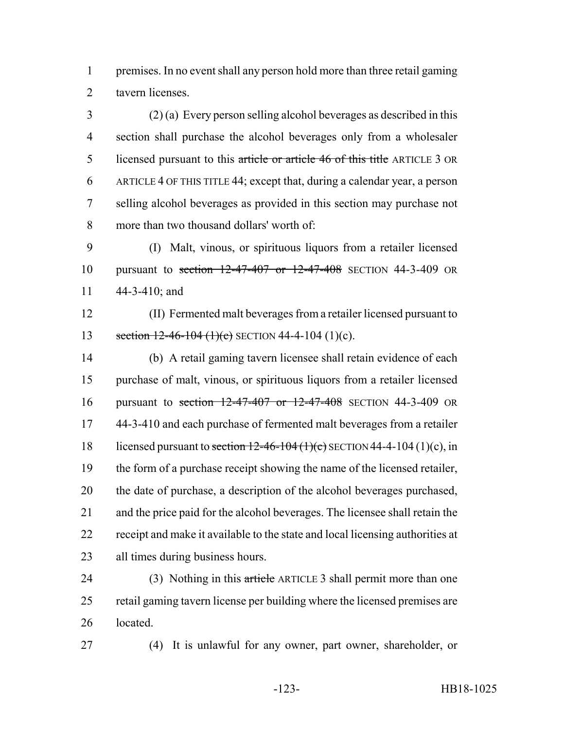premises. In no event shall any person hold more than three retail gaming tavern licenses.

 (2) (a) Every person selling alcohol beverages as described in this section shall purchase the alcohol beverages only from a wholesaler licensed pursuant to this article or article 46 of this title ARTICLE 3 OR ARTICLE 4 OF THIS TITLE 44; except that, during a calendar year, a person selling alcohol beverages as provided in this section may purchase not more than two thousand dollars' worth of:

 (I) Malt, vinous, or spirituous liquors from a retailer licensed pursuant to section 12-47-407 or 12-47-408 SECTION 44-3-409 OR 44-3-410; and

 (II) Fermented malt beverages from a retailer licensed pursuant to 13 section  $12-46-104$  (1)(c) SECTION 44-4-104 (1)(c).

 (b) A retail gaming tavern licensee shall retain evidence of each purchase of malt, vinous, or spirituous liquors from a retailer licensed pursuant to section 12-47-407 or 12-47-408 SECTION 44-3-409 OR 44-3-410 and each purchase of fermented malt beverages from a retailer 18 licensed pursuant to section  $12-46-104$  (1)(c) SECTION 44-4-104 (1)(c), in the form of a purchase receipt showing the name of the licensed retailer, the date of purchase, a description of the alcohol beverages purchased, and the price paid for the alcohol beverages. The licensee shall retain the receipt and make it available to the state and local licensing authorities at all times during business hours.

24 (3) Nothing in this article ARTICLE 3 shall permit more than one retail gaming tavern license per building where the licensed premises are located.

(4) It is unlawful for any owner, part owner, shareholder, or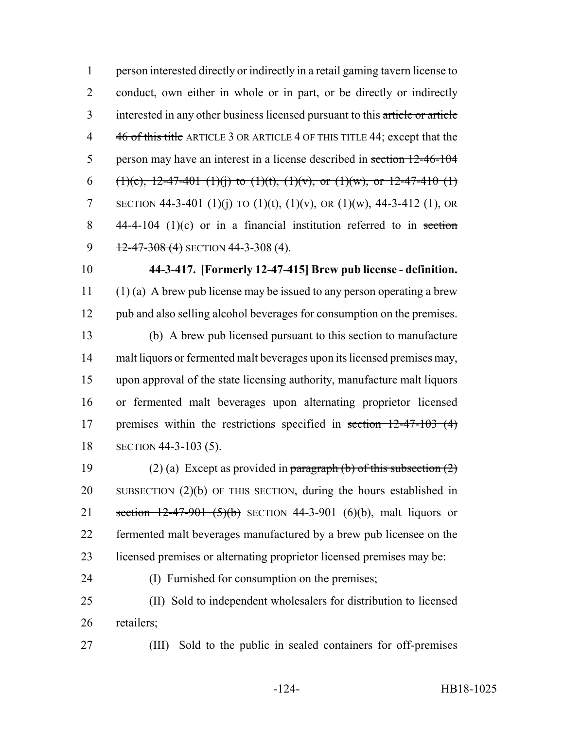1 person interested directly or indirectly in a retail gaming tavern license to 2 conduct, own either in whole or in part, or be directly or indirectly 3 interested in any other business licensed pursuant to this article or article 4 46 of this title ARTICLE 3 OR ARTICLE 4 OF THIS TITLE 44; except that the 5 person may have an interest in a license described in section 12-46-104 6 (1)(c), 12-47-401 (1)(j) to (1)(t), (1)(v), or (1)(w), or 12-47-410 (1) 7 SECTION 44-3-401 (1)(j) TO (1)(t), (1)(v), OR (1)(w), 44-3-412 (1), OR 8  $44-4-104$  (1)(c) or in a financial institution referred to in section 9  $12-47-308$  (4) SECTION 44-3-308 (4).

- 10 **44-3-417. [Formerly 12-47-415] Brew pub license definition.** 11 (1) (a) A brew pub license may be issued to any person operating a brew 12 pub and also selling alcohol beverages for consumption on the premises. 13 (b) A brew pub licensed pursuant to this section to manufacture 14 malt liquors or fermented malt beverages upon its licensed premises may,
	- 15 upon approval of the state licensing authority, manufacture malt liquors 16 or fermented malt beverages upon alternating proprietor licensed 17 premises within the restrictions specified in section 12-47-103 (4) 18 SECTION 44-3-103 (5).

19 (2) (a) Except as provided in paragraph (b) of this subsection  $(2)$ 20 SUBSECTION (2)(b) OF THIS SECTION, during the hours established in 21 section  $12-47-901$  (5)(b) SECTION 44-3-901 (6)(b), malt liquors or 22 fermented malt beverages manufactured by a brew pub licensee on the 23 licensed premises or alternating proprietor licensed premises may be:

24 (I) Furnished for consumption on the premises;

25 (II) Sold to independent wholesalers for distribution to licensed 26 retailers;

27 (III) Sold to the public in sealed containers for off-premises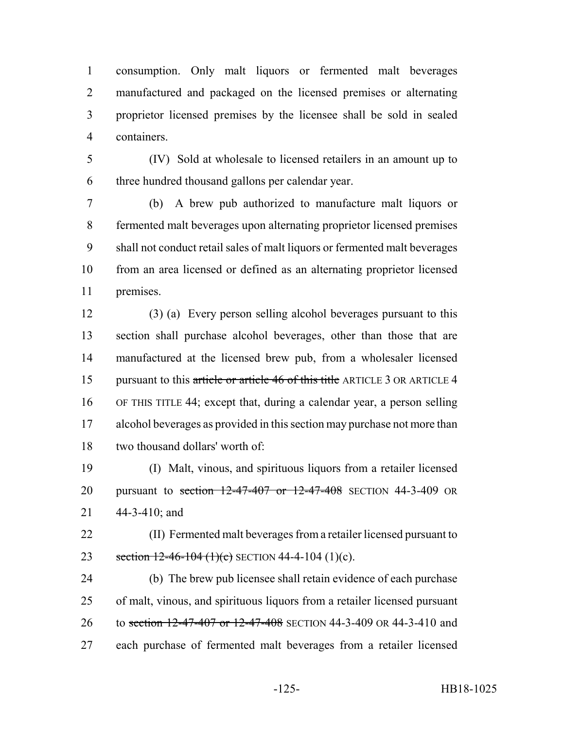consumption. Only malt liquors or fermented malt beverages manufactured and packaged on the licensed premises or alternating proprietor licensed premises by the licensee shall be sold in sealed containers.

 (IV) Sold at wholesale to licensed retailers in an amount up to three hundred thousand gallons per calendar year.

 (b) A brew pub authorized to manufacture malt liquors or fermented malt beverages upon alternating proprietor licensed premises shall not conduct retail sales of malt liquors or fermented malt beverages from an area licensed or defined as an alternating proprietor licensed premises.

 (3) (a) Every person selling alcohol beverages pursuant to this section shall purchase alcohol beverages, other than those that are manufactured at the licensed brew pub, from a wholesaler licensed 15 pursuant to this article or article 46 of this title ARTICLE 3 OR ARTICLE 4 OF THIS TITLE 44; except that, during a calendar year, a person selling alcohol beverages as provided in this section may purchase not more than two thousand dollars' worth of:

 (I) Malt, vinous, and spirituous liquors from a retailer licensed 20 pursuant to section 12-47-407 or 12-47-408 SECTION 44-3-409 OR 44-3-410; and

 (II) Fermented malt beverages from a retailer licensed pursuant to 23 section  $12-46-104$  (1)(c) SECTION 44-4-104 (1)(c).

 (b) The brew pub licensee shall retain evidence of each purchase of malt, vinous, and spirituous liquors from a retailer licensed pursuant 26 to section 12-47-407 or 12-47-408 SECTION 44-3-409 OR 44-3-410 and each purchase of fermented malt beverages from a retailer licensed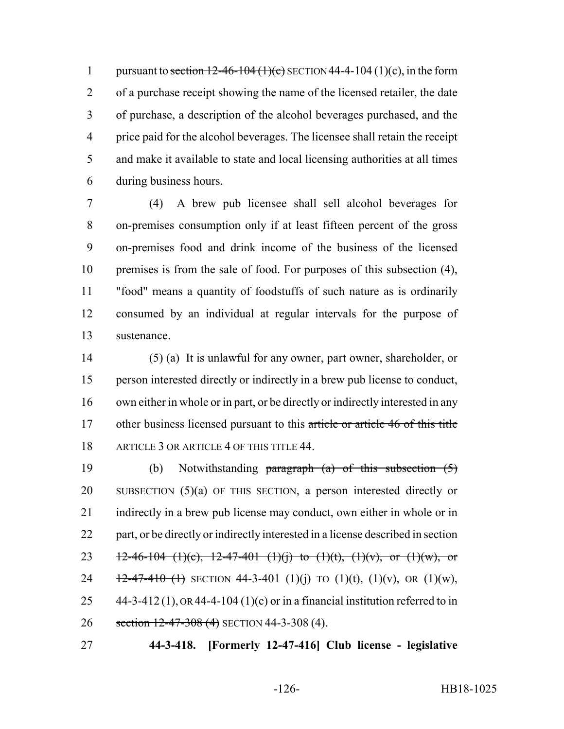1 pursuant to section  $12-46-104$  (1)(c) SECTION 44-4-104 (1)(c), in the form of a purchase receipt showing the name of the licensed retailer, the date of purchase, a description of the alcohol beverages purchased, and the price paid for the alcohol beverages. The licensee shall retain the receipt and make it available to state and local licensing authorities at all times during business hours.

 (4) A brew pub licensee shall sell alcohol beverages for on-premises consumption only if at least fifteen percent of the gross on-premises food and drink income of the business of the licensed premises is from the sale of food. For purposes of this subsection (4), "food" means a quantity of foodstuffs of such nature as is ordinarily consumed by an individual at regular intervals for the purpose of sustenance.

 (5) (a) It is unlawful for any owner, part owner, shareholder, or person interested directly or indirectly in a brew pub license to conduct, own either in whole or in part, or be directly or indirectly interested in any 17 other business licensed pursuant to this article or article 46 of this title 18 ARTICLE 3 OR ARTICLE 4 OF THIS TITLE 44.

 (b) Notwithstanding paragraph (a) of this subsection (5) SUBSECTION (5)(a) OF THIS SECTION, a person interested directly or indirectly in a brew pub license may conduct, own either in whole or in part, or be directly or indirectly interested in a license described in section 23 12-46-104 (1)(c), 12-47-401 (1)(j) to (1)(t), (1)(v), or (1)(w), or  $\frac{12-47-410}{11}$  SECTION 44-3-401 (1)(i) TO (1)(t), (1)(v), OR (1)(w),  $44-3-412(1)$ , OR 44-4-104 (1)(c) or in a financial institution referred to in 26 section 12-47-308 (4) SECTION 44-3-308 (4).

**44-3-418. [Formerly 12-47-416] Club license - legislative**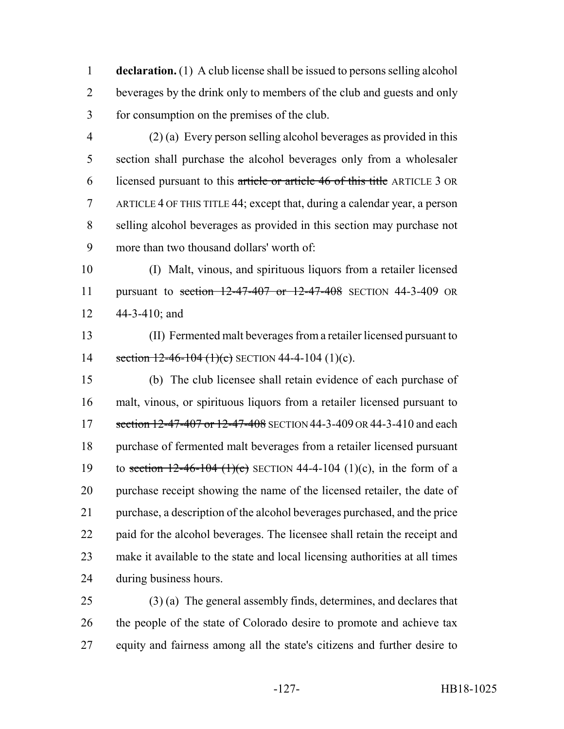**declaration.** (1) A club license shall be issued to persons selling alcohol beverages by the drink only to members of the club and guests and only for consumption on the premises of the club.

 (2) (a) Every person selling alcohol beverages as provided in this section shall purchase the alcohol beverages only from a wholesaler licensed pursuant to this article or article 46 of this title ARTICLE 3 OR ARTICLE 4 OF THIS TITLE 44; except that, during a calendar year, a person selling alcohol beverages as provided in this section may purchase not more than two thousand dollars' worth of:

 (I) Malt, vinous, and spirituous liquors from a retailer licensed 11 pursuant to section 12-47-407 or 12-47-408 SECTION 44-3-409 OR 44-3-410; and

 (II) Fermented malt beverages from a retailer licensed pursuant to 14 section  $12-46-104$  (1)(c) SECTION 44-4-104 (1)(c).

 (b) The club licensee shall retain evidence of each purchase of malt, vinous, or spirituous liquors from a retailer licensed pursuant to 17 section 12-47-407 or 12-47-408 SECTION 44-3-409 OR 44-3-410 and each purchase of fermented malt beverages from a retailer licensed pursuant 19 to section  $12-46-104$  (1)(c) SECTION 44-4-104 (1)(c), in the form of a purchase receipt showing the name of the licensed retailer, the date of purchase, a description of the alcohol beverages purchased, and the price paid for the alcohol beverages. The licensee shall retain the receipt and make it available to the state and local licensing authorities at all times during business hours.

 (3) (a) The general assembly finds, determines, and declares that 26 the people of the state of Colorado desire to promote and achieve tax equity and fairness among all the state's citizens and further desire to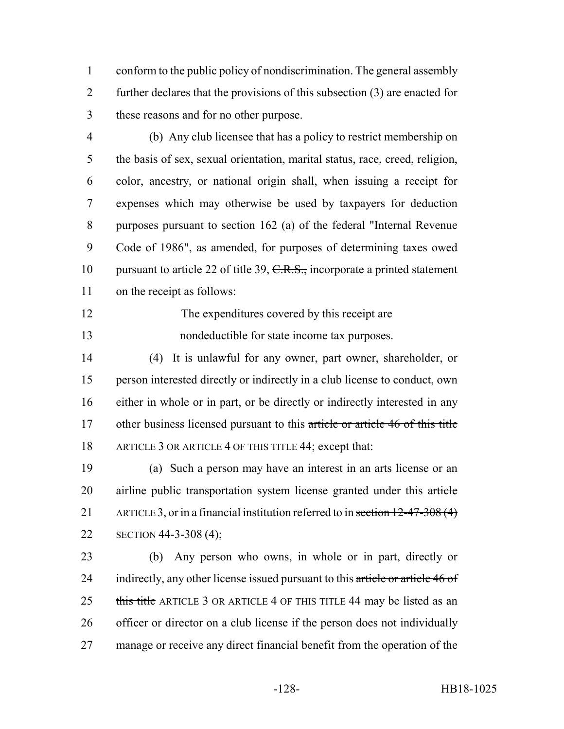conform to the public policy of nondiscrimination. The general assembly further declares that the provisions of this subsection (3) are enacted for these reasons and for no other purpose.

- (b) Any club licensee that has a policy to restrict membership on the basis of sex, sexual orientation, marital status, race, creed, religion, color, ancestry, or national origin shall, when issuing a receipt for expenses which may otherwise be used by taxpayers for deduction purposes pursuant to section 162 (a) of the federal "Internal Revenue Code of 1986", as amended, for purposes of determining taxes owed 10 pursuant to article 22 of title 39, C.R.S., incorporate a printed statement on the receipt as follows:
- 12 The expenditures covered by this receipt are nondeductible for state income tax purposes.
- (4) It is unlawful for any owner, part owner, shareholder, or person interested directly or indirectly in a club license to conduct, own either in whole or in part, or be directly or indirectly interested in any 17 other business licensed pursuant to this article or article 46 of this title 18 ARTICLE 3 OR ARTICLE 4 OF THIS TITLE 44; except that:
- (a) Such a person may have an interest in an arts license or an 20 airline public transportation system license granted under this article 21 ARTICLE 3, or in a financial institution referred to in section 12-47-308 (4) SECTION 44-3-308 (4);

 (b) Any person who owns, in whole or in part, directly or 24 indirectly, any other license issued pursuant to this article or article 46 of 25 this title ARTICLE 3 OR ARTICLE 4 OF THIS TITLE 44 may be listed as an officer or director on a club license if the person does not individually manage or receive any direct financial benefit from the operation of the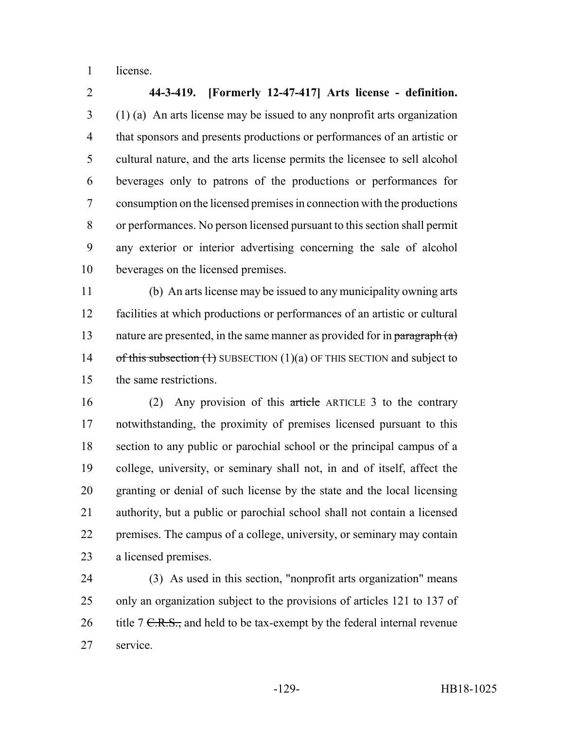license.

 **44-3-419. [Formerly 12-47-417] Arts license - definition.** (1) (a) An arts license may be issued to any nonprofit arts organization that sponsors and presents productions or performances of an artistic or cultural nature, and the arts license permits the licensee to sell alcohol beverages only to patrons of the productions or performances for consumption on the licensed premises in connection with the productions or performances. No person licensed pursuant to this section shall permit any exterior or interior advertising concerning the sale of alcohol beverages on the licensed premises.

 (b) An arts license may be issued to any municipality owning arts facilities at which productions or performances of an artistic or cultural 13 nature are presented, in the same manner as provided for in paragraph  $(a)$ 14 of this subsection  $(1)$  SUBSECTION  $(1)(a)$  OF THIS SECTION and subject to the same restrictions.

16 (2) Any provision of this article ARTICLE 3 to the contrary notwithstanding, the proximity of premises licensed pursuant to this section to any public or parochial school or the principal campus of a college, university, or seminary shall not, in and of itself, affect the granting or denial of such license by the state and the local licensing authority, but a public or parochial school shall not contain a licensed premises. The campus of a college, university, or seminary may contain a licensed premises.

 (3) As used in this section, "nonprofit arts organization" means only an organization subject to the provisions of articles 121 to 137 of 26 title  $7 \text{ C.R.S.}$ , and held to be tax-exempt by the federal internal revenue service.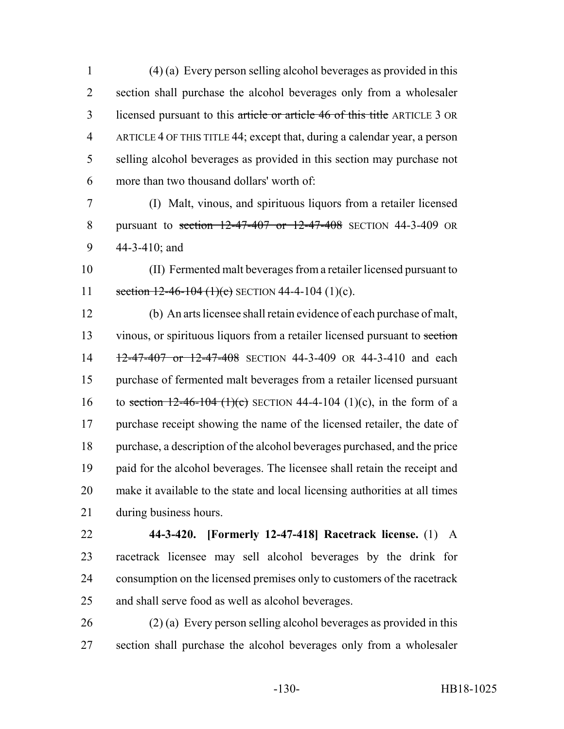(4) (a) Every person selling alcohol beverages as provided in this section shall purchase the alcohol beverages only from a wholesaler licensed pursuant to this article or article 46 of this title ARTICLE 3 OR ARTICLE 4 OF THIS TITLE 44; except that, during a calendar year, a person selling alcohol beverages as provided in this section may purchase not more than two thousand dollars' worth of:

 (I) Malt, vinous, and spirituous liquors from a retailer licensed pursuant to section 12-47-407 or 12-47-408 SECTION 44-3-409 OR 44-3-410; and

 (II) Fermented malt beverages from a retailer licensed pursuant to 11 section  $12-46-104$  (1)(c) SECTION 44-4-104 (1)(c).

 (b) An arts licensee shall retain evidence of each purchase of malt, 13 vinous, or spirituous liquors from a retailer licensed pursuant to section 14 12-47-407 or 12-47-408 SECTION 44-3-409 OR 44-3-410 and each purchase of fermented malt beverages from a retailer licensed pursuant 16 to section  $12-46-104$  (1)(c) SECTION 44-4-104 (1)(c), in the form of a 17 purchase receipt showing the name of the licensed retailer, the date of purchase, a description of the alcohol beverages purchased, and the price paid for the alcohol beverages. The licensee shall retain the receipt and make it available to the state and local licensing authorities at all times during business hours.

 **44-3-420. [Formerly 12-47-418] Racetrack license.** (1) A racetrack licensee may sell alcohol beverages by the drink for consumption on the licensed premises only to customers of the racetrack and shall serve food as well as alcohol beverages.

 (2) (a) Every person selling alcohol beverages as provided in this section shall purchase the alcohol beverages only from a wholesaler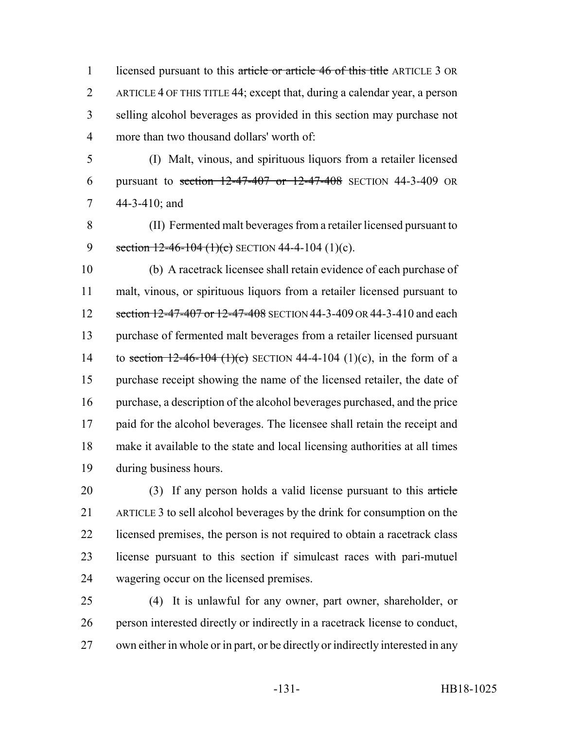1 licensed pursuant to this article or article 46 of this title ARTICLE 3 OR ARTICLE 4 OF THIS TITLE 44; except that, during a calendar year, a person selling alcohol beverages as provided in this section may purchase not more than two thousand dollars' worth of:

 (I) Malt, vinous, and spirituous liquors from a retailer licensed pursuant to section 12-47-407 or 12-47-408 SECTION 44-3-409 OR 44-3-410; and

 (II) Fermented malt beverages from a retailer licensed pursuant to 9 section  $12-46-104$  (1)(e) SECTION 44-4-104 (1)(c).

 (b) A racetrack licensee shall retain evidence of each purchase of malt, vinous, or spirituous liquors from a retailer licensed pursuant to 12 section 12-47-407 or 12-47-408 SECTION 44-3-409 OR 44-3-410 and each purchase of fermented malt beverages from a retailer licensed pursuant 14 to section  $12-46-104$  (1)(c) SECTION 44-4-104 (1)(c), in the form of a purchase receipt showing the name of the licensed retailer, the date of purchase, a description of the alcohol beverages purchased, and the price paid for the alcohol beverages. The licensee shall retain the receipt and make it available to the state and local licensing authorities at all times during business hours.

20 (3) If any person holds a valid license pursuant to this article ARTICLE 3 to sell alcohol beverages by the drink for consumption on the licensed premises, the person is not required to obtain a racetrack class license pursuant to this section if simulcast races with pari-mutuel wagering occur on the licensed premises.

 (4) It is unlawful for any owner, part owner, shareholder, or person interested directly or indirectly in a racetrack license to conduct, own either in whole or in part, or be directly or indirectly interested in any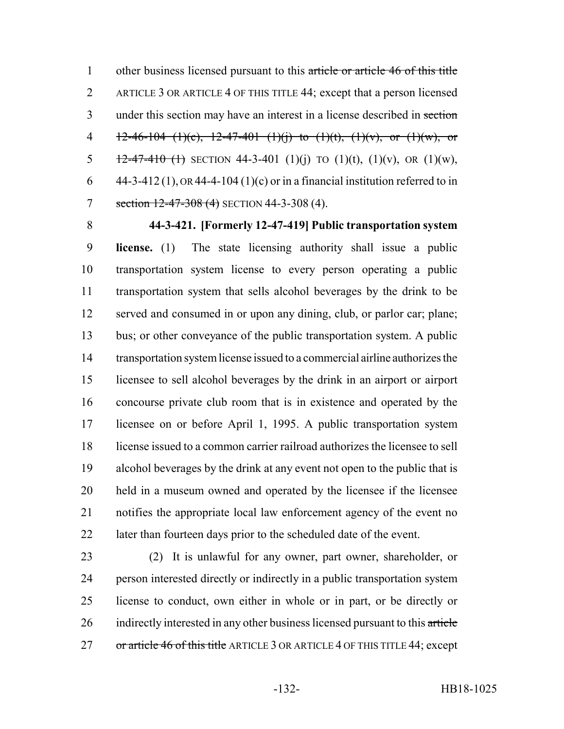1 other business licensed pursuant to this article or article 46 of this title ARTICLE 3 OR ARTICLE 4 OF THIS TITLE 44; except that a person licensed 3 under this section may have an interest in a license described in section 4 12-46-104 (1)(c), 12-47-401 (1)(j) to (1)(t), (1)(v), or (1)(w), or 5  $\frac{12-47-410(t)}{t}$  SECTION 44-3-401 (1)(i) TO (1)(t), (1)(v), OR (1)(w), 6 44-3-412 (1), OR 44-4-104 (1)(c) or in a financial institution referred to in 7 section 12-47-308 (4) SECTION 44-3-308 (4).

 **44-3-421. [Formerly 12-47-419] Public transportation system license.** (1) The state licensing authority shall issue a public transportation system license to every person operating a public transportation system that sells alcohol beverages by the drink to be served and consumed in or upon any dining, club, or parlor car; plane; bus; or other conveyance of the public transportation system. A public transportation system license issued to a commercial airline authorizes the licensee to sell alcohol beverages by the drink in an airport or airport concourse private club room that is in existence and operated by the licensee on or before April 1, 1995. A public transportation system

 license issued to a common carrier railroad authorizes the licensee to sell alcohol beverages by the drink at any event not open to the public that is held in a museum owned and operated by the licensee if the licensee notifies the appropriate local law enforcement agency of the event no later than fourteen days prior to the scheduled date of the event.

 (2) It is unlawful for any owner, part owner, shareholder, or person interested directly or indirectly in a public transportation system license to conduct, own either in whole or in part, or be directly or 26 indirectly interested in any other business licensed pursuant to this article 27 or article 46 of this title ARTICLE 3 OR ARTICLE 4 OF THIS TITLE 44; except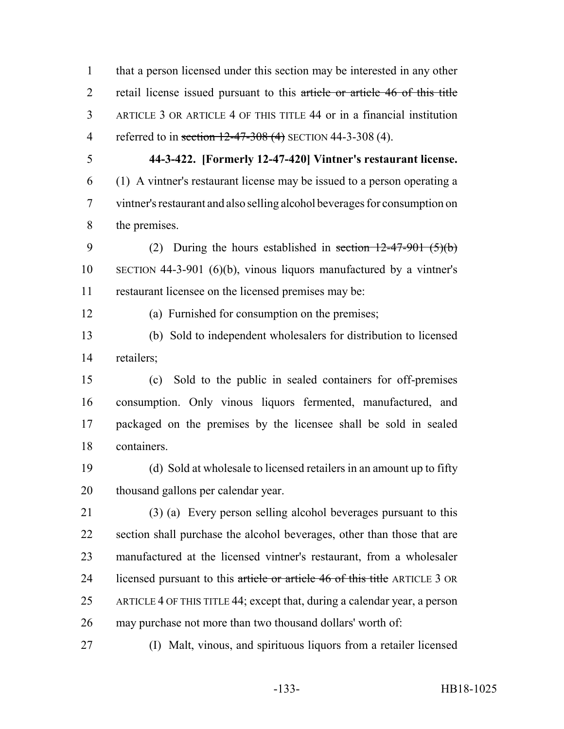that a person licensed under this section may be interested in any other 2 retail license issued pursuant to this article or article 46 of this title ARTICLE 3 OR ARTICLE 4 OF THIS TITLE 44 or in a financial institution 4 referred to in section 12-47-308 (4) SECTION 44-3-308 (4).

 **44-3-422. [Formerly 12-47-420] Vintner's restaurant license.** (1) A vintner's restaurant license may be issued to a person operating a vintner's restaurant and also selling alcohol beverages for consumption on the premises.

9 (2) During the hours established in section  $12-47-901$  (5)(b) SECTION 44-3-901 (6)(b), vinous liquors manufactured by a vintner's restaurant licensee on the licensed premises may be:

(a) Furnished for consumption on the premises;

 (b) Sold to independent wholesalers for distribution to licensed retailers;

 (c) Sold to the public in sealed containers for off-premises consumption. Only vinous liquors fermented, manufactured, and packaged on the premises by the licensee shall be sold in sealed containers.

 (d) Sold at wholesale to licensed retailers in an amount up to fifty thousand gallons per calendar year.

 (3) (a) Every person selling alcohol beverages pursuant to this section shall purchase the alcohol beverages, other than those that are manufactured at the licensed vintner's restaurant, from a wholesaler 24 licensed pursuant to this article or article 46 of this title ARTICLE 3 OR ARTICLE 4 OF THIS TITLE 44; except that, during a calendar year, a person may purchase not more than two thousand dollars' worth of:

(I) Malt, vinous, and spirituous liquors from a retailer licensed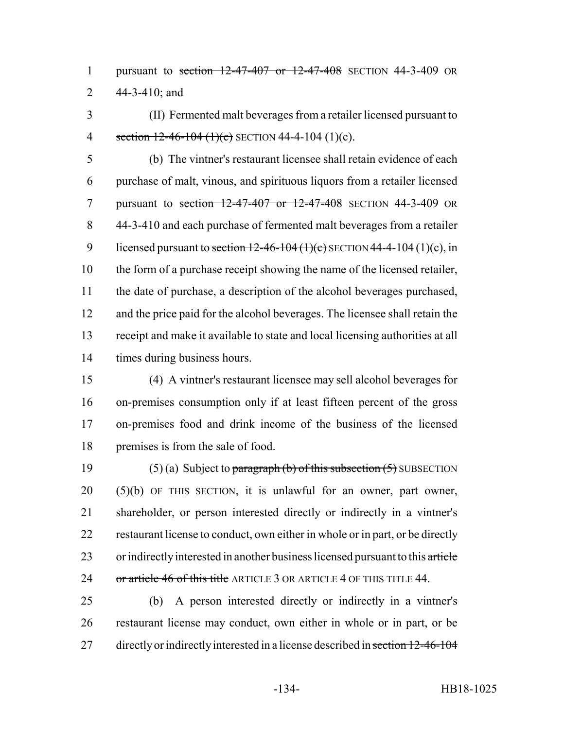pursuant to section 12-47-407 or 12-47-408 SECTION 44-3-409 OR 44-3-410; and

 (II) Fermented malt beverages from a retailer licensed pursuant to 4 section  $12-46-104$  (1)(c) SECTION 44-4-104 (1)(c).

 (b) The vintner's restaurant licensee shall retain evidence of each purchase of malt, vinous, and spirituous liquors from a retailer licensed pursuant to section 12-47-407 or 12-47-408 SECTION 44-3-409 OR 44-3-410 and each purchase of fermented malt beverages from a retailer 9 licensed pursuant to section  $12-46-104(1)(c)$  SECTION 44-4-104 (1)(c), in the form of a purchase receipt showing the name of the licensed retailer, the date of purchase, a description of the alcohol beverages purchased, and the price paid for the alcohol beverages. The licensee shall retain the receipt and make it available to state and local licensing authorities at all times during business hours.

 (4) A vintner's restaurant licensee may sell alcohol beverages for on-premises consumption only if at least fifteen percent of the gross on-premises food and drink income of the business of the licensed premises is from the sale of food.

19 (5) (a) Subject to paragraph (b) of this subsection  $(5)$  SUBSECTION (5)(b) OF THIS SECTION, it is unlawful for an owner, part owner, shareholder, or person interested directly or indirectly in a vintner's restaurant license to conduct, own either in whole or in part, or be directly 23 or indirectly interested in another business licensed pursuant to this article 24 or article 46 of this title ARTICLE 3 OR ARTICLE 4 OF THIS TITLE 44.

 (b) A person interested directly or indirectly in a vintner's restaurant license may conduct, own either in whole or in part, or be 27 directly or indirectly interested in a license described in section 12-46-104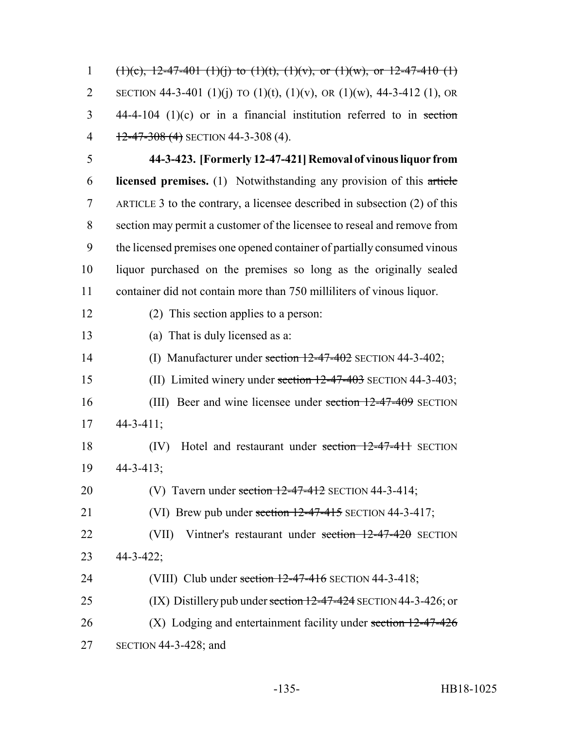1 (1)(c), 12-47-401 (1)(j) to (1)(t), (1)(v), or (1)(w), or 12-47-410 (1) 2 SECTION 44-3-401 (1)(j) TO (1)(t), (1)(v), OR (1)(w), 44-3-412 (1), OR 44-4-104 (1)(c) or in a financial institution referred to in section  $\frac{12-47-308}{4}$  SECTION 44-3-308 (4). **44-3-423. [Formerly 12-47-421] Removal of vinous liquor from licensed premises.** (1) Notwithstanding any provision of this article ARTICLE 3 to the contrary, a licensee described in subsection (2) of this section may permit a customer of the licensee to reseal and remove from the licensed premises one opened container of partially consumed vinous liquor purchased on the premises so long as the originally sealed container did not contain more than 750 milliliters of vinous liquor. (2) This section applies to a person: (a) That is duly licensed as a: (I) Manufacturer under section 12-47-402 SECTION 44-3-402; (II) Limited winery under section 12-47-403 SECTION 44-3-403; 16 (III) Beer and wine licensee under section 12-47-409 SECTION  $17 \quad 44 - 3 - 411$ ; (IV) Hotel and restaurant under section 12-47-411 SECTION 44-3-413; 20 (V) Tavern under section  $12-47-412$  SECTION 44-3-414; 21 (VI) Brew pub under section 12-47-415 SECTION 44-3-417; 22 (VII) Vintner's restaurant under section 12-47-420 SECTION 44-3-422; 24 (VIII) Club under section 12-47-416 SECTION 44-3-418; 25 (IX) Distillery pub under section 12-47-424 SECTION 44-3-426; or 26 (X) Lodging and entertainment facility under section 12-47-426 SECTION 44-3-428; and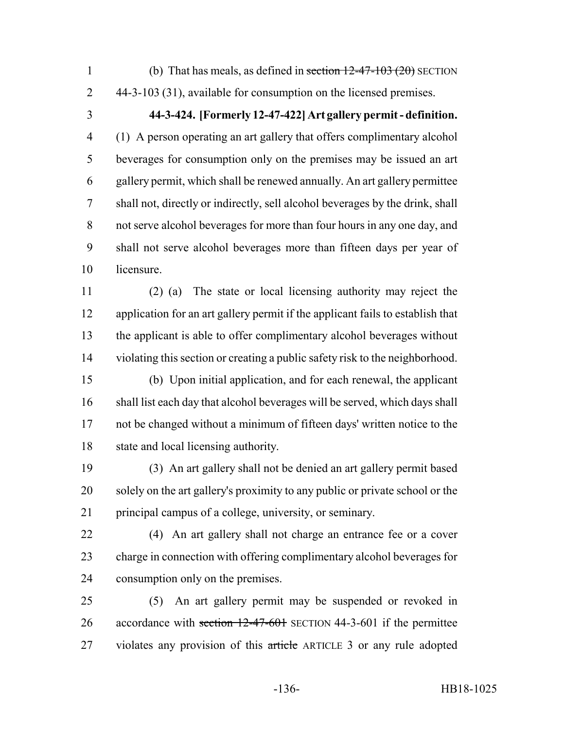- 
- 1 (b) That has meals, as defined in section  $12-47-103(20)$  SECTION 44-3-103 (31), available for consumption on the licensed premises.
- 

## **44-3-424. [Formerly 12-47-422] Art gallery permit - definition.**

 (1) A person operating an art gallery that offers complimentary alcohol beverages for consumption only on the premises may be issued an art gallery permit, which shall be renewed annually. An art gallery permittee shall not, directly or indirectly, sell alcohol beverages by the drink, shall not serve alcohol beverages for more than four hours in any one day, and shall not serve alcohol beverages more than fifteen days per year of licensure.

 (2) (a) The state or local licensing authority may reject the application for an art gallery permit if the applicant fails to establish that the applicant is able to offer complimentary alcohol beverages without violating this section or creating a public safety risk to the neighborhood.

 (b) Upon initial application, and for each renewal, the applicant shall list each day that alcohol beverages will be served, which days shall not be changed without a minimum of fifteen days' written notice to the state and local licensing authority.

 (3) An art gallery shall not be denied an art gallery permit based solely on the art gallery's proximity to any public or private school or the principal campus of a college, university, or seminary.

 (4) An art gallery shall not charge an entrance fee or a cover charge in connection with offering complimentary alcohol beverages for consumption only on the premises.

 (5) An art gallery permit may be suspended or revoked in 26 accordance with section 12-47-601 SECTION 44-3-601 if the permittee 27 violates any provision of this article ARTICLE 3 or any rule adopted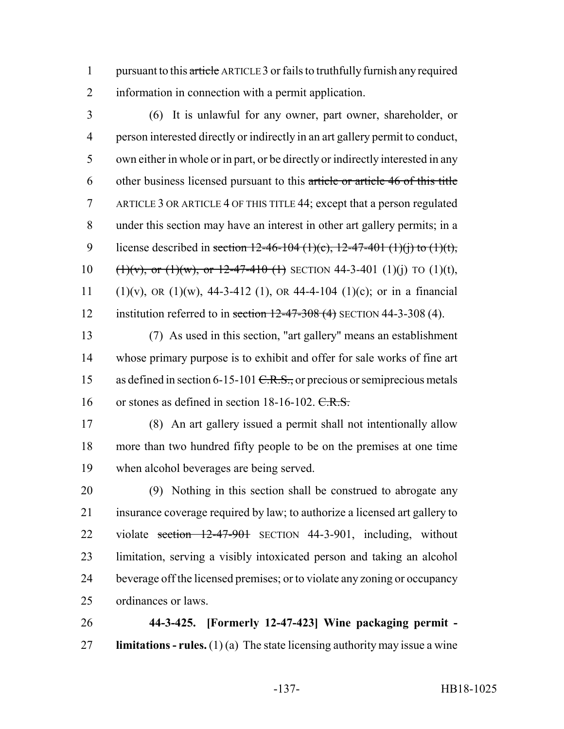1 pursuant to this article ARTICLE 3 or fails to truthfully furnish any required information in connection with a permit application.

 (6) It is unlawful for any owner, part owner, shareholder, or person interested directly or indirectly in an art gallery permit to conduct, own either in whole or in part, or be directly or indirectly interested in any other business licensed pursuant to this article or article 46 of this title ARTICLE 3 OR ARTICLE 4 OF THIS TITLE 44; except that a person regulated under this section may have an interest in other art gallery permits; in a 9 license described in section  $12-46-104$  (1)(c),  $12-47-401$  (1)(j) to (1)(t), 10 (1)(v), or (1)(w), or 12-47-410 (1) SECTION 44-3-401 (1)(j) TO (1)(t), 11 (1)(v), OR (1)(w), 44-3-412 (1), OR 44-4-104 (1)(c); or in a financial 12 institution referred to in section  $12-47-308$  (4) SECTION 44-3-308 (4).

 (7) As used in this section, "art gallery" means an establishment whose primary purpose is to exhibit and offer for sale works of fine art 15 as defined in section 6-15-101 <del>C.R.S.,</del> or precious or semiprecious metals 16 or stones as defined in section 18-16-102. C.R.S.

 (8) An art gallery issued a permit shall not intentionally allow more than two hundred fifty people to be on the premises at one time when alcohol beverages are being served.

 (9) Nothing in this section shall be construed to abrogate any insurance coverage required by law; to authorize a licensed art gallery to 22 violate section 12-47-901 SECTION 44-3-901, including, without limitation, serving a visibly intoxicated person and taking an alcohol beverage off the licensed premises; or to violate any zoning or occupancy ordinances or laws.

 **44-3-425. [Formerly 12-47-423] Wine packaging permit - limitations - rules.** (1) (a) The state licensing authority may issue a wine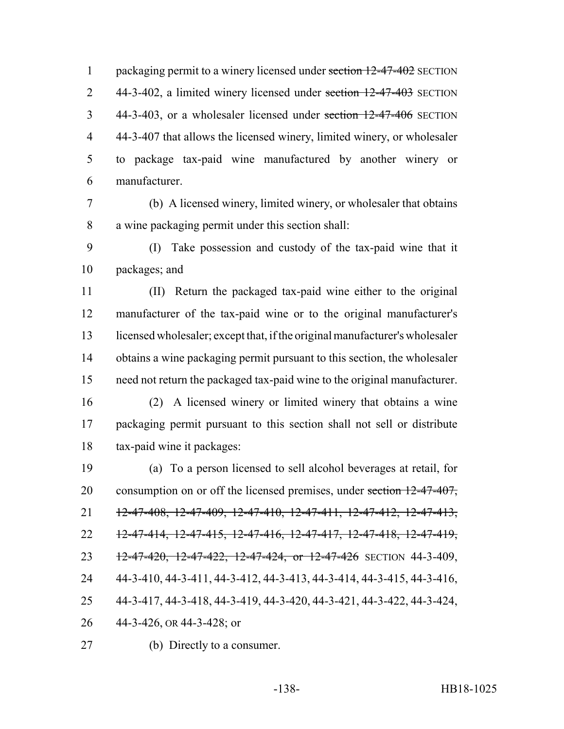1 packaging permit to a winery licensed under section 12-47-402 SECTION 2 44-3-402, a limited winery licensed under section 12-47-403 SECTION 44-3-403, or a wholesaler licensed under section 12-47-406 SECTION 44-3-407 that allows the licensed winery, limited winery, or wholesaler to package tax-paid wine manufactured by another winery or manufacturer.

 (b) A licensed winery, limited winery, or wholesaler that obtains a wine packaging permit under this section shall:

 (I) Take possession and custody of the tax-paid wine that it packages; and

 (II) Return the packaged tax-paid wine either to the original manufacturer of the tax-paid wine or to the original manufacturer's licensed wholesaler; except that, if the original manufacturer's wholesaler obtains a wine packaging permit pursuant to this section, the wholesaler need not return the packaged tax-paid wine to the original manufacturer.

 (2) A licensed winery or limited winery that obtains a wine packaging permit pursuant to this section shall not sell or distribute tax-paid wine it packages:

 (a) To a person licensed to sell alcohol beverages at retail, for 20 consumption on or off the licensed premises, under section 12-47-407, 21 12-47-408, 12-47-409, 12-47-410, 12-47-411, 12-47-412, 12-47-413, 12-47-414, 12-47-415, 12-47-416, 12-47-417, 12-47-418, 12-47-419, 23 12-47-420, 12-47-422, 12-47-424, or 12-47-426 SECTION 44-3-409, 44-3-410, 44-3-411, 44-3-412, 44-3-413, 44-3-414, 44-3-415, 44-3-416, 44-3-417, 44-3-418, 44-3-419, 44-3-420, 44-3-421, 44-3-422, 44-3-424, 44-3-426, OR 44-3-428; or

(b) Directly to a consumer.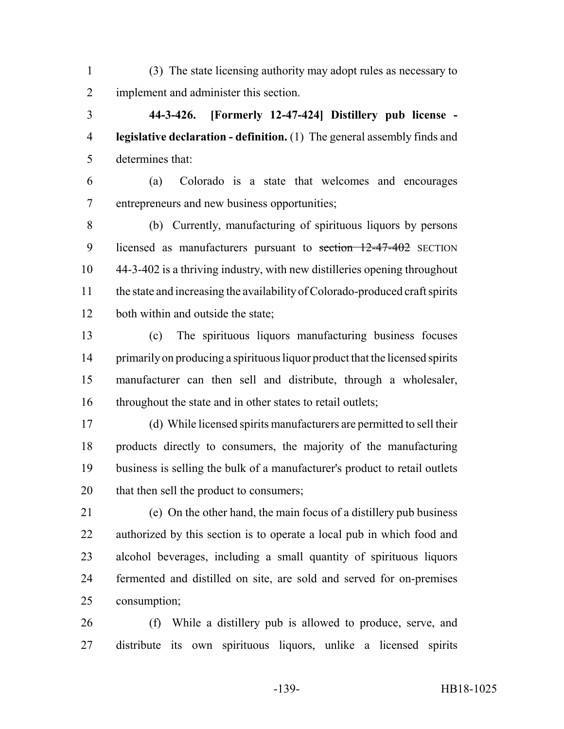(3) The state licensing authority may adopt rules as necessary to implement and administer this section.

 **44-3-426. [Formerly 12-47-424] Distillery pub license - legislative declaration - definition.** (1) The general assembly finds and determines that:

 (a) Colorado is a state that welcomes and encourages entrepreneurs and new business opportunities;

 (b) Currently, manufacturing of spirituous liquors by persons 9 licensed as manufacturers pursuant to section 12-47-402 SECTION 44-3-402 is a thriving industry, with new distilleries opening throughout the state and increasing the availability of Colorado-produced craft spirits 12 both within and outside the state;

 (c) The spirituous liquors manufacturing business focuses primarily on producing a spirituous liquor product that the licensed spirits manufacturer can then sell and distribute, through a wholesaler, 16 throughout the state and in other states to retail outlets;

 (d) While licensed spirits manufacturers are permitted to sell their products directly to consumers, the majority of the manufacturing business is selling the bulk of a manufacturer's product to retail outlets 20 that then sell the product to consumers;

 (e) On the other hand, the main focus of a distillery pub business authorized by this section is to operate a local pub in which food and alcohol beverages, including a small quantity of spirituous liquors fermented and distilled on site, are sold and served for on-premises consumption;

 (f) While a distillery pub is allowed to produce, serve, and distribute its own spirituous liquors, unlike a licensed spirits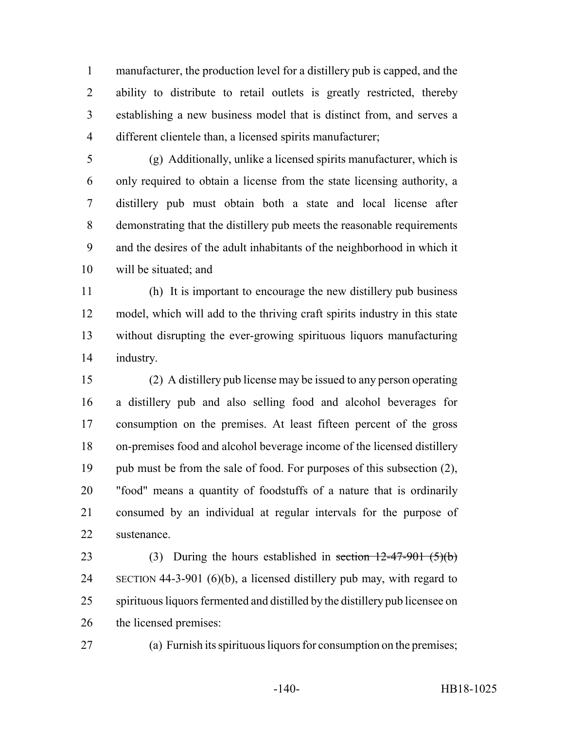manufacturer, the production level for a distillery pub is capped, and the ability to distribute to retail outlets is greatly restricted, thereby establishing a new business model that is distinct from, and serves a different clientele than, a licensed spirits manufacturer;

 (g) Additionally, unlike a licensed spirits manufacturer, which is only required to obtain a license from the state licensing authority, a distillery pub must obtain both a state and local license after demonstrating that the distillery pub meets the reasonable requirements and the desires of the adult inhabitants of the neighborhood in which it will be situated; and

 (h) It is important to encourage the new distillery pub business model, which will add to the thriving craft spirits industry in this state without disrupting the ever-growing spirituous liquors manufacturing industry.

 (2) A distillery pub license may be issued to any person operating a distillery pub and also selling food and alcohol beverages for consumption on the premises. At least fifteen percent of the gross on-premises food and alcohol beverage income of the licensed distillery 19 pub must be from the sale of food. For purposes of this subsection (2), "food" means a quantity of foodstuffs of a nature that is ordinarily consumed by an individual at regular intervals for the purpose of sustenance.

23 (3) During the hours established in section  $12-47-901$  (5)(b) SECTION 44-3-901 (6)(b), a licensed distillery pub may, with regard to spirituous liquors fermented and distilled by the distillery pub licensee on the licensed premises:

(a) Furnish its spirituous liquors for consumption on the premises;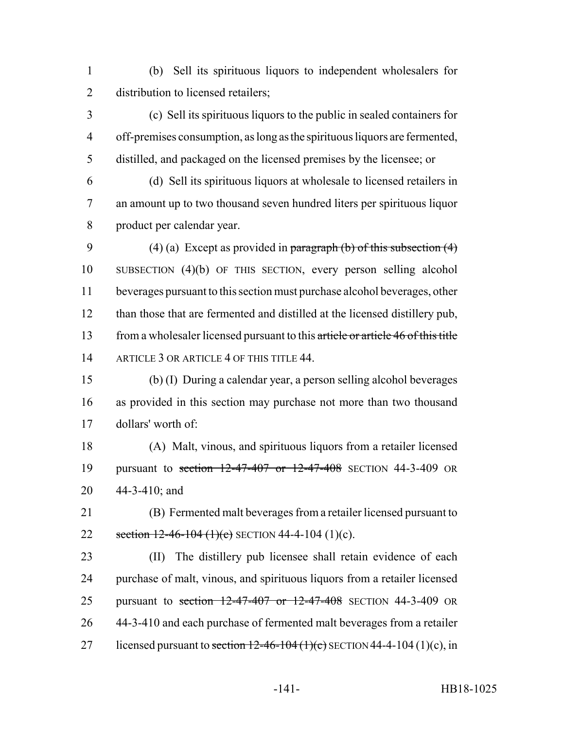(b) Sell its spirituous liquors to independent wholesalers for 2 distribution to licensed retailers;

 (c) Sell its spirituous liquors to the public in sealed containers for off-premises consumption, as long as the spirituous liquors are fermented, distilled, and packaged on the licensed premises by the licensee; or

 (d) Sell its spirituous liquors at wholesale to licensed retailers in an amount up to two thousand seven hundred liters per spirituous liquor product per calendar year.

9 (4) (a) Except as provided in paragraph (b) of this subsection  $(4)$  SUBSECTION (4)(b) OF THIS SECTION, every person selling alcohol beverages pursuant to this section must purchase alcohol beverages, other than those that are fermented and distilled at the licensed distillery pub, 13 from a wholesaler licensed pursuant to this article or article 46 of this title 14 ARTICLE 3 OR ARTICLE 4 OF THIS TITLE 44.

- (b) (I) During a calendar year, a person selling alcohol beverages as provided in this section may purchase not more than two thousand dollars' worth of:
- (A) Malt, vinous, and spirituous liquors from a retailer licensed pursuant to section 12-47-407 or 12-47-408 SECTION 44-3-409 OR 44-3-410; and
- (B) Fermented malt beverages from a retailer licensed pursuant to 22 section  $12-46-104$  (1)(c) SECTION 44-4-104 (1)(c).
- (II) The distillery pub licensee shall retain evidence of each purchase of malt, vinous, and spirituous liquors from a retailer licensed pursuant to section 12-47-407 or 12-47-408 SECTION 44-3-409 OR 44-3-410 and each purchase of fermented malt beverages from a retailer 27 licensed pursuant to section  $12-46-104(1)(c)$  SECTION 44-4-104 (1)(c), in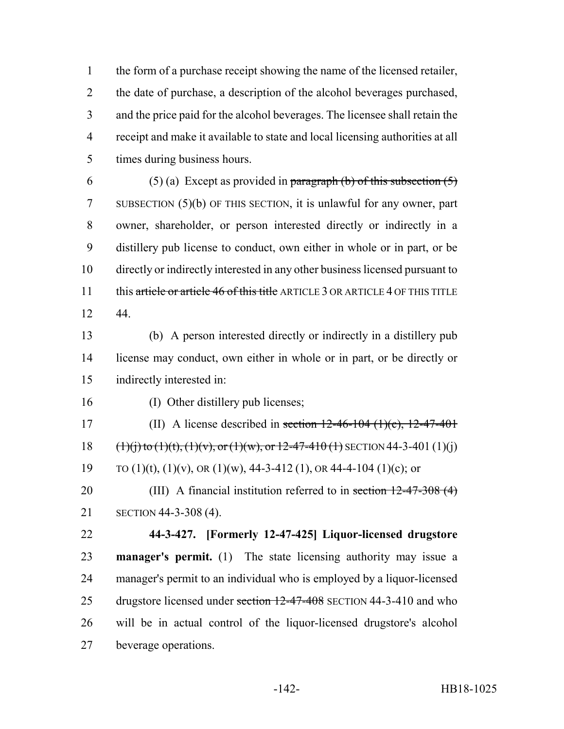the form of a purchase receipt showing the name of the licensed retailer, the date of purchase, a description of the alcohol beverages purchased, and the price paid for the alcohol beverages. The licensee shall retain the receipt and make it available to state and local licensing authorities at all times during business hours.

6 (5) (a) Except as provided in paragraph (b) of this subsection  $(5)$  SUBSECTION (5)(b) OF THIS SECTION, it is unlawful for any owner, part owner, shareholder, or person interested directly or indirectly in a distillery pub license to conduct, own either in whole or in part, or be directly or indirectly interested in any other business licensed pursuant to 11 this article or article 46 of this title ARTICLE 3 OR ARTICLE 4 OF THIS TITLE 44.

 (b) A person interested directly or indirectly in a distillery pub license may conduct, own either in whole or in part, or be directly or indirectly interested in:

(I) Other distillery pub licenses;

17 (II) A license described in section  $12-46-104$  (1)(c),  $12-47-401$ 18  $(1)(i)$  to  $(1)(t)$ ,  $(1)(v)$ , or  $(1)(w)$ , or  $12-47-410(1)$  SECTION 44-3-401 (1)(j) 19 TO (1)(t), (1)(v), OR (1)(w),  $44-3-412$  (1), OR  $44-4-104$  (1)(c); or

20 (III) A financial institution referred to in section 12-47-308 (4) SECTION 44-3-308 (4).

 **44-3-427. [Formerly 12-47-425] Liquor-licensed drugstore manager's permit.** (1) The state licensing authority may issue a manager's permit to an individual who is employed by a liquor-licensed 25 drugstore licensed under section 12-47-408 SECTION 44-3-410 and who will be in actual control of the liquor-licensed drugstore's alcohol beverage operations.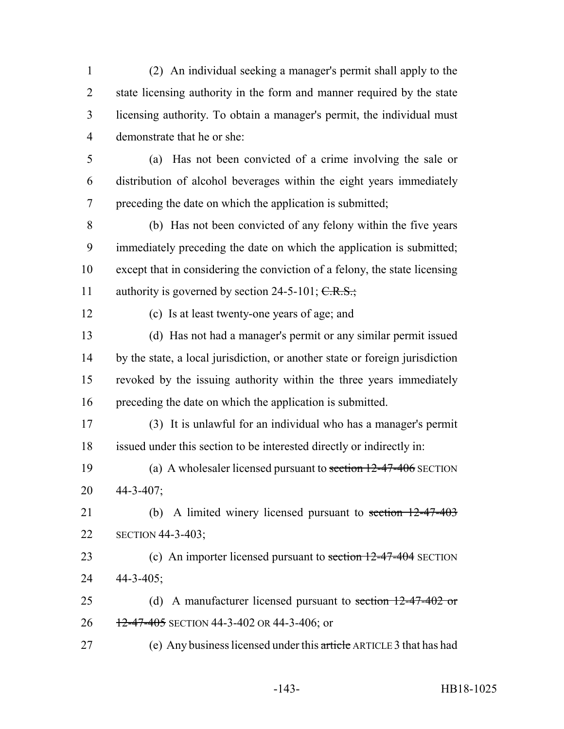(2) An individual seeking a manager's permit shall apply to the state licensing authority in the form and manner required by the state licensing authority. To obtain a manager's permit, the individual must demonstrate that he or she:

 (a) Has not been convicted of a crime involving the sale or distribution of alcohol beverages within the eight years immediately preceding the date on which the application is submitted;

 (b) Has not been convicted of any felony within the five years immediately preceding the date on which the application is submitted; except that in considering the conviction of a felony, the state licensing 11 authority is governed by section 24-5-101;  $C.R.S.:$ 

(c) Is at least twenty-one years of age; and

 (d) Has not had a manager's permit or any similar permit issued by the state, a local jurisdiction, or another state or foreign jurisdiction revoked by the issuing authority within the three years immediately preceding the date on which the application is submitted.

 (3) It is unlawful for an individual who has a manager's permit issued under this section to be interested directly or indirectly in:

19 (a) A wholesaler licensed pursuant to section 12-47-406 SECTION 44-3-407;

21 (b) A limited winery licensed pursuant to section 12-47-403 SECTION 44-3-403;

23 (c) An importer licensed pursuant to section 12-47-404 SECTION 44-3-405;

25 (d) A manufacturer licensed pursuant to section 12-47-402 or 26 12-47-405 SECTION 44-3-402 OR 44-3-406; or

(e) Any business licensed under this article ARTICLE 3 that has had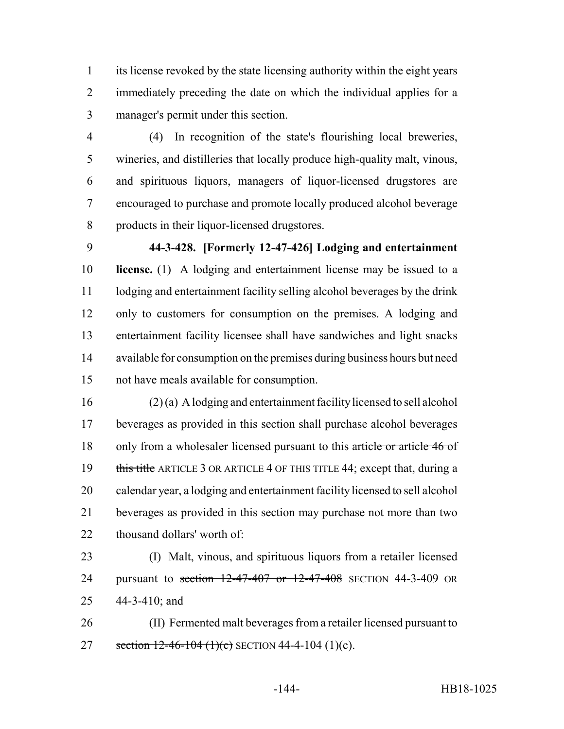its license revoked by the state licensing authority within the eight years immediately preceding the date on which the individual applies for a manager's permit under this section.

 (4) In recognition of the state's flourishing local breweries, wineries, and distilleries that locally produce high-quality malt, vinous, and spirituous liquors, managers of liquor-licensed drugstores are encouraged to purchase and promote locally produced alcohol beverage products in their liquor-licensed drugstores.

 **44-3-428. [Formerly 12-47-426] Lodging and entertainment license.** (1) A lodging and entertainment license may be issued to a lodging and entertainment facility selling alcohol beverages by the drink only to customers for consumption on the premises. A lodging and entertainment facility licensee shall have sandwiches and light snacks available for consumption on the premises during business hours but need not have meals available for consumption.

- (2) (a) A lodging and entertainment facility licensed to sell alcohol beverages as provided in this section shall purchase alcohol beverages 18 only from a wholesaler licensed pursuant to this article or article 46 of 19 this title ARTICLE 3 OR ARTICLE 4 OF THIS TITLE 44; except that, during a calendar year, a lodging and entertainment facility licensed to sell alcohol beverages as provided in this section may purchase not more than two thousand dollars' worth of:
- (I) Malt, vinous, and spirituous liquors from a retailer licensed 24 pursuant to section 12-47-407 or 12-47-408 SECTION 44-3-409 OR 44-3-410; and
- (II) Fermented malt beverages from a retailer licensed pursuant to 27 section  $12-46-104$  (1)(c) SECTION 44-4-104 (1)(c).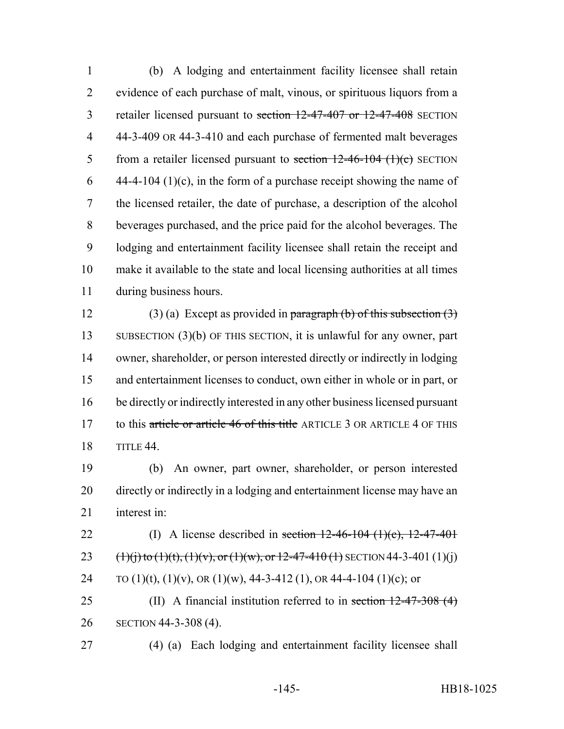(b) A lodging and entertainment facility licensee shall retain evidence of each purchase of malt, vinous, or spirituous liquors from a 3 retailer licensed pursuant to section 12-47-407 or 12-47-408 SECTION 44-3-409 OR 44-3-410 and each purchase of fermented malt beverages 5 from a retailer licensed pursuant to section  $12-46-104$  (1)(c) SECTION 6 44-4-104 (1)(c), in the form of a purchase receipt showing the name of the licensed retailer, the date of purchase, a description of the alcohol beverages purchased, and the price paid for the alcohol beverages. The lodging and entertainment facility licensee shall retain the receipt and make it available to the state and local licensing authorities at all times during business hours.

12 (3) (a) Except as provided in paragraph (b) of this subsection  $(3)$  SUBSECTION (3)(b) OF THIS SECTION, it is unlawful for any owner, part owner, shareholder, or person interested directly or indirectly in lodging and entertainment licenses to conduct, own either in whole or in part, or be directly or indirectly interested in any other business licensed pursuant 17 to this article or article 46 of this title ARTICLE 3 OR ARTICLE 4 OF THIS TITLE 44.

 (b) An owner, part owner, shareholder, or person interested directly or indirectly in a lodging and entertainment license may have an interest in:

22 (I) A license described in section  $12-46-104$  (1)(c),  $12-47-401$ 23  $(1)(i)$  to  $(1)(t)$ ,  $(1)(v)$ , or  $(1)(w)$ , or  $12-47-410(1)$  SECTION 44-3-401  $(1)(i)$ 24 TO (1)(t), (1)(v), OR (1)(w),  $44-3-412$  (1), OR 44-4-104 (1)(c); or

25 (II) A financial institution referred to in section 12-47-308 (4) SECTION 44-3-308 (4).

(4) (a) Each lodging and entertainment facility licensee shall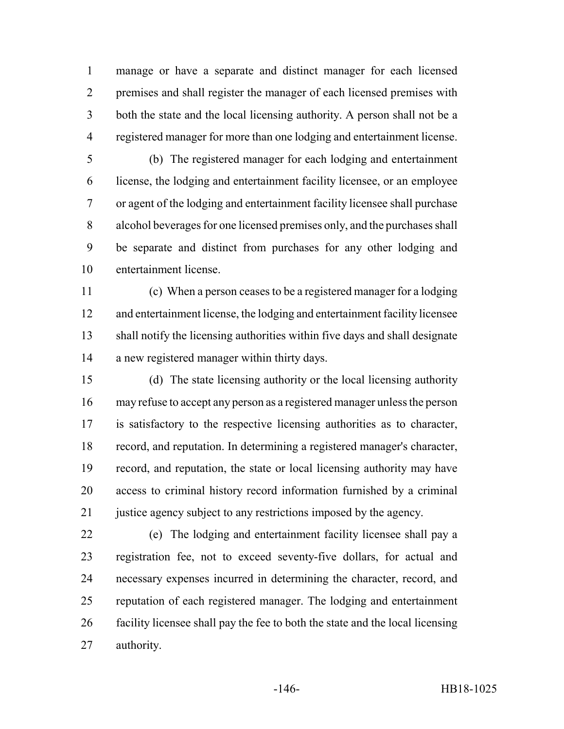manage or have a separate and distinct manager for each licensed premises and shall register the manager of each licensed premises with both the state and the local licensing authority. A person shall not be a registered manager for more than one lodging and entertainment license.

 (b) The registered manager for each lodging and entertainment license, the lodging and entertainment facility licensee, or an employee or agent of the lodging and entertainment facility licensee shall purchase alcohol beverages for one licensed premises only, and the purchases shall be separate and distinct from purchases for any other lodging and entertainment license.

 (c) When a person ceases to be a registered manager for a lodging and entertainment license, the lodging and entertainment facility licensee shall notify the licensing authorities within five days and shall designate a new registered manager within thirty days.

 (d) The state licensing authority or the local licensing authority may refuse to accept any person as a registered manager unless the person is satisfactory to the respective licensing authorities as to character, record, and reputation. In determining a registered manager's character, record, and reputation, the state or local licensing authority may have access to criminal history record information furnished by a criminal 21 justice agency subject to any restrictions imposed by the agency.

 (e) The lodging and entertainment facility licensee shall pay a registration fee, not to exceed seventy-five dollars, for actual and necessary expenses incurred in determining the character, record, and reputation of each registered manager. The lodging and entertainment facility licensee shall pay the fee to both the state and the local licensing authority.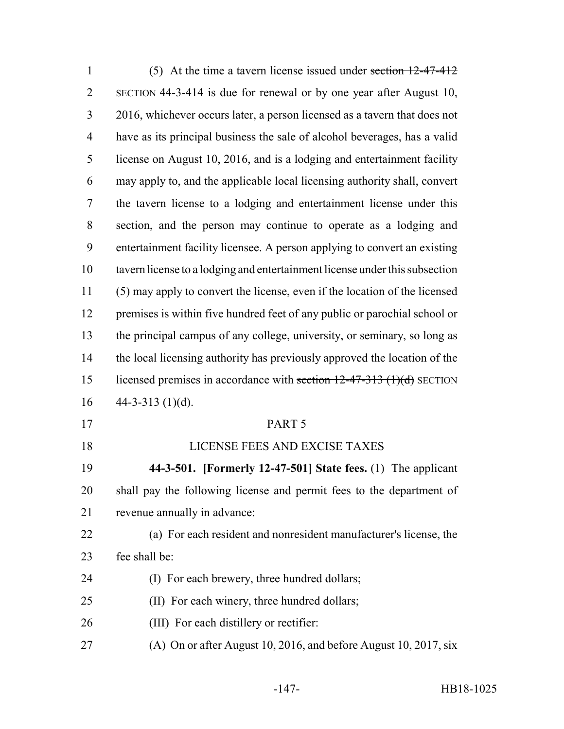| $\mathbf{1}$   | (5) At the time a tavern license issued under section $12-47-412$           |
|----------------|-----------------------------------------------------------------------------|
| $\overline{2}$ | SECTION 44-3-414 is due for renewal or by one year after August 10,         |
| 3              | 2016, whichever occurs later, a person licensed as a tavern that does not   |
| 4              | have as its principal business the sale of alcohol beverages, has a valid   |
| 5              | license on August 10, 2016, and is a lodging and entertainment facility     |
| 6              | may apply to, and the applicable local licensing authority shall, convert   |
| 7              | the tavern license to a lodging and entertainment license under this        |
| 8              | section, and the person may continue to operate as a lodging and            |
| 9              | entertainment facility licensee. A person applying to convert an existing   |
| 10             | tavern license to a lodging and entertainment license under this subsection |
| 11             | (5) may apply to convert the license, even if the location of the licensed  |
| 12             | premises is within five hundred feet of any public or parochial school or   |
| 13             | the principal campus of any college, university, or seminary, so long as    |
| 14             | the local licensing authority has previously approved the location of the   |
| 15             | licensed premises in accordance with section $12-47-313$ (1)(d) SECTION     |
| 16             | 44-3-313 $(1)(d)$ .                                                         |
| 17             | PART 5                                                                      |
| 18             | LICENSE FEES AND EXCISE TAXES                                               |
| 19             | 44-3-501. [Formerly 12-47-501] State fees. (1) The applicant                |
| 20             | shall pay the following license and permit fees to the department of        |
| 21             | revenue annually in advance:                                                |
| 22             | (a) For each resident and nonresident manufacturer's license, the           |
| 23             | fee shall be:                                                               |
| 24             | (I) For each brewery, three hundred dollars;                                |
| 25             | (II) For each winery, three hundred dollars;                                |
| 26             | (III) For each distillery or rectifier:                                     |
| 27             | (A) On or after August 10, 2016, and before August 10, 2017, six            |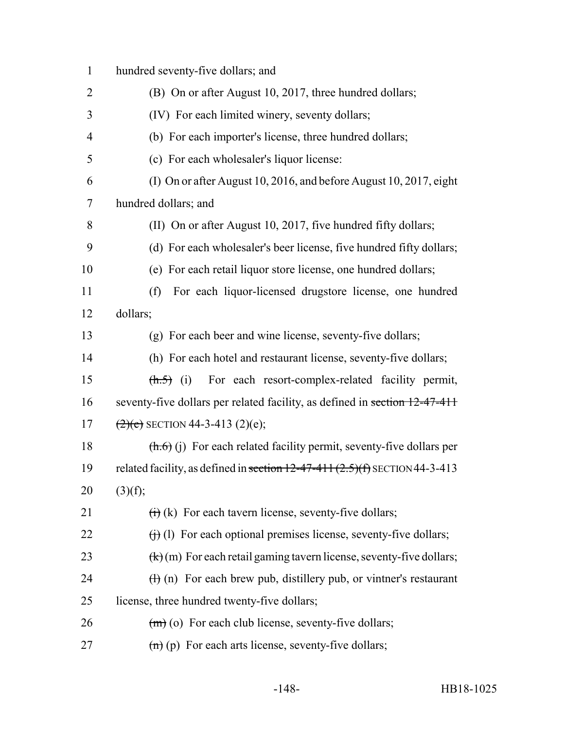hundred seventy-five dollars; and (B) On or after August 10, 2017, three hundred dollars; (IV) For each limited winery, seventy dollars; (b) For each importer's license, three hundred dollars; (c) For each wholesaler's liquor license: (I) On or after August 10, 2016, and before August 10, 2017, eight hundred dollars; and 8 (II) On or after August 10, 2017, five hundred fifty dollars; (d) For each wholesaler's beer license, five hundred fifty dollars; (e) For each retail liquor store license, one hundred dollars; (f) For each liquor-licensed drugstore license, one hundred 12 dollars; (g) For each beer and wine license, seventy-five dollars; (h) For each hotel and restaurant license, seventy-five dollars; (h.5) (i) For each resort-complex-related facility permit, 16 seventy-five dollars per related facility, as defined in section 12-47-411  $(2)(e)$  SECTION 44-3-413 (2)(e);  $(h.6)$  (j) For each related facility permit, seventy-five dollars per 19 related facility, as defined in section  $12-47-411(2.5)(f)$  SECTION 44-3-413 20  $(3)(f);$  $(i)$  (k) For each tavern license, seventy-five dollars;  $(i)$  (i) For each optional premises license, seventy-five dollars;  $(k)(m)$  For each retail gaming tavern license, seventy-five dollars;  $\left(\frac{1}{2}\right)$  (n) For each brew pub, distillery pub, or vintner's restaurant license, three hundred twenty-five dollars;  $(m)$  (o) For each club license, seventy-five dollars;  $(m)$  (p) For each arts license, seventy-five dollars;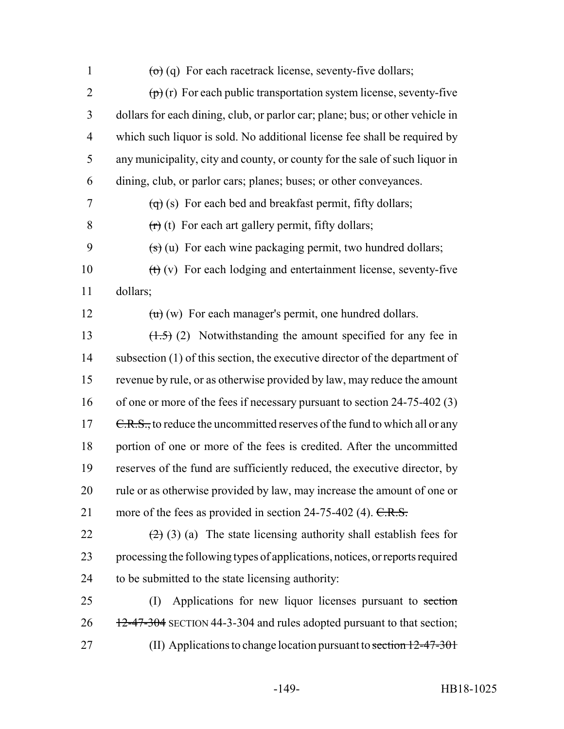$\left(\theta\right)$  (q) For each racetrack license, seventy-five dollars;  $\left(\mathbf{p}\right)$  (r) For each public transportation system license, seventy-five dollars for each dining, club, or parlor car; plane; bus; or other vehicle in which such liquor is sold. No additional license fee shall be required by any municipality, city and county, or county for the sale of such liquor in dining, club, or parlor cars; planes; buses; or other conveyances.  $7 \left( \frac{1}{9} \right)$  (s) For each bed and breakfast permit, fifty dollars;  $(r)(t)$  For each art gallery permit, fifty dollars;  $($ s)  $($ u) For each wine packaging permit, two hundred dollars;  $(t)$  (v) For each lodging and entertainment license, seventy-five 11 dollars;  $(u)(w)$  For each manager's permit, one hundred dollars.  $(1.5)$  (2) Notwithstanding the amount specified for any fee in subsection (1) of this section, the executive director of the department of revenue by rule, or as otherwise provided by law, may reduce the amount 16 of one or more of the fees if necessary pursuant to section 24-75-402 (3)  $\text{C.R.S.}$ , to reduce the uncommitted reserves of the fund to which all or any portion of one or more of the fees is credited. After the uncommitted reserves of the fund are sufficiently reduced, the executive director, by rule or as otherwise provided by law, may increase the amount of one or 21 more of the fees as provided in section  $24-75-402$  (4).  $C.R.S.$  $(2)$  (3) (a) The state licensing authority shall establish fees for processing the following types of applications, notices, or reports required to be submitted to the state licensing authority: 25 (I) Applications for new liquor licenses pursuant to section 12-47-304 SECTION 44-3-304 and rules adopted pursuant to that section; 27 (II) Applications to change location pursuant to section 12-47-301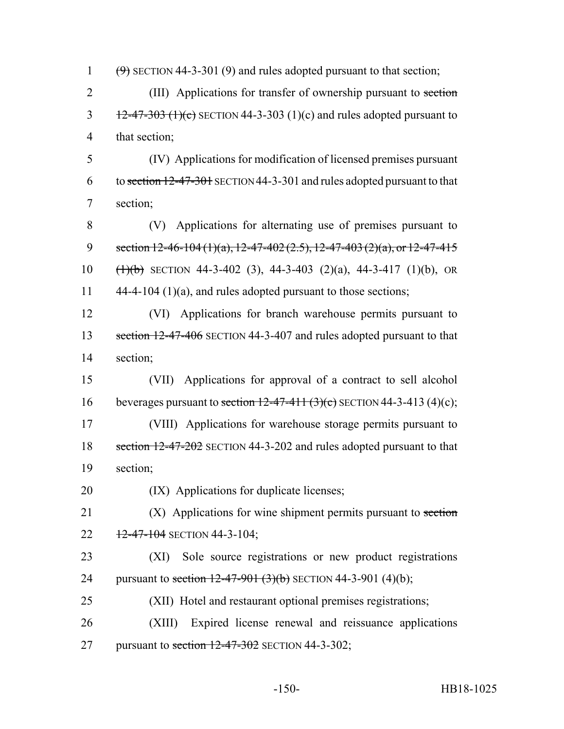1  $(9)$  SECTION 44-3-301 (9) and rules adopted pursuant to that section;

2 (III) Applications for transfer of ownership pursuant to section  $\frac{12-47-303 \cdot (1)(c)}{2}$  SECTION 44-3-303 (1)(c) and rules adopted pursuant to 4 that section;

5 (IV) Applications for modification of licensed premises pursuant 6 to section 12-47-301 SECTION 44-3-301 and rules adopted pursuant to that 7 section;

8 (V) Applications for alternating use of premises pursuant to 9 section  $12-46-104(1)(a)$ ,  $12-47-402(2.5)$ ,  $12-47-403(2)(a)$ , or  $12-47-415$ 10  $(\frac{1}{1)(b)}$  SECTION 44-3-402 (3), 44-3-403 (2)(a), 44-3-417 (1)(b), OR 11 44-4-104 (1)(a), and rules adopted pursuant to those sections;

12 (VI) Applications for branch warehouse permits pursuant to 13 section 12-47-406 SECTION 44-3-407 and rules adopted pursuant to that 14 section;

15 (VII) Applications for approval of a contract to sell alcohol 16 beverages pursuant to section  $12-47-411$   $(3)(c)$  SECTION 44-3-413  $(4)(c)$ ; 17 (VIII) Applications for warehouse storage permits pursuant to 18 section 12-47-202 SECTION 44-3-202 and rules adopted pursuant to that 19 section;

20 (IX) Applications for duplicate licenses;

21 (X) Applications for wine shipment permits pursuant to section 22  $12-47-104$  SECTION 44-3-104;

23 (XI) Sole source registrations or new product registrations 24 pursuant to section 12-47-901 (3)(b) SECTION 44-3-901 (4)(b);

25 (XII) Hotel and restaurant optional premises registrations;

26 (XIII) Expired license renewal and reissuance applications 27 pursuant to section  $12-47-302$  SECTION 44-3-302;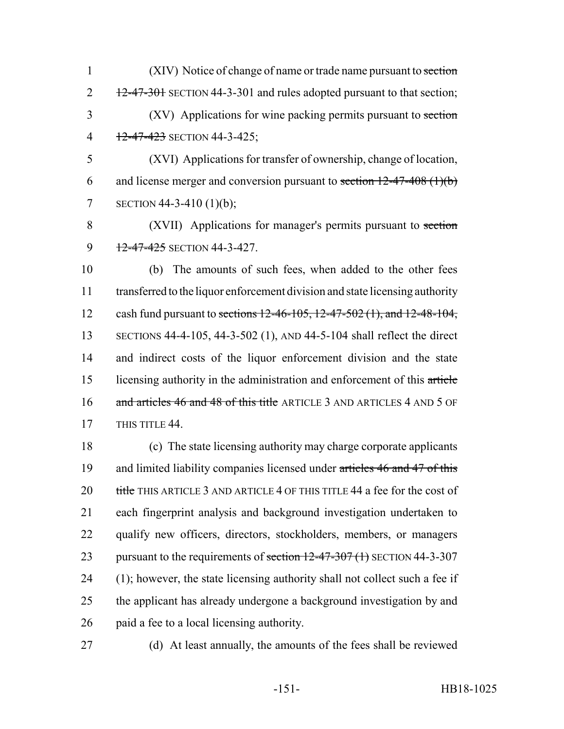1 (XIV) Notice of change of name or trade name pursuant to section  $2 \frac{12-47-301}{2}$  SECTION 44-3-301 and rules adopted pursuant to that section; 3 (XV) Applications for wine packing permits pursuant to section 4 12-47-423 SECTION 44-3-425;

5 (XVI) Applications for transfer of ownership, change of location, 6 and license merger and conversion pursuant to section  $12-47-408$  (1)(b) 7 SECTION 44-3-410 (1)(b);

8 (XVII) Applications for manager's permits pursuant to section 9 12-47-425 SECTION 44-3-427.

 (b) The amounts of such fees, when added to the other fees transferred to the liquor enforcement division and state licensing authority 12 cash fund pursuant to sections 12-46-105, 12-47-502 (1), and 12-48-104, SECTIONS 44-4-105, 44-3-502 (1), AND 44-5-104 shall reflect the direct and indirect costs of the liquor enforcement division and the state licensing authority in the administration and enforcement of this article 16 and articles 46 and 48 of this title ARTICLE 3 AND ARTICLES 4 AND 5 OF 17 THIS TITLE 44.

 (c) The state licensing authority may charge corporate applicants 19 and limited liability companies licensed under articles 46 and 47 of this 20 title THIS ARTICLE 3 AND ARTICLE 4 OF THIS TITLE 44 a fee for the cost of each fingerprint analysis and background investigation undertaken to qualify new officers, directors, stockholders, members, or managers 23 pursuant to the requirements of section 12-47-307 (1) SECTION 44-3-307 (1); however, the state licensing authority shall not collect such a fee if the applicant has already undergone a background investigation by and paid a fee to a local licensing authority.

27 (d) At least annually, the amounts of the fees shall be reviewed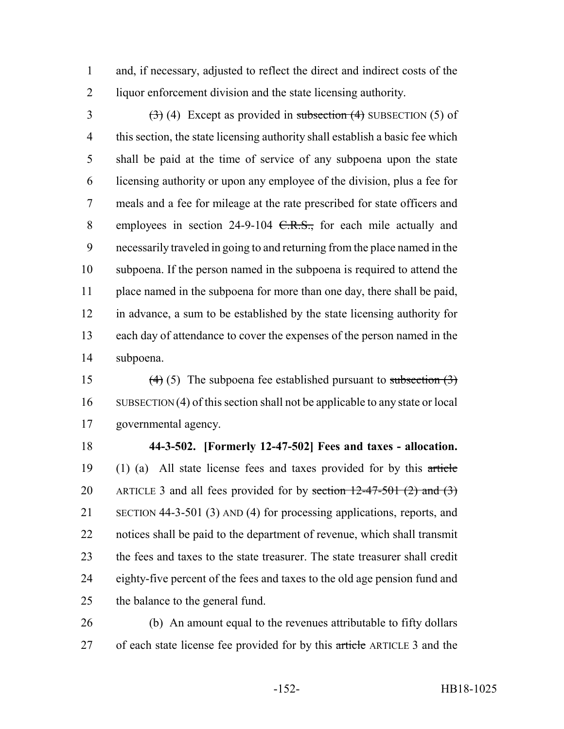and, if necessary, adjusted to reflect the direct and indirect costs of the liquor enforcement division and the state licensing authority.

3 (3) (4) Except as provided in subsection (4) SUBSECTION (5) of this section, the state licensing authority shall establish a basic fee which shall be paid at the time of service of any subpoena upon the state licensing authority or upon any employee of the division, plus a fee for meals and a fee for mileage at the rate prescribed for state officers and 8 employees in section 24-9-104 <del>C.R.S.,</del> for each mile actually and necessarily traveled in going to and returning from the place named in the subpoena. If the person named in the subpoena is required to attend the place named in the subpoena for more than one day, there shall be paid, in advance, a sum to be established by the state licensing authority for each day of attendance to cover the expenses of the person named in the subpoena.

15 (4) (5) The subpoena fee established pursuant to subsection  $(3)$  SUBSECTION (4) of this section shall not be applicable to any state or local governmental agency.

 **44-3-502. [Formerly 12-47-502] Fees and taxes - allocation.** (1) (a) All state license fees and taxes provided for by this article 20 ARTICLE 3 and all fees provided for by section  $12-47-501$  (2) and (3) SECTION 44-3-501 (3) AND (4) for processing applications, reports, and notices shall be paid to the department of revenue, which shall transmit the fees and taxes to the state treasurer. The state treasurer shall credit eighty-five percent of the fees and taxes to the old age pension fund and the balance to the general fund.

 (b) An amount equal to the revenues attributable to fifty dollars 27 of each state license fee provided for by this article ARTICLE 3 and the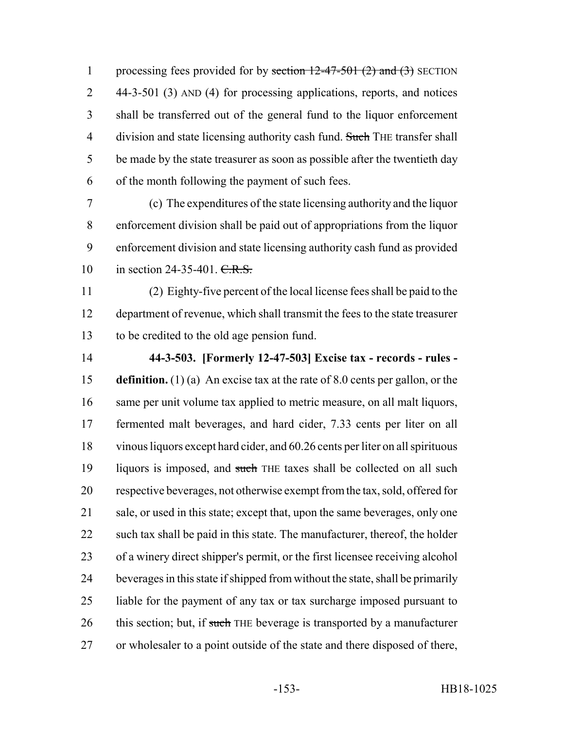1 processing fees provided for by section  $12-47-501$  (2) and (3) SECTION 44-3-501 (3) AND (4) for processing applications, reports, and notices shall be transferred out of the general fund to the liquor enforcement 4 division and state licensing authority cash fund. Such THE transfer shall be made by the state treasurer as soon as possible after the twentieth day of the month following the payment of such fees.

 (c) The expenditures of the state licensing authority and the liquor enforcement division shall be paid out of appropriations from the liquor enforcement division and state licensing authority cash fund as provided 10 in section 24-35-401. C.R.S.

 (2) Eighty-five percent of the local license fees shall be paid to the department of revenue, which shall transmit the fees to the state treasurer to be credited to the old age pension fund.

 **44-3-503. [Formerly 12-47-503] Excise tax - records - rules - definition.** (1) (a) An excise tax at the rate of 8.0 cents per gallon, or the same per unit volume tax applied to metric measure, on all malt liquors, fermented malt beverages, and hard cider, 7.33 cents per liter on all vinous liquors except hard cider, and 60.26 cents per liter on all spirituous 19 liquors is imposed, and such THE taxes shall be collected on all such respective beverages, not otherwise exempt from the tax, sold, offered for 21 sale, or used in this state; except that, upon the same beverages, only one such tax shall be paid in this state. The manufacturer, thereof, the holder of a winery direct shipper's permit, or the first licensee receiving alcohol beverages in this state if shipped from without the state, shall be primarily liable for the payment of any tax or tax surcharge imposed pursuant to 26 this section; but, if such THE beverage is transported by a manufacturer or wholesaler to a point outside of the state and there disposed of there,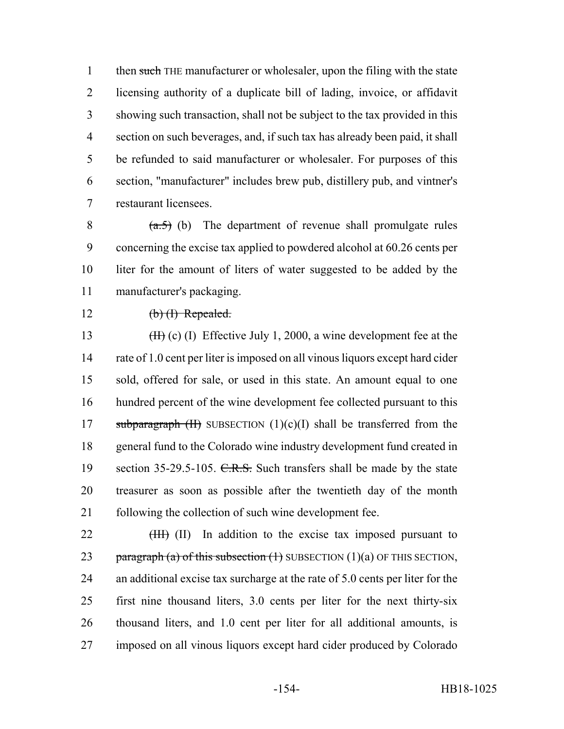1 then such THE manufacturer or wholesaler, upon the filing with the state licensing authority of a duplicate bill of lading, invoice, or affidavit showing such transaction, shall not be subject to the tax provided in this section on such beverages, and, if such tax has already been paid, it shall be refunded to said manufacturer or wholesaler. For purposes of this section, "manufacturer" includes brew pub, distillery pub, and vintner's restaurant licensees.

 $(a.5)$  (b) The department of revenue shall promulgate rules concerning the excise tax applied to powdered alcohol at 60.26 cents per liter for the amount of liters of water suggested to be added by the manufacturer's packaging.

## 12  $(b)$  (b) Repealed.

13 (II) (I) Effective July 1, 2000, a wine development fee at the rate of 1.0 cent per liter is imposed on all vinous liquors except hard cider sold, offered for sale, or used in this state. An amount equal to one hundred percent of the wine development fee collected pursuant to this 17 subparagraph  $(H)$  SUBSECTION  $(1)(c)(I)$  shall be transferred from the general fund to the Colorado wine industry development fund created in 19 section 35-29.5-105. C.R.S. Such transfers shall be made by the state treasurer as soon as possible after the twentieth day of the month following the collection of such wine development fee.

22 (HH) (II) In addition to the excise tax imposed pursuant to 23 paragraph (a) of this subsection  $(1)$  SUBSECTION  $(1)(a)$  OF THIS SECTION, an additional excise tax surcharge at the rate of 5.0 cents per liter for the first nine thousand liters, 3.0 cents per liter for the next thirty-six thousand liters, and 1.0 cent per liter for all additional amounts, is imposed on all vinous liquors except hard cider produced by Colorado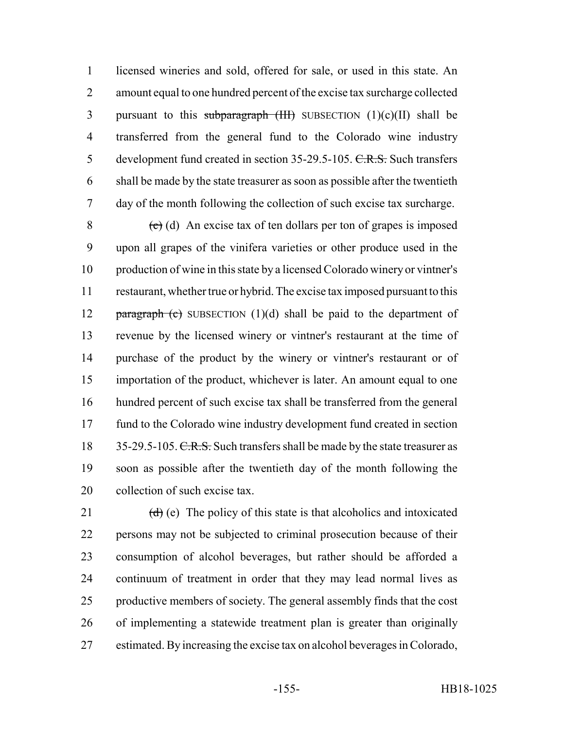licensed wineries and sold, offered for sale, or used in this state. An amount equal to one hundred percent of the excise tax surcharge collected 3 pursuant to this subparagraph  $(HH)$  SUBSECTION  $(1)(c)(II)$  shall be transferred from the general fund to the Colorado wine industry 5 development fund created in section 35-29.5-105. C.R.S. Such transfers shall be made by the state treasurer as soon as possible after the twentieth day of the month following the collection of such excise tax surcharge.

 $\left(\frac{c}{c}\right)$  (d) An excise tax of ten dollars per ton of grapes is imposed upon all grapes of the vinifera varieties or other produce used in the production of wine in this state by a licensed Colorado winery or vintner's restaurant, whether true or hybrid. The excise tax imposed pursuant to this **paragraph (c)** SUBSECTION  $(1)(d)$  shall be paid to the department of revenue by the licensed winery or vintner's restaurant at the time of purchase of the product by the winery or vintner's restaurant or of importation of the product, whichever is later. An amount equal to one hundred percent of such excise tax shall be transferred from the general fund to the Colorado wine industry development fund created in section 18 35-29.5-105. C.R.S. Such transfers shall be made by the state treasurer as soon as possible after the twentieth day of the month following the collection of such excise tax.

 $(d)$  (e) The policy of this state is that alcoholics and intoxicated persons may not be subjected to criminal prosecution because of their consumption of alcohol beverages, but rather should be afforded a continuum of treatment in order that they may lead normal lives as productive members of society. The general assembly finds that the cost of implementing a statewide treatment plan is greater than originally estimated. By increasing the excise tax on alcohol beverages in Colorado,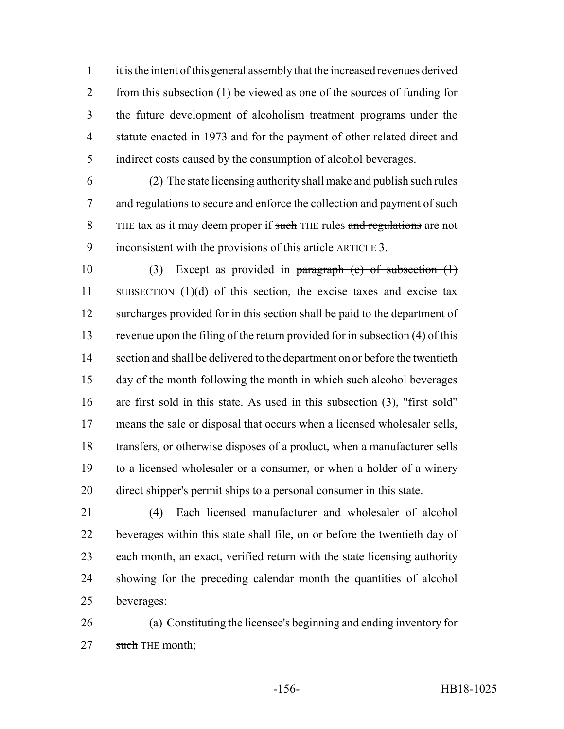it is the intent of this general assembly that the increased revenues derived 2 from this subsection (1) be viewed as one of the sources of funding for the future development of alcoholism treatment programs under the statute enacted in 1973 and for the payment of other related direct and indirect costs caused by the consumption of alcohol beverages.

 (2) The state licensing authority shall make and publish such rules 7 and regulations to secure and enforce the collection and payment of such 8 THE tax as it may deem proper if such THE rules and regulations are not 9 inconsistent with the provisions of this article ARTICLE 3.

 (3) Except as provided in paragraph (c) of subsection (1) SUBSECTION (1)(d) of this section, the excise taxes and excise tax surcharges provided for in this section shall be paid to the department of revenue upon the filing of the return provided for in subsection (4) of this section and shall be delivered to the department on or before the twentieth day of the month following the month in which such alcohol beverages are first sold in this state. As used in this subsection (3), "first sold" means the sale or disposal that occurs when a licensed wholesaler sells, transfers, or otherwise disposes of a product, when a manufacturer sells to a licensed wholesaler or a consumer, or when a holder of a winery direct shipper's permit ships to a personal consumer in this state.

 (4) Each licensed manufacturer and wholesaler of alcohol beverages within this state shall file, on or before the twentieth day of each month, an exact, verified return with the state licensing authority showing for the preceding calendar month the quantities of alcohol beverages:

 (a) Constituting the licensee's beginning and ending inventory for 27 such THE month;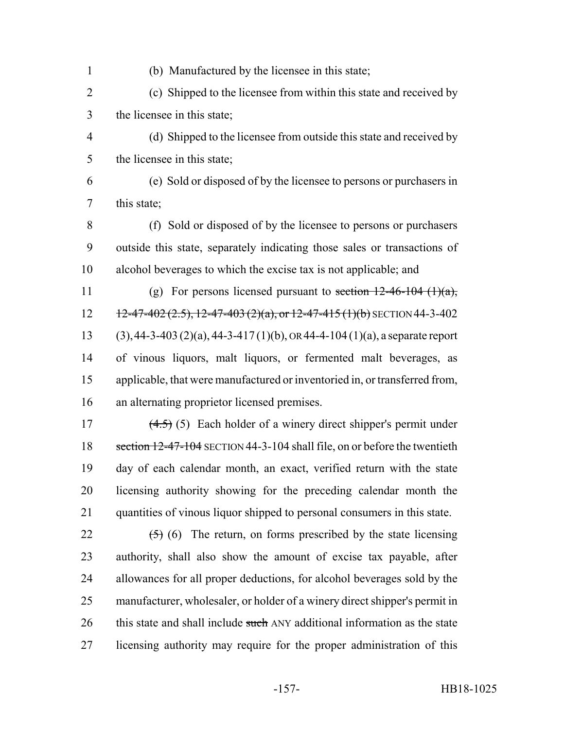(b) Manufactured by the licensee in this state;

 (c) Shipped to the licensee from within this state and received by the licensee in this state;

- (d) Shipped to the licensee from outside this state and received by the licensee in this state;
- (e) Sold or disposed of by the licensee to persons or purchasers in this state;

 (f) Sold or disposed of by the licensee to persons or purchasers outside this state, separately indicating those sales or transactions of alcohol beverages to which the excise tax is not applicable; and

11 (g) For persons licensed pursuant to section  $12-46-104$  (1)(a),  $12 - 12 - 47 - 402 (2.5), 12 - 47 - 403 (2)(a), or 12 - 47 - 415 (1)(b)$  SECTION 44-3-402 13 (3), 44-3-403 (2)(a), 44-3-417 (1)(b), OR 44-4-104 (1)(a), a separate report of vinous liquors, malt liquors, or fermented malt beverages, as applicable, that were manufactured or inventoried in, or transferred from, an alternating proprietor licensed premises.

 $(4.5)$  (5) Each holder of a winery direct shipper's permit under 18 section 12-47-104 SECTION 44-3-104 shall file, on or before the twentieth day of each calendar month, an exact, verified return with the state licensing authority showing for the preceding calendar month the quantities of vinous liquor shipped to personal consumers in this state.

 $(5)$  (6) The return, on forms prescribed by the state licensing authority, shall also show the amount of excise tax payable, after allowances for all proper deductions, for alcohol beverages sold by the manufacturer, wholesaler, or holder of a winery direct shipper's permit in 26 this state and shall include such ANY additional information as the state licensing authority may require for the proper administration of this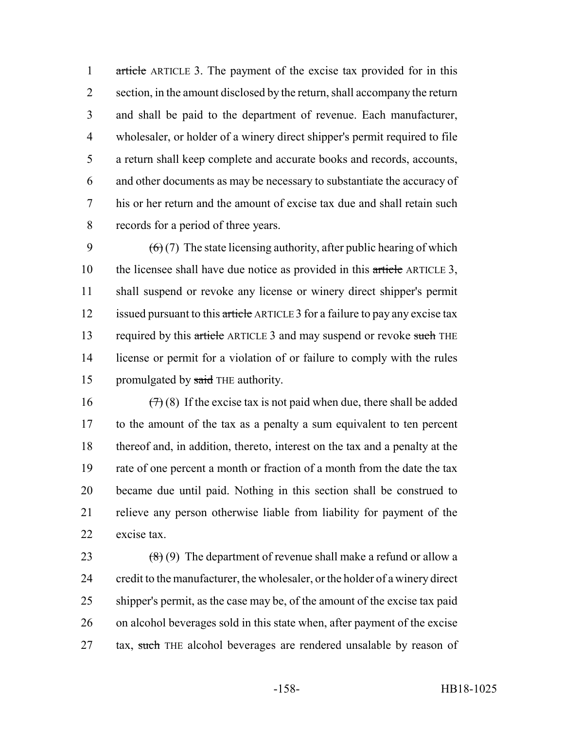1 article ARTICLE 3. The payment of the excise tax provided for in this section, in the amount disclosed by the return, shall accompany the return and shall be paid to the department of revenue. Each manufacturer, wholesaler, or holder of a winery direct shipper's permit required to file a return shall keep complete and accurate books and records, accounts, and other documents as may be necessary to substantiate the accuracy of his or her return and the amount of excise tax due and shall retain such records for a period of three years.

9  $(6)(7)$  The state licensing authority, after public hearing of which 10 the licensee shall have due notice as provided in this article ARTICLE 3, shall suspend or revoke any license or winery direct shipper's permit 12 issued pursuant to this article ARTICLE 3 for a failure to pay any excise tax 13 required by this article ARTICLE 3 and may suspend or revoke such THE license or permit for a violation of or failure to comply with the rules 15 promulgated by said THE authority.

 $(7)(8)$  If the excise tax is not paid when due, there shall be added to the amount of the tax as a penalty a sum equivalent to ten percent thereof and, in addition, thereto, interest on the tax and a penalty at the rate of one percent a month or fraction of a month from the date the tax became due until paid. Nothing in this section shall be construed to relieve any person otherwise liable from liability for payment of the excise tax.

 $(8)(9)$  The department of revenue shall make a refund or allow a credit to the manufacturer, the wholesaler, or the holder of a winery direct shipper's permit, as the case may be, of the amount of the excise tax paid on alcohol beverages sold in this state when, after payment of the excise 27 tax, such THE alcohol beverages are rendered unsalable by reason of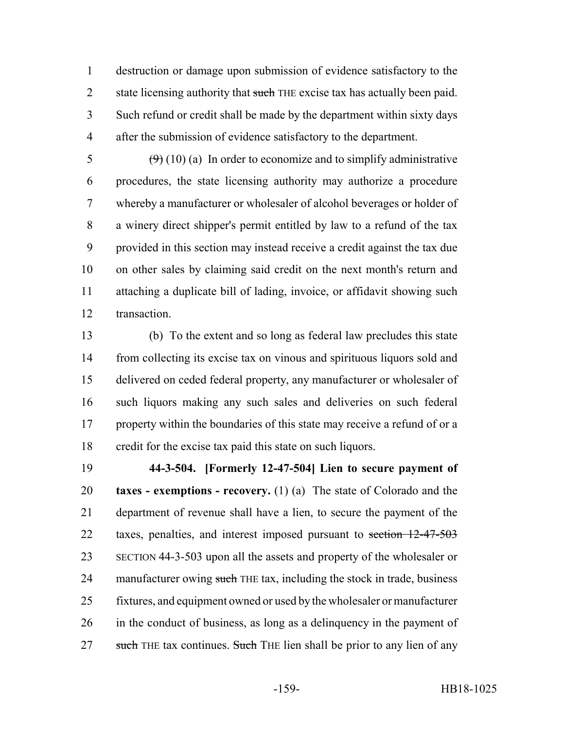destruction or damage upon submission of evidence satisfactory to the 2 state licensing authority that such THE excise tax has actually been paid. Such refund or credit shall be made by the department within sixty days after the submission of evidence satisfactory to the department.

 $\left(\frac{9}{9}\right)(10)(a)$  In order to economize and to simplify administrative procedures, the state licensing authority may authorize a procedure whereby a manufacturer or wholesaler of alcohol beverages or holder of a winery direct shipper's permit entitled by law to a refund of the tax provided in this section may instead receive a credit against the tax due on other sales by claiming said credit on the next month's return and attaching a duplicate bill of lading, invoice, or affidavit showing such transaction.

 (b) To the extent and so long as federal law precludes this state from collecting its excise tax on vinous and spirituous liquors sold and delivered on ceded federal property, any manufacturer or wholesaler of such liquors making any such sales and deliveries on such federal 17 property within the boundaries of this state may receive a refund of or a credit for the excise tax paid this state on such liquors.

 **44-3-504. [Formerly 12-47-504] Lien to secure payment of taxes - exemptions - recovery.** (1) (a) The state of Colorado and the department of revenue shall have a lien, to secure the payment of the 22 taxes, penalties, and interest imposed pursuant to section 12-47-503 SECTION 44-3-503 upon all the assets and property of the wholesaler or 24 manufacturer owing such THE tax, including the stock in trade, business fixtures, and equipment owned or used by the wholesaler or manufacturer in the conduct of business, as long as a delinquency in the payment of 27 such THE tax continues. Such THE lien shall be prior to any lien of any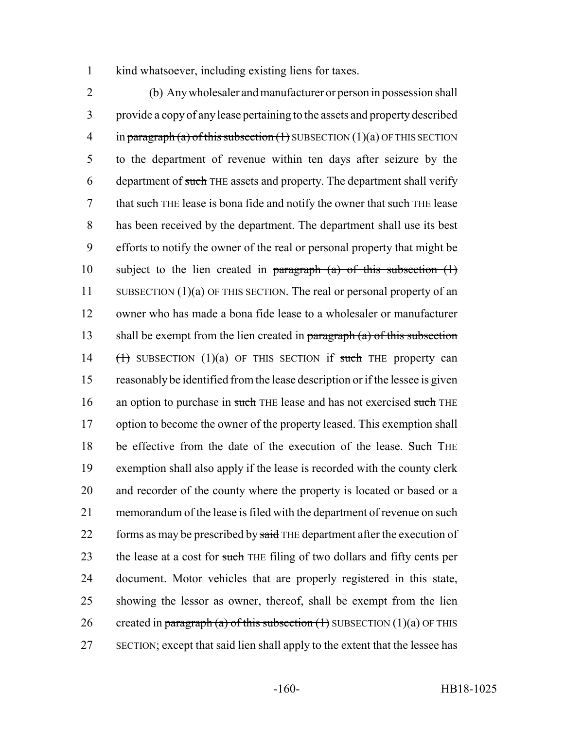1 kind whatsoever, including existing liens for taxes.

2 (b) Any wholesaler and manufacturer or person in possession shall 3 provide a copy of any lease pertaining to the assets and property described 4 in paragraph (a) of this subsection  $(1)$  SUBSECTION  $(1)(a)$  OF THIS SECTION 5 to the department of revenue within ten days after seizure by the 6 department of such THE assets and property. The department shall verify 7 that such THE lease is bona fide and notify the owner that such THE lease 8 has been received by the department. The department shall use its best 9 efforts to notify the owner of the real or personal property that might be 10 subject to the lien created in paragraph  $(a)$  of this subsection  $(1)$ 11 SUBSECTION (1)(a) OF THIS SECTION. The real or personal property of an 12 owner who has made a bona fide lease to a wholesaler or manufacturer 13 shall be exempt from the lien created in paragraph  $(a)$  of this subsection 14  $(\text{+)}$  SUBSECTION (1)(a) OF THIS SECTION if such THE property can 15 reasonably be identified from the lease description or if the lessee is given 16 an option to purchase in such THE lease and has not exercised such THE 17 option to become the owner of the property leased. This exemption shall 18 be effective from the date of the execution of the lease. Such THE 19 exemption shall also apply if the lease is recorded with the county clerk 20 and recorder of the county where the property is located or based or a 21 memorandum of the lease is filed with the department of revenue on such 22 forms as may be prescribed by said THE department after the execution of 23 the lease at a cost for such THE filing of two dollars and fifty cents per 24 document. Motor vehicles that are properly registered in this state, 25 showing the lessor as owner, thereof, shall be exempt from the lien 26 created in paragraph (a) of this subsection  $(1)$  SUBSECTION  $(1)(a)$  OF THIS 27 SECTION; except that said lien shall apply to the extent that the lessee has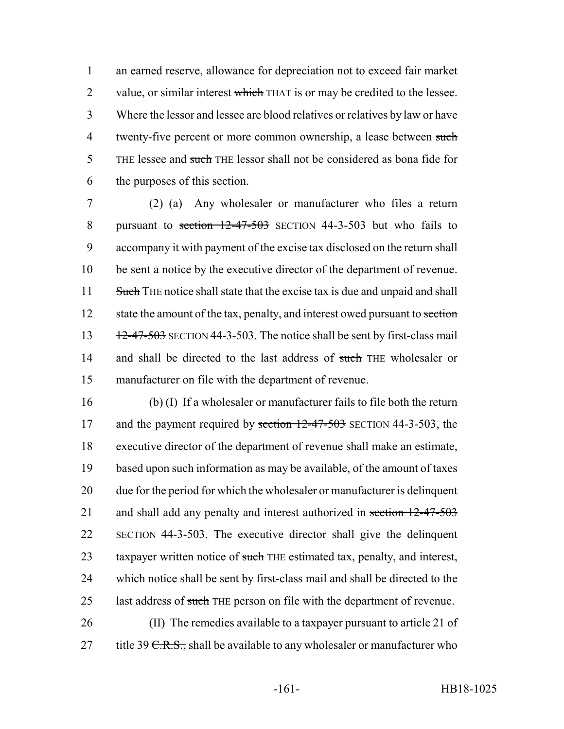1 an earned reserve, allowance for depreciation not to exceed fair market 2 value, or similar interest which THAT is or may be credited to the lessee. 3 Where the lessor and lessee are blood relatives or relatives by law or have 4 twenty-five percent or more common ownership, a lease between such 5 THE lessee and such THE lessor shall not be considered as bona fide for 6 the purposes of this section.

7 (2) (a) Any wholesaler or manufacturer who files a return 8 pursuant to section 12-47-503 SECTION 44-3-503 but who fails to 9 accompany it with payment of the excise tax disclosed on the return shall 10 be sent a notice by the executive director of the department of revenue. 11 Such THE notice shall state that the excise tax is due and unpaid and shall 12 state the amount of the tax, penalty, and interest owed pursuant to section 13  $12-47-503$  SECTION 44-3-503. The notice shall be sent by first-class mail 14 and shall be directed to the last address of such THE wholesaler or 15 manufacturer on file with the department of revenue.

16 (b) (I) If a wholesaler or manufacturer fails to file both the return 17 and the payment required by section 12-47-503 SECTION 44-3-503, the 18 executive director of the department of revenue shall make an estimate, 19 based upon such information as may be available, of the amount of taxes 20 due for the period for which the wholesaler or manufacturer is delinquent 21 and shall add any penalty and interest authorized in section 12-47-503 22 SECTION 44-3-503. The executive director shall give the delinquent 23 taxpayer written notice of such THE estimated tax, penalty, and interest, 24 which notice shall be sent by first-class mail and shall be directed to the 25 last address of such THE person on file with the department of revenue.

26 (II) The remedies available to a taxpayer pursuant to article 21 of 27 title 39  $C.R.S.,$  shall be available to any wholesaler or manufacturer who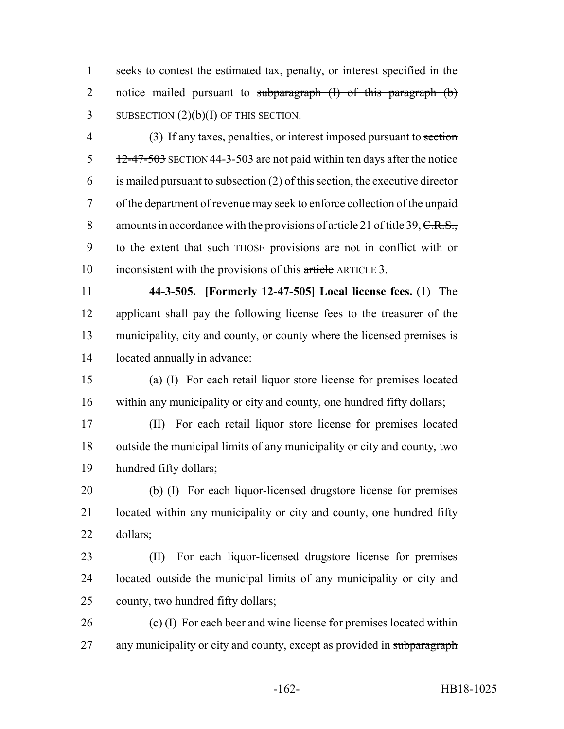seeks to contest the estimated tax, penalty, or interest specified in the 2 notice mailed pursuant to subparagraph (I) of this paragraph (b) 3 SUBSECTION  $(2)(b)(I)$  OF THIS SECTION.

 (3) If any taxes, penalties, or interest imposed pursuant to section  $\frac{12-47-503}{2}$  SECTION 44-3-503 are not paid within ten days after the notice is mailed pursuant to subsection (2) of this section, the executive director of the department of revenue may seek to enforce collection of the unpaid 8 amounts in accordance with the provisions of article 21 of title 39, C.R.S., to the extent that such THOSE provisions are not in conflict with or inconsistent with the provisions of this article ARTICLE 3.

 **44-3-505. [Formerly 12-47-505] Local license fees.** (1) The applicant shall pay the following license fees to the treasurer of the municipality, city and county, or county where the licensed premises is located annually in advance:

 (a) (I) For each retail liquor store license for premises located within any municipality or city and county, one hundred fifty dollars;

 (II) For each retail liquor store license for premises located outside the municipal limits of any municipality or city and county, two hundred fifty dollars;

 (b) (I) For each liquor-licensed drugstore license for premises located within any municipality or city and county, one hundred fifty dollars;

 (II) For each liquor-licensed drugstore license for premises located outside the municipal limits of any municipality or city and county, two hundred fifty dollars;

 (c) (I) For each beer and wine license for premises located within 27 any municipality or city and county, except as provided in subparagraph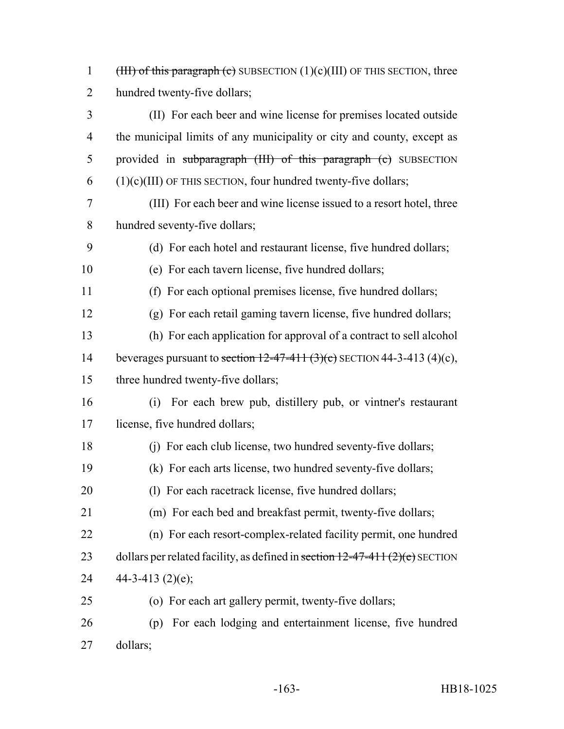1 (III) of this paragraph (c) SUBSECTION  $(1)(c)(III)$  OF THIS SECTION, three hundred twenty-five dollars;

- (II) For each beer and wine license for premises located outside the municipal limits of any municipality or city and county, except as 5 provided in subparagraph (III) of this paragraph (c) SUBSECTION (1)(c)(III) OF THIS SECTION, four hundred twenty-five dollars;
- (III) For each beer and wine license issued to a resort hotel, three hundred seventy-five dollars;
- (d) For each hotel and restaurant license, five hundred dollars;
- (e) For each tavern license, five hundred dollars;
- (f) For each optional premises license, five hundred dollars;
- (g) For each retail gaming tavern license, five hundred dollars;
- (h) For each application for approval of a contract to sell alcohol 14 beverages pursuant to section  $12-47-411$   $(3)(c)$  SECTION 44-3-413 (4)(c),
- 15 three hundred twenty-five dollars;
- (i) For each brew pub, distillery pub, or vintner's restaurant license, five hundred dollars;
- (j) For each club license, two hundred seventy-five dollars;
- (k) For each arts license, two hundred seventy-five dollars;
- 20 (l) For each racetrack license, five hundred dollars;
- (m) For each bed and breakfast permit, twenty-five dollars;
- (n) For each resort-complex-related facility permit, one hundred 23 dollars per related facility, as defined in section  $12-47-411(2)(e)$  SECTION 24  $44-3-413$  (2)(e);
- (o) For each art gallery permit, twenty-five dollars;
- (p) For each lodging and entertainment license, five hundred dollars;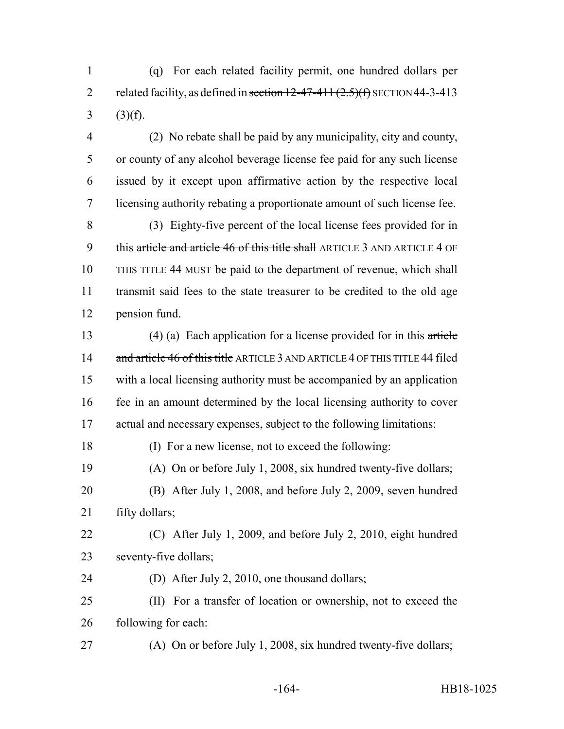(q) For each related facility permit, one hundred dollars per 2 related facility, as defined in section  $12-47-411(2.5)(f)$  SECTION 44-3-413 3 (3)(f).

 (2) No rebate shall be paid by any municipality, city and county, or county of any alcohol beverage license fee paid for any such license issued by it except upon affirmative action by the respective local licensing authority rebating a proportionate amount of such license fee.

 (3) Eighty-five percent of the local license fees provided for in 9 this article and article 46 of this title shall ARTICLE 3 AND ARTICLE 4 OF THIS TITLE 44 MUST be paid to the department of revenue, which shall transmit said fees to the state treasurer to be credited to the old age pension fund.

 (4) (a) Each application for a license provided for in this article 14 and article 46 of this title ARTICLE 3 AND ARTICLE 4 OF THIS TITLE 44 filed with a local licensing authority must be accompanied by an application fee in an amount determined by the local licensing authority to cover actual and necessary expenses, subject to the following limitations:

(I) For a new license, not to exceed the following:

 (A) On or before July 1, 2008, six hundred twenty-five dollars; (B) After July 1, 2008, and before July 2, 2009, seven hundred 21 fifty dollars;

 (C) After July 1, 2009, and before July 2, 2010, eight hundred seventy-five dollars;

(D) After July 2, 2010, one thousand dollars;

 (II) For a transfer of location or ownership, not to exceed the following for each:

(A) On or before July 1, 2008, six hundred twenty-five dollars;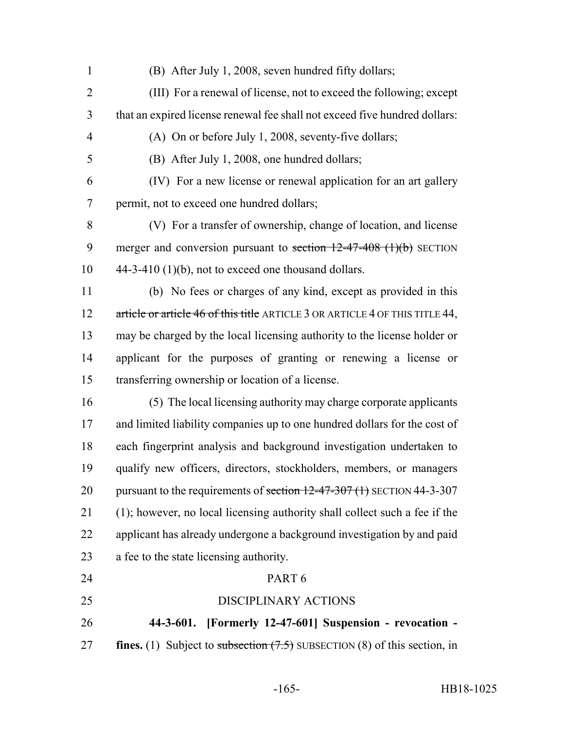- (B) After July 1, 2008, seven hundred fifty dollars;
- (III) For a renewal of license, not to exceed the following; except that an expired license renewal fee shall not exceed five hundred dollars:
- (A) On or before July 1, 2008, seventy-five dollars;

(B) After July 1, 2008, one hundred dollars;

 (IV) For a new license or renewal application for an art gallery permit, not to exceed one hundred dollars;

 (V) For a transfer of ownership, change of location, and license 9 merger and conversion pursuant to section  $12-47-408$  (1)(b) SECTION  $10 \qquad 44-3-410 \tag{10}$ , not to exceed one thousand dollars.

 (b) No fees or charges of any kind, except as provided in this 12 article or article 46 of this title ARTICLE 3 OR ARTICLE 4 OF THIS TITLE 44, may be charged by the local licensing authority to the license holder or applicant for the purposes of granting or renewing a license or transferring ownership or location of a license.

 (5) The local licensing authority may charge corporate applicants and limited liability companies up to one hundred dollars for the cost of each fingerprint analysis and background investigation undertaken to qualify new officers, directors, stockholders, members, or managers 20 pursuant to the requirements of section  $12-47-307$  (1) SECTION 44-3-307 (1); however, no local licensing authority shall collect such a fee if the applicant has already undergone a background investigation by and paid a fee to the state licensing authority.

- PART 6
- 

DISCIPLINARY ACTIONS

 **44-3-601. [Formerly 12-47-601] Suspension - revocation -** 27 **fines.** (1) Subject to subsection  $(7.5)$  SUBSECTION (8) of this section, in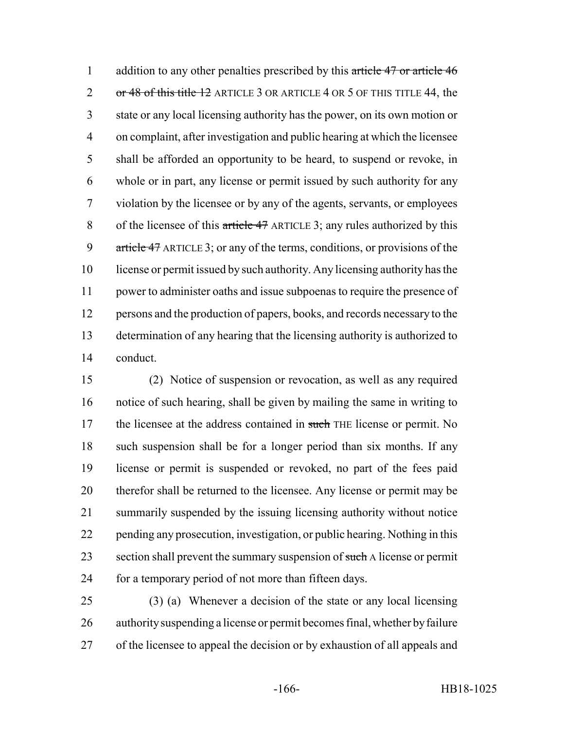1 addition to any other penalties prescribed by this article 47 or article 46 2 or 48 of this title 12 ARTICLE 3 OR ARTICLE 4 OR 5 OF THIS TITLE 44, the state or any local licensing authority has the power, on its own motion or on complaint, after investigation and public hearing at which the licensee shall be afforded an opportunity to be heard, to suspend or revoke, in whole or in part, any license or permit issued by such authority for any violation by the licensee or by any of the agents, servants, or employees 8 of the licensee of this article 47 ARTICLE 3; any rules authorized by this 9 article 47 ARTICLE 3; or any of the terms, conditions, or provisions of the license or permit issued by such authority. Any licensing authority has the power to administer oaths and issue subpoenas to require the presence of persons and the production of papers, books, and records necessary to the determination of any hearing that the licensing authority is authorized to conduct.

 (2) Notice of suspension or revocation, as well as any required notice of such hearing, shall be given by mailing the same in writing to 17 the licensee at the address contained in such THE license or permit. No such suspension shall be for a longer period than six months. If any license or permit is suspended or revoked, no part of the fees paid therefor shall be returned to the licensee. Any license or permit may be summarily suspended by the issuing licensing authority without notice pending any prosecution, investigation, or public hearing. Nothing in this 23 section shall prevent the summary suspension of such A license or permit 24 for a temporary period of not more than fifteen days.

 (3) (a) Whenever a decision of the state or any local licensing authority suspending a license or permit becomes final, whether by failure of the licensee to appeal the decision or by exhaustion of all appeals and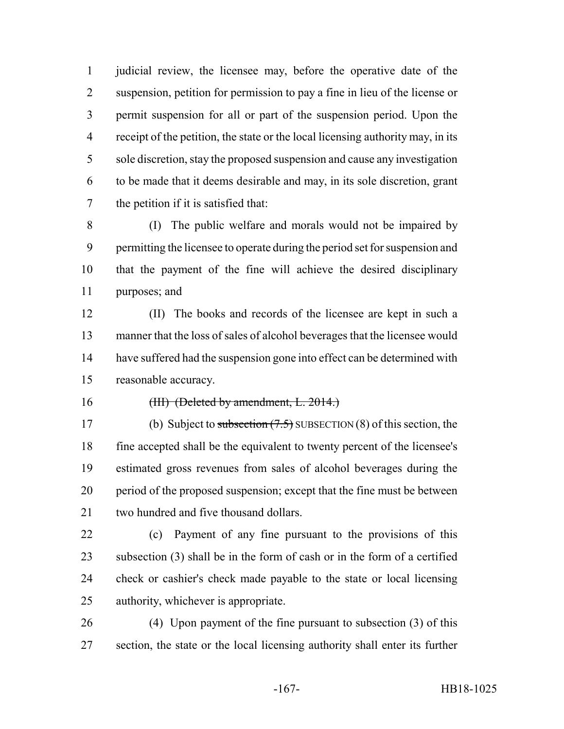judicial review, the licensee may, before the operative date of the suspension, petition for permission to pay a fine in lieu of the license or permit suspension for all or part of the suspension period. Upon the receipt of the petition, the state or the local licensing authority may, in its sole discretion, stay the proposed suspension and cause any investigation to be made that it deems desirable and may, in its sole discretion, grant the petition if it is satisfied that:

 (I) The public welfare and morals would not be impaired by permitting the licensee to operate during the period set for suspension and that the payment of the fine will achieve the desired disciplinary purposes; and

 (II) The books and records of the licensee are kept in such a manner that the loss of sales of alcohol beverages that the licensee would 14 have suffered had the suspension gone into effect can be determined with reasonable accuracy.

16 (III) (Deleted by amendment, L. 2014.)

17 (b) Subject to subsection (7.5) SUBSECTION (8) of this section, the fine accepted shall be the equivalent to twenty percent of the licensee's estimated gross revenues from sales of alcohol beverages during the period of the proposed suspension; except that the fine must be between 21 two hundred and five thousand dollars.

 (c) Payment of any fine pursuant to the provisions of this subsection (3) shall be in the form of cash or in the form of a certified check or cashier's check made payable to the state or local licensing authority, whichever is appropriate.

 (4) Upon payment of the fine pursuant to subsection (3) of this section, the state or the local licensing authority shall enter its further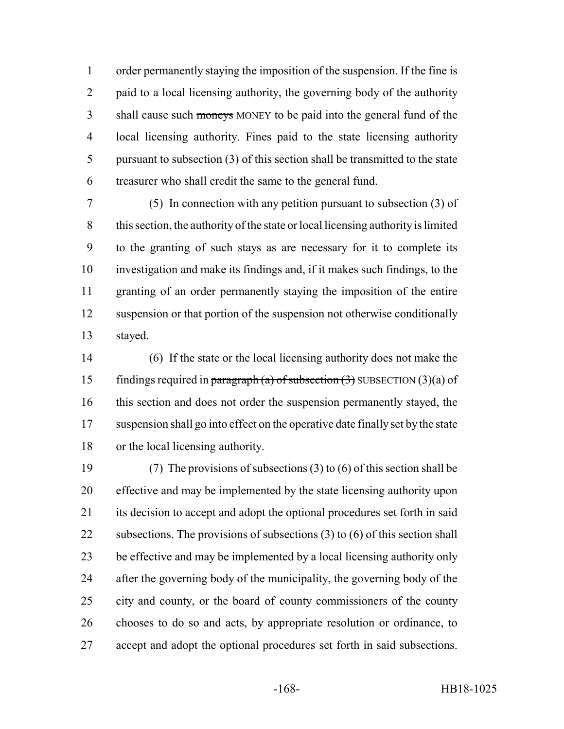order permanently staying the imposition of the suspension. If the fine is 2 paid to a local licensing authority, the governing body of the authority 3 shall cause such moneys MONEY to be paid into the general fund of the local licensing authority. Fines paid to the state licensing authority pursuant to subsection (3) of this section shall be transmitted to the state treasurer who shall credit the same to the general fund.

 (5) In connection with any petition pursuant to subsection (3) of this section, the authority of the state or local licensing authority is limited to the granting of such stays as are necessary for it to complete its investigation and make its findings and, if it makes such findings, to the granting of an order permanently staying the imposition of the entire suspension or that portion of the suspension not otherwise conditionally stayed.

 (6) If the state or the local licensing authority does not make the 15 findings required in paragraph (a) of subsection  $(3)$  SUBSECTION  $(3)(a)$  of this section and does not order the suspension permanently stayed, the suspension shall go into effect on the operative date finally set by the state or the local licensing authority.

 (7) The provisions of subsections (3) to (6) of this section shall be effective and may be implemented by the state licensing authority upon its decision to accept and adopt the optional procedures set forth in said 22 subsections. The provisions of subsections (3) to (6) of this section shall be effective and may be implemented by a local licensing authority only after the governing body of the municipality, the governing body of the city and county, or the board of county commissioners of the county chooses to do so and acts, by appropriate resolution or ordinance, to accept and adopt the optional procedures set forth in said subsections.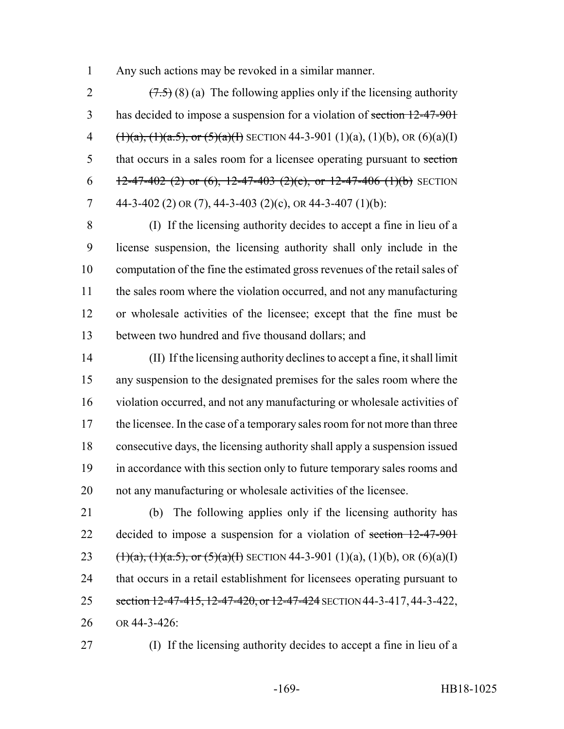Any such actions may be revoked in a similar manner.

2  $(7.5)(8)(a)$  The following applies only if the licensing authority 3 has decided to impose a suspension for a violation of section 12-47-901 4  $(\frac{1}{a}, \frac{1}{a}, \frac{1}{a}, \frac{5}{b}, \text{ or } \frac{5}{a}, \frac{1}{b}$  SECTION 44-3-901 (1)(a), (1)(b), OR (6)(a)(I) 5 that occurs in a sales room for a licensee operating pursuant to section 6 12-47-402 (2) or (6), 12-47-403 (2)(e), or 12-47-406 (1)(b) SECTION 7 44-3-402 (2) OR (7), 44-3-403 (2)(c), OR 44-3-407 (1)(b):

 (I) If the licensing authority decides to accept a fine in lieu of a license suspension, the licensing authority shall only include in the computation of the fine the estimated gross revenues of the retail sales of the sales room where the violation occurred, and not any manufacturing or wholesale activities of the licensee; except that the fine must be between two hundred and five thousand dollars; and

 (II) If the licensing authority declines to accept a fine, it shall limit any suspension to the designated premises for the sales room where the violation occurred, and not any manufacturing or wholesale activities of 17 the licensee. In the case of a temporary sales room for not more than three consecutive days, the licensing authority shall apply a suspension issued in accordance with this section only to future temporary sales rooms and not any manufacturing or wholesale activities of the licensee.

 (b) The following applies only if the licensing authority has 22 decided to impose a suspension for a violation of section 12-47-901 23 (1)(a), (1)(a.5), or (5)(a)(I) SECTION 44-3-901 (1)(a), (1)(b), OR (6)(a)(I) that occurs in a retail establishment for licensees operating pursuant to 25 section 12-47-415, 12-47-420, or 12-47-424 SECTION 44-3-417, 44-3-422, OR 44-3-426:

(I) If the licensing authority decides to accept a fine in lieu of a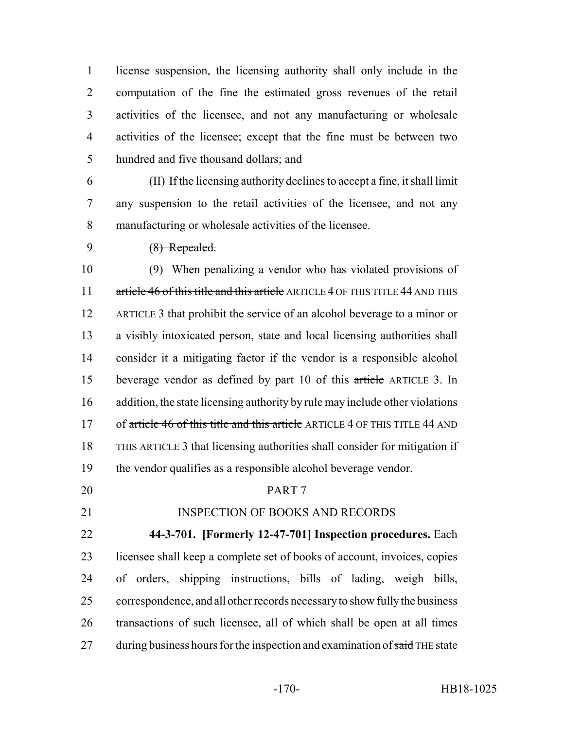license suspension, the licensing authority shall only include in the computation of the fine the estimated gross revenues of the retail activities of the licensee, and not any manufacturing or wholesale activities of the licensee; except that the fine must be between two hundred and five thousand dollars; and

 (II) If the licensing authority declines to accept a fine, it shall limit any suspension to the retail activities of the licensee, and not any manufacturing or wholesale activities of the licensee.

(8) Repealed.

 (9) When penalizing a vendor who has violated provisions of 11 article 46 of this title and this article ARTICLE 4 OF THIS TITLE 44 AND THIS ARTICLE 3 that prohibit the service of an alcohol beverage to a minor or a visibly intoxicated person, state and local licensing authorities shall consider it a mitigating factor if the vendor is a responsible alcohol beverage vendor as defined by part 10 of this article ARTICLE 3. In addition, the state licensing authority by rule may include other violations 17 of article 46 of this title and this article ARTICLE 4 OF THIS TITLE 44 AND THIS ARTICLE 3 that licensing authorities shall consider for mitigation if the vendor qualifies as a responsible alcohol beverage vendor.

#### PART 7

## 21 INSPECTION OF BOOKS AND RECORDS

 **44-3-701. [Formerly 12-47-701] Inspection procedures.** Each licensee shall keep a complete set of books of account, invoices, copies of orders, shipping instructions, bills of lading, weigh bills, correspondence, and all other records necessary to show fully the business transactions of such licensee, all of which shall be open at all times 27 during business hours for the inspection and examination of said THE state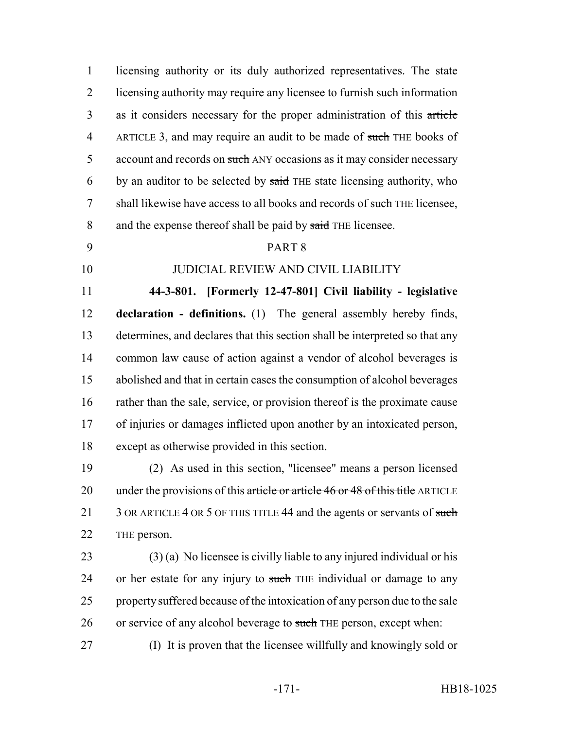licensing authority or its duly authorized representatives. The state licensing authority may require any licensee to furnish such information as it considers necessary for the proper administration of this article 4 ARTICLE 3, and may require an audit to be made of such THE books of 5 account and records on such ANY occasions as it may consider necessary 6 by an auditor to be selected by said THE state licensing authority, who 7 shall likewise have access to all books and records of such THE licensee, 8 and the expense thereof shall be paid by said THE licensee.

## PART 8

# JUDICIAL REVIEW AND CIVIL LIABILITY

 **44-3-801. [Formerly 12-47-801] Civil liability - legislative declaration - definitions.** (1) The general assembly hereby finds, determines, and declares that this section shall be interpreted so that any common law cause of action against a vendor of alcohol beverages is abolished and that in certain cases the consumption of alcohol beverages rather than the sale, service, or provision thereof is the proximate cause of injuries or damages inflicted upon another by an intoxicated person, except as otherwise provided in this section.

 (2) As used in this section, "licensee" means a person licensed 20 under the provisions of this article or article 46 or 48 of this title ARTICLE 21 3 OR ARTICLE 4 OR 5 OF THIS TITLE 44 and the agents or servants of such THE person.

 (3) (a) No licensee is civilly liable to any injured individual or his 24 or her estate for any injury to such THE individual or damage to any property suffered because of the intoxication of any person due to the sale 26 or service of any alcohol beverage to such THE person, except when:

(I) It is proven that the licensee willfully and knowingly sold or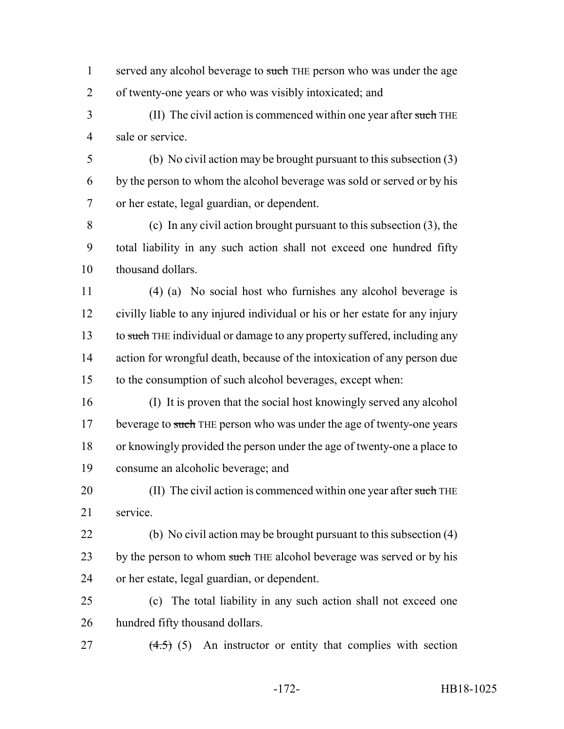- 1 served any alcohol beverage to such THE person who was under the age of twenty-one years or who was visibly intoxicated; and
- 3 (II) The civil action is commenced within one year after such THE sale or service.
- (b) No civil action may be brought pursuant to this subsection (3) by the person to whom the alcohol beverage was sold or served or by his or her estate, legal guardian, or dependent.

 (c) In any civil action brought pursuant to this subsection (3), the total liability in any such action shall not exceed one hundred fifty thousand dollars.

 (4) (a) No social host who furnishes any alcohol beverage is civilly liable to any injured individual or his or her estate for any injury 13 to such THE individual or damage to any property suffered, including any action for wrongful death, because of the intoxication of any person due to the consumption of such alcohol beverages, except when:

 (I) It is proven that the social host knowingly served any alcohol 17 beverage to such THE person who was under the age of twenty-one years or knowingly provided the person under the age of twenty-one a place to consume an alcoholic beverage; and

20 (II) The civil action is commenced within one year after such THE service.

- (b) No civil action may be brought pursuant to this subsection (4) 23 by the person to whom such THE alcohol beverage was served or by his or her estate, legal guardian, or dependent.
- (c) The total liability in any such action shall not exceed one hundred fifty thousand dollars.
- 27  $(4.5)$  (5) An instructor or entity that complies with section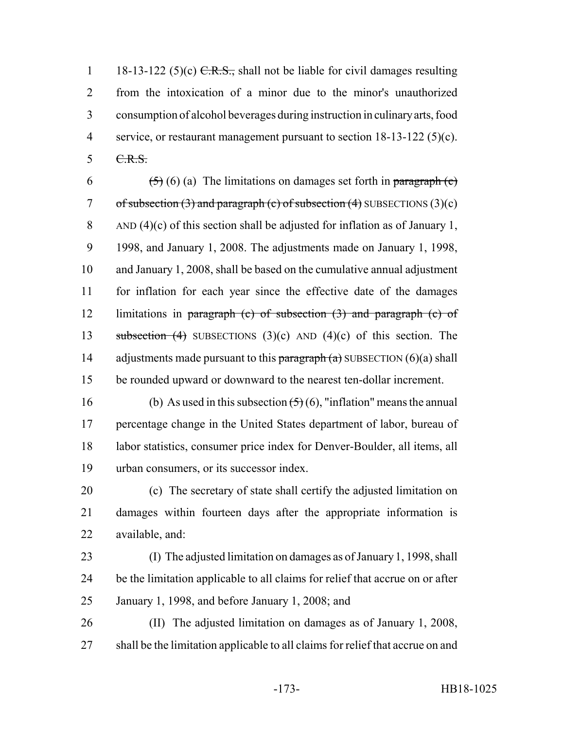1 18-13-122 (5)(c)  $C.R.S.,$  shall not be liable for civil damages resulting from the intoxication of a minor due to the minor's unauthorized consumption of alcohol beverages during instruction in culinary arts, food service, or restaurant management pursuant to section 18-13-122 (5)(c). C.R.S.

6  $(5)(6)$  (a) The limitations on damages set forth in paragraph (c) 7 of subsection  $(3)$  and paragraph  $(c)$  of subsection  $(4)$  SUBSECTIONS  $(3)(c)$ 8 AND (4)(c) of this section shall be adjusted for inflation as of January 1, 1998, and January 1, 2008. The adjustments made on January 1, 1998, and January 1, 2008, shall be based on the cumulative annual adjustment for inflation for each year since the effective date of the damages 12 limitations in paragraph (c) of subsection  $(3)$  and paragraph (c) of 13 subsection (4) SUBSECTIONS (3)(c) AND (4)(c) of this section. The 14 adjustments made pursuant to this paragraph  $(a)$  SUBSECTION  $(6)(a)$  shall be rounded upward or downward to the nearest ten-dollar increment.

16 (b) As used in this subsection  $(5)(6)$ , "inflation" means the annual percentage change in the United States department of labor, bureau of labor statistics, consumer price index for Denver-Boulder, all items, all urban consumers, or its successor index.

 (c) The secretary of state shall certify the adjusted limitation on damages within fourteen days after the appropriate information is available, and:

- (I) The adjusted limitation on damages as of January 1, 1998, shall be the limitation applicable to all claims for relief that accrue on or after January 1, 1998, and before January 1, 2008; and
- (II) The adjusted limitation on damages as of January 1, 2008, shall be the limitation applicable to all claims for relief that accrue on and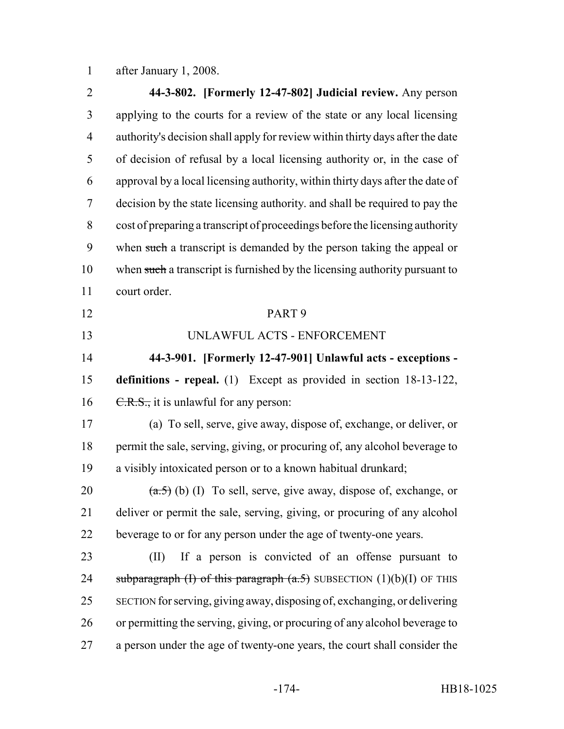after January 1, 2008.

 **44-3-802. [Formerly 12-47-802] Judicial review.** Any person applying to the courts for a review of the state or any local licensing authority's decision shall apply for review within thirty days after the date of decision of refusal by a local licensing authority or, in the case of approval by a local licensing authority, within thirty days after the date of decision by the state licensing authority. and shall be required to pay the cost of preparing a transcript of proceedings before the licensing authority when such a transcript is demanded by the person taking the appeal or 10 when such a transcript is furnished by the licensing authority pursuant to court order. PART 9 UNLAWFUL ACTS - ENFORCEMENT **44-3-901. [Formerly 12-47-901] Unlawful acts - exceptions - definitions - repeal.** (1) Except as provided in section 18-13-122,  $C.R.S.,$  it is unlawful for any person: (a) To sell, serve, give away, dispose of, exchange, or deliver, or permit the sale, serving, giving, or procuring of, any alcohol beverage to a visibly intoxicated person or to a known habitual drunkard;  $(a.5)$  (b) (I) To sell, serve, give away, dispose of, exchange, or deliver or permit the sale, serving, giving, or procuring of any alcohol beverage to or for any person under the age of twenty-one years. (II) If a person is convicted of an offense pursuant to 24 subparagraph (I) of this paragraph  $(a.5)$  SUBSECTION  $(1)(b)(I)$  OF THIS SECTION for serving, giving away, disposing of, exchanging, or delivering or permitting the serving, giving, or procuring of any alcohol beverage to a person under the age of twenty-one years, the court shall consider the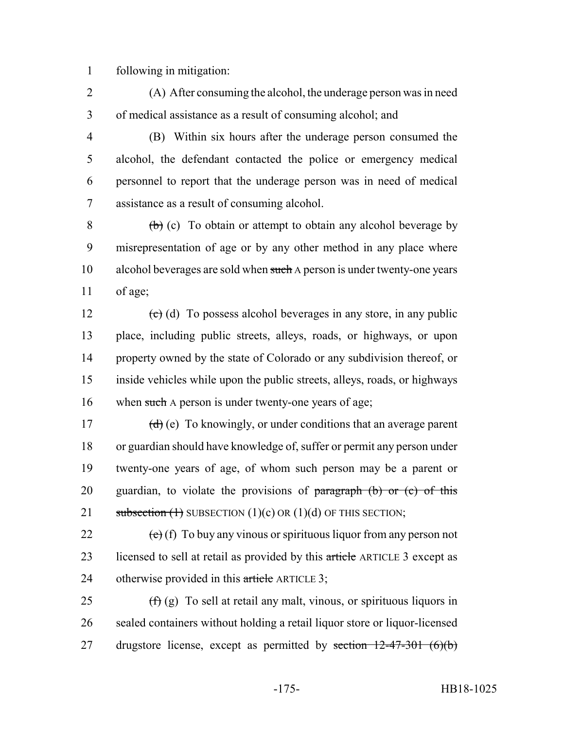1 following in mitigation:

- 2 (A) After consuming the alcohol, the underage person was in need 3 of medical assistance as a result of consuming alcohol; and
- 4 (B) Within six hours after the underage person consumed the 5 alcohol, the defendant contacted the police or emergency medical 6 personnel to report that the underage person was in need of medical 7 assistance as a result of consuming alcohol.

 $8$  (b) (c) To obtain or attempt to obtain any alcohol beverage by 9 misrepresentation of age or by any other method in any place where 10 alcohol beverages are sold when such A person is under twenty-one years 11 of age;

 $\left(\text{e}\right)$  (d) To possess alcohol beverages in any store, in any public place, including public streets, alleys, roads, or highways, or upon property owned by the state of Colorado or any subdivision thereof, or inside vehicles while upon the public streets, alleys, roads, or highways 16 when such A person is under twenty-one years of age;

17  $(d)$  (e) To knowingly, or under conditions that an average parent 18 or guardian should have knowledge of, suffer or permit any person under 19 twenty-one years of age, of whom such person may be a parent or 20 guardian, to violate the provisions of  $\frac{\partial f}{\partial x}$  (b) or (c) of this 21 subsection  $(1)$  SUBSECTION  $(1)(c)$  OR  $(1)(d)$  OF THIS SECTION;

22  $(e)$  (f) To buy any vinous or spirituous liquor from any person not 23 licensed to sell at retail as provided by this article ARTICLE 3 except as 24 otherwise provided in this article ARTICLE 3;

25  $(f)(g)$  To sell at retail any malt, vinous, or spirituous liquors in 26 sealed containers without holding a retail liquor store or liquor-licensed 27 drugstore license, except as permitted by section  $12-47-301$  (6)(b)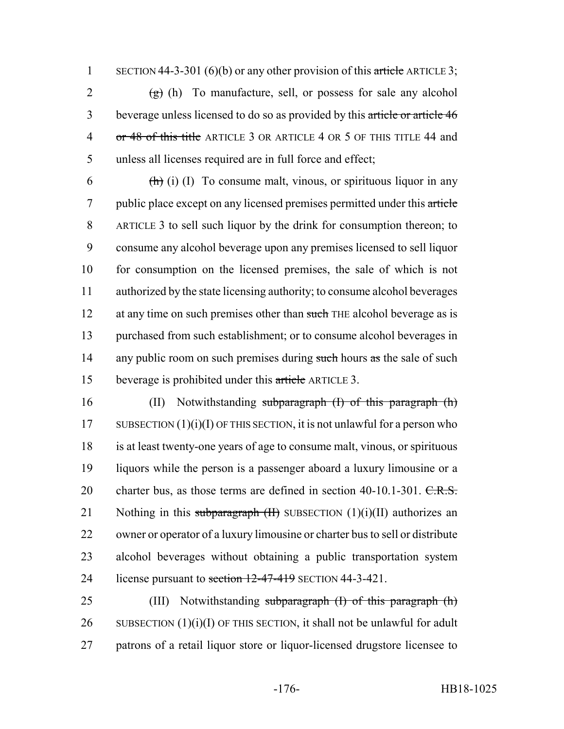1 SECTION 44-3-301 (6)(b) or any other provision of this article ARTICLE 3;

 $(g)$  (h) To manufacture, sell, or possess for sale any alcohol beverage unless licensed to do so as provided by this article or article 46 4 or 48 of this title ARTICLE 3 OR ARTICLE 4 OR 5 OF THIS TITLE 44 and unless all licenses required are in full force and effect;

6  $\left(\frac{h}{h}\right)$  (i) (I) To consume malt, vinous, or spirituous liquor in any 7 public place except on any licensed premises permitted under this article 8 ARTICLE 3 to sell such liquor by the drink for consumption thereon; to 9 consume any alcohol beverage upon any premises licensed to sell liquor 10 for consumption on the licensed premises, the sale of which is not 11 authorized by the state licensing authority; to consume alcohol beverages 12 at any time on such premises other than such THE alcohol beverage as is 13 purchased from such establishment; or to consume alcohol beverages in 14 any public room on such premises during such hours as the sale of such 15 beverage is prohibited under this article ARTICLE 3.

16 (II) Notwithstanding subparagraph (I) of this paragraph (h) 17 SUBSECTION  $(1)(i)(I)$  OF THIS SECTION, it is not unlawful for a person who 18 is at least twenty-one years of age to consume malt, vinous, or spirituous 19 liquors while the person is a passenger aboard a luxury limousine or a 20 charter bus, as those terms are defined in section 40-10.1-301. C.R.S. 21 Nothing in this subparagraph  $(H)$  SUBSECTION  $(1)(i)(II)$  authorizes an 22 owner or operator of a luxury limousine or charter bus to sell or distribute 23 alcohol beverages without obtaining a public transportation system 24 license pursuant to section 12-47-419 SECTION 44-3-421.

25 (III) Notwithstanding subparagraph (I) of this paragraph (h) 26 SUBSECTION  $(1)(i)(I)$  OF THIS SECTION, it shall not be unlawful for adult 27 patrons of a retail liquor store or liquor-licensed drugstore licensee to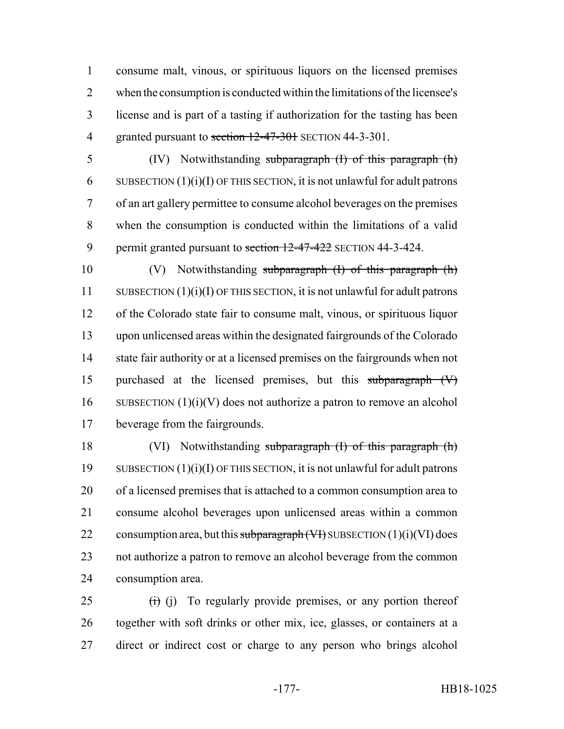consume malt, vinous, or spirituous liquors on the licensed premises when the consumption is conducted within the limitations of the licensee's license and is part of a tasting if authorization for the tasting has been 4 granted pursuant to section 12-47-301 SECTION 44-3-301.

 (IV) Notwithstanding subparagraph (I) of this paragraph (h) 6 SUBSECTION  $(1)(i)(I)$  OF THIS SECTION, it is not unlawful for adult patrons of an art gallery permittee to consume alcohol beverages on the premises when the consumption is conducted within the limitations of a valid 9 permit granted pursuant to section 12-47-422 SECTION 44-3-424.

 (V) Notwithstanding subparagraph (I) of this paragraph (h) SUBSECTION (1)(i)(I) OF THIS SECTION, it is not unlawful for adult patrons of the Colorado state fair to consume malt, vinous, or spirituous liquor upon unlicensed areas within the designated fairgrounds of the Colorado state fair authority or at a licensed premises on the fairgrounds when not purchased at the licensed premises, but this subparagraph (V) 16 SUBSECTION  $(1)(i)(V)$  does not authorize a patron to remove an alcohol beverage from the fairgrounds.

 (VI) Notwithstanding subparagraph (I) of this paragraph (h) SUBSECTION (1)(i)(I) OF THIS SECTION, it is not unlawful for adult patrons of a licensed premises that is attached to a common consumption area to consume alcohol beverages upon unlicensed areas within a common 22 consumption area, but this subparagraph  $(V)$  SUBSECTION  $(1)(i)(VI)$  does not authorize a patron to remove an alcohol beverage from the common consumption area.

 (i) To regularly provide premises, or any portion thereof together with soft drinks or other mix, ice, glasses, or containers at a direct or indirect cost or charge to any person who brings alcohol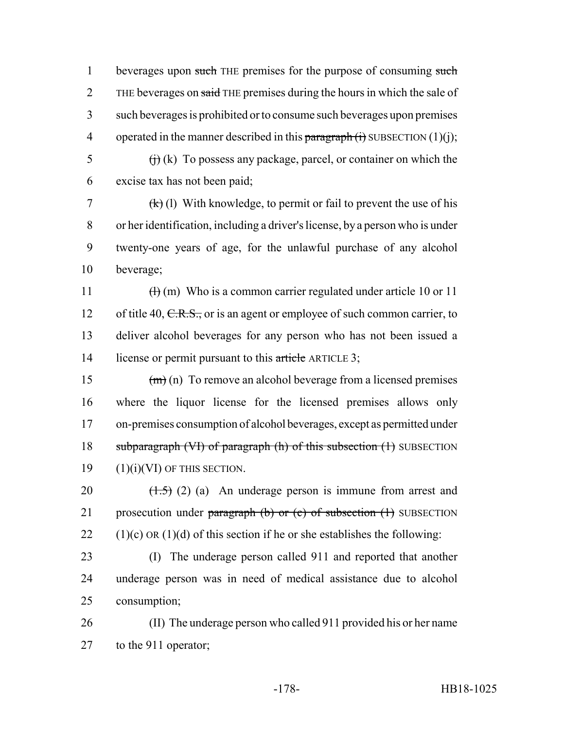1 beverages upon such THE premises for the purpose of consuming such 2 THE beverages on said THE premises during the hours in which the sale of 3 such beverages is prohibited or to consume such beverages upon premises 4 operated in the manner described in this paragraph  $(i)$  SUBSECTION  $(1)(i)$ ;

 $\overrightarrow{f}$  (i) (k) To possess any package, parcel, or container on which the 6 excise tax has not been paid;

7 (k) (l) With knowledge, to permit or fail to prevent the use of his or her identification, including a driver's license, by a person who is under twenty-one years of age, for the unlawful purchase of any alcohol beverage;

11  $\text{(h)}$  (m) Who is a common carrier regulated under article 10 or 11 12 of title 40, C.R.S., or is an agent or employee of such common carrier, to 13 deliver alcohol beverages for any person who has not been issued a 14 license or permit pursuant to this article ARTICLE 3;

 $(m)$  (n) To remove an alcohol beverage from a licensed premises where the liquor license for the licensed premises allows only on-premises consumption of alcohol beverages, except as permitted under 18 subparagraph (VI) of paragraph (h) of this subsection (1) SUBSECTION (1)(i)(VI) OF THIS SECTION.

20  $(1.5)$  (2) (a) An underage person is immune from arrest and 21 prosecution under paragraph  $(b)$  or  $(c)$  of subsection  $(1)$  SUBSECTION 22 (1)(c) OR (1)(d) of this section if he or she establishes the following:

23 (I) The underage person called 911 and reported that another 24 underage person was in need of medical assistance due to alcohol 25 consumption;

26 (II) The underage person who called 911 provided his or her name 27 to the 911 operator;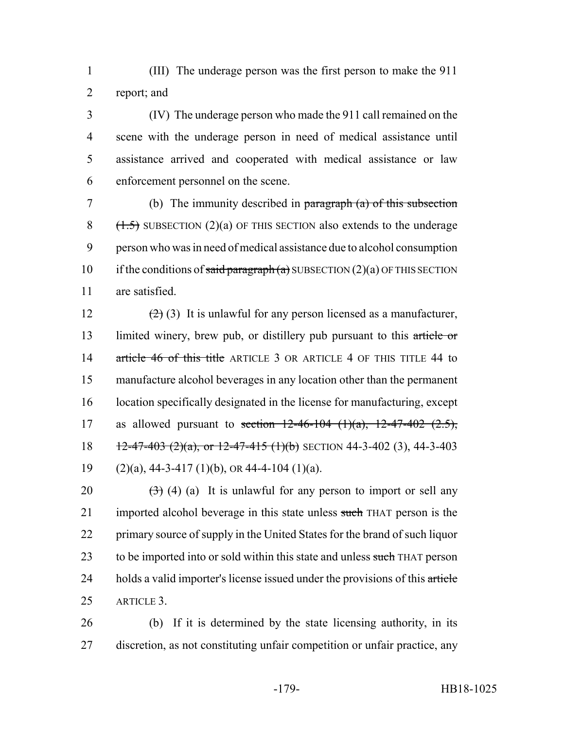1 (III) The underage person was the first person to make the 911 2 report; and

 (IV) The underage person who made the 911 call remained on the scene with the underage person in need of medical assistance until assistance arrived and cooperated with medical assistance or law enforcement personnel on the scene.

 (b) The immunity described in paragraph (a) of this subsection  $(1.5)$  SUBSECTION (2)(a) OF THIS SECTION also extends to the underage person who was in need of medical assistance due to alcohol consumption 10 if the conditions of said paragraph (a) SUBSECTION (2)(a) OF THIS SECTION are satisfied.

12  $(2)(3)$  It is unlawful for any person licensed as a manufacturer, 13 limited winery, brew pub, or distillery pub pursuant to this article or 14 article 46 of this title ARTICLE 3 OR ARTICLE 4 OF THIS TITLE 44 to 15 manufacture alcohol beverages in any location other than the permanent 16 location specifically designated in the license for manufacturing, except 17 as allowed pursuant to section  $12-46-104$   $(1)(a)$ ,  $12-47-402$   $(2.5)$ , 18  $\frac{12-47-403 (2)(a)}{12-47-415 (1)(b)}$  SECTION 44-3-402 (3), 44-3-403 19 (2)(a),  $44-3-417$  (1)(b), OR 44-4-104 (1)(a).

20  $(3)$  (4) (a) It is unlawful for any person to import or sell any 21 imported alcohol beverage in this state unless such THAT person is the 22 primary source of supply in the United States for the brand of such liquor 23 to be imported into or sold within this state and unless such THAT person 24 holds a valid importer's license issued under the provisions of this article 25 ARTICLE 3.

26 (b) If it is determined by the state licensing authority, in its 27 discretion, as not constituting unfair competition or unfair practice, any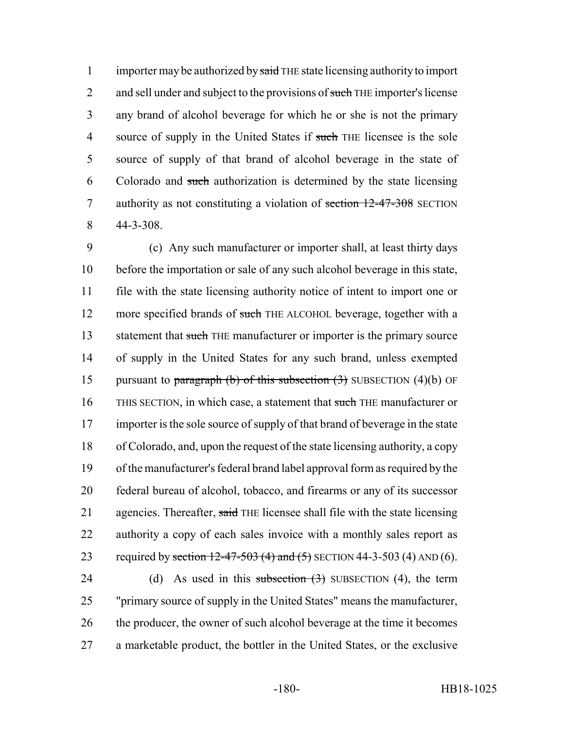1 importer may be authorized by said THE state licensing authority to import 2 and sell under and subject to the provisions of such THE importer's license 3 any brand of alcohol beverage for which he or she is not the primary 4 source of supply in the United States if such THE licensee is the sole 5 source of supply of that brand of alcohol beverage in the state of 6 Colorado and such authorization is determined by the state licensing 7 authority as not constituting a violation of section 12-47-308 SECTION 8 44-3-308.

9 (c) Any such manufacturer or importer shall, at least thirty days 10 before the importation or sale of any such alcohol beverage in this state, 11 file with the state licensing authority notice of intent to import one or 12 more specified brands of such THE ALCOHOL beverage, together with a 13 statement that such THE manufacturer or importer is the primary source 14 of supply in the United States for any such brand, unless exempted 15 pursuant to paragraph (b) of this subsection  $(3)$  SUBSECTION  $(4)(b)$  OF 16 THIS SECTION, in which case, a statement that such THE manufacturer or 17 importer is the sole source of supply of that brand of beverage in the state 18 of Colorado, and, upon the request of the state licensing authority, a copy 19 of the manufacturer's federal brand label approval form as required by the 20 federal bureau of alcohol, tobacco, and firearms or any of its successor 21 agencies. Thereafter, said THE licensee shall file with the state licensing 22 authority a copy of each sales invoice with a monthly sales report as 23 required by section  $12-47-503$  (4) and (5) SECTION 44-3-503 (4) AND (6).

24 (d) As used in this subsection  $(3)$  SUBSECTION  $(4)$ , the term 25 "primary source of supply in the United States" means the manufacturer, 26 the producer, the owner of such alcohol beverage at the time it becomes 27 a marketable product, the bottler in the United States, or the exclusive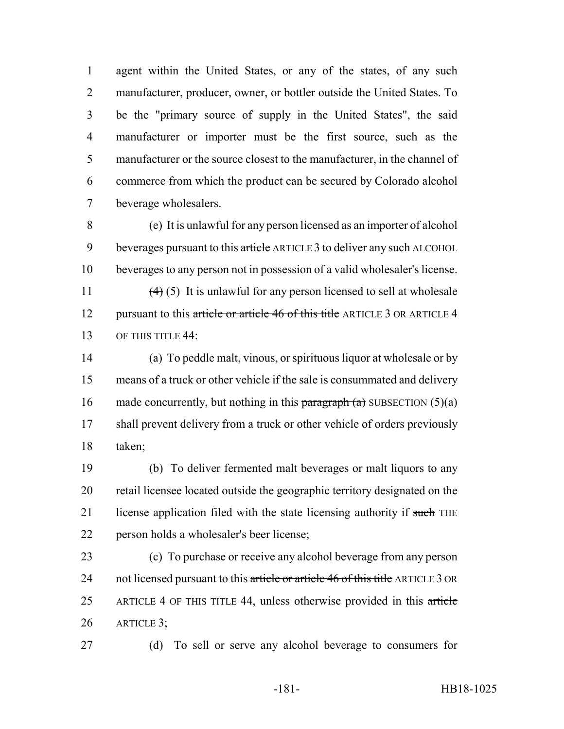agent within the United States, or any of the states, of any such manufacturer, producer, owner, or bottler outside the United States. To be the "primary source of supply in the United States", the said manufacturer or importer must be the first source, such as the manufacturer or the source closest to the manufacturer, in the channel of commerce from which the product can be secured by Colorado alcohol beverage wholesalers.

 (e) It is unlawful for any person licensed as an importer of alcohol 9 beverages pursuant to this article ARTICLE 3 to deliver any such ALCOHOL beverages to any person not in possession of a valid wholesaler's license.

11  $(4)(5)$  It is unlawful for any person licensed to sell at wholesale 12 pursuant to this article or article 46 of this title ARTICLE 3 OR ARTICLE 4 13 OF THIS TITLE 44:

 (a) To peddle malt, vinous, or spirituous liquor at wholesale or by means of a truck or other vehicle if the sale is consummated and delivery 16 made concurrently, but nothing in this paragraph  $(a)$  SUBSECTION  $(5)(a)$ 17 shall prevent delivery from a truck or other vehicle of orders previously taken;

 (b) To deliver fermented malt beverages or malt liquors to any retail licensee located outside the geographic territory designated on the 21 license application filed with the state licensing authority if such THE person holds a wholesaler's beer license;

 (c) To purchase or receive any alcohol beverage from any person 24 not licensed pursuant to this article or article 46 of this title ARTICLE 3 OR 25 ARTICLE 4 OF THIS TITLE 44, unless otherwise provided in this article ARTICLE 3;

(d) To sell or serve any alcohol beverage to consumers for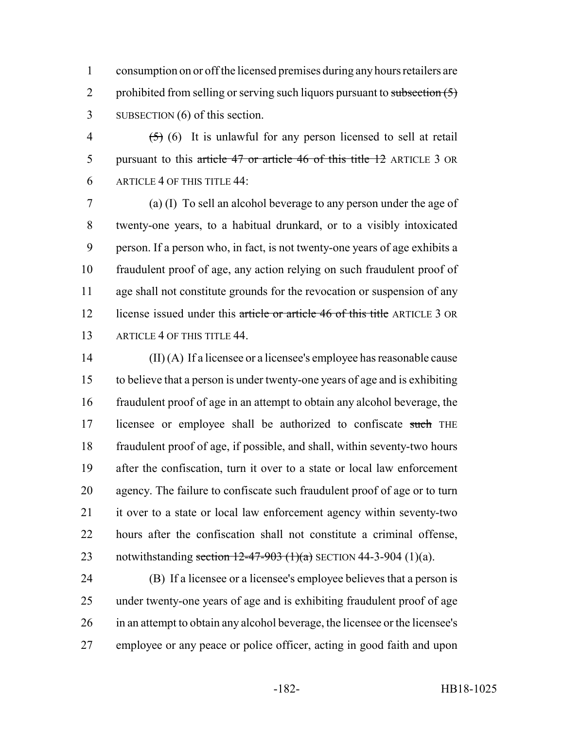consumption on or off the licensed premises during any hours retailers are 2 prohibited from selling or serving such liquors pursuant to subsection  $(5)$ SUBSECTION (6) of this section.

4  $(5)$  (6) It is unlawful for any person licensed to sell at retail 5 pursuant to this article 47 or article 46 of this title 12 ARTICLE 3 OR ARTICLE 4 OF THIS TITLE 44:

 (a) (I) To sell an alcohol beverage to any person under the age of twenty-one years, to a habitual drunkard, or to a visibly intoxicated person. If a person who, in fact, is not twenty-one years of age exhibits a fraudulent proof of age, any action relying on such fraudulent proof of age shall not constitute grounds for the revocation or suspension of any 12 license issued under this article or article 46 of this title ARTICLE 3 OR ARTICLE 4 OF THIS TITLE 44.

 (II) (A) If a licensee or a licensee's employee has reasonable cause to believe that a person is under twenty-one years of age and is exhibiting fraudulent proof of age in an attempt to obtain any alcohol beverage, the 17 licensee or employee shall be authorized to confiscate such THE fraudulent proof of age, if possible, and shall, within seventy-two hours after the confiscation, turn it over to a state or local law enforcement agency. The failure to confiscate such fraudulent proof of age or to turn it over to a state or local law enforcement agency within seventy-two hours after the confiscation shall not constitute a criminal offense, 23 notwithstanding section  $12-47-903$  (1)(a) SECTION 44-3-904 (1)(a).

 (B) If a licensee or a licensee's employee believes that a person is under twenty-one years of age and is exhibiting fraudulent proof of age in an attempt to obtain any alcohol beverage, the licensee or the licensee's employee or any peace or police officer, acting in good faith and upon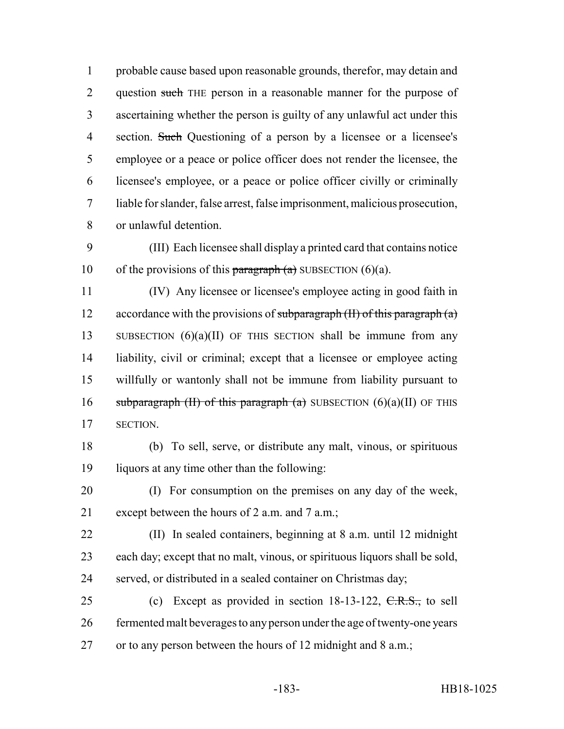probable cause based upon reasonable grounds, therefor, may detain and 2 question such THE person in a reasonable manner for the purpose of ascertaining whether the person is guilty of any unlawful act under this 4 section. Such Questioning of a person by a licensee or a licensee's employee or a peace or police officer does not render the licensee, the licensee's employee, or a peace or police officer civilly or criminally liable for slander, false arrest, false imprisonment, malicious prosecution, or unlawful detention.

 (III) Each licensee shall display a printed card that contains notice 10 of the provisions of this paragraph  $(a)$  SUBSECTION  $(6)(a)$ .

 (IV) Any licensee or licensee's employee acting in good faith in 12 accordance with the provisions of subparagraph  $(H)$  of this paragraph  $(a)$ 13 SUBSECTION (6)(a)(II) OF THIS SECTION shall be immune from any liability, civil or criminal; except that a licensee or employee acting willfully or wantonly shall not be immune from liability pursuant to 16 subparagraph (II) of this paragraph (a) SUBSECTION  $(6)(a)(II)$  OF THIS SECTION.

 (b) To sell, serve, or distribute any malt, vinous, or spirituous liquors at any time other than the following:

 (I) For consumption on the premises on any day of the week, except between the hours of 2 a.m. and 7 a.m.;

 (II) In sealed containers, beginning at 8 a.m. until 12 midnight each day; except that no malt, vinous, or spirituous liquors shall be sold, served, or distributed in a sealed container on Christmas day;

25 (c) Except as provided in section 18-13-122, C.R.S., to sell fermented malt beverages to any person under the age of twenty-one years or to any person between the hours of 12 midnight and 8 a.m.;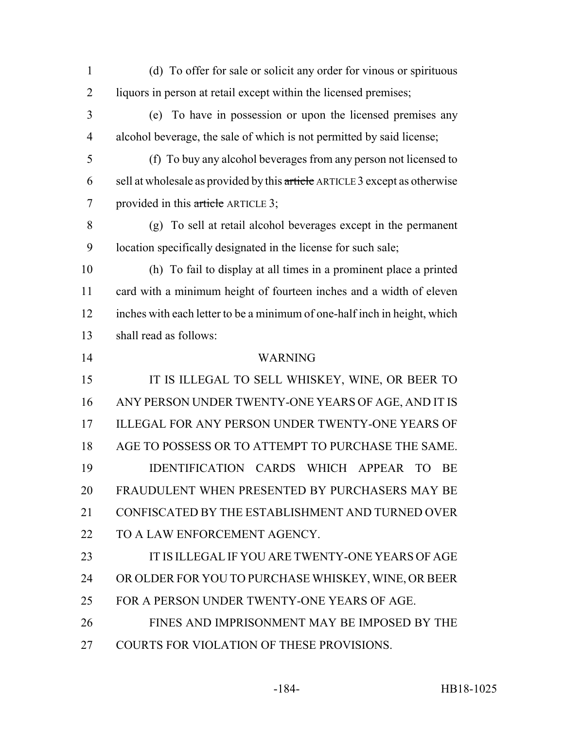| $\mathbf{1}$   | (d) To offer for sale or solicit any order for vinous or spirituous         |
|----------------|-----------------------------------------------------------------------------|
| $\overline{2}$ | liquors in person at retail except within the licensed premises;            |
| 3              | (e) To have in possession or upon the licensed premises any                 |
| $\overline{4}$ | alcohol beverage, the sale of which is not permitted by said license;       |
| 5              | (f) To buy any alcohol beverages from any person not licensed to            |
| 6              | sell at wholesale as provided by this article ARTICLE 3 except as otherwise |
| 7              | provided in this article ARTICLE 3;                                         |
| 8              | (g) To sell at retail alcohol beverages except in the permanent             |
| 9              | location specifically designated in the license for such sale;              |
| 10             | (h) To fail to display at all times in a prominent place a printed          |
| 11             | card with a minimum height of fourteen inches and a width of eleven         |
| 12             | inches with each letter to be a minimum of one-half inch in height, which   |
| 13             | shall read as follows:                                                      |
| 14             | <b>WARNING</b>                                                              |
| 15             | IT IS ILLEGAL TO SELL WHISKEY, WINE, OR BEER TO                             |
| 16             | ANY PERSON UNDER TWENTY-ONE YEARS OF AGE, AND IT IS                         |
| 17             | ILLEGAL FOR ANY PERSON UNDER TWENTY-ONE YEARS OF                            |
| 18             | AGE TO POSSESS OR TO ATTEMPT TO PURCHASE THE SAME.                          |
| 19             | IDENTIFICATION CARDS WHICH APPEAR<br>TO<br><b>BE</b>                        |
| 20             | FRAUDULENT WHEN PRESENTED BY PURCHASERS MAY BE                              |
| 21             | CONFISCATED BY THE ESTABLISHMENT AND TURNED OVER                            |
| 22             | TO A LAW ENFORCEMENT AGENCY.                                                |
| 23             | IT IS ILLEGAL IF YOU ARE TWENTY-ONE YEARS OF AGE                            |
| 24             | OR OLDER FOR YOU TO PURCHASE WHISKEY, WINE, OR BEER                         |
| 25             | FOR A PERSON UNDER TWENTY-ONE YEARS OF AGE.                                 |
| 26             | FINES AND IMPRISONMENT MAY BE IMPOSED BY THE                                |
| 27             | COURTS FOR VIOLATION OF THESE PROVISIONS.                                   |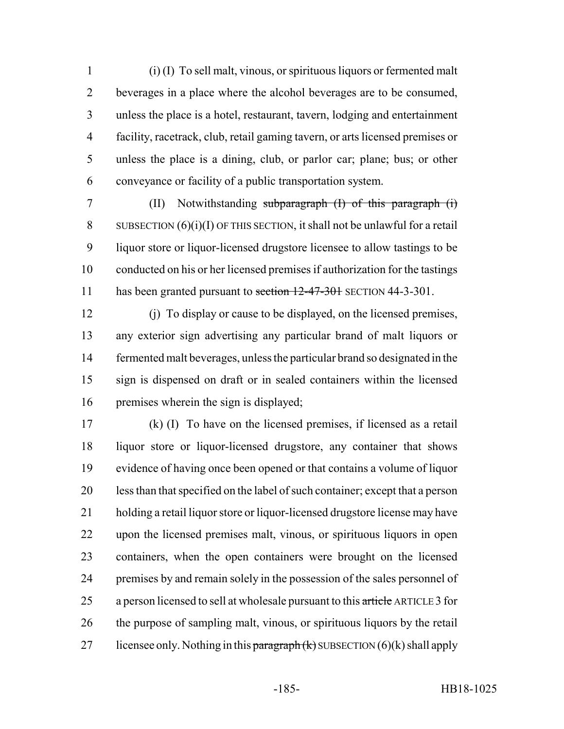(i) (I) To sell malt, vinous, or spirituous liquors or fermented malt beverages in a place where the alcohol beverages are to be consumed, unless the place is a hotel, restaurant, tavern, lodging and entertainment facility, racetrack, club, retail gaming tavern, or arts licensed premises or unless the place is a dining, club, or parlor car; plane; bus; or other conveyance or facility of a public transportation system.

 (II) Notwithstanding subparagraph (I) of this paragraph (i) 8 SUBSECTION  $(6)(i)(I)$  OF THIS SECTION, it shall not be unlawful for a retail liquor store or liquor-licensed drugstore licensee to allow tastings to be conducted on his or her licensed premises if authorization for the tastings 11 has been granted pursuant to section 12-47-301 SECTION 44-3-301.

 (j) To display or cause to be displayed, on the licensed premises, any exterior sign advertising any particular brand of malt liquors or fermented malt beverages, unless the particular brand so designated in the sign is dispensed on draft or in sealed containers within the licensed premises wherein the sign is displayed;

 (k) (I) To have on the licensed premises, if licensed as a retail liquor store or liquor-licensed drugstore, any container that shows evidence of having once been opened or that contains a volume of liquor less than that specified on the label of such container; except that a person holding a retail liquor store or liquor-licensed drugstore license may have upon the licensed premises malt, vinous, or spirituous liquors in open containers, when the open containers were brought on the licensed premises by and remain solely in the possession of the sales personnel of 25 a person licensed to sell at wholesale pursuant to this article ARTICLE 3 for the purpose of sampling malt, vinous, or spirituous liquors by the retail 27 licensee only. Nothing in this paragraph  $(k)$  SUBSECTION  $(6)(k)$  shall apply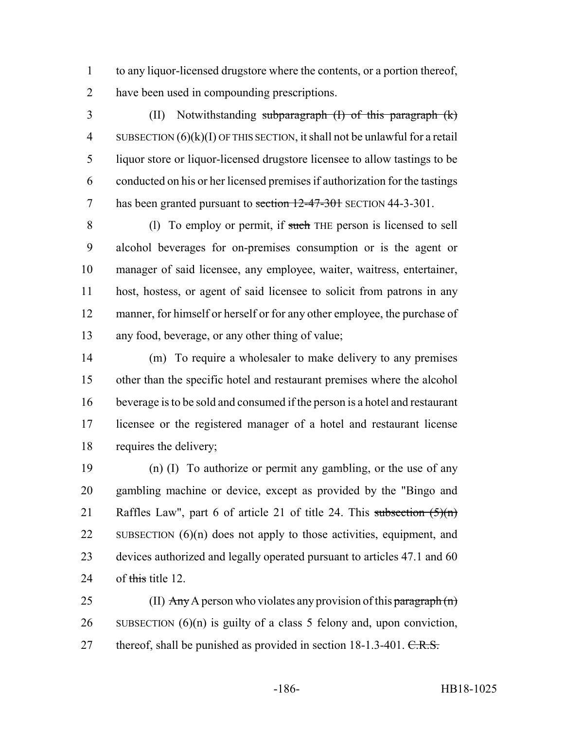to any liquor-licensed drugstore where the contents, or a portion thereof, have been used in compounding prescriptions.

 (II) Notwithstanding subparagraph (I) of this paragraph (k) 4 SUBSECTION  $(6)(k)(I)$  OF THIS SECTION, it shall not be unlawful for a retail liquor store or liquor-licensed drugstore licensee to allow tastings to be conducted on his or her licensed premises if authorization for the tastings 7 has been granted pursuant to section 12-47-301 SECTION 44-3-301.

 (l) To employ or permit, if such THE person is licensed to sell alcohol beverages for on-premises consumption or is the agent or manager of said licensee, any employee, waiter, waitress, entertainer, host, hostess, or agent of said licensee to solicit from patrons in any manner, for himself or herself or for any other employee, the purchase of any food, beverage, or any other thing of value;

 (m) To require a wholesaler to make delivery to any premises other than the specific hotel and restaurant premises where the alcohol beverage is to be sold and consumed if the person is a hotel and restaurant licensee or the registered manager of a hotel and restaurant license requires the delivery;

 (n) (I) To authorize or permit any gambling, or the use of any gambling machine or device, except as provided by the "Bingo and 21 Raffles Law", part 6 of article 21 of title 24. This subsection  $(5)(n)$ 22 SUBSECTION  $(6)(n)$  does not apply to those activities, equipment, and devices authorized and legally operated pursuant to articles 47.1 and 60 24 of this title 12

25 (II)  $\text{Any } A$  person who violates any provision of this paragraph  $(n)$ 26 SUBSECTION  $(6)(n)$  is guilty of a class 5 felony and, upon conviction, 27 thereof, shall be punished as provided in section  $18-1.3-401$ .  $C.R.S.$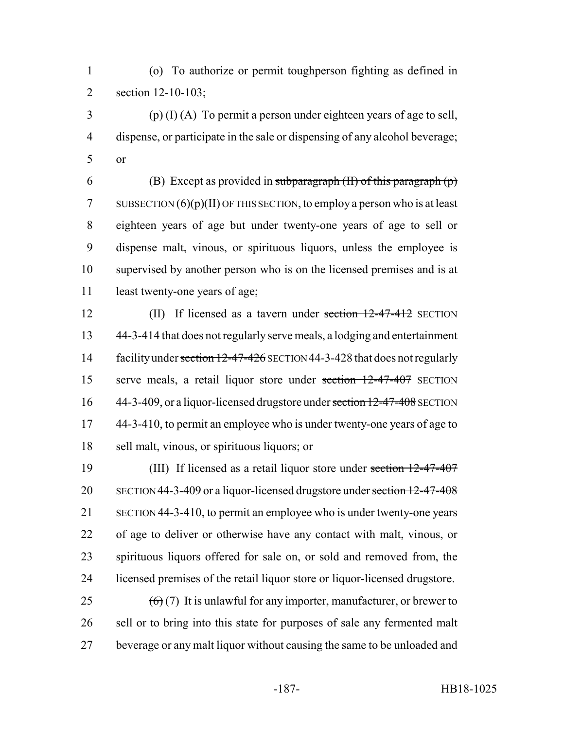(o) To authorize or permit toughperson fighting as defined in section 12-10-103;

 (p) (I) (A) To permit a person under eighteen years of age to sell, dispense, or participate in the sale or dispensing of any alcohol beverage; or

6 (B) Except as provided in subparagraph  $(H)$  of this paragraph  $(p)$ 7 SUBSECTION  $(6)(p)(II)$  OF THIS SECTION, to employ a person who is at least eighteen years of age but under twenty-one years of age to sell or dispense malt, vinous, or spirituous liquors, unless the employee is supervised by another person who is on the licensed premises and is at 11 least twenty-one years of age;

12 (II) If licensed as a tavern under section 12-47-412 SECTION 44-3-414 that does not regularly serve meals, a lodging and entertainment 14 facility under section 12-47-426 SECTION 44-3-428 that does not regularly serve meals, a retail liquor store under section 12-47-407 SECTION 16 44-3-409, or a liquor-licensed drugstore under section 12-47-408 SECTION 17 44-3-410, to permit an employee who is under twenty-one years of age to sell malt, vinous, or spirituous liquors; or

 (III) If licensed as a retail liquor store under section 12-47-407 20 SECTION 44-3-409 or a liquor-licensed drugstore under section 12-47-408 SECTION 44-3-410, to permit an employee who is under twenty-one years of age to deliver or otherwise have any contact with malt, vinous, or spirituous liquors offered for sale on, or sold and removed from, the licensed premises of the retail liquor store or liquor-licensed drugstore.

25  $(6)(7)$  It is unlawful for any importer, manufacturer, or brewer to 26 sell or to bring into this state for purposes of sale any fermented malt beverage or any malt liquor without causing the same to be unloaded and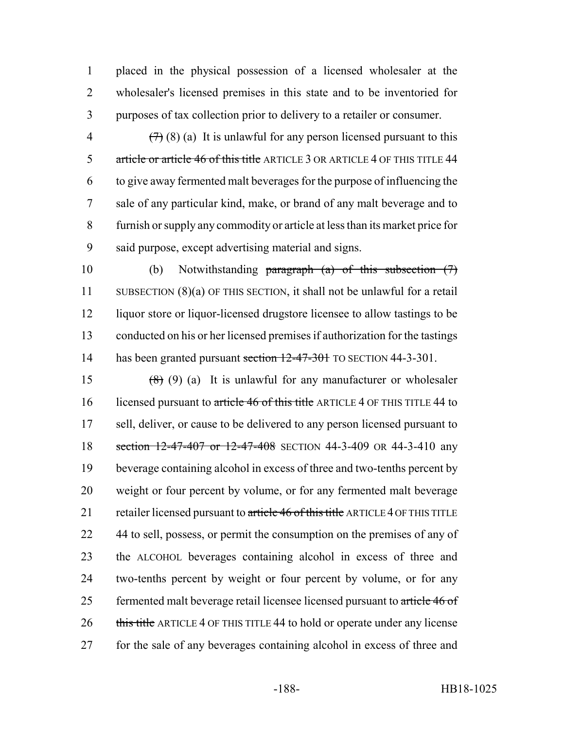placed in the physical possession of a licensed wholesaler at the wholesaler's licensed premises in this state and to be inventoried for purposes of tax collection prior to delivery to a retailer or consumer.

 $(7)$  (8) (a) It is unlawful for any person licensed pursuant to this 5 article or article 46 of this title ARTICLE 3 OR ARTICLE 4 OF THIS TITLE 44 to give away fermented malt beverages for the purpose of influencing the sale of any particular kind, make, or brand of any malt beverage and to furnish or supply any commodity or article at less than its market price for said purpose, except advertising material and signs.

 (b) Notwithstanding paragraph (a) of this subsection (7) SUBSECTION (8)(a) OF THIS SECTION, it shall not be unlawful for a retail liquor store or liquor-licensed drugstore licensee to allow tastings to be conducted on his or her licensed premises if authorization for the tastings 14 has been granted pursuant section 12-47-301 TO SECTION 44-3-301.

15  $(8)$  (9) (a) It is unlawful for any manufacturer or wholesaler 16 licensed pursuant to article 46 of this title ARTICLE 4 OF THIS TITLE 44 to sell, deliver, or cause to be delivered to any person licensed pursuant to 18 section 12-47-407 or 12-47-408 SECTION 44-3-409 OR 44-3-410 any beverage containing alcohol in excess of three and two-tenths percent by weight or four percent by volume, or for any fermented malt beverage 21 retailer licensed pursuant to article 46 of this title ARTICLE 4 OF THIS TITLE 22 44 to sell, possess, or permit the consumption on the premises of any of the ALCOHOL beverages containing alcohol in excess of three and two-tenths percent by weight or four percent by volume, or for any 25 fermented malt beverage retail licensee licensed pursuant to article 46 of 26 this title ARTICLE 4 OF THIS TITLE 44 to hold or operate under any license for the sale of any beverages containing alcohol in excess of three and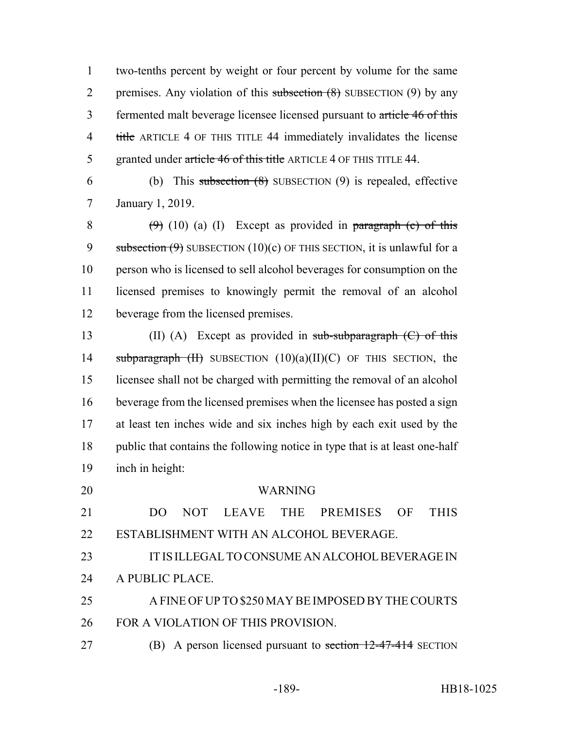two-tenths percent by weight or four percent by volume for the same 2 premises. Any violation of this subsection  $(8)$  SUBSECTION  $(9)$  by any fermented malt beverage licensee licensed pursuant to article 46 of this 4 title ARTICLE 4 OF THIS TITLE 44 immediately invalidates the license 5 granted under article 46 of this title ARTICLE 4 OF THIS TITLE 44.

6 (b) This subsection  $(8)$  SUBSECTION  $(9)$  is repealed, effective January 1, 2019.

 $(9)$  (10) (a) (I) Except as provided in paragraph (c) of this 9 subsection  $(9)$  SUBSECTION  $(10)(c)$  OF THIS SECTION, it is unlawful for a person who is licensed to sell alcohol beverages for consumption on the licensed premises to knowingly permit the removal of an alcohol beverage from the licensed premises.

13 (II) (A) Except as provided in sub-subparagraph (C) of this 14 subparagraph  $(H)$  SUBSECTION  $(10)(a)(II)(C)$  OF THIS SECTION, the licensee shall not be charged with permitting the removal of an alcohol beverage from the licensed premises when the licensee has posted a sign at least ten inches wide and six inches high by each exit used by the public that contains the following notice in type that is at least one-half inch in height:

 WARNING DO NOT LEAVE THE PREMISES OF THIS ESTABLISHMENT WITH AN ALCOHOL BEVERAGE. IT IS ILLEGAL TO CONSUME AN ALCOHOL BEVERAGE IN A PUBLIC PLACE. A FINE OF UP TO \$250 MAY BE IMPOSED BY THE COURTS FOR A VIOLATION OF THIS PROVISION. 27 (B) A person licensed pursuant to section 12-47-414 SECTION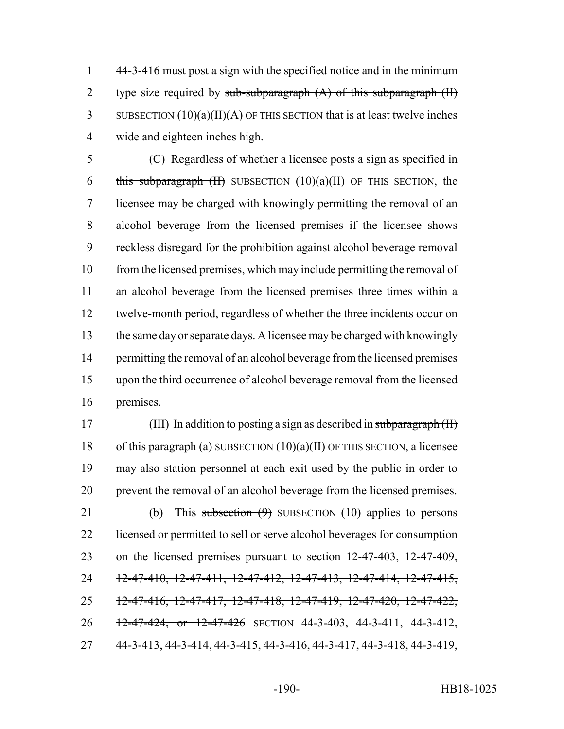1 44-3-416 must post a sign with the specified notice and in the minimum 2 type size required by sub-subparagraph  $(A)$  of this subparagraph  $(H)$ 3 SUBSECTION  $(10)(a)(II)(A)$  OF THIS SECTION that is at least twelve inches 4 wide and eighteen inches high.

 (C) Regardless of whether a licensee posts a sign as specified in 6 this subparagraph  $(H)$  SUBSECTION  $(10)(a)(II)$  OF THIS SECTION, the licensee may be charged with knowingly permitting the removal of an alcohol beverage from the licensed premises if the licensee shows reckless disregard for the prohibition against alcohol beverage removal 10 from the licensed premises, which may include permitting the removal of an alcohol beverage from the licensed premises three times within a twelve-month period, regardless of whether the three incidents occur on the same day or separate days. A licensee may be charged with knowingly 14 permitting the removal of an alcohol beverage from the licensed premises upon the third occurrence of alcohol beverage removal from the licensed premises.

17 (III) In addition to posting a sign as described in subparagraph (II) 18 of this paragraph (a) SUBSECTION  $(10)(a)(II)$  OF THIS SECTION, a licensee 19 may also station personnel at each exit used by the public in order to 20 prevent the removal of an alcohol beverage from the licensed premises.

21 (b) This subsection  $(9)$  SUBSECTION (10) applies to persons 22 licensed or permitted to sell or serve alcohol beverages for consumption 23 on the licensed premises pursuant to section  $12-47-403$ ,  $12-47-409$ , 24 12-47-410, 12-47-411, 12-47-412, 12-47-413, 12-47-414, 12-47-415, 25 12-47-416, 12-47-417, 12-47-418, 12-47-419, 12-47-420, 12-47-422, 26 12-47-424, or 12-47-426 SECTION 44-3-403, 44-3-411, 44-3-412, 27 44-3-413, 44-3-414, 44-3-415, 44-3-416, 44-3-417, 44-3-418, 44-3-419,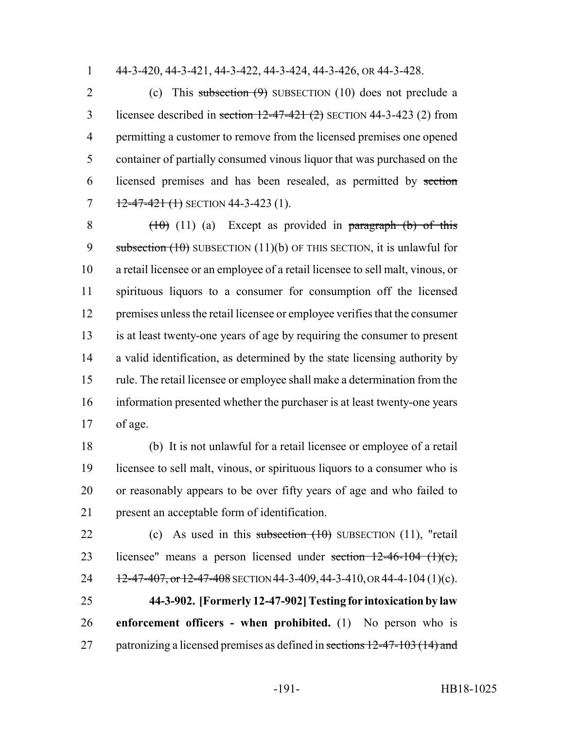44-3-420, 44-3-421, 44-3-422, 44-3-424, 44-3-426, OR 44-3-428.

2 (c) This subsection (9) SUBSECTION (10) does not preclude a 3 licensee described in section  $12-47-421$  (2) SECTION 44-3-423 (2) from permitting a customer to remove from the licensed premises one opened container of partially consumed vinous liquor that was purchased on the licensed premises and has been resealed, as permitted by section  $12-47-421$  (1) SECTION 44-3-423 (1).

 $(10)$  (11) (a) Except as provided in paragraph (b) of this 9 subsection  $(10)$  SUBSECTION  $(11)(b)$  OF THIS SECTION, it is unlawful for a retail licensee or an employee of a retail licensee to sell malt, vinous, or spirituous liquors to a consumer for consumption off the licensed premises unless the retail licensee or employee verifies that the consumer is at least twenty-one years of age by requiring the consumer to present a valid identification, as determined by the state licensing authority by rule. The retail licensee or employee shall make a determination from the information presented whether the purchaser is at least twenty-one years of age.

 (b) It is not unlawful for a retail licensee or employee of a retail licensee to sell malt, vinous, or spirituous liquors to a consumer who is or reasonably appears to be over fifty years of age and who failed to present an acceptable form of identification.

22 (c) As used in this subsection  $(10)$  SUBSECTION  $(11)$ , "retail 23 licensee" means a person licensed under section  $12-46-104$   $(1)(c)$ , 24  $12-47-407$ , or  $12-47-408$  SECTION 44-3-409, 44-3-410, OR 44-4-104 (1)(c). **44-3-902. [Formerly 12-47-902] Testing for intoxication by law enforcement officers - when prohibited.** (1) No person who is 27 patronizing a licensed premises as defined in sections 12-47-103 (14) and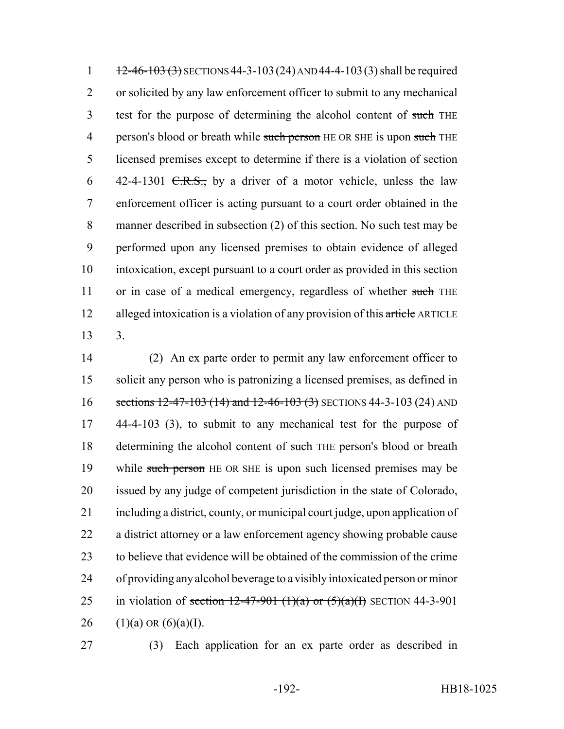1  $\frac{12-46-103(3)}{24}$  SECTIONS 44-3-103 (24) AND 44-4-103 (3) shall be required 2 or solicited by any law enforcement officer to submit to any mechanical 3 test for the purpose of determining the alcohol content of such THE 4 person's blood or breath while such person HE OR SHE is upon such THE 5 licensed premises except to determine if there is a violation of section 6 42-4-1301 <del>C.R.S.,</del> by a driver of a motor vehicle, unless the law 7 enforcement officer is acting pursuant to a court order obtained in the 8 manner described in subsection (2) of this section. No such test may be 9 performed upon any licensed premises to obtain evidence of alleged 10 intoxication, except pursuant to a court order as provided in this section 11 or in case of a medical emergency, regardless of whether such THE 12 alleged intoxication is a violation of any provision of this article ARTICLE 13 3.

 (2) An ex parte order to permit any law enforcement officer to solicit any person who is patronizing a licensed premises, as defined in 16 sections 12-47-103 (14) and 12-46-103 (3) SECTIONS 44-3-103 (24) AND 44-4-103 (3), to submit to any mechanical test for the purpose of 18 determining the alcohol content of such THE person's blood or breath 19 while such person HE OR SHE is upon such licensed premises may be issued by any judge of competent jurisdiction in the state of Colorado, including a district, county, or municipal court judge, upon application of a district attorney or a law enforcement agency showing probable cause to believe that evidence will be obtained of the commission of the crime of providing any alcohol beverage to a visibly intoxicated person or minor 25 in violation of section  $12-47-901$  (1)(a) or  $(5)(a)(1)$  SECTION 44-3-901 26 (1)(a) OR  $(6)(a)(I)$ .

27 (3) Each application for an ex parte order as described in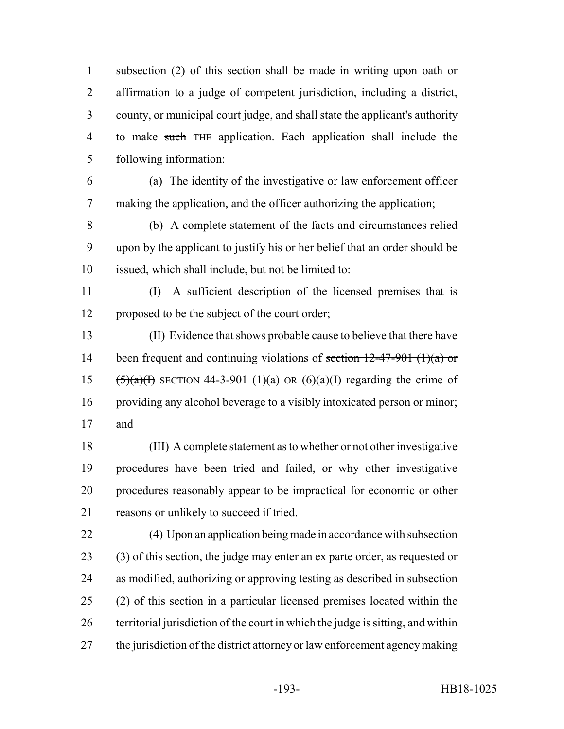subsection (2) of this section shall be made in writing upon oath or affirmation to a judge of competent jurisdiction, including a district, county, or municipal court judge, and shall state the applicant's authority to make such THE application. Each application shall include the following information:

 (a) The identity of the investigative or law enforcement officer making the application, and the officer authorizing the application;

 (b) A complete statement of the facts and circumstances relied upon by the applicant to justify his or her belief that an order should be issued, which shall include, but not be limited to:

 (I) A sufficient description of the licensed premises that is proposed to be the subject of the court order;

 (II) Evidence that shows probable cause to believe that there have 14 been frequent and continuing violations of section  $12-47-901$  (1)(a) or 15  $(5)(a)(1)$  SECTION 44-3-901 (1)(a) OR (6)(a)(I) regarding the crime of providing any alcohol beverage to a visibly intoxicated person or minor; and

 (III) A complete statement as to whether or not other investigative procedures have been tried and failed, or why other investigative procedures reasonably appear to be impractical for economic or other reasons or unlikely to succeed if tried.

 (4) Upon an application being made in accordance with subsection (3) of this section, the judge may enter an ex parte order, as requested or as modified, authorizing or approving testing as described in subsection (2) of this section in a particular licensed premises located within the territorial jurisdiction of the court in which the judge is sitting, and within the jurisdiction of the district attorney or law enforcement agency making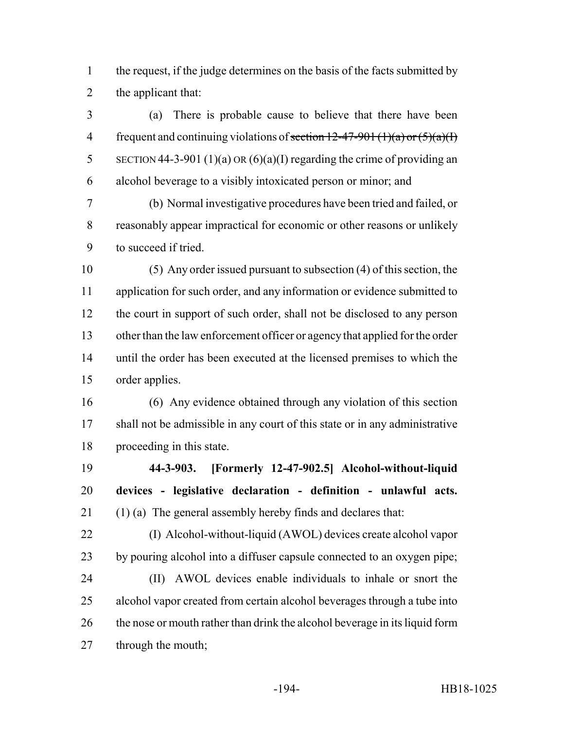the request, if the judge determines on the basis of the facts submitted by the applicant that:

 (a) There is probable cause to believe that there have been 4 frequent and continuing violations of section  $12-47-901$  (1)(a) or  $(5)(a)(1)$ 5 SECTION 44-3-901 (1)(a) OR (6)(a)(I) regarding the crime of providing an alcohol beverage to a visibly intoxicated person or minor; and

 (b) Normal investigative procedures have been tried and failed, or reasonably appear impractical for economic or other reasons or unlikely to succeed if tried.

 (5) Any order issued pursuant to subsection (4) of this section, the 11 application for such order, and any information or evidence submitted to the court in support of such order, shall not be disclosed to any person other than the law enforcement officer or agency that applied for the order until the order has been executed at the licensed premises to which the order applies.

 (6) Any evidence obtained through any violation of this section shall not be admissible in any court of this state or in any administrative proceeding in this state.

 **44-3-903. [Formerly 12-47-902.5] Alcohol-without-liquid devices - legislative declaration - definition - unlawful acts.** (1) (a) The general assembly hereby finds and declares that:

 (I) Alcohol-without-liquid (AWOL) devices create alcohol vapor by pouring alcohol into a diffuser capsule connected to an oxygen pipe; (II) AWOL devices enable individuals to inhale or snort the alcohol vapor created from certain alcohol beverages through a tube into 26 the nose or mouth rather than drink the alcohol beverage in its liquid form through the mouth;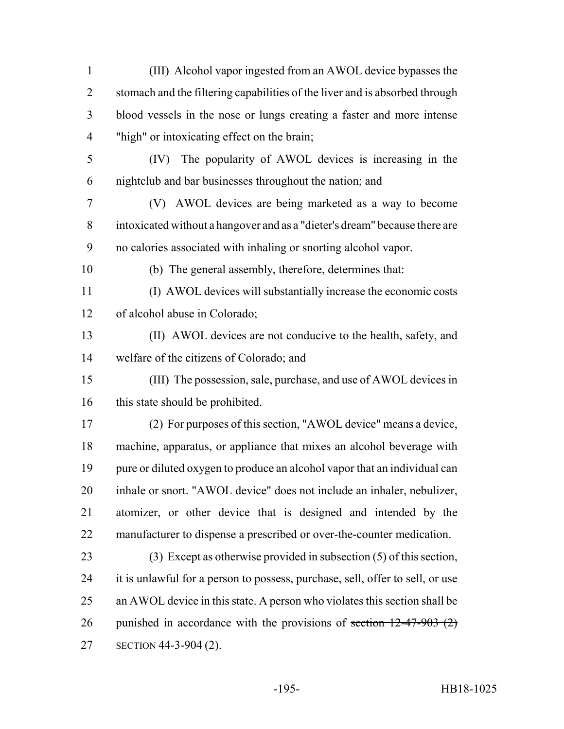blood vessels in the nose or lungs creating a faster and more intense "high" or intoxicating effect on the brain; (IV) The popularity of AWOL devices is increasing in the nightclub and bar businesses throughout the nation; and (V) AWOL devices are being marketed as a way to become intoxicated without a hangover and as a "dieter's dream" because there are no calories associated with inhaling or snorting alcohol vapor. (b) The general assembly, therefore, determines that: (I) AWOL devices will substantially increase the economic costs of alcohol abuse in Colorado; (II) AWOL devices are not conducive to the health, safety, and welfare of the citizens of Colorado; and (III) The possession, sale, purchase, and use of AWOL devices in 16 this state should be prohibited. (2) For purposes of this section, "AWOL device" means a device, machine, apparatus, or appliance that mixes an alcohol beverage with pure or diluted oxygen to produce an alcohol vapor that an individual can inhale or snort. "AWOL device" does not include an inhaler, nebulizer, atomizer, or other device that is designed and intended by the manufacturer to dispense a prescribed or over-the-counter medication. (3) Except as otherwise provided in subsection (5) of this section, it is unlawful for a person to possess, purchase, sell, offer to sell, or use an AWOL device in this state. A person who violates this section shall be 26 punished in accordance with the provisions of section  $12-47-903$  (2) SECTION 44-3-904 (2).

(III) Alcohol vapor ingested from an AWOL device bypasses the

stomach and the filtering capabilities of the liver and is absorbed through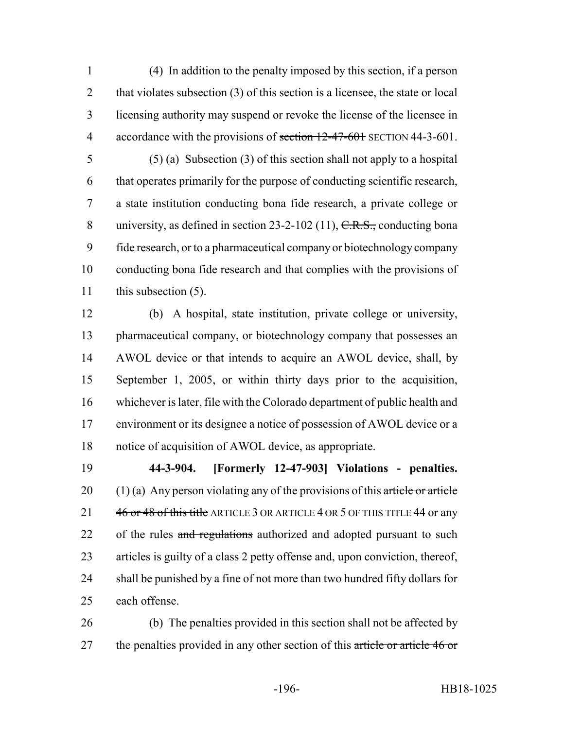(4) In addition to the penalty imposed by this section, if a person 2 that violates subsection (3) of this section is a licensee, the state or local licensing authority may suspend or revoke the license of the licensee in 4 accordance with the provisions of section 12-47-601 SECTION 44-3-601.

 (5) (a) Subsection (3) of this section shall not apply to a hospital that operates primarily for the purpose of conducting scientific research, a state institution conducting bona fide research, a private college or 8 university, as defined in section 23-2-102 (11), C.R.S., conducting bona fide research, or to a pharmaceutical company or biotechnology company conducting bona fide research and that complies with the provisions of this subsection (5).

 (b) A hospital, state institution, private college or university, pharmaceutical company, or biotechnology company that possesses an AWOL device or that intends to acquire an AWOL device, shall, by September 1, 2005, or within thirty days prior to the acquisition, whichever is later, file with the Colorado department of public health and environment or its designee a notice of possession of AWOL device or a notice of acquisition of AWOL device, as appropriate.

 **44-3-904. [Formerly 12-47-903] Violations - penalties.** 20 (1) (a) Any person violating any of the provisions of this article or article 21 46 or 48 of this title ARTICLE 3 OR ARTICLE 4 OR 5 OF THIS TITLE 44 or any 22 of the rules and regulations authorized and adopted pursuant to such articles is guilty of a class 2 petty offense and, upon conviction, thereof, shall be punished by a fine of not more than two hundred fifty dollars for each offense.

 (b) The penalties provided in this section shall not be affected by 27 the penalties provided in any other section of this article or article 46 or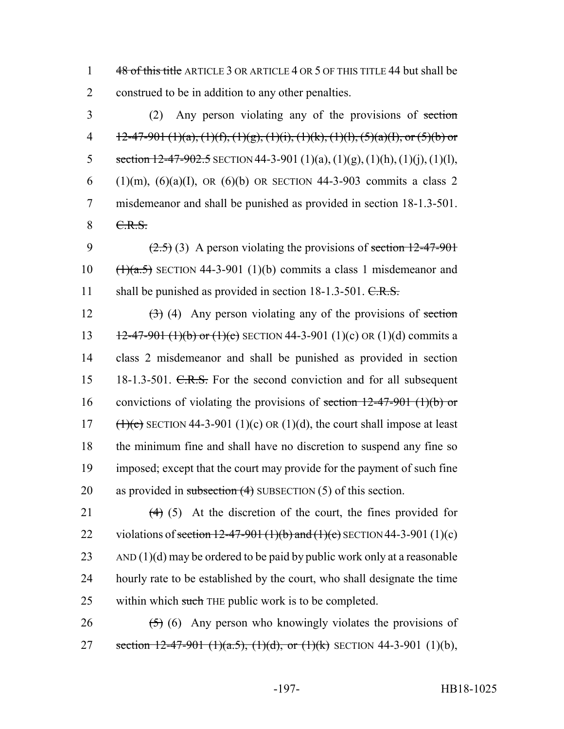1 48 of this title ARTICLE 3 OR ARTICLE 4 OR 5 OF THIS TITLE 44 but shall be 2 construed to be in addition to any other penalties.

3 (2) Any person violating any of the provisions of section 4 12-47-901 (1)(a), (1)(f), (1)(g), (1)(i), (1)(k), (1)(l), (5)(a)(I), or (5)(b) or 5 section  $12-47-902.5$  SECTION 44-3-901 (1)(a), (1)(g), (1)(h), (1)(j), (1)(l), 6 (1)(m), (6)(a)(I), OR (6)(b) OR SECTION 44-3-903 commits a class 2 7 misdemeanor and shall be punished as provided in section 18-1.3-501. 8 C.R.S.

9  $(2.5)$  (3) A person violating the provisions of section 12-47-901 10  $(\frac{1}{a.5})$  SECTION 44-3-901 (1)(b) commits a class 1 misdemeanor and 11 shall be punished as provided in section 18-1.3-501. C.R.S.

 $(3)$  (4) Any person violating any of the provisions of section  $12-47-901$  (1)(b) or (1)(c) SECTION 44-3-901 (1)(c) OR (1)(d) commits a class 2 misdemeanor and shall be punished as provided in section 15 18-1.3-501. C.R.S. For the second conviction and for all subsequent 16 convictions of violating the provisions of section  $12-47-901$  (1)(b) or  $(\frac{1}{\epsilon})$  SECTION 44-3-901 (1)(c) OR (1)(d), the court shall impose at least the minimum fine and shall have no discretion to suspend any fine so imposed; except that the court may provide for the payment of such fine 20 as provided in subsection  $(4)$  SUBSECTION  $(5)$  of this section.

21  $(4)$  (5) At the discretion of the court, the fines provided for 22 violations of section 12-47-901 (1)(b) and (1)(c) SECTION 44-3-901 (1)(c)  $23$  AND (1)(d) may be ordered to be paid by public work only at a reasonable 24 hourly rate to be established by the court, who shall designate the time 25 within which such THE public work is to be completed.

26  $(5)$  (6) Any person who knowingly violates the provisions of 27 section  $12-47-901$  (1)(a.5), (1)(d), or (1)(k) SECTION 44-3-901 (1)(b),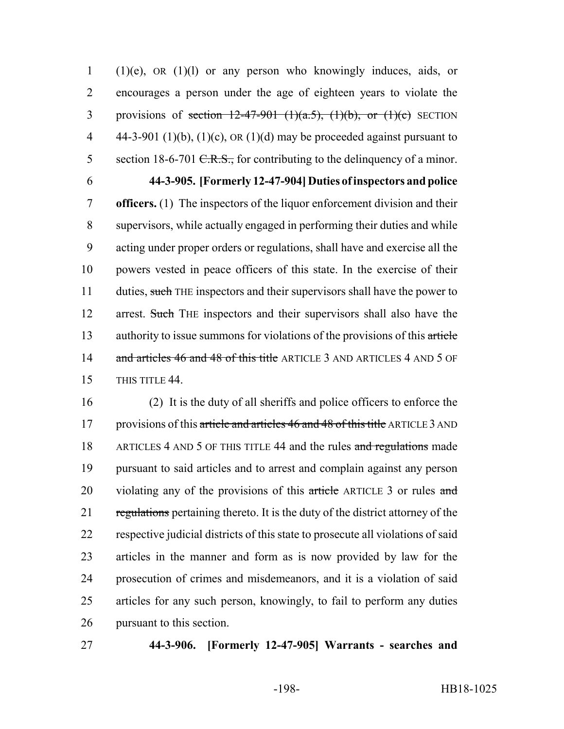1 (1)(e), OR (1)(l) or any person who knowingly induces, aids, or 2 encourages a person under the age of eighteen years to violate the 3 provisions of section  $12-47-901$  (1)(a.5), (1)(b), or (1)(c) SECTION 4  $44-3-901$  (1)(b), (1)(c), OR (1)(d) may be proceeded against pursuant to 5 section 18-6-701  $C.R.S.,$  for contributing to the delinquency of a minor.

6 **44-3-905. [Formerly 12-47-904] Duties of inspectors and police** 7 **officers.** (1) The inspectors of the liquor enforcement division and their 8 supervisors, while actually engaged in performing their duties and while 9 acting under proper orders or regulations, shall have and exercise all the 10 powers vested in peace officers of this state. In the exercise of their 11 duties, such THE inspectors and their supervisors shall have the power to 12 arrest. Such THE inspectors and their supervisors shall also have the 13 authority to issue summons for violations of the provisions of this article 14 and articles 46 and 48 of this title ARTICLE 3 AND ARTICLES 4 AND 5 OF 15 THIS TITLE 44.

 (2) It is the duty of all sheriffs and police officers to enforce the 17 provisions of this article and articles 46 and 48 of this title ARTICLE 3 AND 18 ARTICLES 4 AND 5 OF THIS TITLE 44 and the rules and regulations made pursuant to said articles and to arrest and complain against any person 20 violating any of the provisions of this article ARTICLE 3 or rules and 21 regulations pertaining thereto. It is the duty of the district attorney of the respective judicial districts of this state to prosecute all violations of said articles in the manner and form as is now provided by law for the prosecution of crimes and misdemeanors, and it is a violation of said articles for any such person, knowingly, to fail to perform any duties pursuant to this section.

## 27 **44-3-906. [Formerly 12-47-905] Warrants - searches and**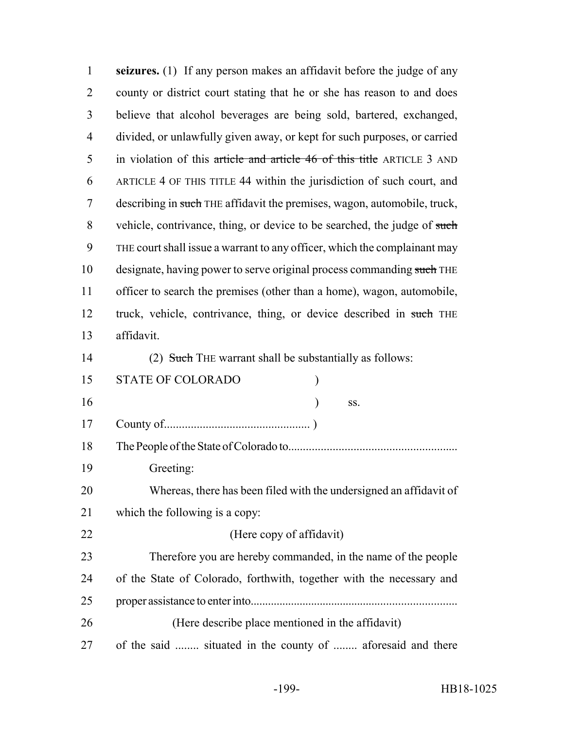| $\mathbf{1}$   | seizures. (1) If any person makes an affidavit before the judge of any    |
|----------------|---------------------------------------------------------------------------|
| $\overline{2}$ | county or district court stating that he or she has reason to and does    |
| 3              | believe that alcohol beverages are being sold, bartered, exchanged,       |
| $\overline{4}$ | divided, or unlawfully given away, or kept for such purposes, or carried  |
| 5              | in violation of this article and article 46 of this title ARTICLE 3 AND   |
| 6              | ARTICLE 4 OF THIS TITLE 44 within the jurisdiction of such court, and     |
| 7              | describing in such THE affidavit the premises, wagon, automobile, truck,  |
| 8              | vehicle, contrivance, thing, or device to be searched, the judge of such  |
| 9              | THE court shall issue a warrant to any officer, which the complainant may |
| 10             | designate, having power to serve original process commanding such THE     |
| 11             | officer to search the premises (other than a home), wagon, automobile,    |
| 12             | truck, vehicle, contrivance, thing, or device described in such THE       |
| 13             | affidavit.                                                                |
| 14             | (2) Such THE warrant shall be substantially as follows:                   |
| 15             | STATE OF COLORADO                                                         |
| 16             | SS.                                                                       |
| 17             |                                                                           |
| 18             |                                                                           |
| 19             | Greeting:                                                                 |
| 20             | Whereas, there has been filed with the undersigned an affidavit of        |
| 21             | which the following is a copy:                                            |
| 22             | (Here copy of affidavit)                                                  |
| 23             | Therefore you are hereby commanded, in the name of the people             |
| 24             | of the State of Colorado, forthwith, together with the necessary and      |
| 25             |                                                                           |
| 26             | (Here describe place mentioned in the affidavit)                          |
| 27             | of the said  situated in the county of  aforesaid and there               |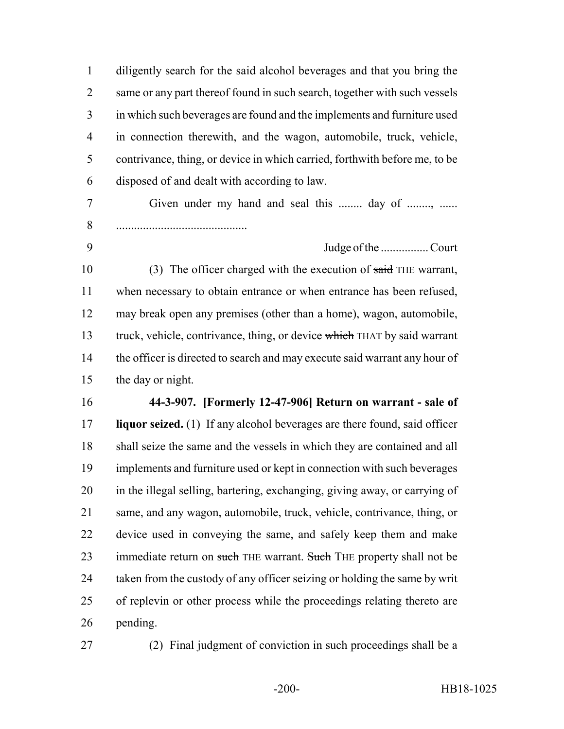diligently search for the said alcohol beverages and that you bring the 2 same or any part thereof found in such search, together with such vessels in which such beverages are found and the implements and furniture used in connection therewith, and the wagon, automobile, truck, vehicle, contrivance, thing, or device in which carried, forthwith before me, to be disposed of and dealt with according to law. 7 Given under my hand and seal this ........ day of ......... ............................................ 9 Judge of the ................ Court 10 (3) The officer charged with the execution of said THE warrant, when necessary to obtain entrance or when entrance has been refused, may break open any premises (other than a home), wagon, automobile, 13 truck, vehicle, contrivance, thing, or device which THAT by said warrant 14 the officer is directed to search and may execute said warrant any hour of the day or night. **44-3-907. [Formerly 12-47-906] Return on warrant - sale of liquor seized.** (1) If any alcohol beverages are there found, said officer shall seize the same and the vessels in which they are contained and all implements and furniture used or kept in connection with such beverages in the illegal selling, bartering, exchanging, giving away, or carrying of same, and any wagon, automobile, truck, vehicle, contrivance, thing, or device used in conveying the same, and safely keep them and make 23 immediate return on such THE warrant. Such THE property shall not be taken from the custody of any officer seizing or holding the same by writ of replevin or other process while the proceedings relating thereto are pending.

(2) Final judgment of conviction in such proceedings shall be a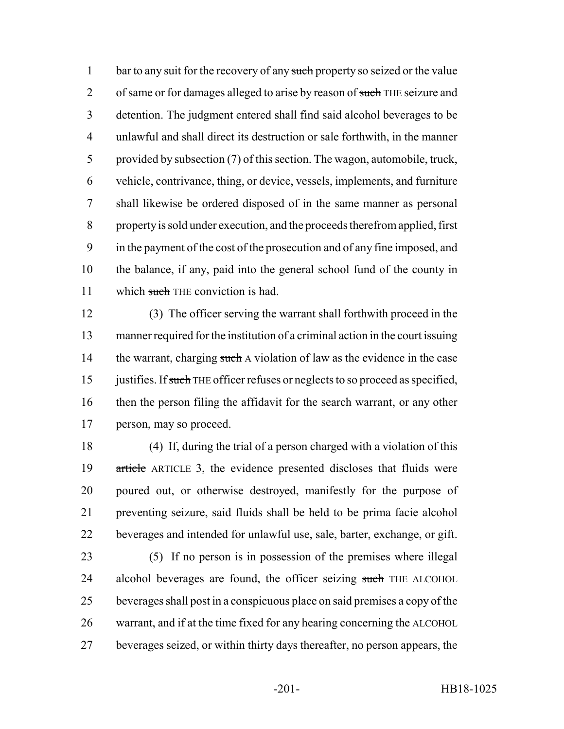1 bar to any suit for the recovery of any such property so seized or the value 2 of same or for damages alleged to arise by reason of such THE seizure and detention. The judgment entered shall find said alcohol beverages to be unlawful and shall direct its destruction or sale forthwith, in the manner provided by subsection (7) of this section. The wagon, automobile, truck, vehicle, contrivance, thing, or device, vessels, implements, and furniture shall likewise be ordered disposed of in the same manner as personal property is sold under execution, and the proceeds therefrom applied, first in the payment of the cost of the prosecution and of any fine imposed, and the balance, if any, paid into the general school fund of the county in 11 which such THE conviction is had.

 (3) The officer serving the warrant shall forthwith proceed in the manner required for the institution of a criminal action in the court issuing 14 the warrant, charging such A violation of law as the evidence in the case 15 justifies. If such THE officer refuses or neglects to so proceed as specified, then the person filing the affidavit for the search warrant, or any other person, may so proceed.

 (4) If, during the trial of a person charged with a violation of this article ARTICLE 3, the evidence presented discloses that fluids were poured out, or otherwise destroyed, manifestly for the purpose of preventing seizure, said fluids shall be held to be prima facie alcohol beverages and intended for unlawful use, sale, barter, exchange, or gift.

 (5) If no person is in possession of the premises where illegal 24 alcohol beverages are found, the officer seizing such THE ALCOHOL beverages shall post in a conspicuous place on said premises a copy of the warrant, and if at the time fixed for any hearing concerning the ALCOHOL beverages seized, or within thirty days thereafter, no person appears, the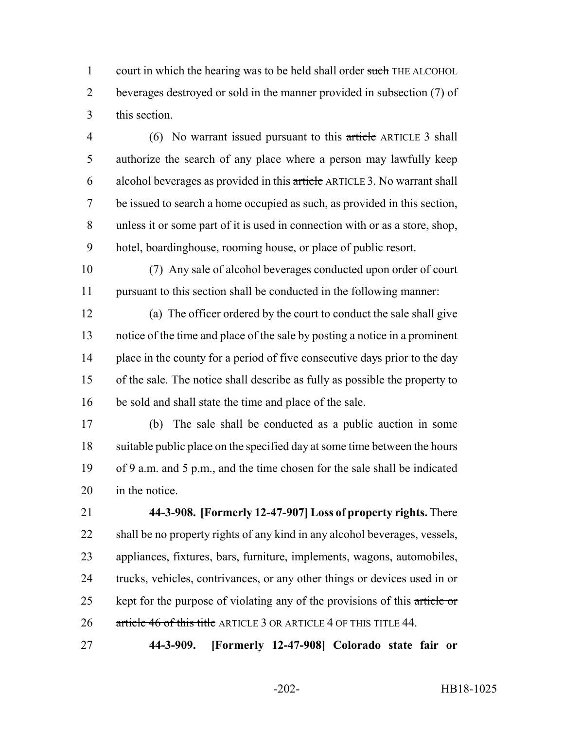1 court in which the hearing was to be held shall order such THE ALCOHOL beverages destroyed or sold in the manner provided in subsection (7) of this section.

 (6) No warrant issued pursuant to this article ARTICLE 3 shall authorize the search of any place where a person may lawfully keep alcohol beverages as provided in this article ARTICLE 3. No warrant shall be issued to search a home occupied as such, as provided in this section, unless it or some part of it is used in connection with or as a store, shop, hotel, boardinghouse, rooming house, or place of public resort.

 (7) Any sale of alcohol beverages conducted upon order of court pursuant to this section shall be conducted in the following manner:

 (a) The officer ordered by the court to conduct the sale shall give notice of the time and place of the sale by posting a notice in a prominent 14 place in the county for a period of five consecutive days prior to the day of the sale. The notice shall describe as fully as possible the property to be sold and shall state the time and place of the sale.

 (b) The sale shall be conducted as a public auction in some suitable public place on the specified day at some time between the hours of 9 a.m. and 5 p.m., and the time chosen for the sale shall be indicated in the notice.

 **44-3-908. [Formerly 12-47-907] Loss of property rights.** There shall be no property rights of any kind in any alcohol beverages, vessels, appliances, fixtures, bars, furniture, implements, wagons, automobiles, trucks, vehicles, contrivances, or any other things or devices used in or 25 kept for the purpose of violating any of the provisions of this article or 26 article 46 of this title ARTICLE 3 OR ARTICLE 4 OF THIS TITLE 44.

**44-3-909. [Formerly 12-47-908] Colorado state fair or**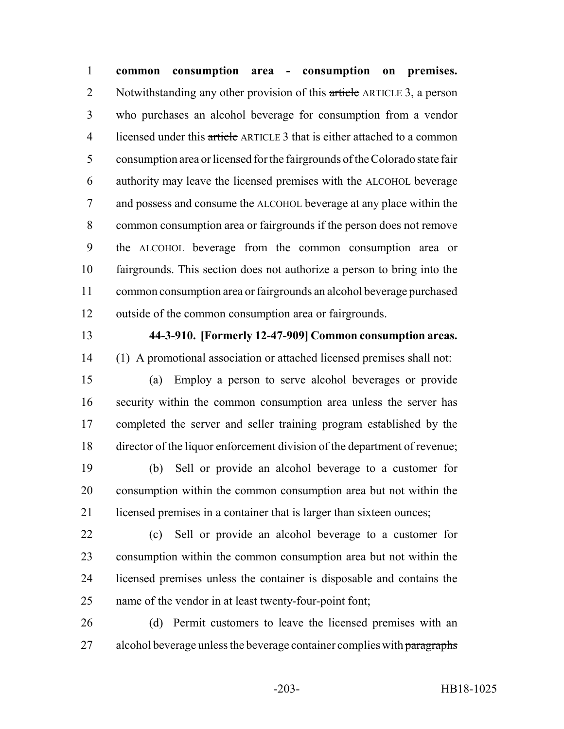**common consumption area - consumption on premises.** 2 Notwithstanding any other provision of this article ARTICLE 3, a person who purchases an alcohol beverage for consumption from a vendor 4 licensed under this article ARTICLE 3 that is either attached to a common consumption area or licensed for the fairgrounds of the Colorado state fair authority may leave the licensed premises with the ALCOHOL beverage and possess and consume the ALCOHOL beverage at any place within the common consumption area or fairgrounds if the person does not remove the ALCOHOL beverage from the common consumption area or fairgrounds. This section does not authorize a person to bring into the common consumption area or fairgrounds an alcohol beverage purchased outside of the common consumption area or fairgrounds.

## **44-3-910. [Formerly 12-47-909] Common consumption areas.**

- (1) A promotional association or attached licensed premises shall not:
- (a) Employ a person to serve alcohol beverages or provide security within the common consumption area unless the server has completed the server and seller training program established by the director of the liquor enforcement division of the department of revenue;

 (b) Sell or provide an alcohol beverage to a customer for consumption within the common consumption area but not within the 21 licensed premises in a container that is larger than sixteen ounces;

 (c) Sell or provide an alcohol beverage to a customer for consumption within the common consumption area but not within the licensed premises unless the container is disposable and contains the name of the vendor in at least twenty-four-point font;

 (d) Permit customers to leave the licensed premises with an 27 alcohol beverage unless the beverage container complies with paragraphs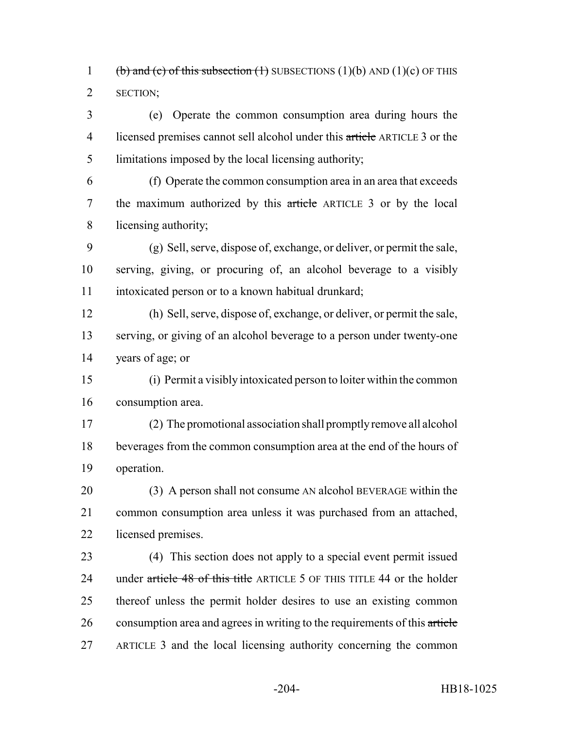1 (b) and (c) of this subsection (1) SUBSECTIONS (1)(b) AND (1)(c) OF THIS SECTION;

 (e) Operate the common consumption area during hours the 4 licensed premises cannot sell alcohol under this article ARTICLE 3 or the limitations imposed by the local licensing authority;

 (f) Operate the common consumption area in an area that exceeds the maximum authorized by this article ARTICLE 3 or by the local licensing authority;

 (g) Sell, serve, dispose of, exchange, or deliver, or permit the sale, serving, giving, or procuring of, an alcohol beverage to a visibly intoxicated person or to a known habitual drunkard;

 (h) Sell, serve, dispose of, exchange, or deliver, or permit the sale, serving, or giving of an alcohol beverage to a person under twenty-one years of age; or

 (i) Permit a visibly intoxicated person to loiter within the common consumption area.

 (2) The promotional association shall promptly remove all alcohol beverages from the common consumption area at the end of the hours of operation.

20 (3) A person shall not consume AN alcohol BEVERAGE within the common consumption area unless it was purchased from an attached, licensed premises.

 (4) This section does not apply to a special event permit issued 24 under article 48 of this title ARTICLE 5 OF THIS TITLE 44 or the holder thereof unless the permit holder desires to use an existing common consumption area and agrees in writing to the requirements of this article ARTICLE 3 and the local licensing authority concerning the common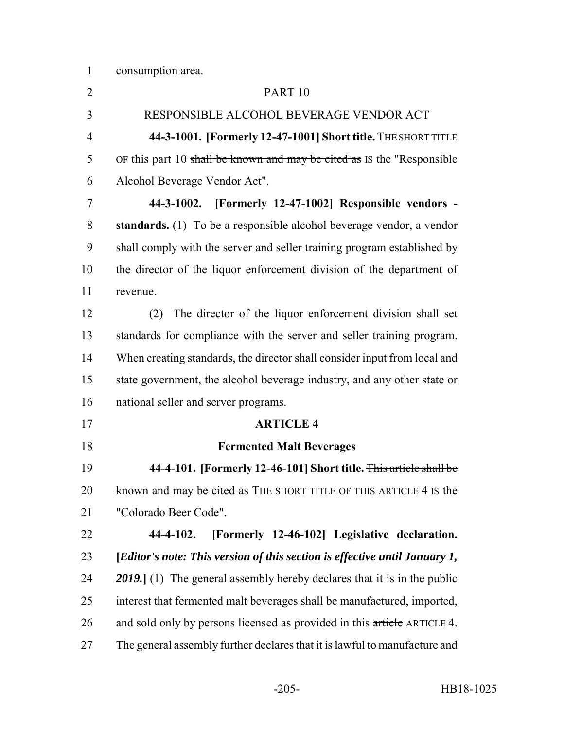consumption area.

| $\overline{2}$ | PART <sub>10</sub>                                                             |
|----------------|--------------------------------------------------------------------------------|
| 3              | RESPONSIBLE ALCOHOL BEVERAGE VENDOR ACT                                        |
| $\overline{4}$ | 44-3-1001. [Formerly 12-47-1001] Short title. THE SHORT TITLE                  |
| 5              | OF this part 10 shall be known and may be cited as IS the "Responsible"        |
| 6              | Alcohol Beverage Vendor Act".                                                  |
| 7              | 44-3-1002. [Formerly 12-47-1002] Responsible vendors -                         |
| 8              | standards. (1) To be a responsible alcohol beverage vendor, a vendor           |
| 9              | shall comply with the server and seller training program established by        |
| 10             | the director of the liquor enforcement division of the department of           |
| 11             | revenue.                                                                       |
| 12             | The director of the liquor enforcement division shall set<br>(2)               |
| 13             | standards for compliance with the server and seller training program.          |
| 14             | When creating standards, the director shall consider input from local and      |
| 15             | state government, the alcohol beverage industry, and any other state or        |
| 16             | national seller and server programs.                                           |
| 17             | <b>ARTICLE 4</b>                                                               |
| 18             | <b>Fermented Malt Beverages</b>                                                |
| 19             | 44-4-101. [Formerly 12-46-101] Short title. This article shall be              |
| 20             | known and may be cited as THE SHORT TITLE OF THIS ARTICLE 4 IS the             |
| 21             | "Colorado Beer Code".                                                          |
| 22             | [Formerly 12-46-102] Legislative declaration.<br>44-4-102.                     |
| 23             | [Editor's note: This version of this section is effective until January 1,     |
| 24             | <b>2019.</b> (1) The general assembly hereby declares that it is in the public |
| 25             | interest that fermented malt beverages shall be manufactured, imported,        |
| 26             | and sold only by persons licensed as provided in this article ARTICLE 4.       |
| 27             | The general assembly further declares that it is lawful to manufacture and     |
|                |                                                                                |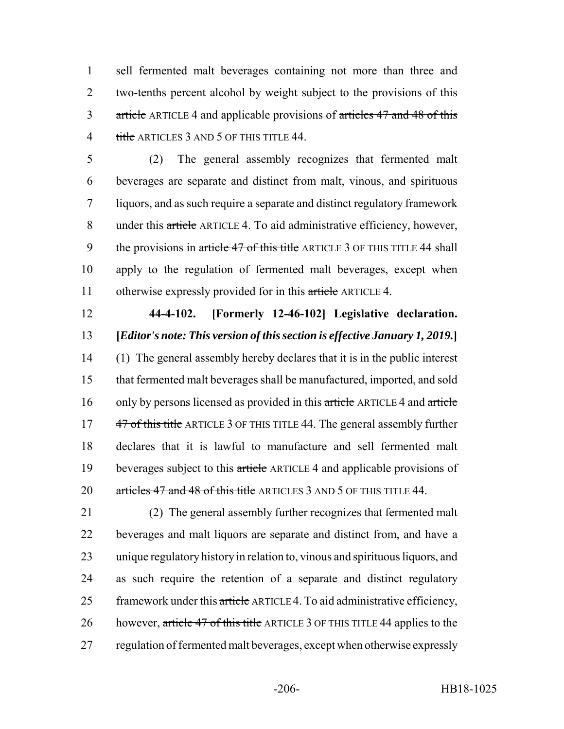sell fermented malt beverages containing not more than three and two-tenths percent alcohol by weight subject to the provisions of this 3 article ARTICLE 4 and applicable provisions of articles 47 and 48 of this 4 title ARTICLES 3 AND 5 OF THIS TITLE 44.

 (2) The general assembly recognizes that fermented malt beverages are separate and distinct from malt, vinous, and spirituous liquors, and as such require a separate and distinct regulatory framework under this article ARTICLE 4. To aid administrative efficiency, however, 9 the provisions in article 47 of this title ARTICLE 3 OF THIS TITLE 44 shall apply to the regulation of fermented malt beverages, except when 11 otherwise expressly provided for in this article ARTICLE 4.

## **44-4-102. [Formerly 12-46-102] Legislative declaration. [***Editor's note: This version of this section is effective January 1, 2019.***]**

 (1) The general assembly hereby declares that it is in the public interest that fermented malt beverages shall be manufactured, imported, and sold 16 only by persons licensed as provided in this article ARTICLE 4 and article 17 47 of this title ARTICLE 3 OF THIS TITLE 44. The general assembly further declares that it is lawful to manufacture and sell fermented malt 19 beverages subject to this article ARTICLE 4 and applicable provisions of 20 articles 47 and 48 of this title ARTICLES 3 AND 5 OF THIS TITLE 44.

 (2) The general assembly further recognizes that fermented malt beverages and malt liquors are separate and distinct from, and have a unique regulatory history in relation to, vinous and spirituous liquors, and as such require the retention of a separate and distinct regulatory 25 framework under this article ARTICLE 4. To aid administrative efficiency, 26 however, article 47 of this title ARTICLE 3 OF THIS TITLE 44 applies to the regulation of fermented malt beverages, except when otherwise expressly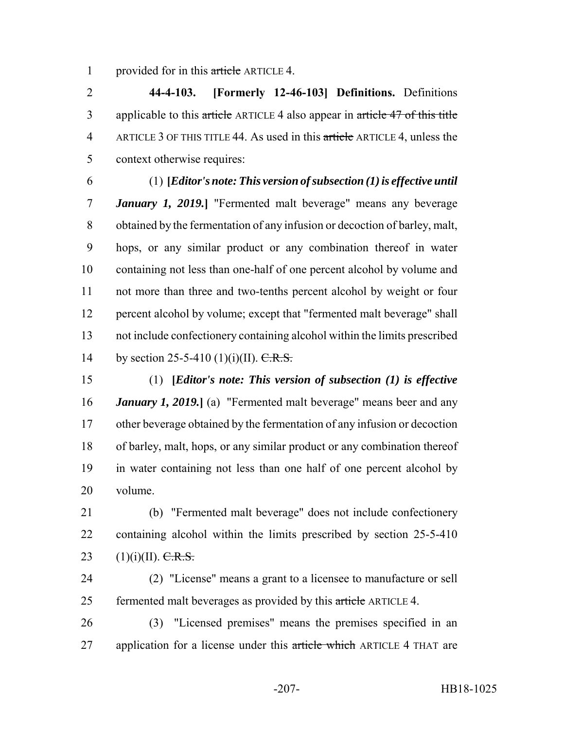1 provided for in this article ARTICLE 4.

 **44-4-103. [Formerly 12-46-103] Definitions.** Definitions 3 applicable to this article ARTICLE 4 also appear in article 47 of this title ARTICLE 3 OF THIS TITLE 44. As used in this article ARTICLE 4, unless the context otherwise requires:

## (1) **[***Editor's note: This version of subsection (1) is effective until January 1, 2019.***]** "Fermented malt beverage" means any beverage obtained by the fermentation of any infusion or decoction of barley, malt, hops, or any similar product or any combination thereof in water containing not less than one-half of one percent alcohol by volume and not more than three and two-tenths percent alcohol by weight or four percent alcohol by volume; except that "fermented malt beverage" shall

 not include confectionery containing alcohol within the limits prescribed 14 by section 25-5-410 (1)(i)(II). C.R.S.

 (1) **[***Editor's note: This version of subsection (1) is effective January 1, 2019.***]** (a) "Fermented malt beverage" means beer and any other beverage obtained by the fermentation of any infusion or decoction of barley, malt, hops, or any similar product or any combination thereof in water containing not less than one half of one percent alcohol by volume.

 (b) "Fermented malt beverage" does not include confectionery containing alcohol within the limits prescribed by section 25-5-410 23 (1)(i)(II).  $C.R.S.$ 

 (2) "License" means a grant to a licensee to manufacture or sell 25 fermented malt beverages as provided by this article ARTICLE 4.

 (3) "Licensed premises" means the premises specified in an 27 application for a license under this article which ARTICLE 4 THAT are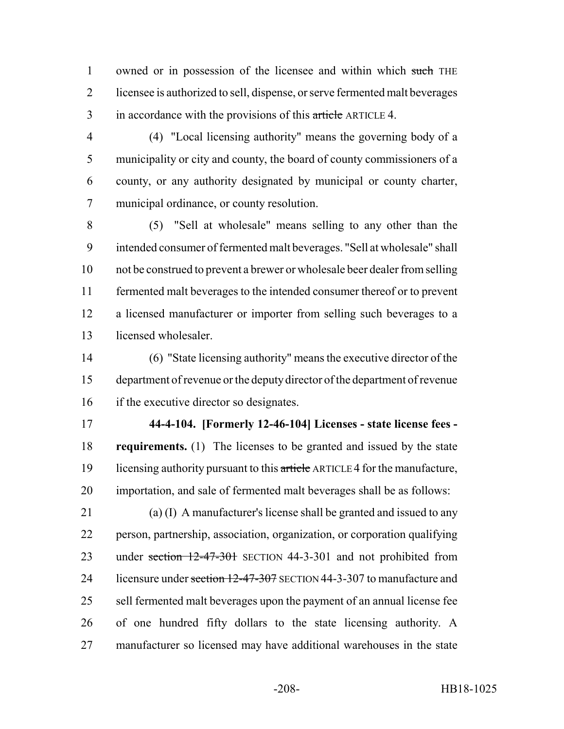1 owned or in possession of the licensee and within which such THE licensee is authorized to sell, dispense, or serve fermented malt beverages 3 in accordance with the provisions of this article ARTICLE 4.

 (4) "Local licensing authority" means the governing body of a municipality or city and county, the board of county commissioners of a county, or any authority designated by municipal or county charter, municipal ordinance, or county resolution.

 (5) "Sell at wholesale" means selling to any other than the intended consumer of fermented malt beverages. "Sell at wholesale" shall not be construed to prevent a brewer or wholesale beer dealer from selling fermented malt beverages to the intended consumer thereof or to prevent a licensed manufacturer or importer from selling such beverages to a licensed wholesaler.

 (6) "State licensing authority" means the executive director of the department of revenue or the deputy director of the department of revenue if the executive director so designates.

 **44-4-104. [Formerly 12-46-104] Licenses - state license fees - requirements.** (1) The licenses to be granted and issued by the state 19 licensing authority pursuant to this article ARTICLE 4 for the manufacture, importation, and sale of fermented malt beverages shall be as follows:

 (a) (I) A manufacturer's license shall be granted and issued to any person, partnership, association, organization, or corporation qualifying 23 under section 12-47-301 SECTION 44-3-301 and not prohibited from 24 licensure under section 12-47-307 SECTION 44-3-307 to manufacture and sell fermented malt beverages upon the payment of an annual license fee of one hundred fifty dollars to the state licensing authority. A manufacturer so licensed may have additional warehouses in the state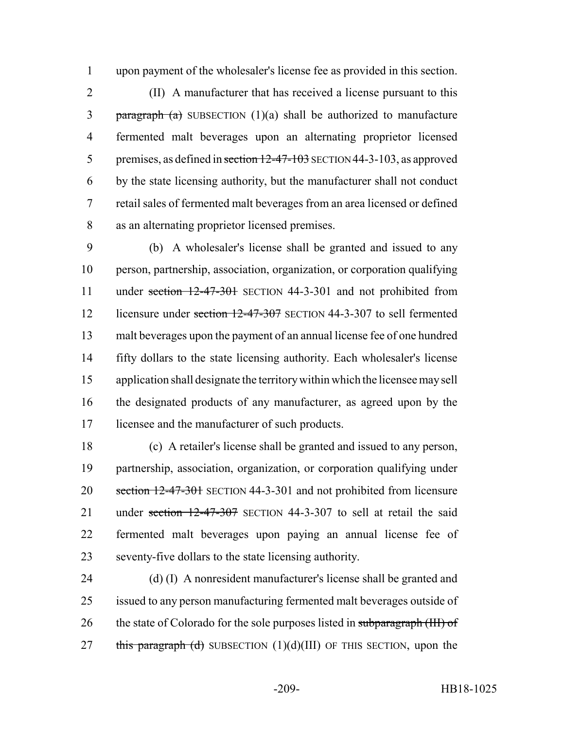upon payment of the wholesaler's license fee as provided in this section.

 (II) A manufacturer that has received a license pursuant to this 3 paragraph (a) SUBSECTION  $(1)(a)$  shall be authorized to manufacture fermented malt beverages upon an alternating proprietor licensed 5 premises, as defined in section 12-47-103 SECTION 44-3-103, as approved by the state licensing authority, but the manufacturer shall not conduct retail sales of fermented malt beverages from an area licensed or defined as an alternating proprietor licensed premises.

 (b) A wholesaler's license shall be granted and issued to any person, partnership, association, organization, or corporation qualifying 11 under section 12-47-301 SECTION 44-3-301 and not prohibited from 12 licensure under section 12-47-307 SECTION 44-3-307 to sell fermented malt beverages upon the payment of an annual license fee of one hundred fifty dollars to the state licensing authority. Each wholesaler's license application shall designate the territory within which the licensee may sell the designated products of any manufacturer, as agreed upon by the licensee and the manufacturer of such products.

 (c) A retailer's license shall be granted and issued to any person, partnership, association, organization, or corporation qualifying under 20 section 12-47-301 SECTION 44-3-301 and not prohibited from licensure 21 under section 12-47-307 SECTION 44-3-307 to sell at retail the said fermented malt beverages upon paying an annual license fee of seventy-five dollars to the state licensing authority.

 (d) (I) A nonresident manufacturer's license shall be granted and issued to any person manufacturing fermented malt beverages outside of 26 the state of Colorado for the sole purposes listed in subparagraph (III) of 27 this paragraph (d) SUBSECTION  $(1)(d)(III)$  OF THIS SECTION, upon the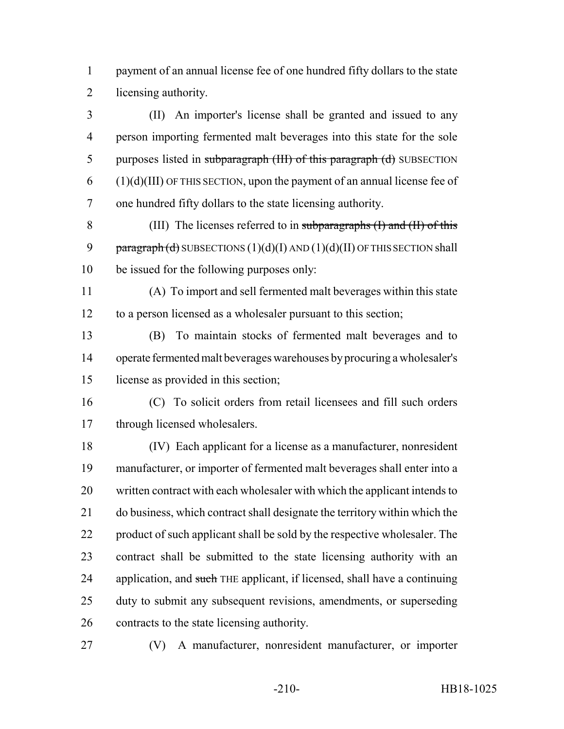payment of an annual license fee of one hundred fifty dollars to the state licensing authority.

 (II) An importer's license shall be granted and issued to any person importing fermented malt beverages into this state for the sole 5 purposes listed in subparagraph (III) of this paragraph (d) SUBSECTION (1)(d)(III) OF THIS SECTION, upon the payment of an annual license fee of one hundred fifty dollars to the state licensing authority.

 (III) The licenses referred to in subparagraphs (I) and (II) of this 9  $\frac{1}{2}$  paragraph (d) SUBSECTIONS (1)(d)(I) AND (1)(d)(II) OF THIS SECTION shall be issued for the following purposes only:

 (A) To import and sell fermented malt beverages within this state to a person licensed as a wholesaler pursuant to this section;

 (B) To maintain stocks of fermented malt beverages and to operate fermented malt beverages warehouses by procuring a wholesaler's license as provided in this section;

 (C) To solicit orders from retail licensees and fill such orders through licensed wholesalers.

 (IV) Each applicant for a license as a manufacturer, nonresident manufacturer, or importer of fermented malt beverages shall enter into a written contract with each wholesaler with which the applicant intends to do business, which contract shall designate the territory within which the 22 product of such applicant shall be sold by the respective wholesaler. The contract shall be submitted to the state licensing authority with an 24 application, and such THE applicant, if licensed, shall have a continuing duty to submit any subsequent revisions, amendments, or superseding contracts to the state licensing authority.

(V) A manufacturer, nonresident manufacturer, or importer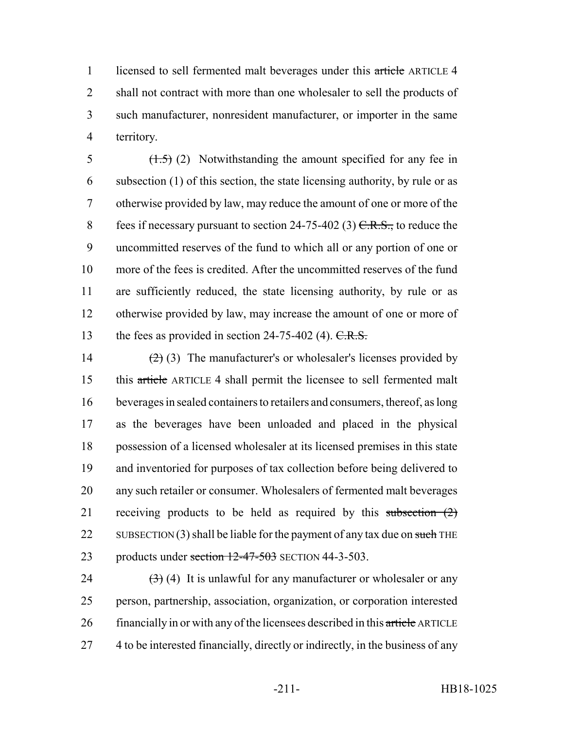1 licensed to sell fermented malt beverages under this article ARTICLE 4 2 shall not contract with more than one wholesaler to sell the products of 3 such manufacturer, nonresident manufacturer, or importer in the same 4 territory.

 $\left(1.5\right)$  (2) Notwithstanding the amount specified for any fee in subsection (1) of this section, the state licensing authority, by rule or as otherwise provided by law, may reduce the amount of one or more of the 8 fees if necessary pursuant to section  $24-75-402$  (3)  $C.R.S.,$  to reduce the uncommitted reserves of the fund to which all or any portion of one or more of the fees is credited. After the uncommitted reserves of the fund are sufficiently reduced, the state licensing authority, by rule or as otherwise provided by law, may increase the amount of one or more of 13 the fees as provided in section 24-75-402 (4).  $C.R.S.$ 

 $(2)(3)$  The manufacturer's or wholesaler's licenses provided by this article ARTICLE 4 shall permit the licensee to sell fermented malt beverages in sealed containers to retailers and consumers, thereof, as long as the beverages have been unloaded and placed in the physical possession of a licensed wholesaler at its licensed premises in this state and inventoried for purposes of tax collection before being delivered to any such retailer or consumer. Wholesalers of fermented malt beverages 21 receiving products to be held as required by this subsection (2) 22 SUBSECTION (3) shall be liable for the payment of any tax due on such THE 23 products under section  $12-47-503$  SECTION 44-3-503.

24  $(3)$  (4) It is unlawful for any manufacturer or wholesaler or any 25 person, partnership, association, organization, or corporation interested 26 financially in or with any of the licensees described in this article ARTICLE 27 4 to be interested financially, directly or indirectly, in the business of any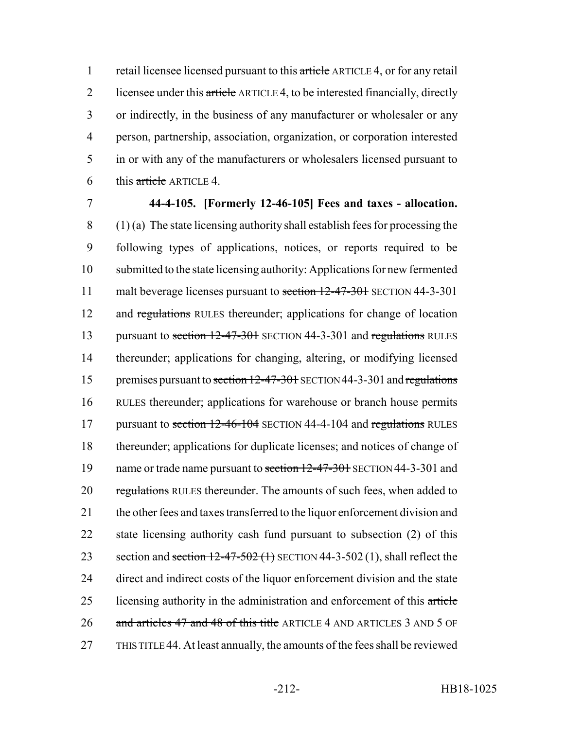1 retail licensee licensed pursuant to this article ARTICLE 4, or for any retail 2 licensee under this article ARTICLE 4, to be interested financially, directly 3 or indirectly, in the business of any manufacturer or wholesaler or any 4 person, partnership, association, organization, or corporation interested 5 in or with any of the manufacturers or wholesalers licensed pursuant to 6 this  $\frac{artele}{.}$  ARTICLE 4.

7 **44-4-105. [Formerly 12-46-105] Fees and taxes - allocation.**  $8$  (1) (a) The state licensing authority shall establish fees for processing the 9 following types of applications, notices, or reports required to be 10 submitted to the state licensing authority: Applications for new fermented 11 malt beverage licenses pursuant to section 12-47-301 SECTION 44-3-301 12 and regulations RULES thereunder; applications for change of location 13 pursuant to section 12-47-301 SECTION 44-3-301 and regulations RULES 14 thereunder; applications for changing, altering, or modifying licensed 15 premises pursuant to section 12-47-301 SECTION 44-3-301 and regulations 16 RULES thereunder; applications for warehouse or branch house permits 17 pursuant to section 12-46-104 SECTION 44-4-104 and regulations RULES 18 thereunder; applications for duplicate licenses; and notices of change of 19 name or trade name pursuant to section 12-47-301 SECTION 44-3-301 and 20 regulations RULES thereunder. The amounts of such fees, when added to 21 the other fees and taxes transferred to the liquor enforcement division and 22 state licensing authority cash fund pursuant to subsection (2) of this 23 section and section  $12-47-502$  (1) SECTION 44-3-502 (1), shall reflect the 24 direct and indirect costs of the liquor enforcement division and the state 25 licensing authority in the administration and enforcement of this article 26 and articles 47 and 48 of this title ARTICLE 4 AND ARTICLES 3 AND 5 OF 27 THIS TITLE 44. At least annually, the amounts of the fees shall be reviewed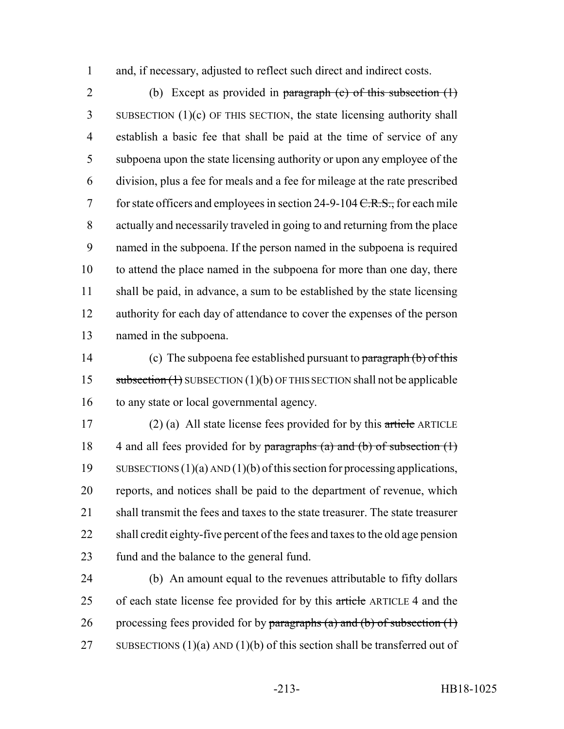and, if necessary, adjusted to reflect such direct and indirect costs.

 (b) Except as provided in paragraph (c) of this subsection (1) SUBSECTION (1)(c) OF THIS SECTION, the state licensing authority shall establish a basic fee that shall be paid at the time of service of any subpoena upon the state licensing authority or upon any employee of the division, plus a fee for meals and a fee for mileage at the rate prescribed 7 for state officers and employees in section 24-9-104 <del>C.R.S.,</del> for each mile actually and necessarily traveled in going to and returning from the place named in the subpoena. If the person named in the subpoena is required 10 to attend the place named in the subpoena for more than one day, there shall be paid, in advance, a sum to be established by the state licensing authority for each day of attendance to cover the expenses of the person named in the subpoena.

14 (c) The subpoena fee established pursuant to paragraph (b) of this 15 subsection (1) SUBSECTION (1)(b) OF THIS SECTION shall not be applicable to any state or local governmental agency.

17 (2) (a) All state license fees provided for by this article ARTICLE 18 4 and all fees provided for by paragraphs (a) and (b) of subsection  $(1)$  SUBSECTIONS (1)(a) AND (1)(b) of this section for processing applications, reports, and notices shall be paid to the department of revenue, which 21 shall transmit the fees and taxes to the state treasurer. The state treasurer shall credit eighty-five percent of the fees and taxes to the old age pension fund and the balance to the general fund.

 (b) An amount equal to the revenues attributable to fifty dollars 25 of each state license fee provided for by this article ARTICLE 4 and the 26 processing fees provided for by paragraphs (a) and (b) of subsection  $(1)$ 27 SUBSECTIONS  $(1)(a)$  AND  $(1)(b)$  of this section shall be transferred out of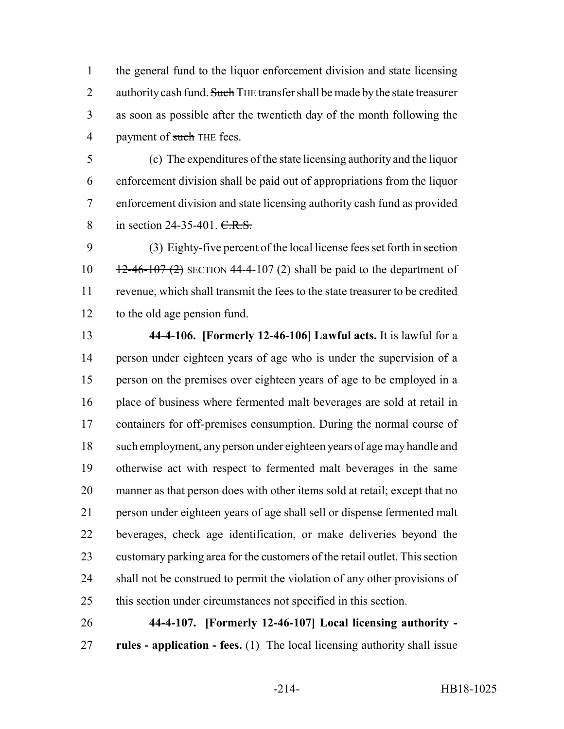the general fund to the liquor enforcement division and state licensing 2 authority cash fund. Such THE transfer shall be made by the state treasurer as soon as possible after the twentieth day of the month following the 4 payment of such THE fees.

 (c) The expenditures of the state licensing authority and the liquor enforcement division shall be paid out of appropriations from the liquor enforcement division and state licensing authority cash fund as provided 8 in section 24-35-401. C.R.S.

 (3) Eighty-five percent of the local license fees set forth in section  $12-46-107 (2)$  SECTION 44-4-107 (2) shall be paid to the department of revenue, which shall transmit the fees to the state treasurer to be credited to the old age pension fund.

 **44-4-106. [Formerly 12-46-106] Lawful acts.** It is lawful for a person under eighteen years of age who is under the supervision of a person on the premises over eighteen years of age to be employed in a place of business where fermented malt beverages are sold at retail in containers for off-premises consumption. During the normal course of such employment, any person under eighteen years of age may handle and otherwise act with respect to fermented malt beverages in the same manner as that person does with other items sold at retail; except that no person under eighteen years of age shall sell or dispense fermented malt beverages, check age identification, or make deliveries beyond the customary parking area for the customers of the retail outlet. This section shall not be construed to permit the violation of any other provisions of this section under circumstances not specified in this section.

 **44-4-107. [Formerly 12-46-107] Local licensing authority - rules - application - fees.** (1) The local licensing authority shall issue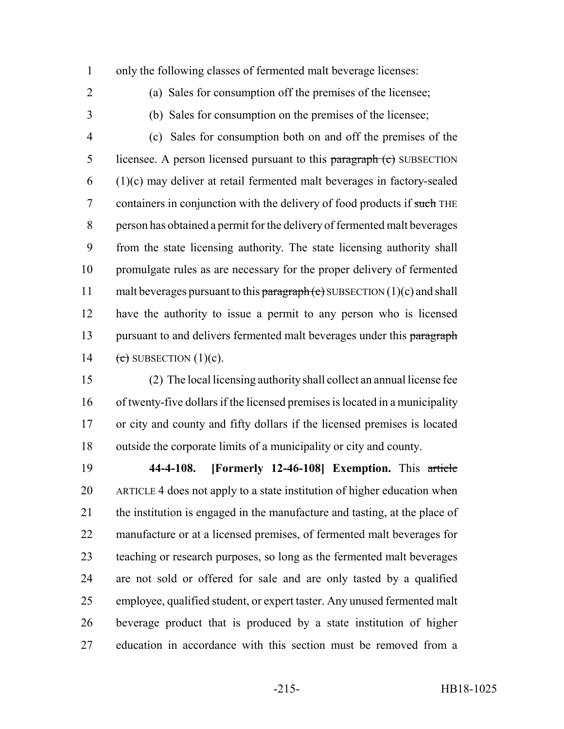only the following classes of fermented malt beverage licenses:

(a) Sales for consumption off the premises of the licensee;

(b) Sales for consumption on the premises of the licensee;

 (c) Sales for consumption both on and off the premises of the 5 licensee. A person licensed pursuant to this paragraph (c) SUBSECTION (1)(c) may deliver at retail fermented malt beverages in factory-sealed 7 containers in conjunction with the delivery of food products if such THE person has obtained a permit for the delivery of fermented malt beverages from the state licensing authority. The state licensing authority shall promulgate rules as are necessary for the proper delivery of fermented 11 malt beverages pursuant to this  $\frac{\text{parameter of}}{\text{parameter of}}$  SUBSECTION (1)(c) and shall have the authority to issue a permit to any person who is licensed 13 pursuant to and delivers fermented malt beverages under this paragraph  $(e)$  SUBSECTION  $(1)(c)$ .

 (2) The local licensing authority shall collect an annual license fee of twenty-five dollars if the licensed premises is located in a municipality or city and county and fifty dollars if the licensed premises is located outside the corporate limits of a municipality or city and county.

 **44-4-108. [Formerly 12-46-108] Exemption.** This article ARTICLE 4 does not apply to a state institution of higher education when the institution is engaged in the manufacture and tasting, at the place of manufacture or at a licensed premises, of fermented malt beverages for teaching or research purposes, so long as the fermented malt beverages are not sold or offered for sale and are only tasted by a qualified employee, qualified student, or expert taster. Any unused fermented malt beverage product that is produced by a state institution of higher education in accordance with this section must be removed from a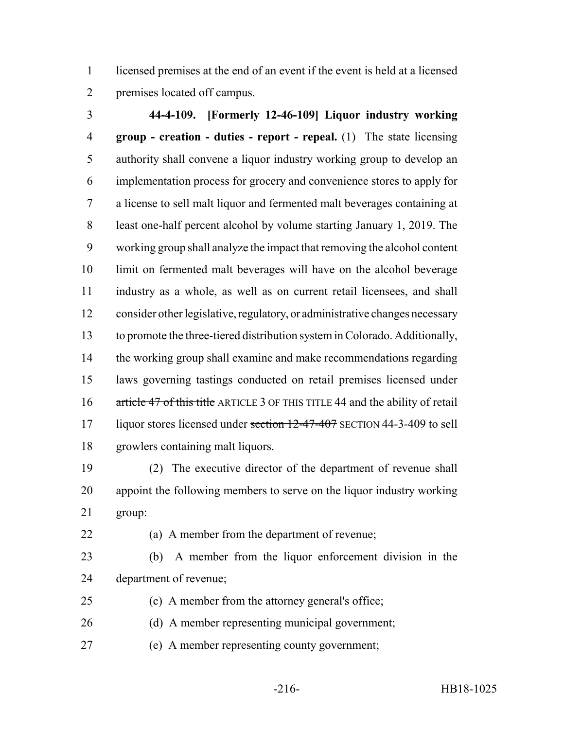licensed premises at the end of an event if the event is held at a licensed premises located off campus.

 **44-4-109. [Formerly 12-46-109] Liquor industry working group - creation - duties - report - repeal.** (1) The state licensing authority shall convene a liquor industry working group to develop an implementation process for grocery and convenience stores to apply for a license to sell malt liquor and fermented malt beverages containing at least one-half percent alcohol by volume starting January 1, 2019. The working group shall analyze the impact that removing the alcohol content limit on fermented malt beverages will have on the alcohol beverage industry as a whole, as well as on current retail licensees, and shall consider other legislative, regulatory, or administrative changes necessary to promote the three-tiered distribution system in Colorado. Additionally, the working group shall examine and make recommendations regarding laws governing tastings conducted on retail premises licensed under 16 article 47 of this title ARTICLE 3 OF THIS TITLE 44 and the ability of retail 17 liquor stores licensed under section 12-47-407 SECTION 44-3-409 to sell growlers containing malt liquors.

 (2) The executive director of the department of revenue shall appoint the following members to serve on the liquor industry working group:

(a) A member from the department of revenue;

 (b) A member from the liquor enforcement division in the department of revenue;

- (c) A member from the attorney general's office;
- (d) A member representing municipal government;
- (e) A member representing county government;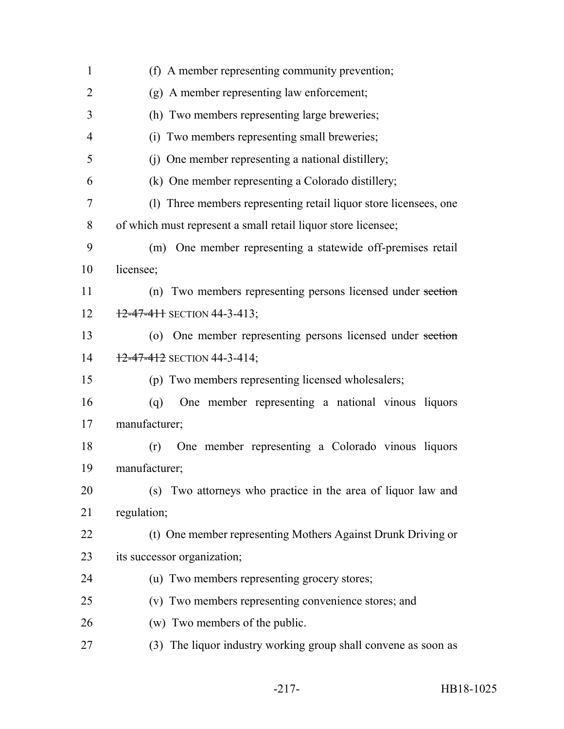| $\mathbf{1}$   | (f) A member representing community prevention;                   |
|----------------|-------------------------------------------------------------------|
| $\overline{2}$ | (g) A member representing law enforcement;                        |
| 3              | (h) Two members representing large breweries;                     |
| $\overline{4}$ | (i) Two members representing small breweries;                     |
| 5              | (j) One member representing a national distillery;                |
| 6              | (k) One member representing a Colorado distillery;                |
| 7              | (1) Three members representing retail liquor store licensees, one |
| 8              | of which must represent a small retail liquor store licensee;     |
| 9              | (m) One member representing a statewide off-premises retail       |
| 10             | licensee;                                                         |
| 11             | (n) Two members representing persons licensed under section       |
| 12             | $12 - 47 - 411$ SECTION 44-3-413;                                 |
| 13             | (o) One member representing persons licensed under section        |
| 14             | $12 - 47 - 412$ SECTION 44-3-414;                                 |
| 15             | (p) Two members representing licensed wholesalers;                |
| 16             | One member representing a national vinous liquors<br>(q)          |
| 17             | manufacturer;                                                     |
| 18             | One member representing a Colorado vinous liquors<br>(r)          |
| 19             | manufacturer;                                                     |
| 20             | (s) Two attorneys who practice in the area of liquor law and      |
| 21             | regulation;                                                       |
| 22             | (t) One member representing Mothers Against Drunk Driving or      |
| 23             | its successor organization;                                       |
| 24             | (u) Two members representing grocery stores;                      |
| 25             | (v) Two members representing convenience stores; and              |
| 26             | (w) Two members of the public.                                    |
| 27             | (3) The liquor industry working group shall convene as soon as    |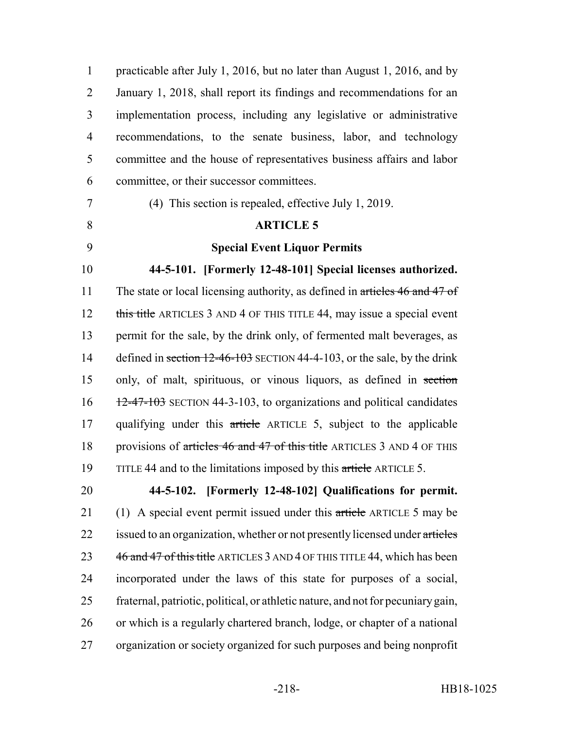1 practicable after July 1, 2016, but no later than August 1, 2016, and by 2 January 1, 2018, shall report its findings and recommendations for an 3 implementation process, including any legislative or administrative 4 recommendations, to the senate business, labor, and technology 5 committee and the house of representatives business affairs and labor 6 committee, or their successor committees. 7 (4) This section is repealed, effective July 1, 2019. 8 **ARTICLE 5** 9 **Special Event Liquor Permits** 10 **44-5-101. [Formerly 12-48-101] Special licenses authorized.** 11 The state or local licensing authority, as defined in articles 46 and 47 of 12 this title ARTICLES 3 AND 4 OF THIS TITLE 44, may issue a special event 13 permit for the sale, by the drink only, of fermented malt beverages, as 14 defined in section 12-46-103 SECTION 44-4-103, or the sale, by the drink 15 only, of malt, spirituous, or vinous liquors, as defined in section  $16 \frac{12-47-103}{2}$  SECTION 44-3-103, to organizations and political candidates 17 qualifying under this article ARTICLE 5, subject to the applicable 18 provisions of articles 46 and 47 of this title ARTICLES 3 AND 4 OF THIS 19 TITLE 44 and to the limitations imposed by this article ARTICLE 5. 20 **44-5-102. [Formerly 12-48-102] Qualifications for permit.** 21 (1) A special event permit issued under this article ARTICLE 5 may be 22 issued to an organization, whether or not presently licensed under articles 23 46 and 47 of this title ARTICLES 3 AND 4 OF THIS TITLE 44, which has been 24 incorporated under the laws of this state for purposes of a social, 25 fraternal, patriotic, political, or athletic nature, and not for pecuniary gain,

- 26 or which is a regularly chartered branch, lodge, or chapter of a national
- 27 organization or society organized for such purposes and being nonprofit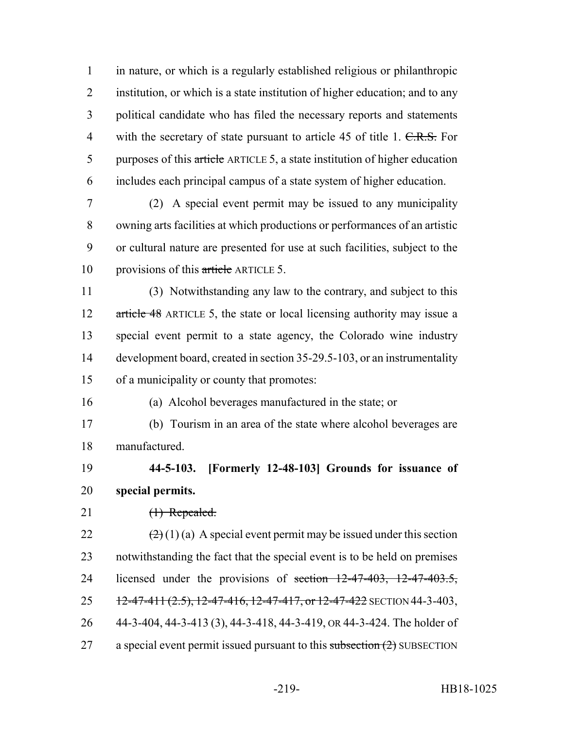in nature, or which is a regularly established religious or philanthropic institution, or which is a state institution of higher education; and to any political candidate who has filed the necessary reports and statements 4 with the secretary of state pursuant to article 45 of title 1.  $C.R.S.$  For 5 purposes of this article ARTICLE 5, a state institution of higher education includes each principal campus of a state system of higher education.

 (2) A special event permit may be issued to any municipality owning arts facilities at which productions or performances of an artistic or cultural nature are presented for use at such facilities, subject to the 10 provisions of this article ARTICLE 5.

 (3) Notwithstanding any law to the contrary, and subject to this 12 article 48 ARTICLE 5, the state or local licensing authority may issue a special event permit to a state agency, the Colorado wine industry development board, created in section 35-29.5-103, or an instrumentality of a municipality or county that promotes:

(a) Alcohol beverages manufactured in the state; or

 (b) Tourism in an area of the state where alcohol beverages are manufactured.

 **44-5-103. [Formerly 12-48-103] Grounds for issuance of special permits.**

21 (1) Repealed.

 $(2)(1)(a)$  A special event permit may be issued under this section notwithstanding the fact that the special event is to be held on premises 24 licensed under the provisions of section  $12-47-403$ ,  $12-47-403.5$ ,  $12-47-411$   $(2.5)$ ,  $12-47-416$ ,  $12-47-417$ , or  $12-47-422$  SECTION 44-3-403, 44-3-404, 44-3-413 (3), 44-3-418, 44-3-419, OR 44-3-424. The holder of 27 a special event permit issued pursuant to this subsection  $(2)$  SUBSECTION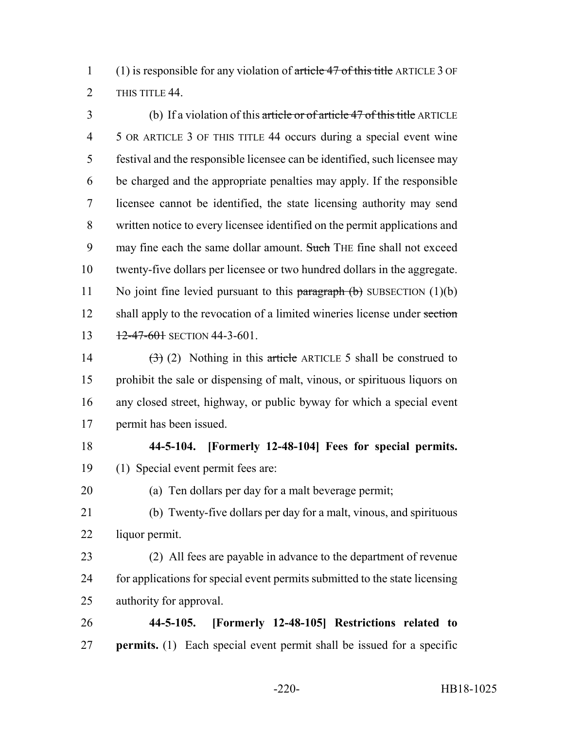(1) is responsible for any violation of article 47 of this title ARTICLE 3 OF 2 THIS TITLE 44

 (b) If a violation of this article or of article 47 of this title ARTICLE 5 OR ARTICLE 3 OF THIS TITLE 44 occurs during a special event wine festival and the responsible licensee can be identified, such licensee may be charged and the appropriate penalties may apply. If the responsible licensee cannot be identified, the state licensing authority may send written notice to every licensee identified on the permit applications and 9 may fine each the same dollar amount. Such THE fine shall not exceed twenty-five dollars per licensee or two hundred dollars in the aggregate. 11 No joint fine levied pursuant to this  $\frac{\partial f}{\partial x}$  (b) SUBSECTION (1)(b) 12 shall apply to the revocation of a limited wineries license under section 13 12-47-601 SECTION 44-3-601.

 $(3)$  (2) Nothing in this article ARTICLE 5 shall be construed to prohibit the sale or dispensing of malt, vinous, or spirituous liquors on any closed street, highway, or public byway for which a special event permit has been issued.

## **44-5-104. [Formerly 12-48-104] Fees for special permits.** (1) Special event permit fees are:

(a) Ten dollars per day for a malt beverage permit;

 (b) Twenty-five dollars per day for a malt, vinous, and spirituous liquor permit.

 (2) All fees are payable in advance to the department of revenue for applications for special event permits submitted to the state licensing authority for approval.

 **44-5-105. [Formerly 12-48-105] Restrictions related to permits.** (1) Each special event permit shall be issued for a specific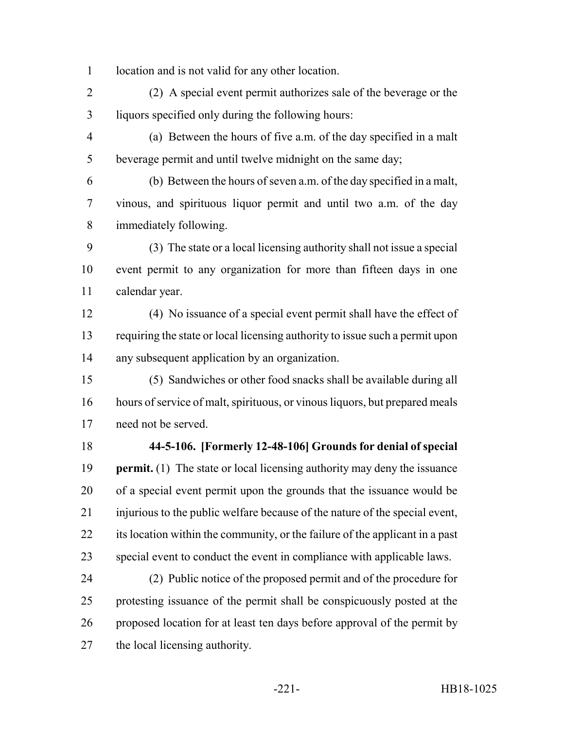location and is not valid for any other location.

 (2) A special event permit authorizes sale of the beverage or the liquors specified only during the following hours:

 (a) Between the hours of five a.m. of the day specified in a malt beverage permit and until twelve midnight on the same day;

 (b) Between the hours of seven a.m. of the day specified in a malt, vinous, and spirituous liquor permit and until two a.m. of the day immediately following.

 (3) The state or a local licensing authority shall not issue a special event permit to any organization for more than fifteen days in one calendar year.

 (4) No issuance of a special event permit shall have the effect of requiring the state or local licensing authority to issue such a permit upon any subsequent application by an organization.

 (5) Sandwiches or other food snacks shall be available during all hours of service of malt, spirituous, or vinous liquors, but prepared meals need not be served.

## **44-5-106. [Formerly 12-48-106] Grounds for denial of special**

 **permit.** (1) The state or local licensing authority may deny the issuance of a special event permit upon the grounds that the issuance would be injurious to the public welfare because of the nature of the special event, its location within the community, or the failure of the applicant in a past special event to conduct the event in compliance with applicable laws.

 (2) Public notice of the proposed permit and of the procedure for protesting issuance of the permit shall be conspicuously posted at the proposed location for at least ten days before approval of the permit by the local licensing authority.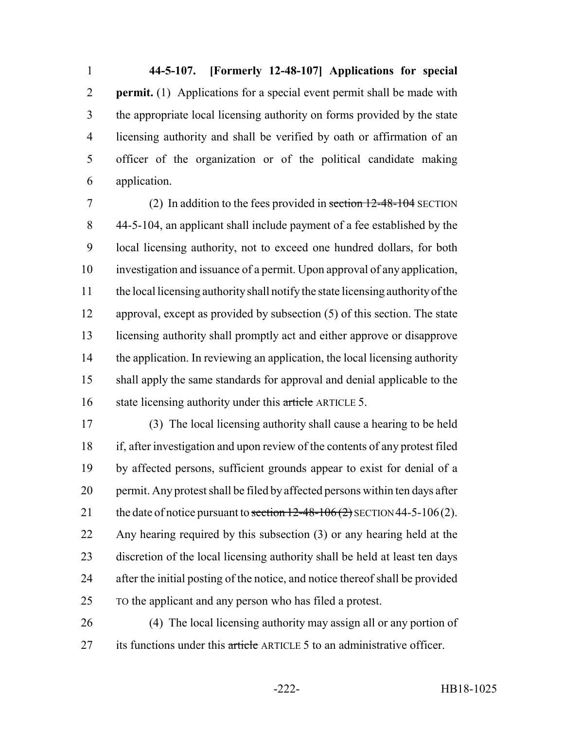**44-5-107. [Formerly 12-48-107] Applications for special permit.** (1) Applications for a special event permit shall be made with the appropriate local licensing authority on forms provided by the state licensing authority and shall be verified by oath or affirmation of an officer of the organization or of the political candidate making application.

 (2) In addition to the fees provided in section 12-48-104 SECTION 44-5-104, an applicant shall include payment of a fee established by the local licensing authority, not to exceed one hundred dollars, for both investigation and issuance of a permit. Upon approval of any application, the local licensing authority shall notify the state licensing authority of the approval, except as provided by subsection (5) of this section. The state licensing authority shall promptly act and either approve or disapprove the application. In reviewing an application, the local licensing authority shall apply the same standards for approval and denial applicable to the 16 state licensing authority under this article ARTICLE 5.

 (3) The local licensing authority shall cause a hearing to be held if, after investigation and upon review of the contents of any protest filed by affected persons, sufficient grounds appear to exist for denial of a permit. Any protest shall be filed by affected persons within ten days after 21 the date of notice pursuant to section  $12-48-106(2)$  SECTION 44-5-106(2). Any hearing required by this subsection (3) or any hearing held at the discretion of the local licensing authority shall be held at least ten days after the initial posting of the notice, and notice thereof shall be provided TO the applicant and any person who has filed a protest.

 (4) The local licensing authority may assign all or any portion of 27 its functions under this article ARTICLE 5 to an administrative officer.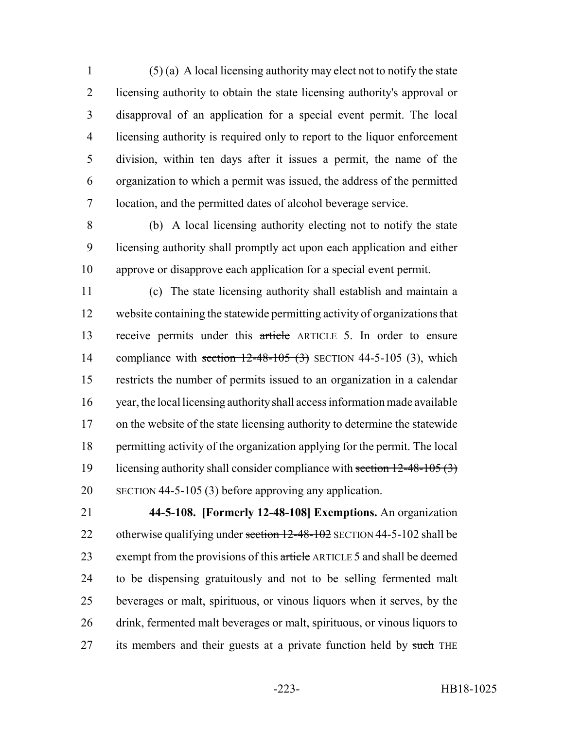(5) (a) A local licensing authority may elect not to notify the state licensing authority to obtain the state licensing authority's approval or disapproval of an application for a special event permit. The local licensing authority is required only to report to the liquor enforcement division, within ten days after it issues a permit, the name of the organization to which a permit was issued, the address of the permitted location, and the permitted dates of alcohol beverage service.

 (b) A local licensing authority electing not to notify the state licensing authority shall promptly act upon each application and either approve or disapprove each application for a special event permit.

 (c) The state licensing authority shall establish and maintain a website containing the statewide permitting activity of organizations that receive permits under this article ARTICLE 5. In order to ensure 14 compliance with section  $12-48-105$  (3) SECTION 44-5-105 (3), which restricts the number of permits issued to an organization in a calendar year, the local licensing authority shall access information made available on the website of the state licensing authority to determine the statewide permitting activity of the organization applying for the permit. The local 19 licensing authority shall consider compliance with section 12-48-105 (3) SECTION 44-5-105 (3) before approving any application.

 **44-5-108. [Formerly 12-48-108] Exemptions.** An organization 22 otherwise qualifying under section 12-48-102 SECTION 44-5-102 shall be 23 exempt from the provisions of this article ARTICLE 5 and shall be deemed to be dispensing gratuitously and not to be selling fermented malt beverages or malt, spirituous, or vinous liquors when it serves, by the drink, fermented malt beverages or malt, spirituous, or vinous liquors to 27 its members and their guests at a private function held by such THE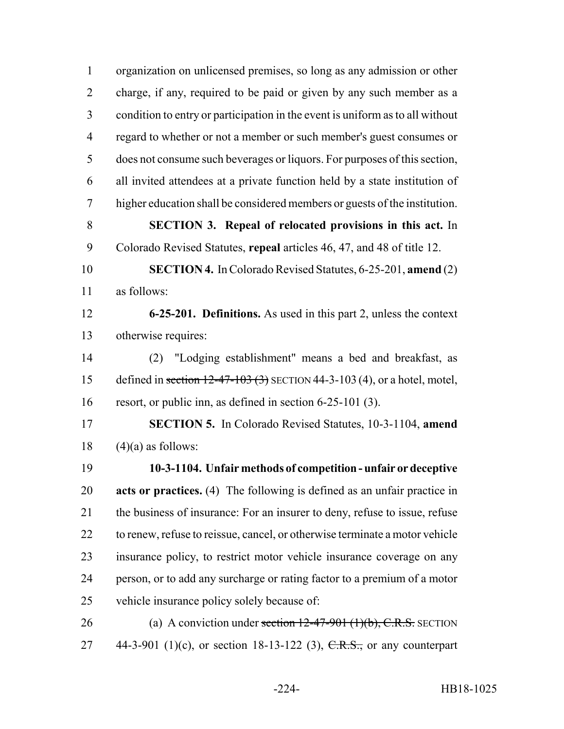| $\mathbf{1}$   | organization on unlicensed premises, so long as any admission or other        |
|----------------|-------------------------------------------------------------------------------|
| $\overline{2}$ | charge, if any, required to be paid or given by any such member as a          |
| 3              | condition to entry or participation in the event is uniform as to all without |
| $\overline{4}$ | regard to whether or not a member or such member's guest consumes or          |
| 5              | does not consume such beverages or liquors. For purposes of this section,     |
| 6              | all invited attendees at a private function held by a state institution of    |
| 7              | higher education shall be considered members or guests of the institution.    |
| 8              | <b>SECTION 3. Repeal of relocated provisions in this act.</b> In              |
| 9              | Colorado Revised Statutes, repeal articles 46, 47, and 48 of title 12.        |
| 10             | <b>SECTION 4.</b> In Colorado Revised Statutes, 6-25-201, amend (2)           |
| 11             | as follows:                                                                   |
| 12             | 6-25-201. Definitions. As used in this part 2, unless the context             |
| 13             | otherwise requires:                                                           |
| 14             | "Lodging establishment" means a bed and breakfast, as<br>(2)                  |
| 15             | defined in section $12-47-103$ (3) SECTION 44-3-103 (4), or a hotel, motel,   |
| 16             | resort, or public inn, as defined in section $6-25-101$ (3).                  |
| 17             | <b>SECTION 5.</b> In Colorado Revised Statutes, 10-3-1104, amend              |
| 18             | $(4)(a)$ as follows:                                                          |
| 19             | 10-3-1104. Unfair methods of competition - unfair or deceptive                |
| 20             | acts or practices. (4) The following is defined as an unfair practice in      |
| 21             | the business of insurance: For an insurer to deny, refuse to issue, refuse    |
| 22             | to renew, refuse to reissue, cancel, or otherwise terminate a motor vehicle   |
| 23             | insurance policy, to restrict motor vehicle insurance coverage on any         |
| 24             | person, or to add any surcharge or rating factor to a premium of a motor      |
| 25             | vehicle insurance policy solely because of:                                   |
| 26             | (a) A conviction under section $12-47-901$ (1)(b), C.R.S. SECTION             |
| 27             | 44-3-901 (1)(c), or section 18-13-122 (3), C.R.S., or any counterpart         |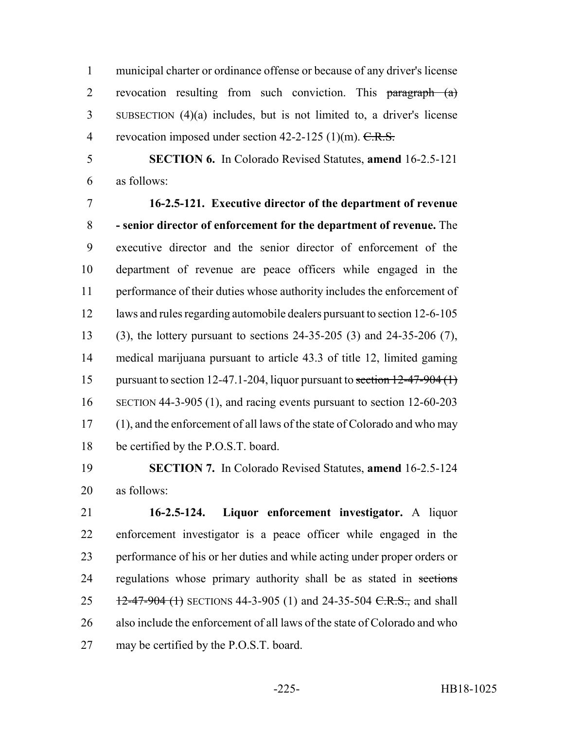municipal charter or ordinance offense or because of any driver's license 2 revocation resulting from such conviction. This paragraph (a) SUBSECTION (4)(a) includes, but is not limited to, a driver's license 4 revocation imposed under section  $42-2-125$  (1)(m).  $C.R.S.$ 

 **SECTION 6.** In Colorado Revised Statutes, **amend** 16-2.5-121 as follows:

 **16-2.5-121. Executive director of the department of revenue - senior director of enforcement for the department of revenue.** The executive director and the senior director of enforcement of the department of revenue are peace officers while engaged in the performance of their duties whose authority includes the enforcement of laws and rules regarding automobile dealers pursuant to section 12-6-105 (3), the lottery pursuant to sections 24-35-205 (3) and 24-35-206 (7), medical marijuana pursuant to article 43.3 of title 12, limited gaming 15 pursuant to section 12-47.1-204, liquor pursuant to section  $12-47-904$  (1) SECTION 44-3-905 (1), and racing events pursuant to section 12-60-203 (1), and the enforcement of all laws of the state of Colorado and who may be certified by the P.O.S.T. board.

 **SECTION 7.** In Colorado Revised Statutes, **amend** 16-2.5-124 as follows:

 **16-2.5-124. Liquor enforcement investigator.** A liquor enforcement investigator is a peace officer while engaged in the performance of his or her duties and while acting under proper orders or 24 regulations whose primary authority shall be as stated in sections 25 12-47-904 (1) SECTIONS 44-3-905 (1) and 24-35-504 C.R.S., and shall also include the enforcement of all laws of the state of Colorado and who may be certified by the P.O.S.T. board.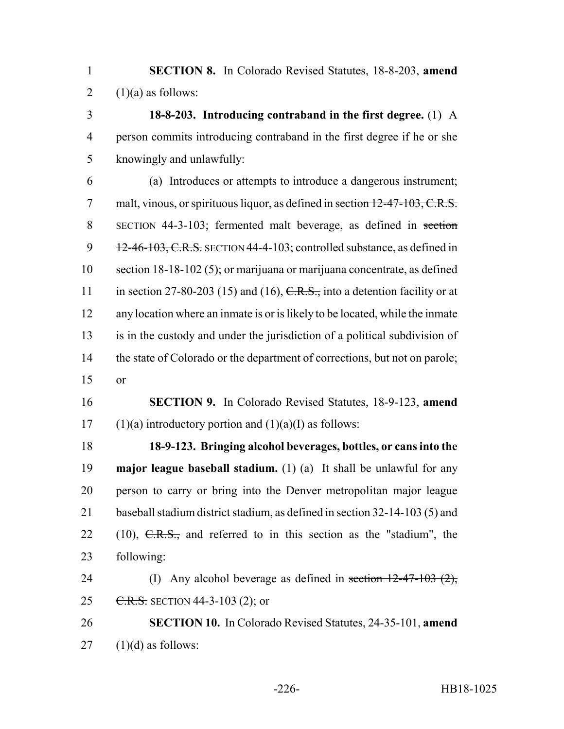**SECTION 8.** In Colorado Revised Statutes, 18-8-203, **amend** 2  $(1)(a)$  as follows:

 **18-8-203. Introducing contraband in the first degree.** (1) A person commits introducing contraband in the first degree if he or she knowingly and unlawfully:

 (a) Introduces or attempts to introduce a dangerous instrument; 7 malt, vinous, or spirituous liquor, as defined in section 12-47-103, C.R.S. SECTION 44-3-103; fermented malt beverage, as defined in section 9 12-46-103, C.R.S. SECTION 44-4-103; controlled substance, as defined in section 18-18-102 (5); or marijuana or marijuana concentrate, as defined 11 in section 27-80-203 (15) and (16),  $C.R.S.,$  into a detention facility or at any location where an inmate is or is likely to be located, while the inmate is in the custody and under the jurisdiction of a political subdivision of 14 the state of Colorado or the department of corrections, but not on parole; or

 **SECTION 9.** In Colorado Revised Statutes, 18-9-123, **amend** 17 (1)(a) introductory portion and  $(1)(a)(I)$  as follows:

 **18-9-123. Bringing alcohol beverages, bottles, or cans into the major league baseball stadium.** (1) (a) It shall be unlawful for any person to carry or bring into the Denver metropolitan major league baseball stadium district stadium, as defined in section 32-14-103 (5) and 22 (10),  $C.R.S.,$  and referred to in this section as the "stadium", the following:

24 (I) Any alcohol beverage as defined in section  $12-47-103$   $(2)$ , 25 C.R.S. SECTION 44-3-103 (2); or

 **SECTION 10.** In Colorado Revised Statutes, 24-35-101, **amend** (1)(d) as follows: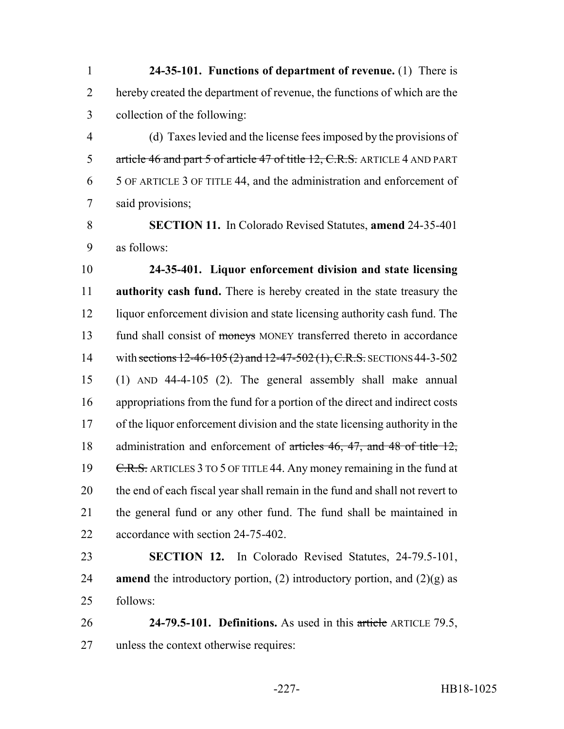**24-35-101. Functions of department of revenue.** (1) There is hereby created the department of revenue, the functions of which are the collection of the following:

 (d) Taxes levied and the license fees imposed by the provisions of 5 article 46 and part 5 of article 47 of title 12, C.R.S. ARTICLE 4 AND PART 5 OF ARTICLE 3 OF TITLE 44, and the administration and enforcement of said provisions;

 **SECTION 11.** In Colorado Revised Statutes, **amend** 24-35-401 as follows:

 **24-35-401. Liquor enforcement division and state licensing authority cash fund.** There is hereby created in the state treasury the liquor enforcement division and state licensing authority cash fund. The 13 fund shall consist of moneys MONEY transferred thereto in accordance 14 with sections 12-46-105 (2) and 12-47-502 (1), C.R.S. SECTIONS 44-3-502 (1) AND 44-4-105 (2). The general assembly shall make annual appropriations from the fund for a portion of the direct and indirect costs of the liquor enforcement division and the state licensing authority in the 18 administration and enforcement of articles 46, 47, and 48 of title 12, 19 C.R.S. ARTICLES 3 TO 5 OF TITLE 44. Any money remaining in the fund at the end of each fiscal year shall remain in the fund and shall not revert to the general fund or any other fund. The fund shall be maintained in accordance with section 24-75-402.

 **SECTION 12.** In Colorado Revised Statutes, 24-79.5-101, **amend** the introductory portion, (2) introductory portion, and (2)(g) as follows:

 **24-79.5-101. Definitions.** As used in this article ARTICLE 79.5, unless the context otherwise requires: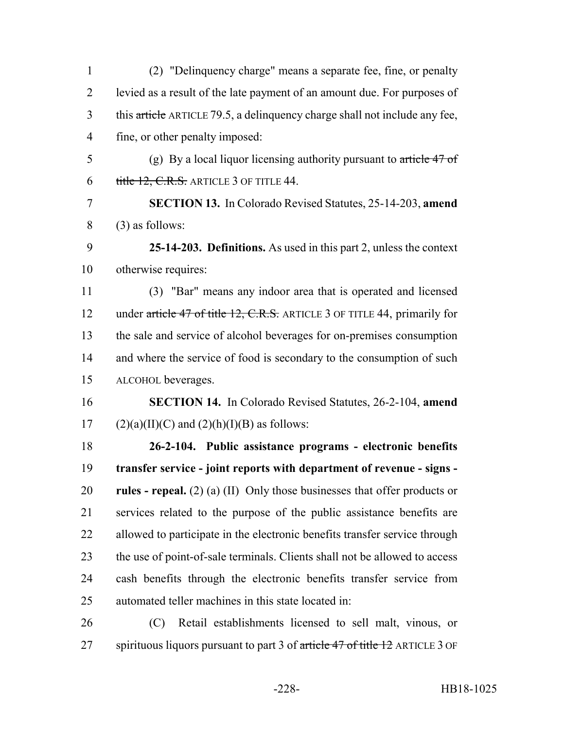| $\mathbf{1}$   | (2) "Delinquency charge" means a separate fee, fine, or penalty               |
|----------------|-------------------------------------------------------------------------------|
| $\overline{2}$ | levied as a result of the late payment of an amount due. For purposes of      |
| 3              | this article ARTICLE 79.5, a delinquency charge shall not include any fee,    |
| $\overline{4}$ | fine, or other penalty imposed:                                               |
| 5              | (g) By a local liquor licensing authority pursuant to article $47 \text{ of}$ |
| 6              | title 12, C.R.S. ARTICLE 3 OF TITLE 44.                                       |
| 7              | <b>SECTION 13.</b> In Colorado Revised Statutes, 25-14-203, amend             |
| 8              | $(3)$ as follows:                                                             |
| 9              | 25-14-203. Definitions. As used in this part 2, unless the context            |
| 10             | otherwise requires:                                                           |
| 11             | (3) "Bar" means any indoor area that is operated and licensed                 |
| 12             | under article 47 of title 12, C.R.S. ARTICLE 3 OF TITLE 44, primarily for     |
| 13             | the sale and service of alcohol beverages for on-premises consumption         |
| 14             | and where the service of food is secondary to the consumption of such         |
| 15             | ALCOHOL beverages.                                                            |
| 16             | <b>SECTION 14.</b> In Colorado Revised Statutes, 26-2-104, amend              |
| 17             | $(2)(a)(II)(C)$ and $(2)(h)(I)(B)$ as follows:                                |
| 18             | 26-2-104. Public assistance programs - electronic benefits                    |
| 19             | transfer service - joint reports with department of revenue - signs -         |
| 20             | rules - repeal. $(2)$ (a) (II) Only those businesses that offer products or   |
| 21             | services related to the purpose of the public assistance benefits are         |
| 22             | allowed to participate in the electronic benefits transfer service through    |
| 23             | the use of point-of-sale terminals. Clients shall not be allowed to access    |
| 24             | cash benefits through the electronic benefits transfer service from           |
| 25             | automated teller machines in this state located in:                           |
| 26             | Retail establishments licensed to sell malt, vinous, or<br>(C)                |
| 27             | spirituous liquors pursuant to part 3 of article 47 of title 12 ARTICLE 3 OF  |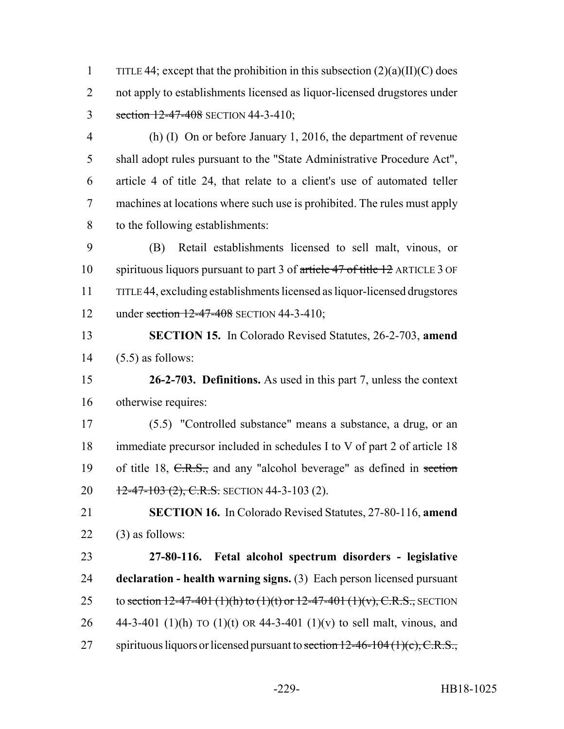1 TITLE 44; except that the prohibition in this subsection  $(2)(a)(II)(C)$  does 2 not apply to establishments licensed as liquor-licensed drugstores under 3 section 12-47-408 SECTION 44-3-410;

 (h) (I) On or before January 1, 2016, the department of revenue shall adopt rules pursuant to the "State Administrative Procedure Act", article 4 of title 24, that relate to a client's use of automated teller machines at locations where such use is prohibited. The rules must apply to the following establishments:

 (B) Retail establishments licensed to sell malt, vinous, or spirituous liquors pursuant to part 3 of article 47 of title 12 ARTICLE 3 OF TITLE 44, excluding establishments licensed as liquor-licensed drugstores 12 under section 12-47-408 SECTION 44-3-410;

 **SECTION 15.** In Colorado Revised Statutes, 26-2-703, **amend** (5.5) as follows:

 **26-2-703. Definitions.** As used in this part 7, unless the context otherwise requires:

 (5.5) "Controlled substance" means a substance, a drug, or an immediate precursor included in schedules I to V of part 2 of article 18 19 of title 18, C.R.S., and any "alcohol beverage" as defined in section  $\frac{12-47-103(2)}{20}$ , C.R.S. SECTION 44-3-103 (2).

 **SECTION 16.** In Colorado Revised Statutes, 27-80-116, **amend** (3) as follows:

 **27-80-116. Fetal alcohol spectrum disorders - legislative declaration - health warning signs.** (3) Each person licensed pursuant 25 to section  $12-47-401$  (1)(h) to (1)(t) or  $12-47-401$  (1)(v), C.R.S., SECTION 26 44-3-401 (1)(h) TO (1)(t) OR 44-3-401 (1)(v) to sell malt, vinous, and 27 spirituous liquors or licensed pursuant to section  $12-46-104(1)(c)$ , C.R.S.,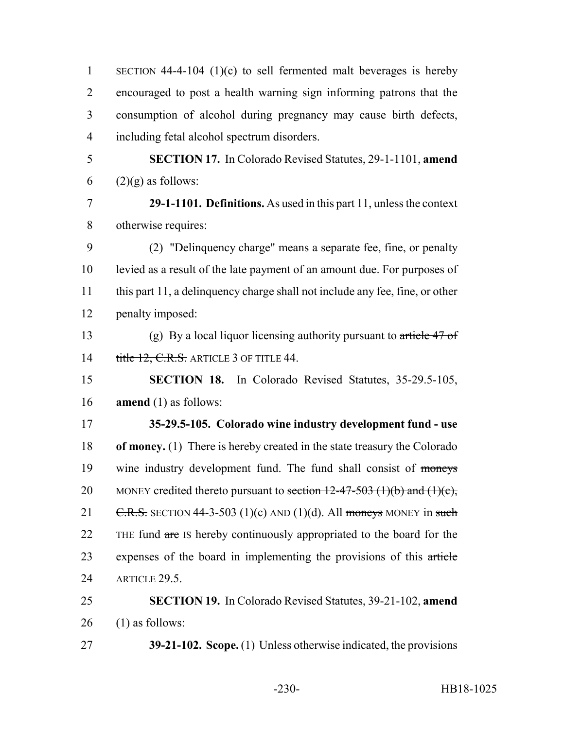| $\mathbf{1}$   | SECTION 44-4-104 $(1)(c)$ to sell fermented malt beverages is hereby          |
|----------------|-------------------------------------------------------------------------------|
| $\overline{2}$ | encouraged to post a health warning sign informing patrons that the           |
| 3              | consumption of alcohol during pregnancy may cause birth defects,              |
| $\overline{4}$ | including fetal alcohol spectrum disorders.                                   |
| 5              | <b>SECTION 17.</b> In Colorado Revised Statutes, 29-1-1101, amend             |
| 6              | $(2)(g)$ as follows:                                                          |
| $\overline{7}$ | 29-1-1101. Definitions. As used in this part 11, unless the context           |
| 8              | otherwise requires:                                                           |
| 9              | (2) "Delinquency charge" means a separate fee, fine, or penalty               |
| 10             | levied as a result of the late payment of an amount due. For purposes of      |
| 11             | this part 11, a delinquency charge shall not include any fee, fine, or other  |
| 12             | penalty imposed:                                                              |
| 13             | (g) By a local liquor licensing authority pursuant to article $47 \text{ of}$ |
| 14             | title 12, C.R.S. ARTICLE 3 OF TITLE 44.                                       |
| 15             | <b>SECTION 18.</b> In Colorado Revised Statutes, 35-29.5-105,                 |
| 16             | <b>amend</b> $(1)$ as follows:                                                |
| 17             | 35-29.5-105. Colorado wine industry development fund - use                    |
| 18             | of money. (1) There is hereby created in the state treasury the Colorado      |
| 19             | wine industry development fund. The fund shall consist of moneys              |
| 20             | MONEY credited thereto pursuant to section $12-47-503$ (1)(b) and (1)(c),     |
| 21             | C.R.S. SECTION 44-3-503 (1)(c) AND (1)(d). All moneys MONEY in such           |
| 22             | THE fund are IS hereby continuously appropriated to the board for the         |
| 23             | expenses of the board in implementing the provisions of this article          |
| 24             | ARTICLE 29.5.                                                                 |
| 25             | <b>SECTION 19.</b> In Colorado Revised Statutes, 39-21-102, amend             |
| 26             | $(1)$ as follows:                                                             |
| 27             | <b>39-21-102. Scope.</b> (1) Unless otherwise indicated, the provisions       |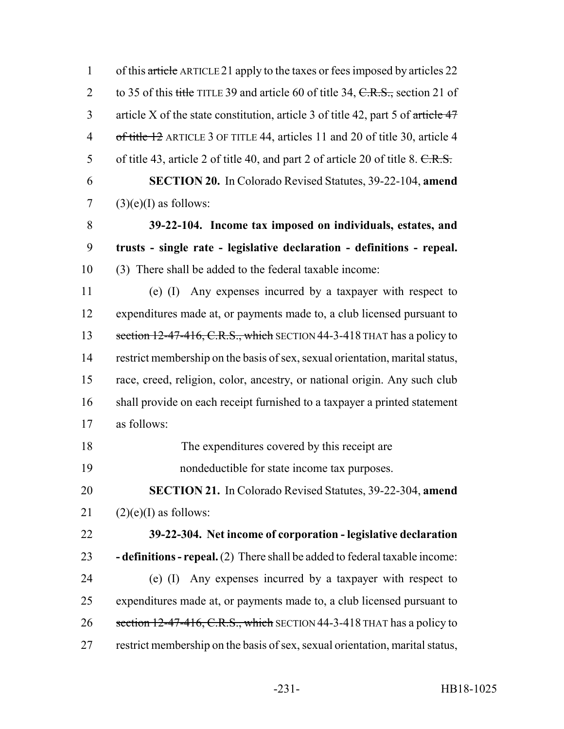| $\mathbf{1}$   | of this article ARTICLE 21 apply to the taxes or fees imposed by articles 22      |
|----------------|-----------------------------------------------------------------------------------|
| $\overline{2}$ | to 35 of this title TITLE 39 and article 60 of title 34, $C.R.S.,$ section 21 of  |
| 3              | article X of the state constitution, article 3 of title 42, part 5 of article 47  |
| $\overline{4}$ | of title 12 ARTICLE 3 OF TITLE 44, articles 11 and 20 of title 30, article 4      |
| 5              | of title 43, article 2 of title 40, and part 2 of article 20 of title 8. $C.R.S.$ |
| 6              | <b>SECTION 20.</b> In Colorado Revised Statutes, 39-22-104, amend                 |
| $\tau$         | $(3)(e)(I)$ as follows:                                                           |
| 8              | 39-22-104. Income tax imposed on individuals, estates, and                        |
| 9              | trusts - single rate - legislative declaration - definitions - repeal.            |
| 10             | (3) There shall be added to the federal taxable income:                           |
| 11             | (e) (I) Any expenses incurred by a taxpayer with respect to                       |
| 12             | expenditures made at, or payments made to, a club licensed pursuant to            |
| 13             | section $12-47-416$ , C.R.S., which SECTION 44-3-418 THAT has a policy to         |
| 14             | restrict membership on the basis of sex, sexual orientation, marital status,      |
| 15             | race, creed, religion, color, ancestry, or national origin. Any such club         |
| 16             | shall provide on each receipt furnished to a taxpayer a printed statement         |
| 17             | as follows:                                                                       |
| 18             | The expenditures covered by this receipt are                                      |
| 19             | nondeductible for state income tax purposes.                                      |
| 20             | <b>SECTION 21.</b> In Colorado Revised Statutes, 39-22-304, amend                 |
| 21             | $(2)(e)(I)$ as follows:                                                           |
| 22             | 39-22-304. Net income of corporation - legislative declaration                    |
| 23             | - definitions - repeal. (2) There shall be added to federal taxable income:       |
| 24             | Any expenses incurred by a taxpayer with respect to<br>$(e)$ (I)                  |
| 25             | expenditures made at, or payments made to, a club licensed pursuant to            |
| 26             | section 12-47-416, C.R.S., which SECTION 44-3-418 THAT has a policy to            |
| 27             | restrict membership on the basis of sex, sexual orientation, marital status,      |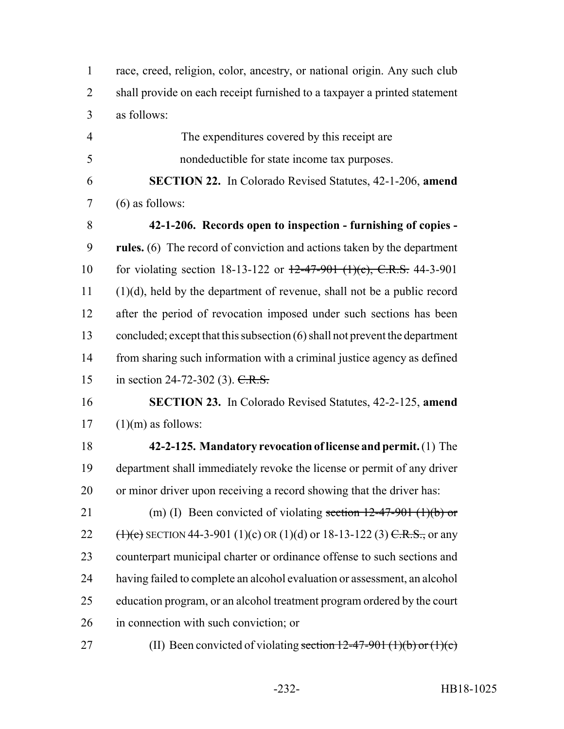| $\mathbf{1}$ | race, creed, religion, color, ancestry, or national origin. Any such club |
|--------------|---------------------------------------------------------------------------|
| 2            | shall provide on each receipt furnished to a taxpayer a printed statement |
|              | 3 as follows:                                                             |

 The expenditures covered by this receipt are nondeductible for state income tax purposes.

 **SECTION 22.** In Colorado Revised Statutes, 42-1-206, **amend** (6) as follows:

 **42-1-206. Records open to inspection - furnishing of copies - rules.** (6) The record of conviction and actions taken by the department for violating section 18-13-122 or 12-47-901 (1)(c), C.R.S. 44-3-901 (1)(d), held by the department of revenue, shall not be a public record after the period of revocation imposed under such sections has been concluded; except that this subsection (6) shall not prevent the department from sharing such information with a criminal justice agency as defined 15 in section 24-72-302 (3). C.R.S.

## **SECTION 23.** In Colorado Revised Statutes, 42-2-125, **amend**  $17 \quad (1)(m)$  as follows:

- **42-2-125. Mandatory revocation of license and permit.** (1) The department shall immediately revoke the license or permit of any driver or minor driver upon receiving a record showing that the driver has:
- 21 (m) (I) Been convicted of violating section  $12-47-901$  (1)(b) or 22  $(\text{H})(c)$  SECTION 44-3-901 (1)(c) OR (1)(d) or 18-13-122 (3) C.R.S., or any counterpart municipal charter or ordinance offense to such sections and having failed to complete an alcohol evaluation or assessment, an alcohol education program, or an alcohol treatment program ordered by the court in connection with such conviction; or
- 27 (II) Been convicted of violating section  $12-47-901$  (1)(b) or (1)(c)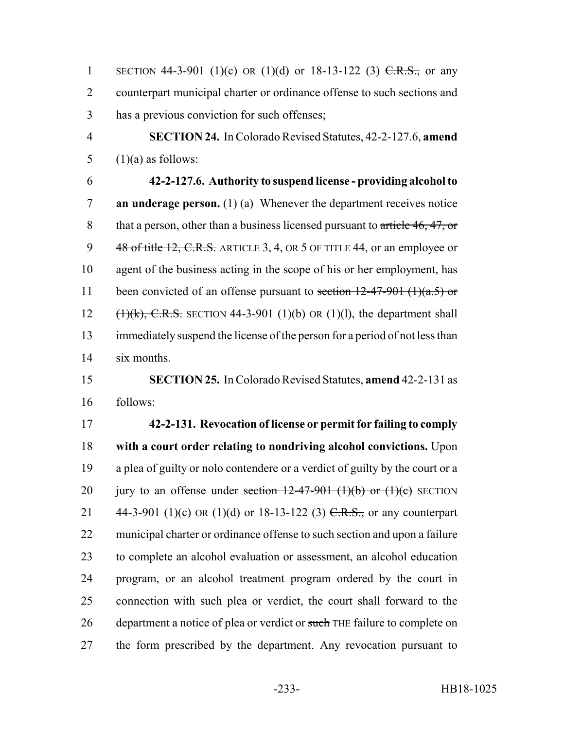1 SECTION 44-3-901 (1)(c) OR (1)(d) or 18-13-122 (3)  $C.R.S.,$  or any counterpart municipal charter or ordinance offense to such sections and has a previous conviction for such offenses;

 **SECTION 24.** In Colorado Revised Statutes, 42-2-127.6, **amend** 5  $(1)(a)$  as follows:

 **42-2-127.6. Authority to suspend license - providing alcohol to an underage person.** (1) (a) Whenever the department receives notice 8 that a person, other than a business licensed pursuant to article 46, 47, or 9 48 of title 12, C.R.S. ARTICLE 3, 4, OR 5 OF TITLE 44, or an employee or agent of the business acting in the scope of his or her employment, has 11 been convicted of an offense pursuant to section  $12-47-901$  (1)(a.5) or  $(\text{1})(k)$ , C.R.S. SECTION 44-3-901 (1)(b) OR (1)(1), the department shall immediately suspend the license of the person for a period of not less than six months.

## **SECTION 25.** In Colorado Revised Statutes, **amend** 42-2-131 as follows:

 **42-2-131. Revocation of license or permit for failing to comply with a court order relating to nondriving alcohol convictions.** Upon a plea of guilty or nolo contendere or a verdict of guilty by the court or a 20 jury to an offense under section  $12-47-901$  (1)(b) or (1)(c) SECTION 21 44-3-901 (1)(c) OR (1)(d) or 18-13-122 (3)  $C.R.S.,$  or any counterpart municipal charter or ordinance offense to such section and upon a failure to complete an alcohol evaluation or assessment, an alcohol education program, or an alcohol treatment program ordered by the court in connection with such plea or verdict, the court shall forward to the 26 department a notice of plea or verdict or such THE failure to complete on the form prescribed by the department. Any revocation pursuant to